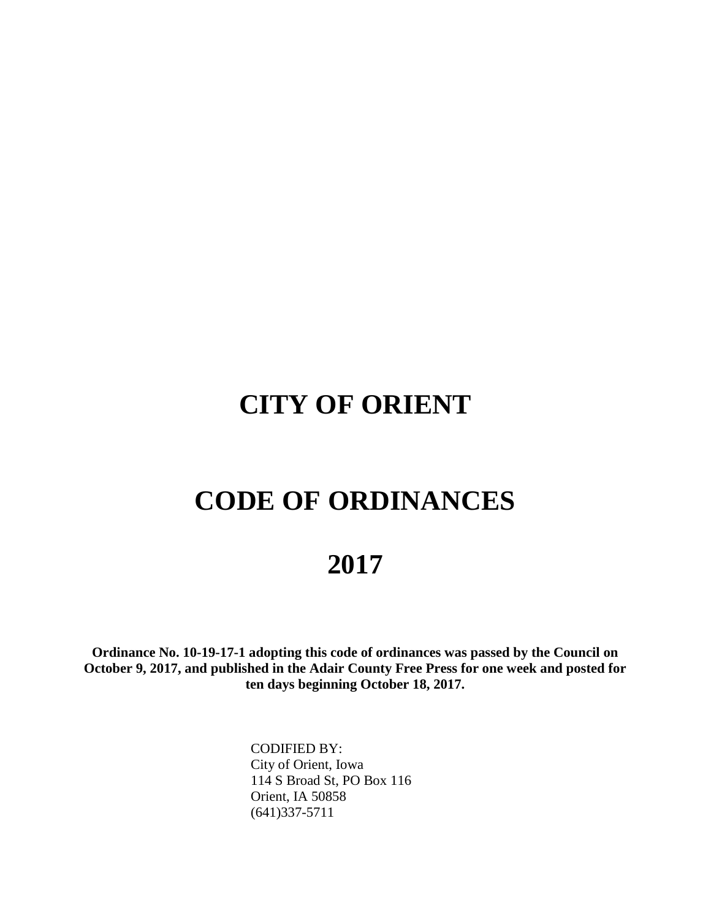# **CITY OF ORIENT**

# **CODE OF ORDINANCES**

## **2017**

**Ordinance No. 10-19-17-1 adopting this code of ordinances was passed by the Council on October 9, 2017, and published in the Adair County Free Press for one week and posted for ten days beginning October 18, 2017.**

> CODIFIED BY: City of Orient, Iowa 114 S Broad St, PO Box 116 Orient, IA 50858 (641)337-5711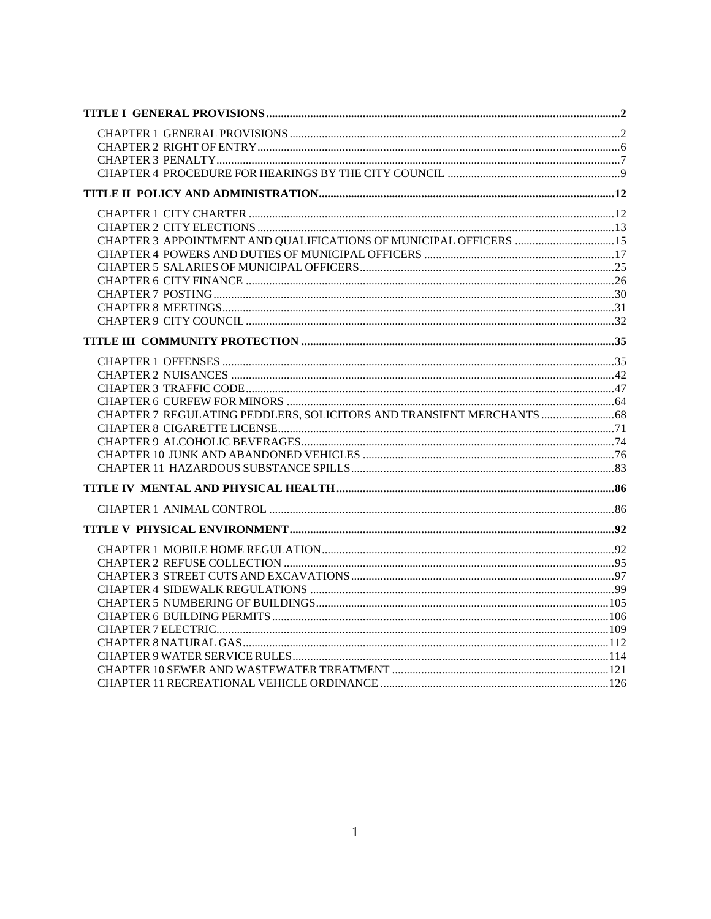| CHAPTER 3 APPOINTMENT AND QUALIFICATIONS OF MUNICIPAL OFFICERS 15 |  |
|-------------------------------------------------------------------|--|
|                                                                   |  |
|                                                                   |  |
|                                                                   |  |
|                                                                   |  |
|                                                                   |  |
|                                                                   |  |
|                                                                   |  |
|                                                                   |  |
|                                                                   |  |
|                                                                   |  |
|                                                                   |  |
| CHAPTER 7 REGULATING PEDDLERS, SOLICITORS AND TRANSIENT MERCHANTS |  |
|                                                                   |  |
|                                                                   |  |
|                                                                   |  |
|                                                                   |  |
|                                                                   |  |
|                                                                   |  |
|                                                                   |  |
|                                                                   |  |
|                                                                   |  |
|                                                                   |  |
|                                                                   |  |
|                                                                   |  |
|                                                                   |  |
|                                                                   |  |
|                                                                   |  |
|                                                                   |  |
|                                                                   |  |
|                                                                   |  |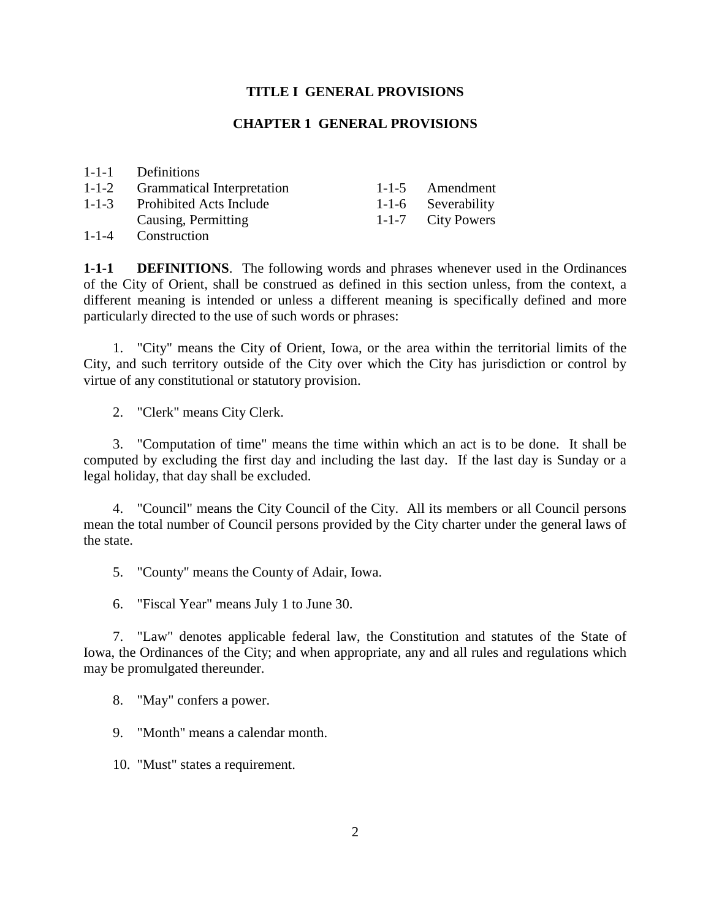#### **TITLE I GENERAL PROVISIONS**

#### **CHAPTER 1 GENERAL PROVISIONS**

|             | 1-1-1 Definitions                 |                    |
|-------------|-----------------------------------|--------------------|
| $1 - 1 - 2$ | <b>Grammatical Interpretation</b> | 1-1-5 Amendment    |
| $1 - 1 - 3$ | <b>Prohibited Acts Include</b>    | 1-1-6 Severability |
|             | Causing, Permitting               | 1-1-7 City Powers  |
| $1 - 1 - 4$ | Construction                      |                    |

**1-1-1 DEFINITIONS**. The following words and phrases whenever used in the Ordinances of the City of Orient, shall be construed as defined in this section unless, from the context, a different meaning is intended or unless a different meaning is specifically defined and more particularly directed to the use of such words or phrases:

1. "City" means the City of Orient, Iowa, or the area within the territorial limits of the City, and such territory outside of the City over which the City has jurisdiction or control by virtue of any constitutional or statutory provision.

2. "Clerk" means City Clerk.

3. "Computation of time" means the time within which an act is to be done. It shall be computed by excluding the first day and including the last day. If the last day is Sunday or a legal holiday, that day shall be excluded.

4. "Council" means the City Council of the City. All its members or all Council persons mean the total number of Council persons provided by the City charter under the general laws of the state.

5. "County" means the County of Adair, Iowa.

6. "Fiscal Year" means July 1 to June 30.

7. "Law" denotes applicable federal law, the Constitution and statutes of the State of Iowa, the Ordinances of the City; and when appropriate, any and all rules and regulations which may be promulgated thereunder.

8. "May" confers a power.

9. "Month" means a calendar month.

10. "Must" states a requirement.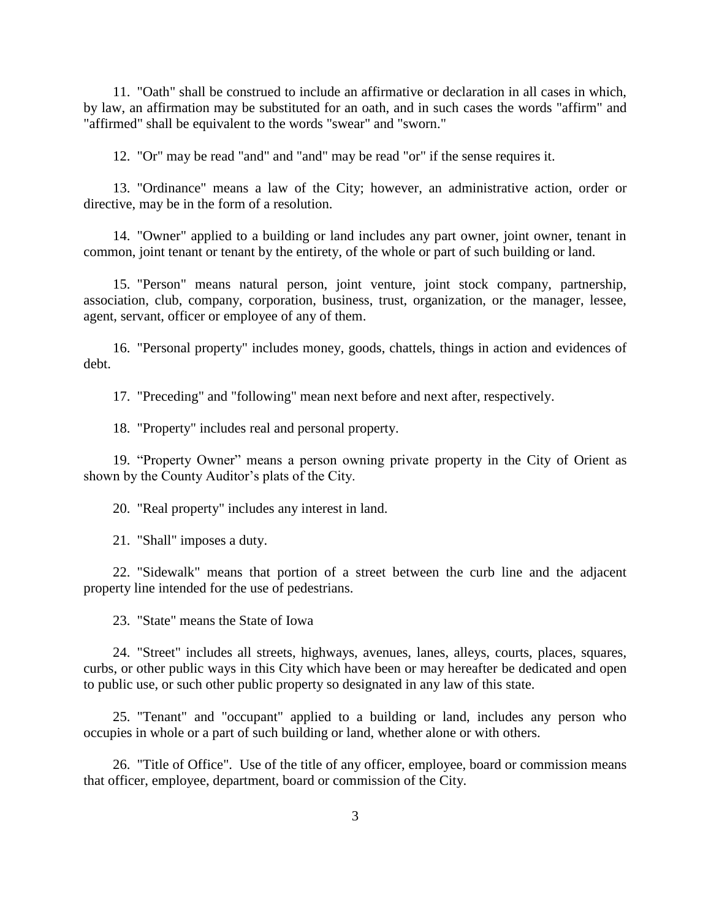11. "Oath" shall be construed to include an affirmative or declaration in all cases in which, by law, an affirmation may be substituted for an oath, and in such cases the words "affirm" and "affirmed" shall be equivalent to the words "swear" and "sworn."

12. "Or" may be read "and" and "and" may be read "or" if the sense requires it.

13. "Ordinance" means a law of the City; however, an administrative action, order or directive, may be in the form of a resolution.

14. "Owner" applied to a building or land includes any part owner, joint owner, tenant in common, joint tenant or tenant by the entirety, of the whole or part of such building or land.

15. "Person" means natural person, joint venture, joint stock company, partnership, association, club, company, corporation, business, trust, organization, or the manager, lessee, agent, servant, officer or employee of any of them.

16. "Personal property" includes money, goods, chattels, things in action and evidences of debt.

17. "Preceding" and "following" mean next before and next after, respectively.

18. "Property" includes real and personal property.

19. "Property Owner" means a person owning private property in the City of Orient as shown by the County Auditor's plats of the City.

20. "Real property" includes any interest in land.

21. "Shall" imposes a duty.

22. "Sidewalk" means that portion of a street between the curb line and the adjacent property line intended for the use of pedestrians.

23. "State" means the State of Iowa

24. "Street" includes all streets, highways, avenues, lanes, alleys, courts, places, squares, curbs, or other public ways in this City which have been or may hereafter be dedicated and open to public use, or such other public property so designated in any law of this state.

25. "Tenant" and "occupant" applied to a building or land, includes any person who occupies in whole or a part of such building or land, whether alone or with others.

26. "Title of Office". Use of the title of any officer, employee, board or commission means that officer, employee, department, board or commission of the City.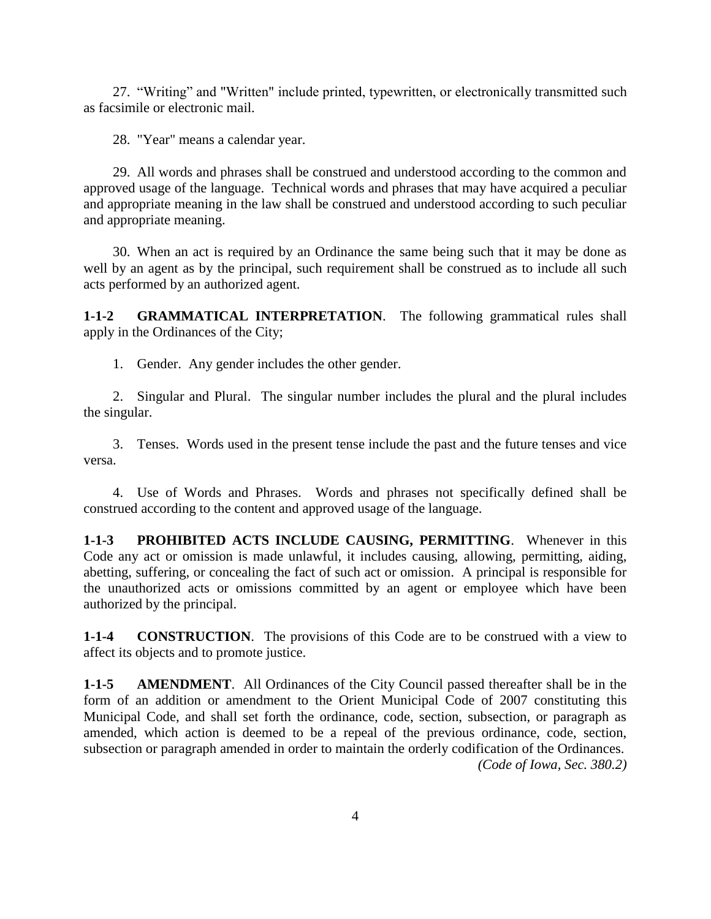27. "Writing" and "Written" include printed, typewritten, or electronically transmitted such as facsimile or electronic mail.

28. "Year" means a calendar year.

29. All words and phrases shall be construed and understood according to the common and approved usage of the language. Technical words and phrases that may have acquired a peculiar and appropriate meaning in the law shall be construed and understood according to such peculiar and appropriate meaning.

30. When an act is required by an Ordinance the same being such that it may be done as well by an agent as by the principal, such requirement shall be construed as to include all such acts performed by an authorized agent.

**1-1-2 GRAMMATICAL INTERPRETATION**. The following grammatical rules shall apply in the Ordinances of the City;

1. Gender. Any gender includes the other gender.

2. Singular and Plural. The singular number includes the plural and the plural includes the singular.

3. Tenses. Words used in the present tense include the past and the future tenses and vice versa.

4. Use of Words and Phrases. Words and phrases not specifically defined shall be construed according to the content and approved usage of the language.

**1-1-3 PROHIBITED ACTS INCLUDE CAUSING, PERMITTING**. Whenever in this Code any act or omission is made unlawful, it includes causing, allowing, permitting, aiding, abetting, suffering, or concealing the fact of such act or omission. A principal is responsible for the unauthorized acts or omissions committed by an agent or employee which have been authorized by the principal.

**1-1-4 CONSTRUCTION**. The provisions of this Code are to be construed with a view to affect its objects and to promote justice.

**1-1-5 AMENDMENT**. All Ordinances of the City Council passed thereafter shall be in the form of an addition or amendment to the Orient Municipal Code of 2007 constituting this Municipal Code, and shall set forth the ordinance, code, section, subsection, or paragraph as amended, which action is deemed to be a repeal of the previous ordinance, code, section, subsection or paragraph amended in order to maintain the orderly codification of the Ordinances. *(Code of Iowa, Sec. 380.2)*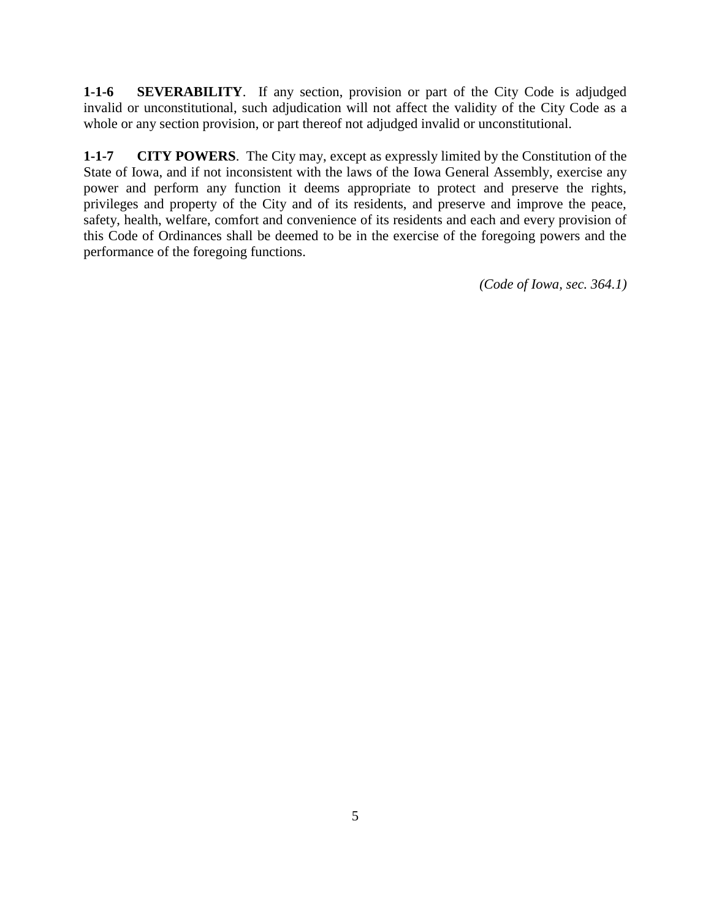**1-1-6 SEVERABILITY**. If any section, provision or part of the City Code is adjudged invalid or unconstitutional, such adjudication will not affect the validity of the City Code as a whole or any section provision, or part thereof not adjudged invalid or unconstitutional.

**1-1-7 CITY POWERS**. The City may, except as expressly limited by the Constitution of the State of Iowa, and if not inconsistent with the laws of the Iowa General Assembly, exercise any power and perform any function it deems appropriate to protect and preserve the rights, privileges and property of the City and of its residents, and preserve and improve the peace, safety, health, welfare, comfort and convenience of its residents and each and every provision of this Code of Ordinances shall be deemed to be in the exercise of the foregoing powers and the performance of the foregoing functions.

*(Code of Iowa, sec. 364.1)*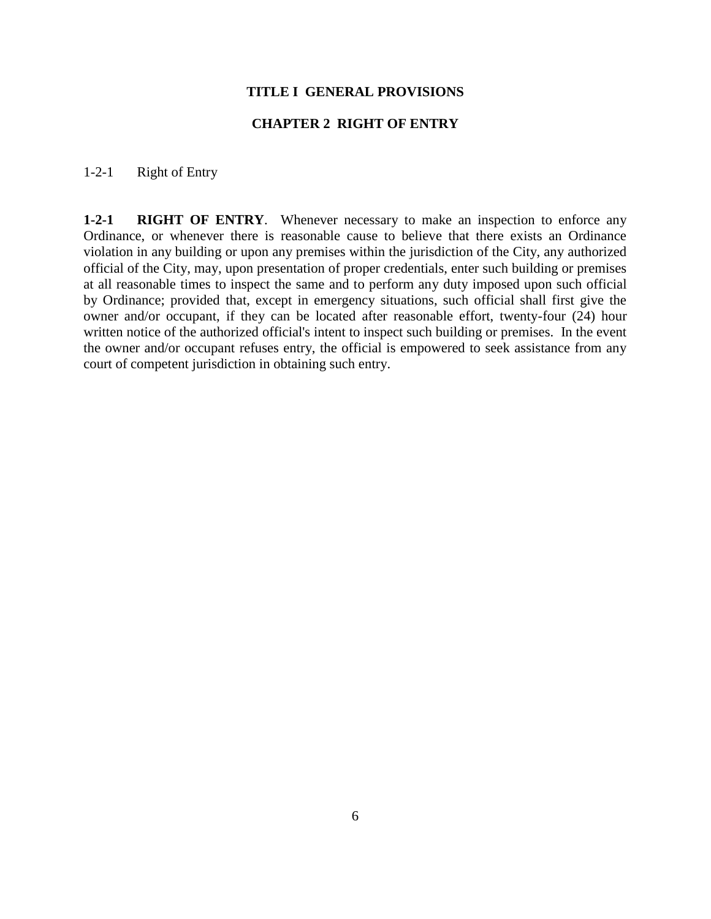#### **TITLE I GENERAL PROVISIONS**

## **CHAPTER 2 RIGHT OF ENTRY**

### 1-2-1 Right of Entry

**1-2-1 RIGHT OF ENTRY**. Whenever necessary to make an inspection to enforce any Ordinance, or whenever there is reasonable cause to believe that there exists an Ordinance violation in any building or upon any premises within the jurisdiction of the City, any authorized official of the City, may, upon presentation of proper credentials, enter such building or premises at all reasonable times to inspect the same and to perform any duty imposed upon such official by Ordinance; provided that, except in emergency situations, such official shall first give the owner and/or occupant, if they can be located after reasonable effort, twenty-four (24) hour written notice of the authorized official's intent to inspect such building or premises. In the event the owner and/or occupant refuses entry, the official is empowered to seek assistance from any court of competent jurisdiction in obtaining such entry.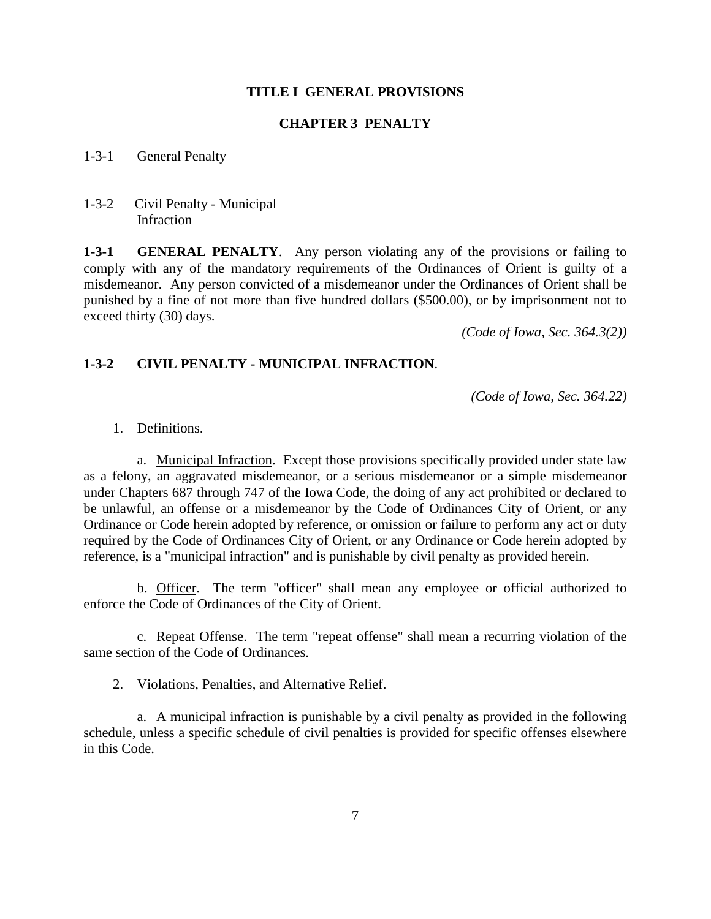#### **TITLE I GENERAL PROVISIONS**

#### **CHAPTER 3 PENALTY**

1-3-1 General Penalty

1-3-2 Civil Penalty - Municipal Infraction

**1-3-1 GENERAL PENALTY**. Any person violating any of the provisions or failing to comply with any of the mandatory requirements of the Ordinances of Orient is guilty of a misdemeanor. Any person convicted of a misdemeanor under the Ordinances of Orient shall be punished by a fine of not more than five hundred dollars (\$500.00), or by imprisonment not to exceed thirty (30) days.

*(Code of Iowa, Sec. 364.3(2))*

## **1-3-2 CIVIL PENALTY - MUNICIPAL INFRACTION**.

*(Code of Iowa, Sec. 364.22)*

1. Definitions.

a. Municipal Infraction. Except those provisions specifically provided under state law as a felony, an aggravated misdemeanor, or a serious misdemeanor or a simple misdemeanor under Chapters 687 through 747 of the Iowa Code, the doing of any act prohibited or declared to be unlawful, an offense or a misdemeanor by the Code of Ordinances City of Orient, or any Ordinance or Code herein adopted by reference, or omission or failure to perform any act or duty required by the Code of Ordinances City of Orient, or any Ordinance or Code herein adopted by reference, is a "municipal infraction" and is punishable by civil penalty as provided herein.

b. Officer. The term "officer" shall mean any employee or official authorized to enforce the Code of Ordinances of the City of Orient.

c. Repeat Offense. The term "repeat offense" shall mean a recurring violation of the same section of the Code of Ordinances.

2. Violations, Penalties, and Alternative Relief.

a. A municipal infraction is punishable by a civil penalty as provided in the following schedule, unless a specific schedule of civil penalties is provided for specific offenses elsewhere in this Code.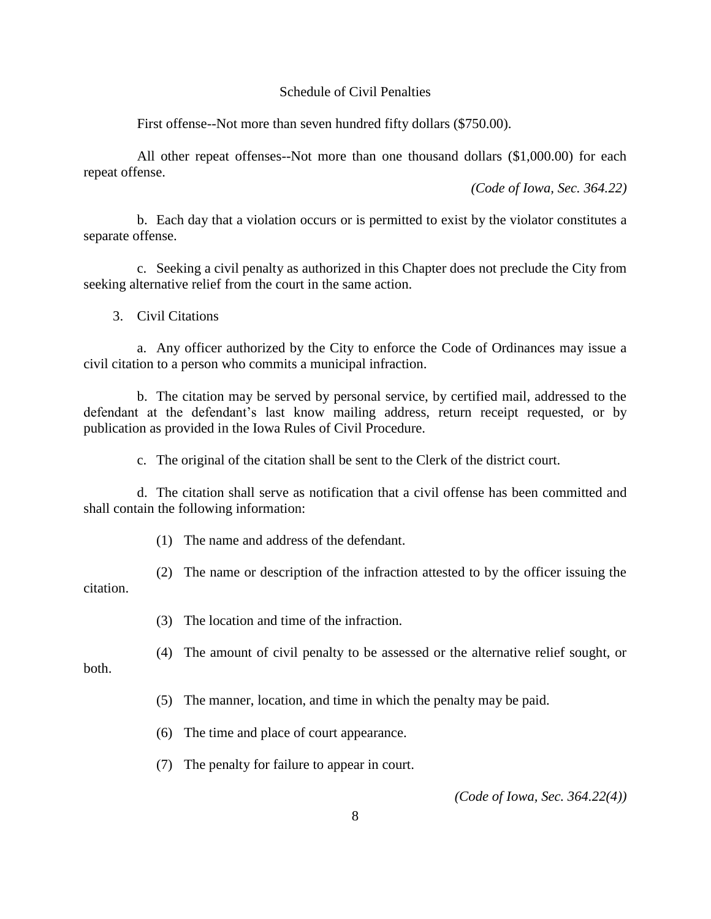#### Schedule of Civil Penalties

First offense--Not more than seven hundred fifty dollars (\$750.00).

All other repeat offenses--Not more than one thousand dollars (\$1,000.00) for each repeat offense.

*(Code of Iowa, Sec. 364.22)*

b. Each day that a violation occurs or is permitted to exist by the violator constitutes a separate offense.

c. Seeking a civil penalty as authorized in this Chapter does not preclude the City from seeking alternative relief from the court in the same action.

3. Civil Citations

a. Any officer authorized by the City to enforce the Code of Ordinances may issue a civil citation to a person who commits a municipal infraction.

b. The citation may be served by personal service, by certified mail, addressed to the defendant at the defendant's last know mailing address, return receipt requested, or by publication as provided in the Iowa Rules of Civil Procedure.

c. The original of the citation shall be sent to the Clerk of the district court.

d. The citation shall serve as notification that a civil offense has been committed and shall contain the following information:

(1) The name and address of the defendant.

(2) The name or description of the infraction attested to by the officer issuing the citation.

(3) The location and time of the infraction.

both.

(4) The amount of civil penalty to be assessed or the alternative relief sought, or

(5) The manner, location, and time in which the penalty may be paid.

(6) The time and place of court appearance.

(7) The penalty for failure to appear in court.

*(Code of Iowa, Sec. 364.22(4))*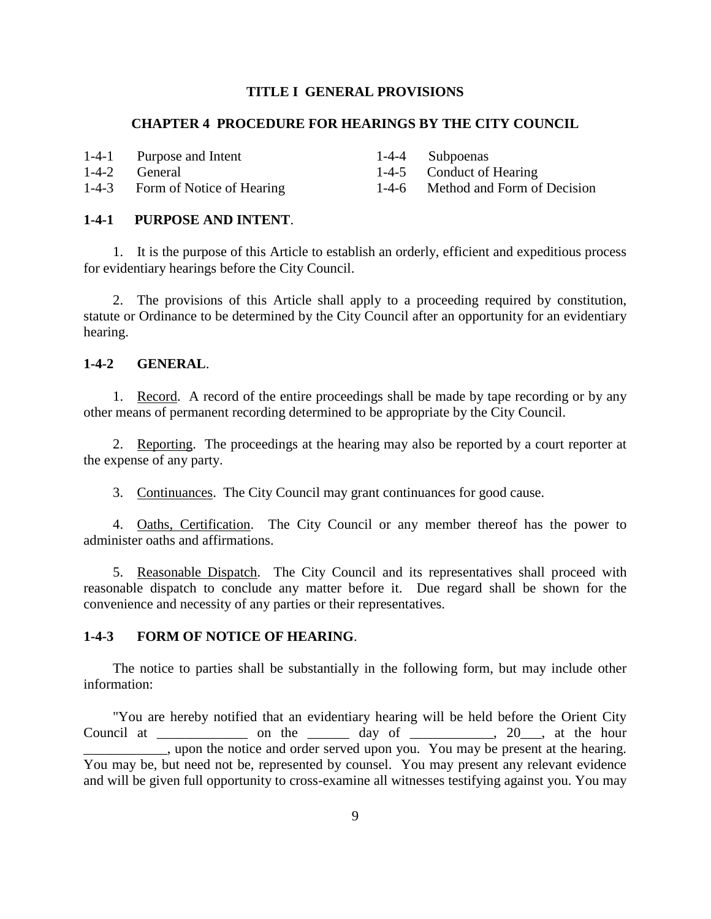#### **TITLE I GENERAL PROVISIONS**

## **CHAPTER 4 PROCEDURE FOR HEARINGS BY THE CITY COUNCIL**

1-4-1 Purpose and Intent

1-4-4 Subpoenas

1-4-2 General

1-4-5 Conduct of Hearing

1-4-6 Method and Form of Decision

#### **1-4-1 PURPOSE AND INTENT**.

1-4-3 Form of Notice of Hearing

1. It is the purpose of this Article to establish an orderly, efficient and expeditious process for evidentiary hearings before the City Council.

2. The provisions of this Article shall apply to a proceeding required by constitution, statute or Ordinance to be determined by the City Council after an opportunity for an evidentiary hearing.

## **1-4-2 GENERAL**.

1. Record. A record of the entire proceedings shall be made by tape recording or by any other means of permanent recording determined to be appropriate by the City Council.

2. Reporting. The proceedings at the hearing may also be reported by a court reporter at the expense of any party.

3. Continuances. The City Council may grant continuances for good cause.

4. Oaths, Certification. The City Council or any member thereof has the power to administer oaths and affirmations.

5. Reasonable Dispatch. The City Council and its representatives shall proceed with reasonable dispatch to conclude any matter before it. Due regard shall be shown for the convenience and necessity of any parties or their representatives.

#### **1-4-3 FORM OF NOTICE OF HEARING**.

The notice to parties shall be substantially in the following form, but may include other information:

"You are hereby notified that an evidentiary hearing will be held before the Orient City Council at  $\frac{1}{\sqrt{2}}$  on the  $\frac{1}{\sqrt{2}}$  day of  $\frac{1}{\sqrt{2}}$ , at the hour upon the notice and order served upon you. You may be present at the hearing. You may be, but need not be, represented by counsel. You may present any relevant evidence and will be given full opportunity to cross-examine all witnesses testifying against you. You may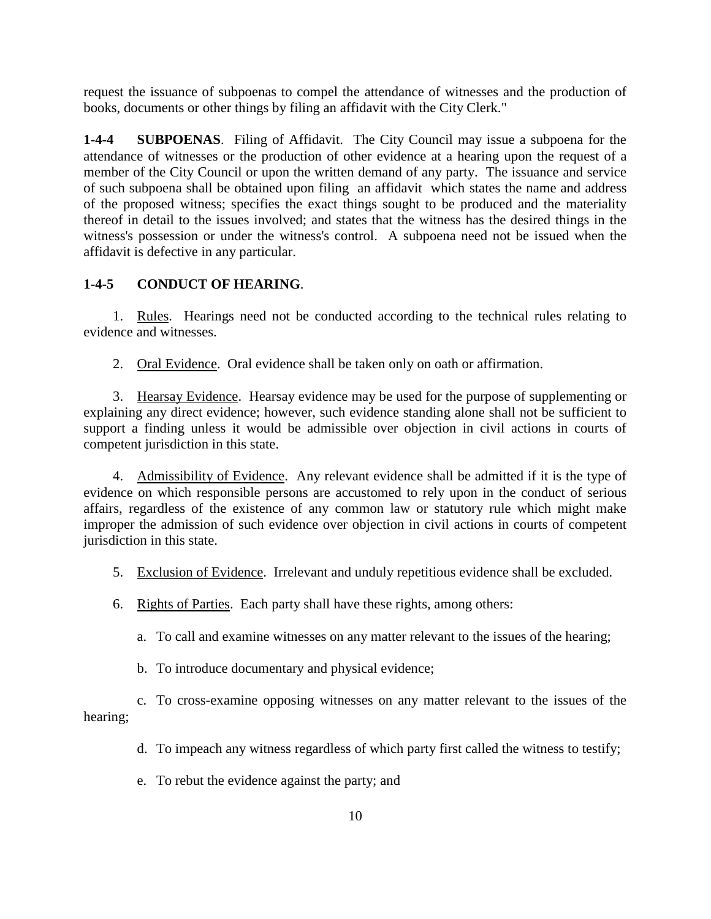request the issuance of subpoenas to compel the attendance of witnesses and the production of books, documents or other things by filing an affidavit with the City Clerk."

**1-4-4 SUBPOENAS**. Filing of Affidavit. The City Council may issue a subpoena for the attendance of witnesses or the production of other evidence at a hearing upon the request of a member of the City Council or upon the written demand of any party. The issuance and service of such subpoena shall be obtained upon filing an affidavit which states the name and address of the proposed witness; specifies the exact things sought to be produced and the materiality thereof in detail to the issues involved; and states that the witness has the desired things in the witness's possession or under the witness's control. A subpoena need not be issued when the affidavit is defective in any particular.

## **1-4-5 CONDUCT OF HEARING**.

1. Rules. Hearings need not be conducted according to the technical rules relating to evidence and witnesses.

2. Oral Evidence. Oral evidence shall be taken only on oath or affirmation.

3. Hearsay Evidence. Hearsay evidence may be used for the purpose of supplementing or explaining any direct evidence; however, such evidence standing alone shall not be sufficient to support a finding unless it would be admissible over objection in civil actions in courts of competent jurisdiction in this state.

4. Admissibility of Evidence. Any relevant evidence shall be admitted if it is the type of evidence on which responsible persons are accustomed to rely upon in the conduct of serious affairs, regardless of the existence of any common law or statutory rule which might make improper the admission of such evidence over objection in civil actions in courts of competent jurisdiction in this state.

- 5. Exclusion of Evidence. Irrelevant and unduly repetitious evidence shall be excluded.
- 6. Rights of Parties. Each party shall have these rights, among others:
	- a. To call and examine witnesses on any matter relevant to the issues of the hearing;
	- b. To introduce documentary and physical evidence;

c. To cross-examine opposing witnesses on any matter relevant to the issues of the hearing;

- d. To impeach any witness regardless of which party first called the witness to testify;
- e. To rebut the evidence against the party; and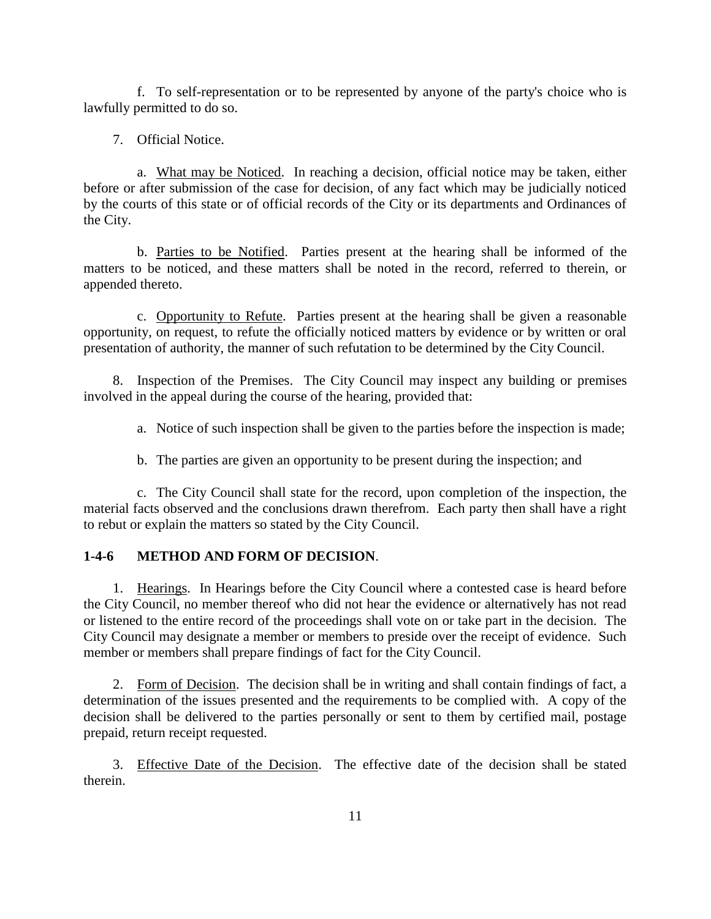f. To self-representation or to be represented by anyone of the party's choice who is lawfully permitted to do so.

#### 7. Official Notice.

a. What may be Noticed. In reaching a decision, official notice may be taken, either before or after submission of the case for decision, of any fact which may be judicially noticed by the courts of this state or of official records of the City or its departments and Ordinances of the City.

b. Parties to be Notified. Parties present at the hearing shall be informed of the matters to be noticed, and these matters shall be noted in the record, referred to therein, or appended thereto.

c. Opportunity to Refute. Parties present at the hearing shall be given a reasonable opportunity, on request, to refute the officially noticed matters by evidence or by written or oral presentation of authority, the manner of such refutation to be determined by the City Council.

8. Inspection of the Premises. The City Council may inspect any building or premises involved in the appeal during the course of the hearing, provided that:

a. Notice of such inspection shall be given to the parties before the inspection is made;

b. The parties are given an opportunity to be present during the inspection; and

c. The City Council shall state for the record, upon completion of the inspection, the material facts observed and the conclusions drawn therefrom. Each party then shall have a right to rebut or explain the matters so stated by the City Council.

#### **1-4-6 METHOD AND FORM OF DECISION**.

1. Hearings. In Hearings before the City Council where a contested case is heard before the City Council, no member thereof who did not hear the evidence or alternatively has not read or listened to the entire record of the proceedings shall vote on or take part in the decision. The City Council may designate a member or members to preside over the receipt of evidence. Such member or members shall prepare findings of fact for the City Council.

2. Form of Decision. The decision shall be in writing and shall contain findings of fact, a determination of the issues presented and the requirements to be complied with. A copy of the decision shall be delivered to the parties personally or sent to them by certified mail, postage prepaid, return receipt requested.

3. Effective Date of the Decision. The effective date of the decision shall be stated therein.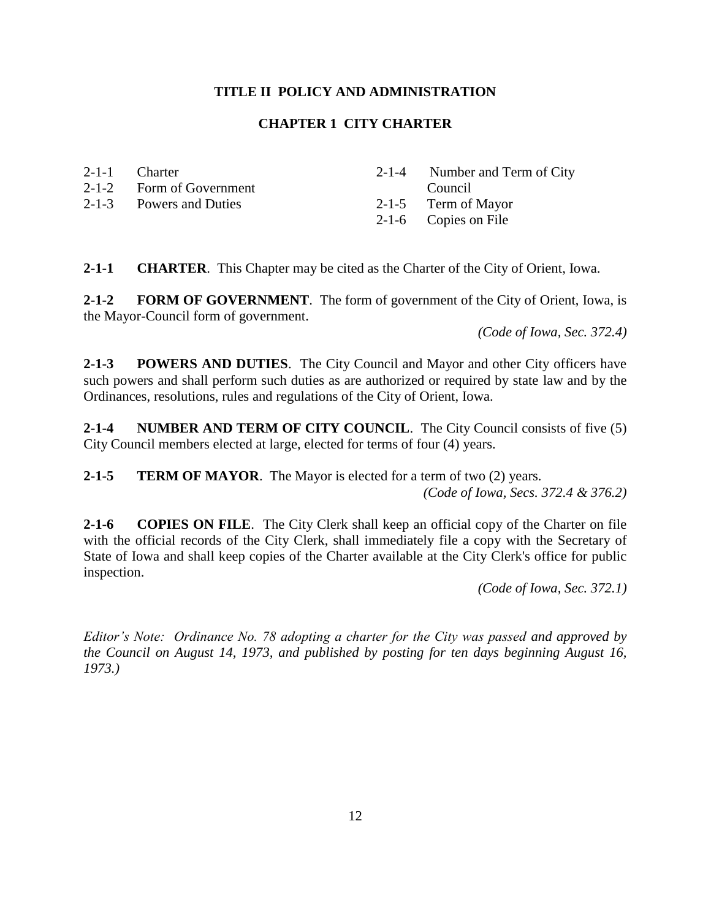## **CHAPTER 1 CITY CHARTER**

| 2-1-1 Charter            | 2-1-4 Number and $T_0$ |
|--------------------------|------------------------|
| 2-1-2 Form of Government | Council                |
| 2-1-3 Powers and Duties  | 2-1-5 Term of Mayor    |

**2-1-1 CHARTER**. This Chapter may be cited as the Charter of the City of Orient, Iowa.

**2-1-2 FORM OF GOVERNMENT**. The form of government of the City of Orient, Iowa, is the Mayor-Council form of government.

2-1-6 Copies on File

*(Code of Iowa, Sec. 372.4)*

Term of City

**2-1-3 POWERS AND DUTIES**. The City Council and Mayor and other City officers have such powers and shall perform such duties as are authorized or required by state law and by the Ordinances, resolutions, rules and regulations of the City of Orient, Iowa.

**2-1-4 NUMBER AND TERM OF CITY COUNCIL**. The City Council consists of five (5) City Council members elected at large, elected for terms of four (4) years.

**2-1-5 TERM OF MAYOR**. The Mayor is elected for a term of two (2) years.

*(Code of Iowa, Secs. 372.4 & 376.2)*

**2-1-6 COPIES ON FILE**. The City Clerk shall keep an official copy of the Charter on file with the official records of the City Clerk, shall immediately file a copy with the Secretary of State of Iowa and shall keep copies of the Charter available at the City Clerk's office for public inspection.

*(Code of Iowa, Sec. 372.1)*

*Editor's Note: Ordinance No. 78 adopting a charter for the City was passed and approved by the Council on August 14, 1973, and published by posting for ten days beginning August 16, 1973.)*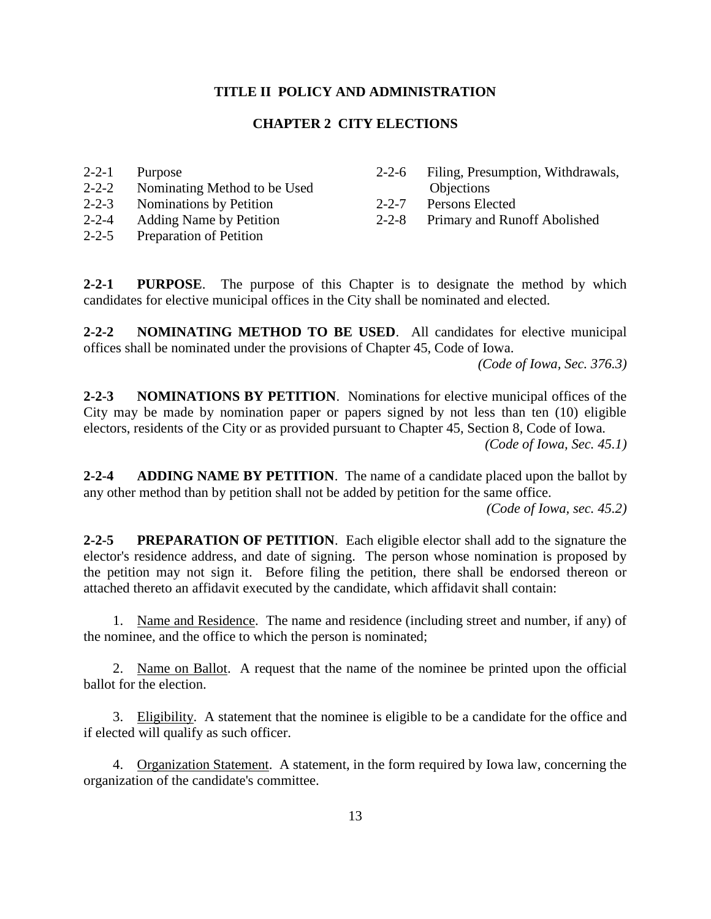## **CHAPTER 2 CITY ELECTIONS**

2-2-1 Purpose

- 2-2-2 Nominating Method to be Used
- 2-2-3 Nominations by Petition
- 2-2-4 Adding Name by Petition
- 2-2-5 Preparation of Petition
- 2-2-6 Filing, Presumption, Withdrawals,
- 2-2-7 Persons Elected
- 2-2-8 Primary and Runoff Abolished

**2-2-1 PURPOSE**. The purpose of this Chapter is to designate the method by which candidates for elective municipal offices in the City shall be nominated and elected.

**2-2-2 NOMINATING METHOD TO BE USED**. All candidates for elective municipal offices shall be nominated under the provisions of Chapter 45, Code of Iowa.

*(Code of Iowa, Sec. 376.3)*

**2-2-3 NOMINATIONS BY PETITION**. Nominations for elective municipal offices of the City may be made by nomination paper or papers signed by not less than ten (10) eligible electors, residents of the City or as provided pursuant to Chapter 45, Section 8, Code of Iowa. *(Code of Iowa, Sec. 45.1)*

**2-2-4 ADDING NAME BY PETITION**. The name of a candidate placed upon the ballot by any other method than by petition shall not be added by petition for the same office.

*(Code of Iowa, sec. 45.2)*

**2-2-5 PREPARATION OF PETITION**. Each eligible elector shall add to the signature the elector's residence address, and date of signing. The person whose nomination is proposed by the petition may not sign it. Before filing the petition, there shall be endorsed thereon or attached thereto an affidavit executed by the candidate, which affidavit shall contain:

1. Name and Residence. The name and residence (including street and number, if any) of the nominee, and the office to which the person is nominated;

2. Name on Ballot. A request that the name of the nominee be printed upon the official ballot for the election.

3. Eligibility. A statement that the nominee is eligible to be a candidate for the office and if elected will qualify as such officer.

4. Organization Statement. A statement, in the form required by Iowa law, concerning the organization of the candidate's committee.

**Objections**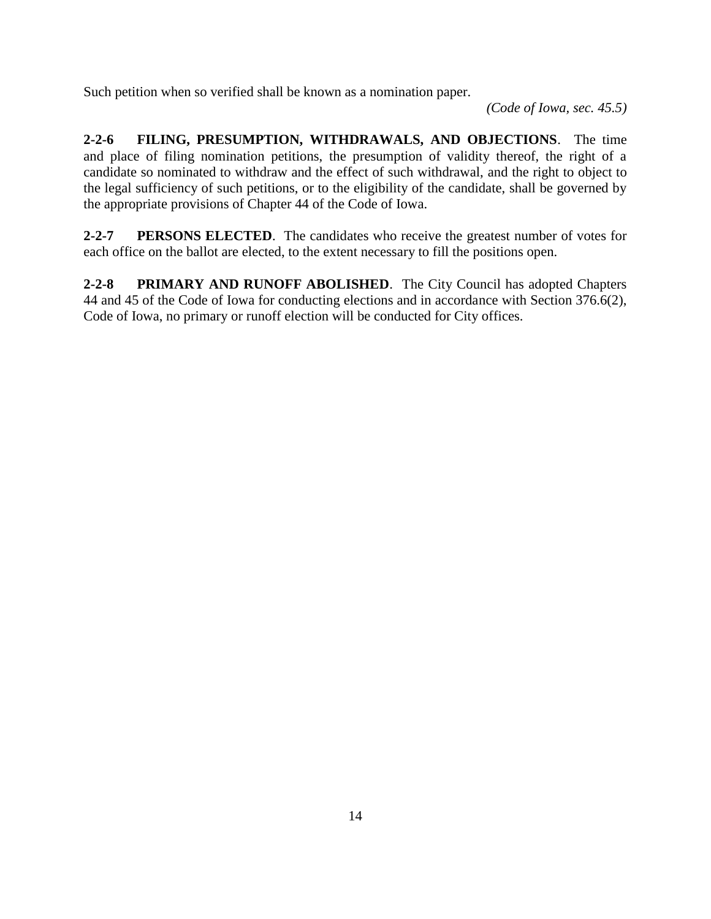Such petition when so verified shall be known as a nomination paper.

*(Code of Iowa, sec. 45.5)*

**2-2-6 FILING, PRESUMPTION, WITHDRAWALS, AND OBJECTIONS**. The time and place of filing nomination petitions, the presumption of validity thereof, the right of a candidate so nominated to withdraw and the effect of such withdrawal, and the right to object to the legal sufficiency of such petitions, or to the eligibility of the candidate, shall be governed by the appropriate provisions of Chapter 44 of the Code of Iowa.

**2-2-7 PERSONS ELECTED**. The candidates who receive the greatest number of votes for each office on the ballot are elected, to the extent necessary to fill the positions open.

**2-2-8 PRIMARY AND RUNOFF ABOLISHED**. The City Council has adopted Chapters 44 and 45 of the Code of Iowa for conducting elections and in accordance with Section 376.6(2), Code of Iowa, no primary or runoff election will be conducted for City offices.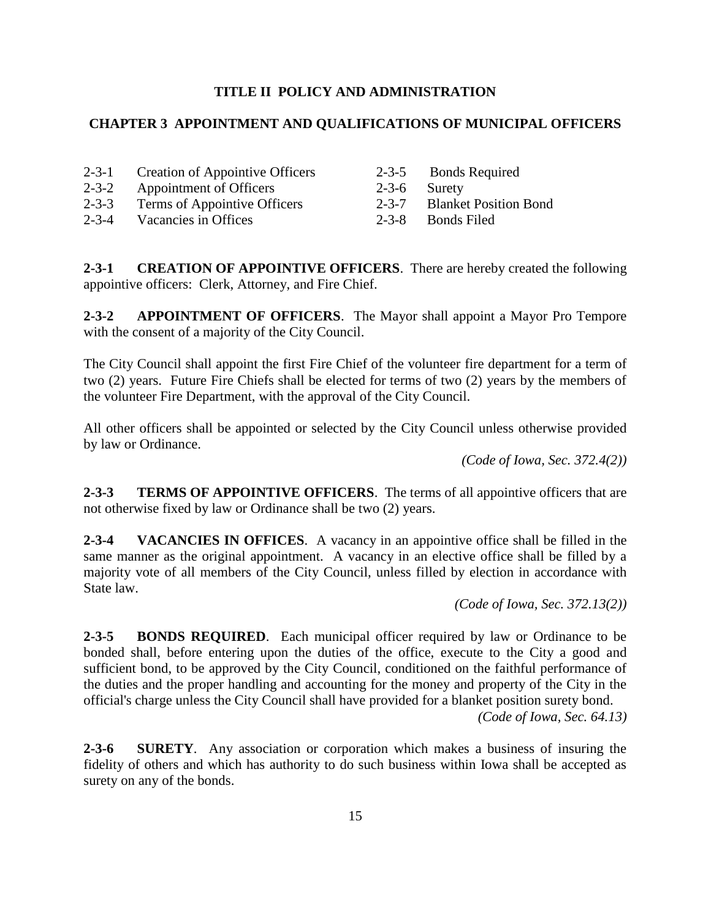### **CHAPTER 3 APPOINTMENT AND QUALIFICATIONS OF MUNICIPAL OFFICERS**

- 2-3-1 Creation of Appointive Officers
- 2-3-2 Appointment of Officers
- 2-3-3 Terms of Appointive Officers
- 2-3-4 Vacancies in Offices
- 2-3-5 Bonds Required
- 2-3-6 Surety
- 2-3-7 Blanket Position Bond
- 2-3-8 Bonds Filed

**2-3-1 CREATION OF APPOINTIVE OFFICERS**. There are hereby created the following appointive officers: Clerk, Attorney, and Fire Chief.

**2-3-2 APPOINTMENT OF OFFICERS**. The Mayor shall appoint a Mayor Pro Tempore with the consent of a majority of the City Council.

The City Council shall appoint the first Fire Chief of the volunteer fire department for a term of two (2) years. Future Fire Chiefs shall be elected for terms of two (2) years by the members of the volunteer Fire Department, with the approval of the City Council.

All other officers shall be appointed or selected by the City Council unless otherwise provided by law or Ordinance.

*(Code of Iowa, Sec. 372.4(2))*

**2-3-3 TERMS OF APPOINTIVE OFFICERS**. The terms of all appointive officers that are not otherwise fixed by law or Ordinance shall be two (2) years.

**2-3-4 VACANCIES IN OFFICES**. A vacancy in an appointive office shall be filled in the same manner as the original appointment. A vacancy in an elective office shall be filled by a majority vote of all members of the City Council, unless filled by election in accordance with State law.

*(Code of Iowa, Sec. 372.13(2))*

**2-3-5 BONDS REQUIRED**. Each municipal officer required by law or Ordinance to be bonded shall, before entering upon the duties of the office, execute to the City a good and sufficient bond, to be approved by the City Council, conditioned on the faithful performance of the duties and the proper handling and accounting for the money and property of the City in the official's charge unless the City Council shall have provided for a blanket position surety bond.

*(Code of Iowa, Sec. 64.13)*

**2-3-6 SURETY**. Any association or corporation which makes a business of insuring the fidelity of others and which has authority to do such business within Iowa shall be accepted as surety on any of the bonds.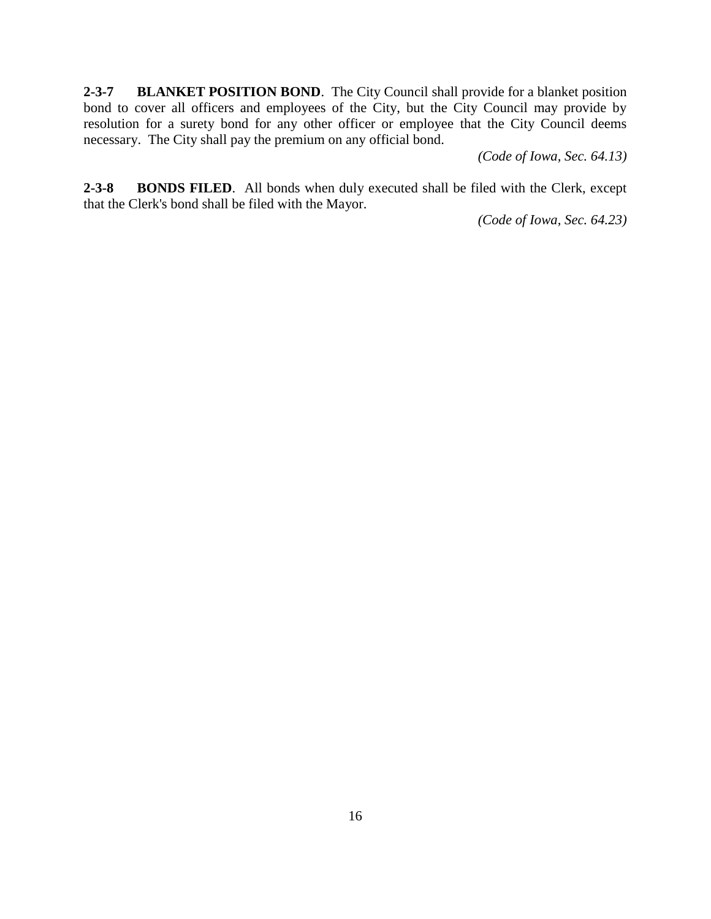**2-3-7 BLANKET POSITION BOND**. The City Council shall provide for a blanket position bond to cover all officers and employees of the City, but the City Council may provide by resolution for a surety bond for any other officer or employee that the City Council deems necessary. The City shall pay the premium on any official bond.

*(Code of Iowa, Sec. 64.13)*

**2-3-8 BONDS FILED**. All bonds when duly executed shall be filed with the Clerk, except that the Clerk's bond shall be filed with the Mayor.

*(Code of Iowa, Sec. 64.23)*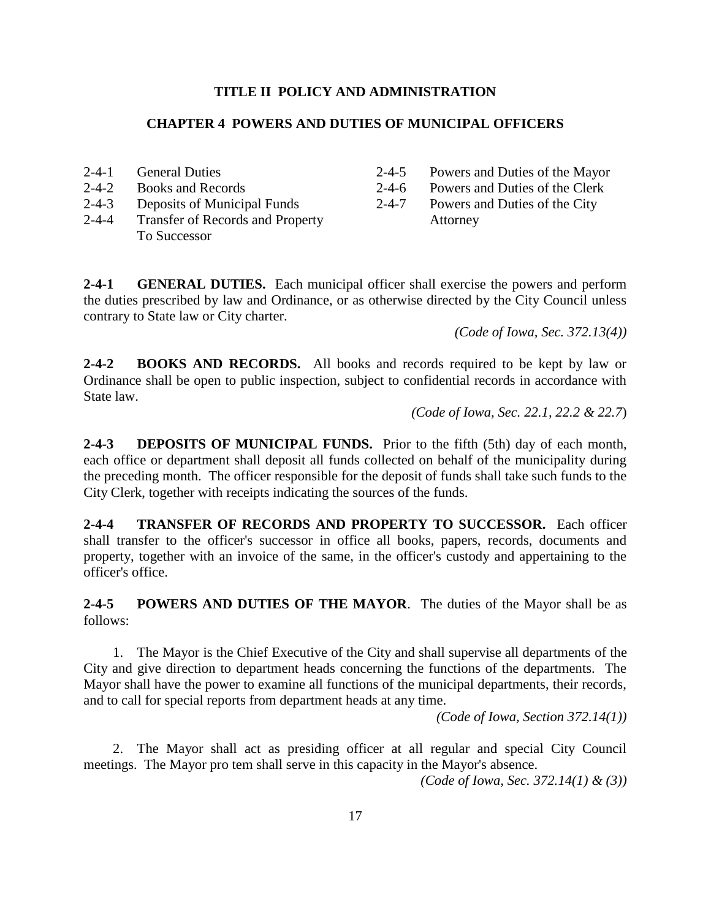## **CHAPTER 4 POWERS AND DUTIES OF MUNICIPAL OFFICERS**

- 2-4-1 General Duties
- 2-4-2 Books and Records
- 2-4-3 Deposits of Municipal Funds
- 2-4-4 Transfer of Records and Property To Successor
- 2-4-5 Powers and Duties of the Mayor
- 2-4-6 Powers and Duties of the Clerk
- 2-4-7 Powers and Duties of the City
- Attorney

**2-4-1 GENERAL DUTIES.** Each municipal officer shall exercise the powers and perform the duties prescribed by law and Ordinance, or as otherwise directed by the City Council unless contrary to State law or City charter.

*(Code of Iowa, Sec. 372.13(4))*

**2-4-2 BOOKS AND RECORDS.** All books and records required to be kept by law or Ordinance shall be open to public inspection, subject to confidential records in accordance with State law.

 *(Code of Iowa, Sec. 22.1, 22.2 & 22.7*)

**2-4-3 DEPOSITS OF MUNICIPAL FUNDS.** Prior to the fifth (5th) day of each month, each office or department shall deposit all funds collected on behalf of the municipality during the preceding month. The officer responsible for the deposit of funds shall take such funds to the City Clerk, together with receipts indicating the sources of the funds.

**2-4-4 TRANSFER OF RECORDS AND PROPERTY TO SUCCESSOR.** Each officer shall transfer to the officer's successor in office all books, papers, records, documents and property, together with an invoice of the same, in the officer's custody and appertaining to the officer's office.

**2-4-5 POWERS AND DUTIES OF THE MAYOR**. The duties of the Mayor shall be as follows:

1. The Mayor is the Chief Executive of the City and shall supervise all departments of the City and give direction to department heads concerning the functions of the departments. The Mayor shall have the power to examine all functions of the municipal departments, their records, and to call for special reports from department heads at any time.

*(Code of Iowa, Section 372.14(1))*

2. The Mayor shall act as presiding officer at all regular and special City Council meetings. The Mayor pro tem shall serve in this capacity in the Mayor's absence.

*(Code of Iowa, Sec. 372.14(1) & (3))*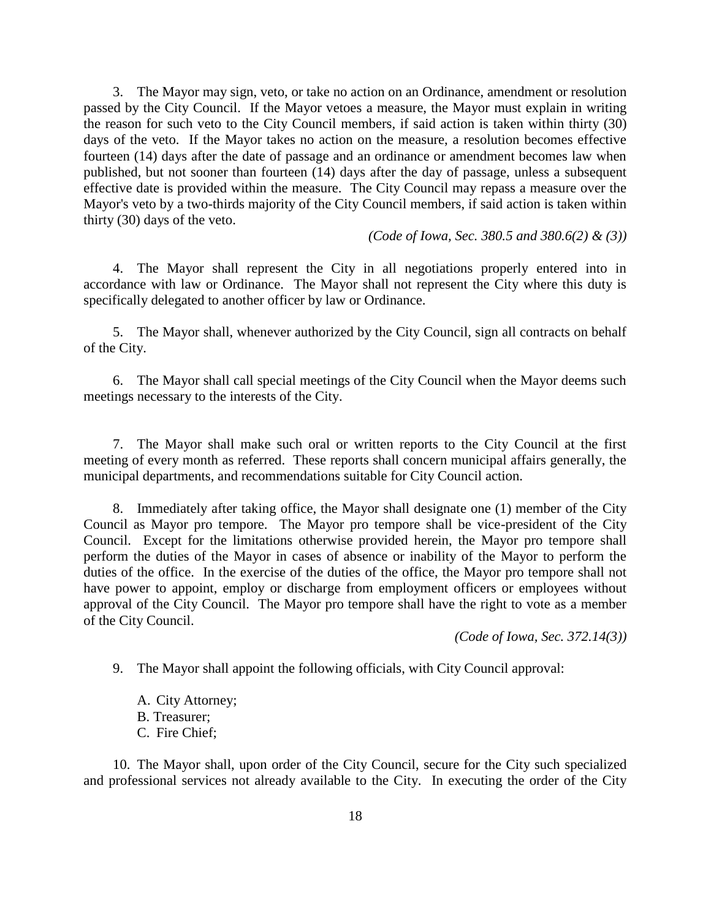3. The Mayor may sign, veto, or take no action on an Ordinance, amendment or resolution passed by the City Council. If the Mayor vetoes a measure, the Mayor must explain in writing the reason for such veto to the City Council members, if said action is taken within thirty (30) days of the veto. If the Mayor takes no action on the measure, a resolution becomes effective fourteen (14) days after the date of passage and an ordinance or amendment becomes law when published, but not sooner than fourteen (14) days after the day of passage, unless a subsequent effective date is provided within the measure. The City Council may repass a measure over the Mayor's veto by a two-thirds majority of the City Council members, if said action is taken within thirty (30) days of the veto.

*(Code of Iowa, Sec. 380.5 and 380.6(2) & (3))*

4. The Mayor shall represent the City in all negotiations properly entered into in accordance with law or Ordinance. The Mayor shall not represent the City where this duty is specifically delegated to another officer by law or Ordinance.

5. The Mayor shall, whenever authorized by the City Council, sign all contracts on behalf of the City.

6. The Mayor shall call special meetings of the City Council when the Mayor deems such meetings necessary to the interests of the City.

7. The Mayor shall make such oral or written reports to the City Council at the first meeting of every month as referred. These reports shall concern municipal affairs generally, the municipal departments, and recommendations suitable for City Council action.

8. Immediately after taking office, the Mayor shall designate one (1) member of the City Council as Mayor pro tempore. The Mayor pro tempore shall be vice-president of the City Council. Except for the limitations otherwise provided herein, the Mayor pro tempore shall perform the duties of the Mayor in cases of absence or inability of the Mayor to perform the duties of the office. In the exercise of the duties of the office, the Mayor pro tempore shall not have power to appoint, employ or discharge from employment officers or employees without approval of the City Council. The Mayor pro tempore shall have the right to vote as a member of the City Council.

*(Code of Iowa, Sec. 372.14(3))*

9. The Mayor shall appoint the following officials, with City Council approval:

A. City Attorney; B. Treasurer; C. Fire Chief;

10. The Mayor shall, upon order of the City Council, secure for the City such specialized and professional services not already available to the City. In executing the order of the City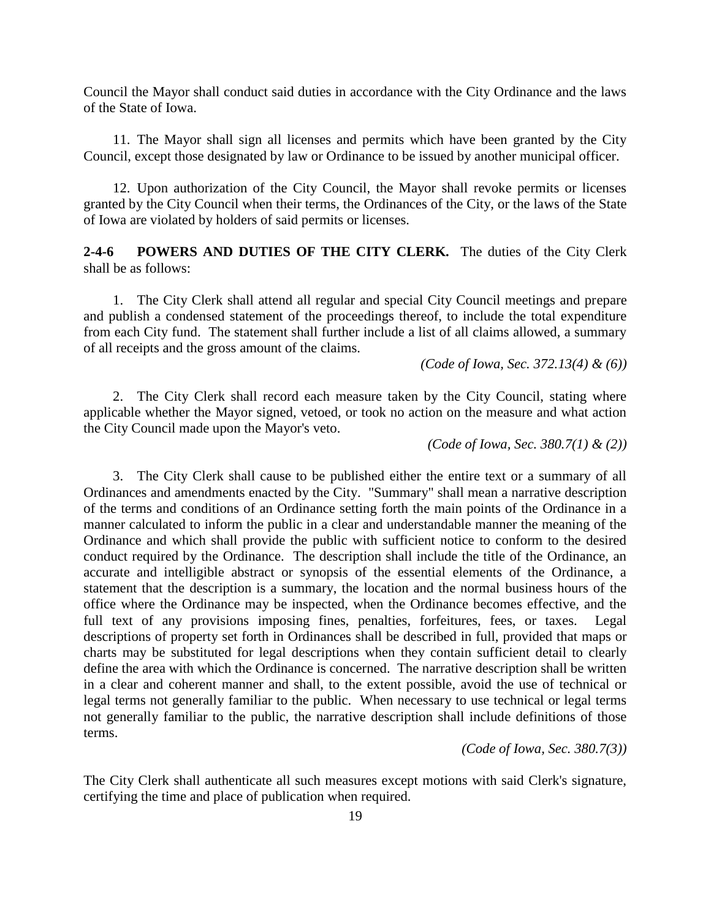Council the Mayor shall conduct said duties in accordance with the City Ordinance and the laws of the State of Iowa.

11. The Mayor shall sign all licenses and permits which have been granted by the City Council, except those designated by law or Ordinance to be issued by another municipal officer.

12. Upon authorization of the City Council, the Mayor shall revoke permits or licenses granted by the City Council when their terms, the Ordinances of the City, or the laws of the State of Iowa are violated by holders of said permits or licenses.

**2-4-6 POWERS AND DUTIES OF THE CITY CLERK.** The duties of the City Clerk shall be as follows:

1. The City Clerk shall attend all regular and special City Council meetings and prepare and publish a condensed statement of the proceedings thereof, to include the total expenditure from each City fund. The statement shall further include a list of all claims allowed, a summary of all receipts and the gross amount of the claims.

*(Code of Iowa, Sec. 372.13(4) & (6))*

2. The City Clerk shall record each measure taken by the City Council, stating where applicable whether the Mayor signed, vetoed, or took no action on the measure and what action the City Council made upon the Mayor's veto.

*(Code of Iowa, Sec. 380.7(1) & (2))*

3. The City Clerk shall cause to be published either the entire text or a summary of all Ordinances and amendments enacted by the City. "Summary" shall mean a narrative description of the terms and conditions of an Ordinance setting forth the main points of the Ordinance in a manner calculated to inform the public in a clear and understandable manner the meaning of the Ordinance and which shall provide the public with sufficient notice to conform to the desired conduct required by the Ordinance. The description shall include the title of the Ordinance, an accurate and intelligible abstract or synopsis of the essential elements of the Ordinance, a statement that the description is a summary, the location and the normal business hours of the office where the Ordinance may be inspected, when the Ordinance becomes effective, and the full text of any provisions imposing fines, penalties, forfeitures, fees, or taxes. Legal descriptions of property set forth in Ordinances shall be described in full, provided that maps or charts may be substituted for legal descriptions when they contain sufficient detail to clearly define the area with which the Ordinance is concerned. The narrative description shall be written in a clear and coherent manner and shall, to the extent possible, avoid the use of technical or legal terms not generally familiar to the public. When necessary to use technical or legal terms not generally familiar to the public, the narrative description shall include definitions of those terms.

*(Code of Iowa, Sec. 380.7(3))*

The City Clerk shall authenticate all such measures except motions with said Clerk's signature, certifying the time and place of publication when required.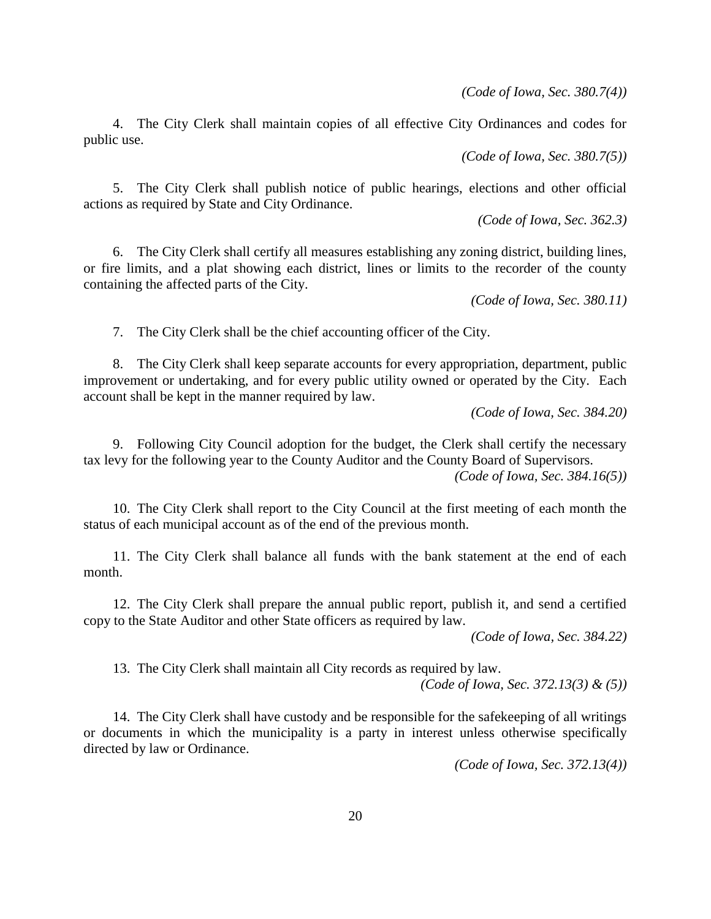*(Code of Iowa, Sec. 380.7(4))*

4. The City Clerk shall maintain copies of all effective City Ordinances and codes for public use.

*(Code of Iowa, Sec. 380.7(5))*

5. The City Clerk shall publish notice of public hearings, elections and other official actions as required by State and City Ordinance.

*(Code of Iowa, Sec. 362.3)*

6. The City Clerk shall certify all measures establishing any zoning district, building lines, or fire limits, and a plat showing each district, lines or limits to the recorder of the county containing the affected parts of the City.

*(Code of Iowa, Sec. 380.11)*

7. The City Clerk shall be the chief accounting officer of the City.

8. The City Clerk shall keep separate accounts for every appropriation, department, public improvement or undertaking, and for every public utility owned or operated by the City. Each account shall be kept in the manner required by law.

*(Code of Iowa, Sec. 384.20)*

9. Following City Council adoption for the budget, the Clerk shall certify the necessary tax levy for the following year to the County Auditor and the County Board of Supervisors.

*(Code of Iowa, Sec. 384.16(5))*

10. The City Clerk shall report to the City Council at the first meeting of each month the status of each municipal account as of the end of the previous month.

11. The City Clerk shall balance all funds with the bank statement at the end of each month.

12. The City Clerk shall prepare the annual public report, publish it, and send a certified copy to the State Auditor and other State officers as required by law.

*(Code of Iowa, Sec. 384.22)*

13. The City Clerk shall maintain all City records as required by law.

*(Code of Iowa, Sec. 372.13(3) & (5))*

14. The City Clerk shall have custody and be responsible for the safekeeping of all writings or documents in which the municipality is a party in interest unless otherwise specifically directed by law or Ordinance.

*(Code of Iowa, Sec. 372.13(4))*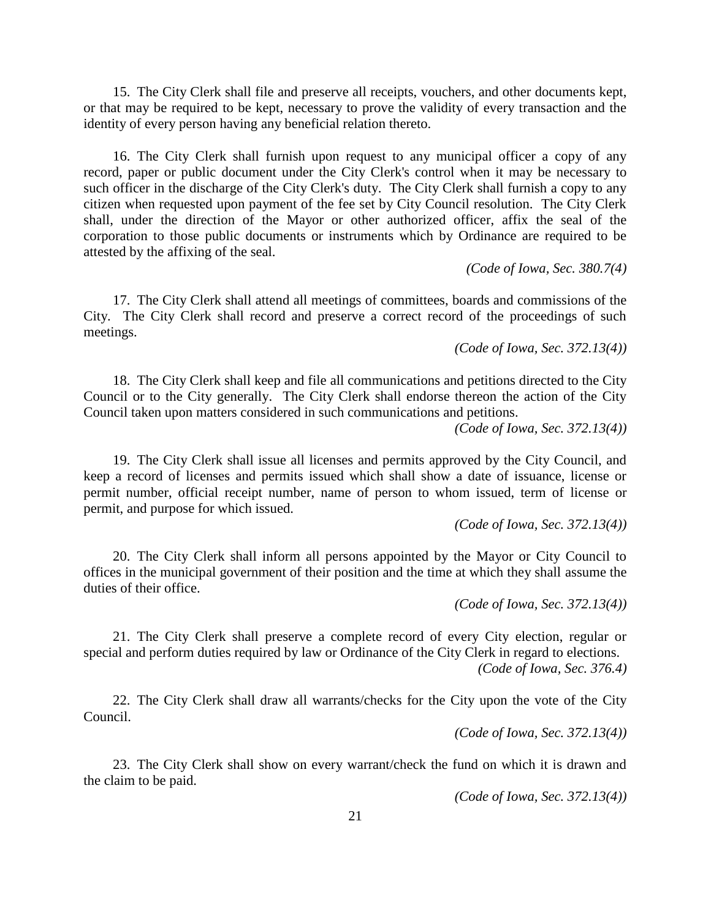15. The City Clerk shall file and preserve all receipts, vouchers, and other documents kept, or that may be required to be kept, necessary to prove the validity of every transaction and the identity of every person having any beneficial relation thereto.

16. The City Clerk shall furnish upon request to any municipal officer a copy of any record, paper or public document under the City Clerk's control when it may be necessary to such officer in the discharge of the City Clerk's duty. The City Clerk shall furnish a copy to any citizen when requested upon payment of the fee set by City Council resolution. The City Clerk shall, under the direction of the Mayor or other authorized officer, affix the seal of the corporation to those public documents or instruments which by Ordinance are required to be attested by the affixing of the seal.

*(Code of Iowa, Sec. 380.7(4)*

17. The City Clerk shall attend all meetings of committees, boards and commissions of the City. The City Clerk shall record and preserve a correct record of the proceedings of such meetings.

*(Code of Iowa, Sec. 372.13(4))*

18. The City Clerk shall keep and file all communications and petitions directed to the City Council or to the City generally. The City Clerk shall endorse thereon the action of the City Council taken upon matters considered in such communications and petitions.

*(Code of Iowa, Sec. 372.13(4))*

19. The City Clerk shall issue all licenses and permits approved by the City Council, and keep a record of licenses and permits issued which shall show a date of issuance, license or permit number, official receipt number, name of person to whom issued, term of license or permit, and purpose for which issued.

*(Code of Iowa, Sec. 372.13(4))*

20. The City Clerk shall inform all persons appointed by the Mayor or City Council to offices in the municipal government of their position and the time at which they shall assume the duties of their office.

*(Code of Iowa, Sec. 372.13(4))*

21. The City Clerk shall preserve a complete record of every City election, regular or special and perform duties required by law or Ordinance of the City Clerk in regard to elections. *(Code of Iowa, Sec. 376.4)*

22. The City Clerk shall draw all warrants/checks for the City upon the vote of the City Council.

*(Code of Iowa, Sec. 372.13(4))*

23. The City Clerk shall show on every warrant/check the fund on which it is drawn and the claim to be paid.

*(Code of Iowa, Sec. 372.13(4))*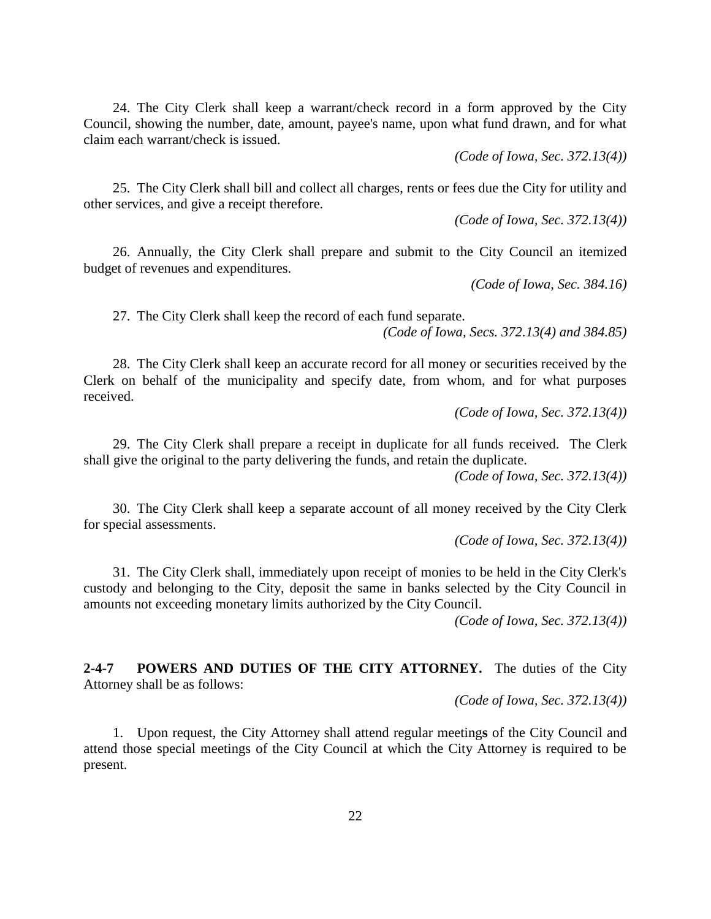24. The City Clerk shall keep a warrant/check record in a form approved by the City Council, showing the number, date, amount, payee's name, upon what fund drawn, and for what claim each warrant/check is issued.

*(Code of Iowa, Sec. 372.13(4))*

25. The City Clerk shall bill and collect all charges, rents or fees due the City for utility and other services, and give a receipt therefore.

*(Code of Iowa, Sec. 372.13(4))*

26. Annually, the City Clerk shall prepare and submit to the City Council an itemized budget of revenues and expenditures.

*(Code of Iowa, Sec. 384.16)*

27. The City Clerk shall keep the record of each fund separate.

*(Code of Iowa, Secs. 372.13(4) and 384.85)*

28. The City Clerk shall keep an accurate record for all money or securities received by the Clerk on behalf of the municipality and specify date, from whom, and for what purposes received.

*(Code of Iowa, Sec. 372.13(4))*

29. The City Clerk shall prepare a receipt in duplicate for all funds received. The Clerk shall give the original to the party delivering the funds, and retain the duplicate.

*(Code of Iowa, Sec. 372.13(4))*

30. The City Clerk shall keep a separate account of all money received by the City Clerk for special assessments.

*(Code of Iowa, Sec. 372.13(4))*

31. The City Clerk shall, immediately upon receipt of monies to be held in the City Clerk's custody and belonging to the City, deposit the same in banks selected by the City Council in amounts not exceeding monetary limits authorized by the City Council.

*(Code of Iowa, Sec. 372.13(4))*

**2-4-7 POWERS AND DUTIES OF THE CITY ATTORNEY.** The duties of the City Attorney shall be as follows:

*(Code of Iowa, Sec. 372.13(4))*

1. Upon request, the City Attorney shall attend regular meeting**s** of the City Council and attend those special meetings of the City Council at which the City Attorney is required to be present.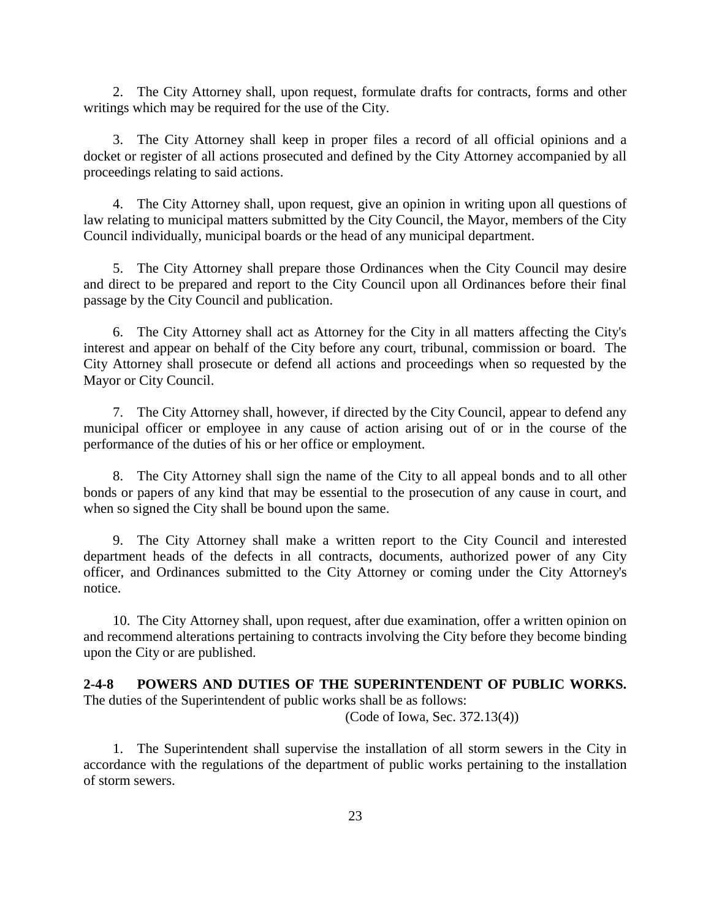2. The City Attorney shall, upon request, formulate drafts for contracts, forms and other writings which may be required for the use of the City.

3. The City Attorney shall keep in proper files a record of all official opinions and a docket or register of all actions prosecuted and defined by the City Attorney accompanied by all proceedings relating to said actions.

4. The City Attorney shall, upon request, give an opinion in writing upon all questions of law relating to municipal matters submitted by the City Council, the Mayor, members of the City Council individually, municipal boards or the head of any municipal department.

5. The City Attorney shall prepare those Ordinances when the City Council may desire and direct to be prepared and report to the City Council upon all Ordinances before their final passage by the City Council and publication.

6. The City Attorney shall act as Attorney for the City in all matters affecting the City's interest and appear on behalf of the City before any court, tribunal, commission or board. The City Attorney shall prosecute or defend all actions and proceedings when so requested by the Mayor or City Council.

7. The City Attorney shall, however, if directed by the City Council, appear to defend any municipal officer or employee in any cause of action arising out of or in the course of the performance of the duties of his or her office or employment.

8. The City Attorney shall sign the name of the City to all appeal bonds and to all other bonds or papers of any kind that may be essential to the prosecution of any cause in court, and when so signed the City shall be bound upon the same.

9. The City Attorney shall make a written report to the City Council and interested department heads of the defects in all contracts, documents, authorized power of any City officer, and Ordinances submitted to the City Attorney or coming under the City Attorney's notice.

10. The City Attorney shall, upon request, after due examination, offer a written opinion on and recommend alterations pertaining to contracts involving the City before they become binding upon the City or are published.

#### **2-4-8 POWERS AND DUTIES OF THE SUPERINTENDENT OF PUBLIC WORKS.** The duties of the Superintendent of public works shall be as follows:

(Code of Iowa, Sec. 372.13(4))

1. The Superintendent shall supervise the installation of all storm sewers in the City in accordance with the regulations of the department of public works pertaining to the installation of storm sewers.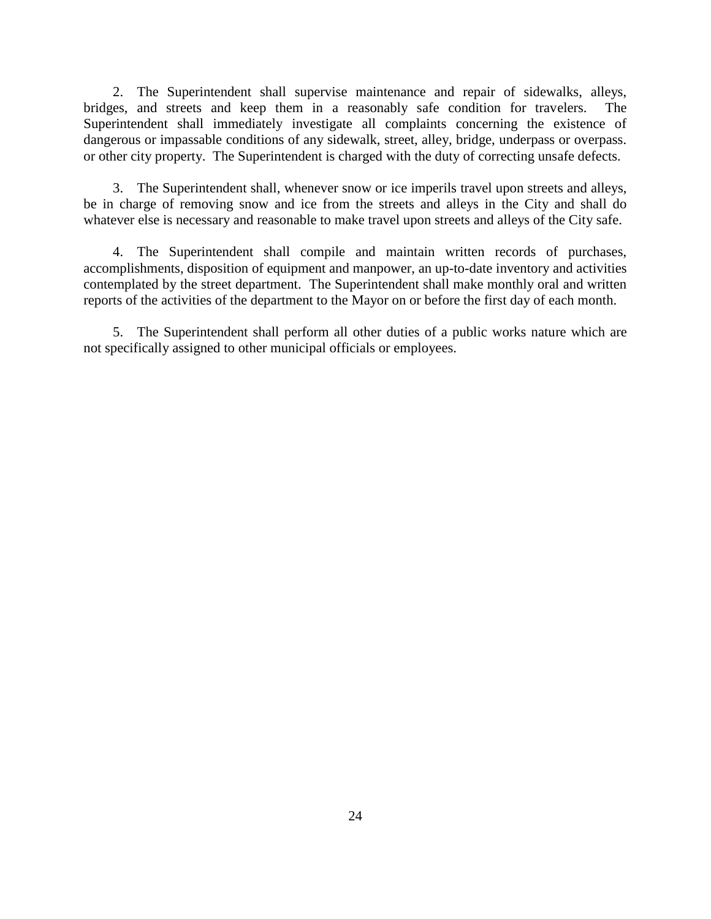2. The Superintendent shall supervise maintenance and repair of sidewalks, alleys, bridges, and streets and keep them in a reasonably safe condition for travelers. The Superintendent shall immediately investigate all complaints concerning the existence of dangerous or impassable conditions of any sidewalk, street, alley, bridge, underpass or overpass. or other city property. The Superintendent is charged with the duty of correcting unsafe defects.

3. The Superintendent shall, whenever snow or ice imperils travel upon streets and alleys, be in charge of removing snow and ice from the streets and alleys in the City and shall do whatever else is necessary and reasonable to make travel upon streets and alleys of the City safe.

4. The Superintendent shall compile and maintain written records of purchases, accomplishments, disposition of equipment and manpower, an up-to-date inventory and activities contemplated by the street department. The Superintendent shall make monthly oral and written reports of the activities of the department to the Mayor on or before the first day of each month.

5. The Superintendent shall perform all other duties of a public works nature which are not specifically assigned to other municipal officials or employees.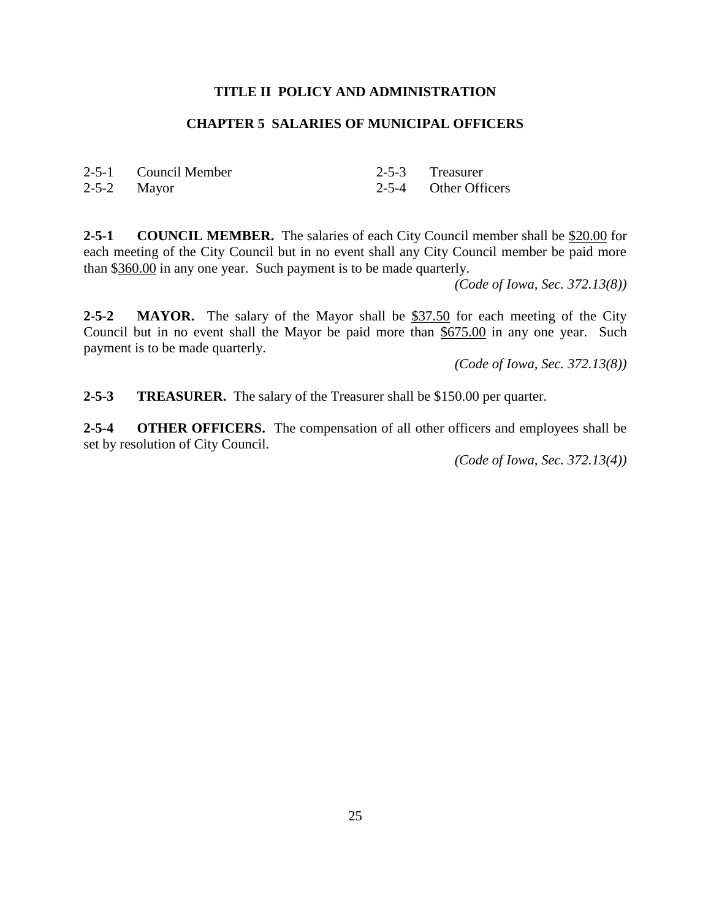## **CHAPTER 5 SALARIES OF MUNICIPAL OFFICERS**

| 2-5-1 Council Member | 2-5-3 Treasurer      |
|----------------------|----------------------|
| $2-5-2$ Mayor        | 2-5-4 Other Officers |

**2-5-1 COUNCIL MEMBER.** The salaries of each City Council member shall be \$20.00 for each meeting of the City Council but in no event shall any City Council member be paid more than \$360.00 in any one year. Such payment is to be made quarterly.

*(Code of Iowa, Sec. 372.13(8))*

**2-5-2 MAYOR.** The salary of the Mayor shall be \$37.50 for each meeting of the City Council but in no event shall the Mayor be paid more than \$675.00 in any one year. Such payment is to be made quarterly.

*(Code of Iowa, Sec. 372.13(8))*

**2-5-3 TREASURER.** The salary of the Treasurer shall be \$150.00 per quarter.

**2-5-4 OTHER OFFICERS.** The compensation of all other officers and employees shall be set by resolution of City Council.

*(Code of Iowa, Sec. 372.13(4))*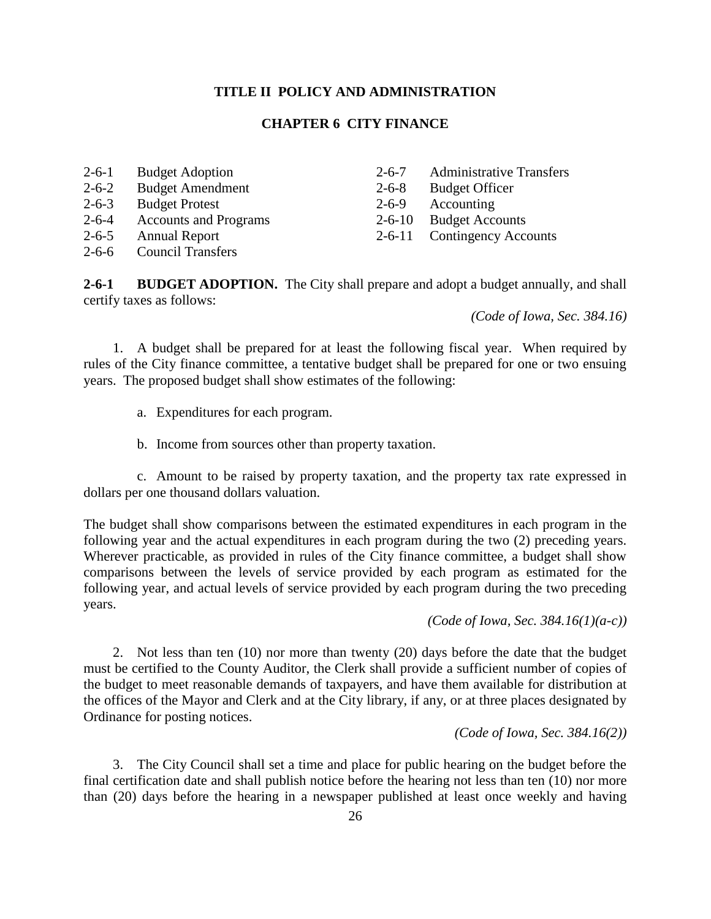## **CHAPTER 6 CITY FINANCE**

| $2 - 6 - 1$ | <b>Budget Adoption</b>       | $2 - 6 - 7$  | <b>Administrative Transfers</b> |
|-------------|------------------------------|--------------|---------------------------------|
| $2 - 6 - 2$ | <b>Budget Amendment</b>      | $2 - 6 - 8$  | <b>Budget Officer</b>           |
| $2 - 6 - 3$ | <b>Budget Protest</b>        | $2 - 6 - 9$  | Accounting                      |
| $2 - 6 - 4$ | <b>Accounts and Programs</b> | $2 - 6 - 10$ | <b>Budget Accounts</b>          |
| $2 - 6 - 5$ | <b>Annual Report</b>         |              | 2-6-11 Contingency Accounts     |
| $2 - 6 - 6$ | <b>Council Transfers</b>     |              |                                 |

**2-6-1 BUDGET ADOPTION.** The City shall prepare and adopt a budget annually, and shall certify taxes as follows:

*(Code of Iowa, Sec. 384.16)*

1. A budget shall be prepared for at least the following fiscal year. When required by rules of the City finance committee, a tentative budget shall be prepared for one or two ensuing years. The proposed budget shall show estimates of the following:

a. Expenditures for each program.

b. Income from sources other than property taxation.

c. Amount to be raised by property taxation, and the property tax rate expressed in dollars per one thousand dollars valuation.

The budget shall show comparisons between the estimated expenditures in each program in the following year and the actual expenditures in each program during the two (2) preceding years. Wherever practicable, as provided in rules of the City finance committee, a budget shall show comparisons between the levels of service provided by each program as estimated for the following year, and actual levels of service provided by each program during the two preceding years.

*(Code of Iowa, Sec. 384.16(1)(a-c))*

2. Not less than ten (10) nor more than twenty (20) days before the date that the budget must be certified to the County Auditor, the Clerk shall provide a sufficient number of copies of the budget to meet reasonable demands of taxpayers, and have them available for distribution at the offices of the Mayor and Clerk and at the City library, if any, or at three places designated by Ordinance for posting notices.

*(Code of Iowa, Sec. 384.16(2))*

3. The City Council shall set a time and place for public hearing on the budget before the final certification date and shall publish notice before the hearing not less than ten (10) nor more than (20) days before the hearing in a newspaper published at least once weekly and having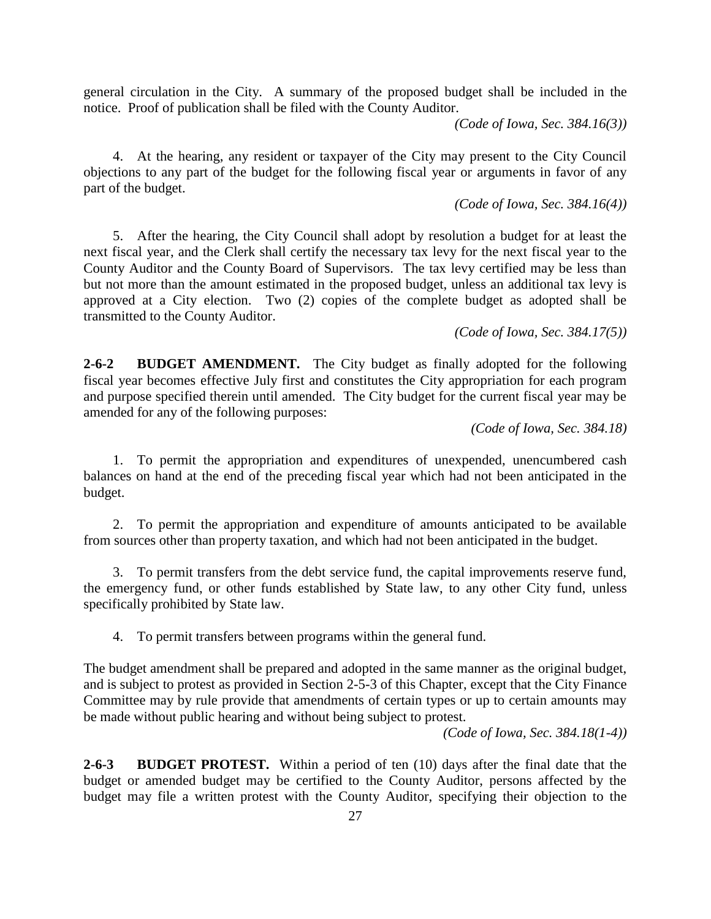general circulation in the City. A summary of the proposed budget shall be included in the notice. Proof of publication shall be filed with the County Auditor.

*(Code of Iowa, Sec. 384.16(3))*

4. At the hearing, any resident or taxpayer of the City may present to the City Council objections to any part of the budget for the following fiscal year or arguments in favor of any part of the budget.

*(Code of Iowa, Sec. 384.16(4))*

5. After the hearing, the City Council shall adopt by resolution a budget for at least the next fiscal year, and the Clerk shall certify the necessary tax levy for the next fiscal year to the County Auditor and the County Board of Supervisors. The tax levy certified may be less than but not more than the amount estimated in the proposed budget, unless an additional tax levy is approved at a City election. Two (2) copies of the complete budget as adopted shall be transmitted to the County Auditor.

*(Code of Iowa, Sec. 384.17(5))*

**2-6-2 BUDGET AMENDMENT.** The City budget as finally adopted for the following fiscal year becomes effective July first and constitutes the City appropriation for each program and purpose specified therein until amended. The City budget for the current fiscal year may be amended for any of the following purposes:

*(Code of Iowa, Sec. 384.18)*

1. To permit the appropriation and expenditures of unexpended, unencumbered cash balances on hand at the end of the preceding fiscal year which had not been anticipated in the budget.

2. To permit the appropriation and expenditure of amounts anticipated to be available from sources other than property taxation, and which had not been anticipated in the budget.

3. To permit transfers from the debt service fund, the capital improvements reserve fund, the emergency fund, or other funds established by State law, to any other City fund, unless specifically prohibited by State law.

4. To permit transfers between programs within the general fund.

The budget amendment shall be prepared and adopted in the same manner as the original budget, and is subject to protest as provided in Section 2-5-3 of this Chapter, except that the City Finance Committee may by rule provide that amendments of certain types or up to certain amounts may be made without public hearing and without being subject to protest.

*(Code of Iowa, Sec. 384.18(1-4))*

**2-6-3 BUDGET PROTEST.** Within a period of ten (10) days after the final date that the budget or amended budget may be certified to the County Auditor, persons affected by the budget may file a written protest with the County Auditor, specifying their objection to the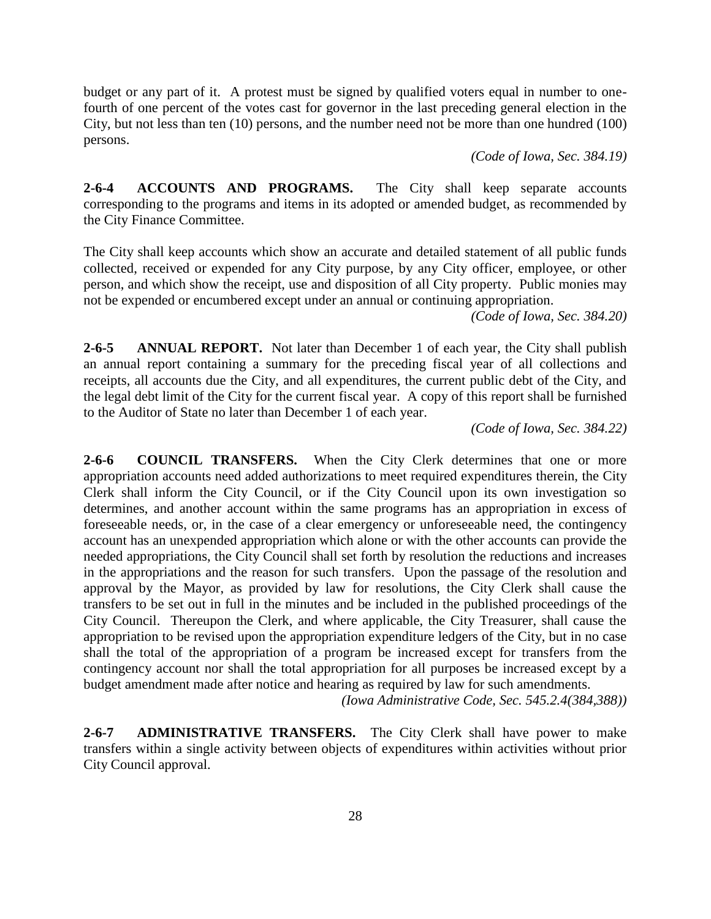budget or any part of it. A protest must be signed by qualified voters equal in number to onefourth of one percent of the votes cast for governor in the last preceding general election in the City, but not less than ten (10) persons, and the number need not be more than one hundred (100) persons.

*(Code of Iowa, Sec. 384.19)*

**2-6-4 ACCOUNTS AND PROGRAMS.** The City shall keep separate accounts corresponding to the programs and items in its adopted or amended budget, as recommended by the City Finance Committee.

The City shall keep accounts which show an accurate and detailed statement of all public funds collected, received or expended for any City purpose, by any City officer, employee, or other person, and which show the receipt, use and disposition of all City property. Public monies may not be expended or encumbered except under an annual or continuing appropriation.

*(Code of Iowa, Sec. 384.20)*

**2-6-5 ANNUAL REPORT.** Not later than December 1 of each year, the City shall publish an annual report containing a summary for the preceding fiscal year of all collections and receipts, all accounts due the City, and all expenditures, the current public debt of the City, and the legal debt limit of the City for the current fiscal year. A copy of this report shall be furnished to the Auditor of State no later than December 1 of each year.

*(Code of Iowa, Sec. 384.22)*

**2-6-6 COUNCIL TRANSFERS.** When the City Clerk determines that one or more appropriation accounts need added authorizations to meet required expenditures therein, the City Clerk shall inform the City Council, or if the City Council upon its own investigation so determines, and another account within the same programs has an appropriation in excess of foreseeable needs, or, in the case of a clear emergency or unforeseeable need, the contingency account has an unexpended appropriation which alone or with the other accounts can provide the needed appropriations, the City Council shall set forth by resolution the reductions and increases in the appropriations and the reason for such transfers. Upon the passage of the resolution and approval by the Mayor, as provided by law for resolutions, the City Clerk shall cause the transfers to be set out in full in the minutes and be included in the published proceedings of the City Council. Thereupon the Clerk, and where applicable, the City Treasurer, shall cause the appropriation to be revised upon the appropriation expenditure ledgers of the City, but in no case shall the total of the appropriation of a program be increased except for transfers from the contingency account nor shall the total appropriation for all purposes be increased except by a budget amendment made after notice and hearing as required by law for such amendments.

*(Iowa Administrative Code, Sec. 545.2.4(384,388))*

**2-6-7 ADMINISTRATIVE TRANSFERS.** The City Clerk shall have power to make transfers within a single activity between objects of expenditures within activities without prior City Council approval.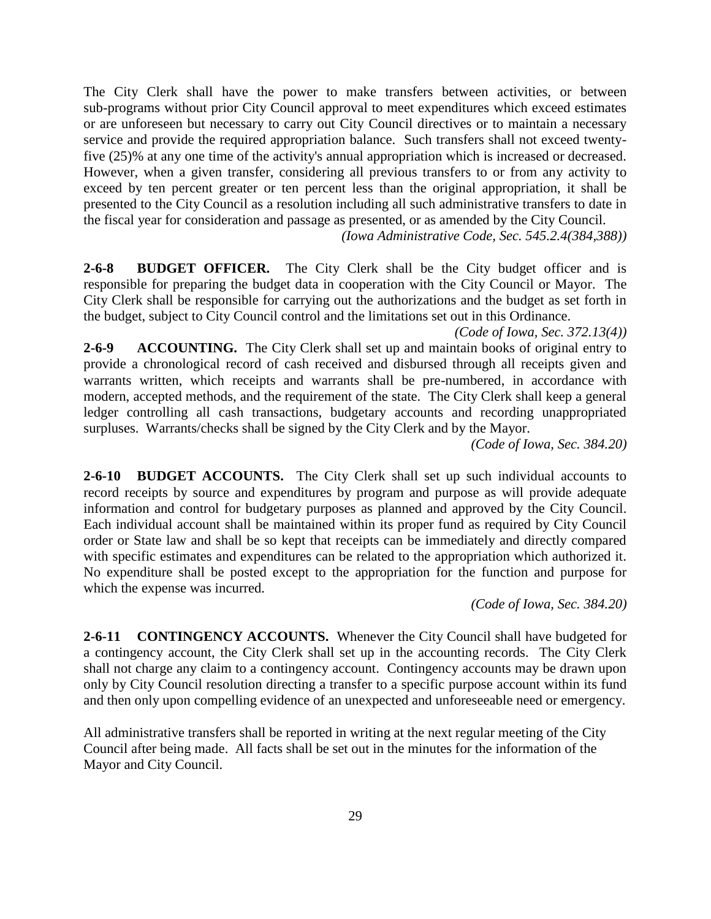The City Clerk shall have the power to make transfers between activities, or between sub-programs without prior City Council approval to meet expenditures which exceed estimates or are unforeseen but necessary to carry out City Council directives or to maintain a necessary service and provide the required appropriation balance. Such transfers shall not exceed twentyfive (25)% at any one time of the activity's annual appropriation which is increased or decreased. However, when a given transfer, considering all previous transfers to or from any activity to exceed by ten percent greater or ten percent less than the original appropriation, it shall be presented to the City Council as a resolution including all such administrative transfers to date in the fiscal year for consideration and passage as presented, or as amended by the City Council.

*(Iowa Administrative Code, Sec. 545.2.4(384,388))*

**2-6-8 BUDGET OFFICER.** The City Clerk shall be the City budget officer and is responsible for preparing the budget data in cooperation with the City Council or Mayor. The City Clerk shall be responsible for carrying out the authorizations and the budget as set forth in the budget, subject to City Council control and the limitations set out in this Ordinance.

*(Code of Iowa, Sec. 372.13(4))*

**2-6-9 ACCOUNTING.** The City Clerk shall set up and maintain books of original entry to provide a chronological record of cash received and disbursed through all receipts given and warrants written, which receipts and warrants shall be pre-numbered, in accordance with modern, accepted methods, and the requirement of the state. The City Clerk shall keep a general ledger controlling all cash transactions, budgetary accounts and recording unappropriated surpluses. Warrants/checks shall be signed by the City Clerk and by the Mayor.

*(Code of Iowa, Sec. 384.20)*

**2-6-10 BUDGET ACCOUNTS.** The City Clerk shall set up such individual accounts to record receipts by source and expenditures by program and purpose as will provide adequate information and control for budgetary purposes as planned and approved by the City Council. Each individual account shall be maintained within its proper fund as required by City Council order or State law and shall be so kept that receipts can be immediately and directly compared with specific estimates and expenditures can be related to the appropriation which authorized it. No expenditure shall be posted except to the appropriation for the function and purpose for which the expense was incurred.

*(Code of Iowa, Sec. 384.20)*

**2-6-11 CONTINGENCY ACCOUNTS.** Whenever the City Council shall have budgeted for a contingency account, the City Clerk shall set up in the accounting records. The City Clerk shall not charge any claim to a contingency account. Contingency accounts may be drawn upon only by City Council resolution directing a transfer to a specific purpose account within its fund and then only upon compelling evidence of an unexpected and unforeseeable need or emergency.

All administrative transfers shall be reported in writing at the next regular meeting of the City Council after being made. All facts shall be set out in the minutes for the information of the Mayor and City Council.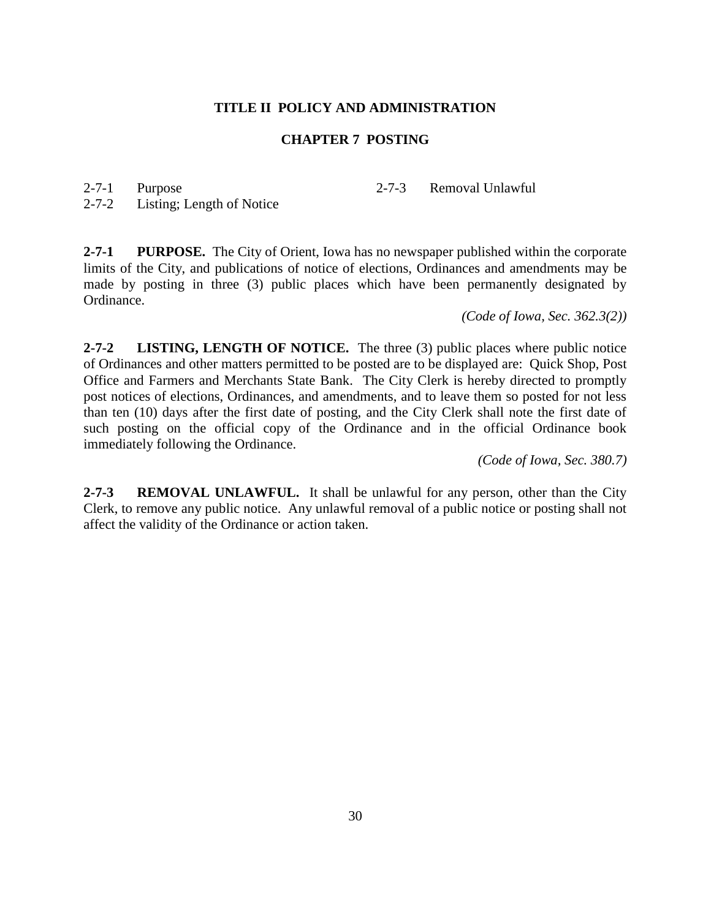#### **CHAPTER 7 POSTING**

2-7-1 Purpose

2-7-3 Removal Unlawful

2-7-2 Listing; Length of Notice

**2-7-1 PURPOSE.** The City of Orient, Iowa has no newspaper published within the corporate limits of the City, and publications of notice of elections, Ordinances and amendments may be made by posting in three (3) public places which have been permanently designated by Ordinance.

*(Code of Iowa, Sec. 362.3(2))*

**2-7-2 LISTING, LENGTH OF NOTICE.** The three (3) public places where public notice of Ordinances and other matters permitted to be posted are to be displayed are: Quick Shop, Post Office and Farmers and Merchants State Bank. The City Clerk is hereby directed to promptly post notices of elections, Ordinances, and amendments, and to leave them so posted for not less than ten (10) days after the first date of posting, and the City Clerk shall note the first date of such posting on the official copy of the Ordinance and in the official Ordinance book immediately following the Ordinance.

*(Code of Iowa, Sec. 380.7)*

**2-7-3 REMOVAL UNLAWFUL.** It shall be unlawful for any person, other than the City Clerk, to remove any public notice. Any unlawful removal of a public notice or posting shall not affect the validity of the Ordinance or action taken.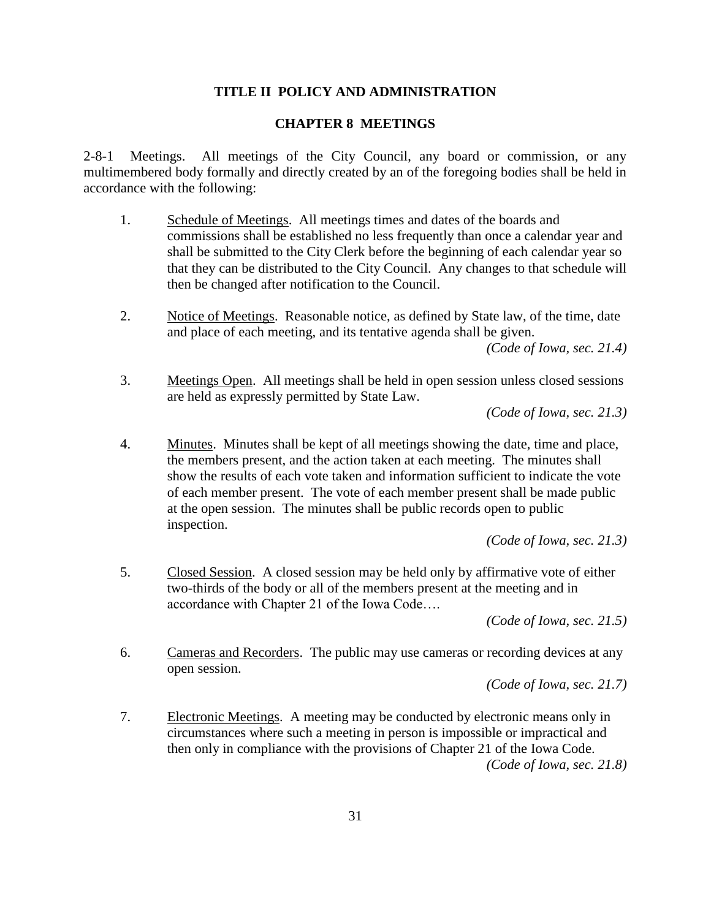### **CHAPTER 8 MEETINGS**

2-8-1 Meetings. All meetings of the City Council, any board or commission, or any multimembered body formally and directly created by an of the foregoing bodies shall be held in accordance with the following:

- 1. Schedule of Meetings. All meetings times and dates of the boards and commissions shall be established no less frequently than once a calendar year and shall be submitted to the City Clerk before the beginning of each calendar year so that they can be distributed to the City Council. Any changes to that schedule will then be changed after notification to the Council.
- 2. Notice of Meetings. Reasonable notice, as defined by State law, of the time, date and place of each meeting, and its tentative agenda shall be given.

*(Code of Iowa, sec. 21.4)*

3. Meetings Open. All meetings shall be held in open session unless closed sessions are held as expressly permitted by State Law.

*(Code of Iowa, sec. 21.3)*

4. Minutes. Minutes shall be kept of all meetings showing the date, time and place, the members present, and the action taken at each meeting. The minutes shall show the results of each vote taken and information sufficient to indicate the vote of each member present. The vote of each member present shall be made public at the open session. The minutes shall be public records open to public inspection.

*(Code of Iowa, sec. 21.3)*

5. Closed Session. A closed session may be held only by affirmative vote of either two-thirds of the body or all of the members present at the meeting and in accordance with Chapter 21 of the Iowa Code….

*(Code of Iowa, sec. 21.5)*

6. Cameras and Recorders. The public may use cameras or recording devices at any open session.

*(Code of Iowa, sec. 21.7)*

7. Electronic Meetings. A meeting may be conducted by electronic means only in circumstances where such a meeting in person is impossible or impractical and then only in compliance with the provisions of Chapter 21 of the Iowa Code. *(Code of Iowa, sec. 21.8)*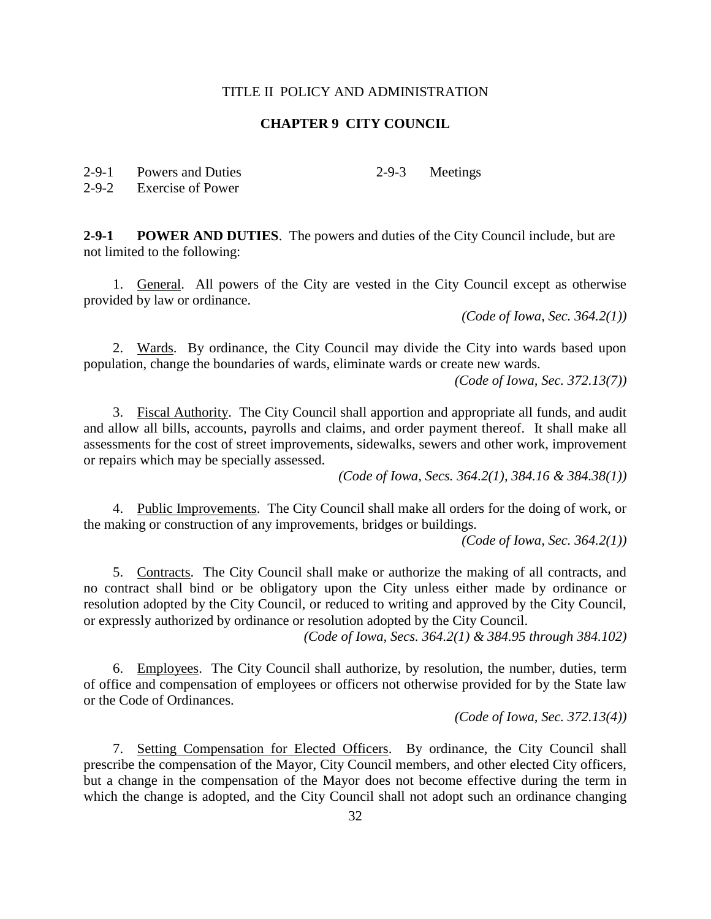## **CHAPTER 9 CITY COUNCIL**

2-9-1 Powers and Duties

2-9-3 Meetings

2-9-2 Exercise of Power

**2-9-1 POWER AND DUTIES**. The powers and duties of the City Council include, but are not limited to the following:

1. General. All powers of the City are vested in the City Council except as otherwise provided by law or ordinance.

*(Code of Iowa, Sec. 364.2(1))*

2. Wards. By ordinance, the City Council may divide the City into wards based upon population, change the boundaries of wards, eliminate wards or create new wards.

*(Code of Iowa, Sec. 372.13(7))*

3. Fiscal Authority. The City Council shall apportion and appropriate all funds, and audit and allow all bills, accounts, payrolls and claims, and order payment thereof. It shall make all assessments for the cost of street improvements, sidewalks, sewers and other work, improvement or repairs which may be specially assessed.

*(Code of Iowa, Secs. 364.2(1), 384.16 & 384.38(1))*

4. Public Improvements. The City Council shall make all orders for the doing of work, or the making or construction of any improvements, bridges or buildings.

*(Code of Iowa, Sec. 364.2(1))*

5. Contracts. The City Council shall make or authorize the making of all contracts, and no contract shall bind or be obligatory upon the City unless either made by ordinance or resolution adopted by the City Council, or reduced to writing and approved by the City Council, or expressly authorized by ordinance or resolution adopted by the City Council.

*(Code of Iowa, Secs. 364.2(1) & 384.95 through 384.102)*

6. Employees. The City Council shall authorize, by resolution, the number, duties, term of office and compensation of employees or officers not otherwise provided for by the State law or the Code of Ordinances.

*(Code of Iowa, Sec. 372.13(4))*

7. Setting Compensation for Elected Officers. By ordinance, the City Council shall prescribe the compensation of the Mayor, City Council members, and other elected City officers, but a change in the compensation of the Mayor does not become effective during the term in which the change is adopted, and the City Council shall not adopt such an ordinance changing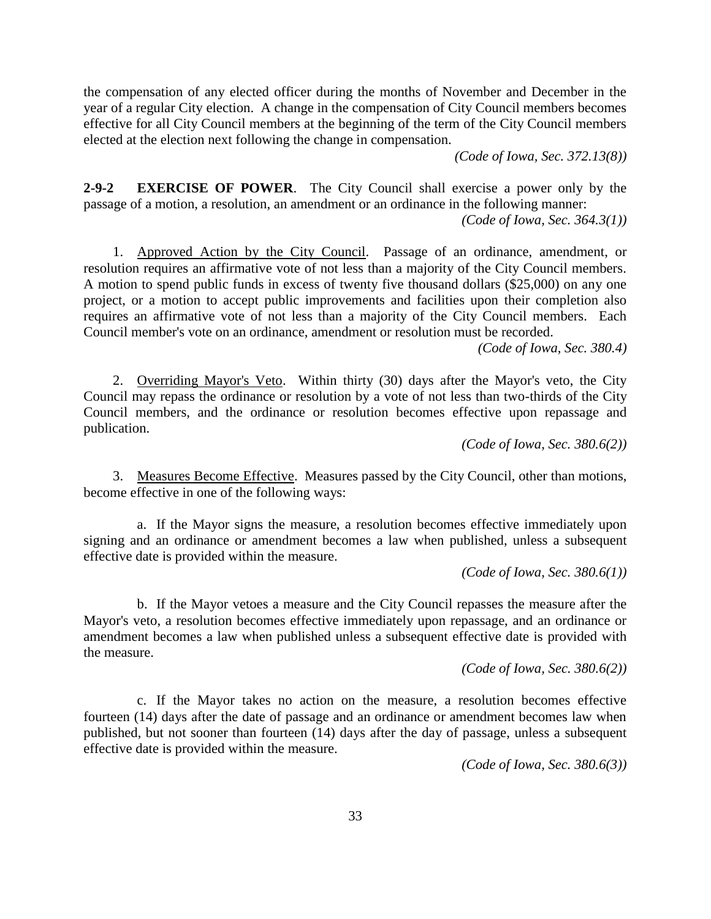the compensation of any elected officer during the months of November and December in the year of a regular City election. A change in the compensation of City Council members becomes effective for all City Council members at the beginning of the term of the City Council members elected at the election next following the change in compensation.

*(Code of Iowa, Sec. 372.13(8))*

**2-9-2 EXERCISE OF POWER**. The City Council shall exercise a power only by the passage of a motion, a resolution, an amendment or an ordinance in the following manner:

*(Code of Iowa, Sec. 364.3(1))*

1. Approved Action by the City Council. Passage of an ordinance, amendment, or resolution requires an affirmative vote of not less than a majority of the City Council members. A motion to spend public funds in excess of twenty five thousand dollars (\$25,000) on any one project, or a motion to accept public improvements and facilities upon their completion also requires an affirmative vote of not less than a majority of the City Council members. Each Council member's vote on an ordinance, amendment or resolution must be recorded.

*(Code of Iowa, Sec. 380.4)*

2. Overriding Mayor's Veto. Within thirty (30) days after the Mayor's veto, the City Council may repass the ordinance or resolution by a vote of not less than two-thirds of the City Council members, and the ordinance or resolution becomes effective upon repassage and publication.

*(Code of Iowa, Sec. 380.6(2))*

3. Measures Become Effective. Measures passed by the City Council, other than motions, become effective in one of the following ways:

a. If the Mayor signs the measure, a resolution becomes effective immediately upon signing and an ordinance or amendment becomes a law when published, unless a subsequent effective date is provided within the measure.

*(Code of Iowa, Sec. 380.6(1))*

b. If the Mayor vetoes a measure and the City Council repasses the measure after the Mayor's veto, a resolution becomes effective immediately upon repassage, and an ordinance or amendment becomes a law when published unless a subsequent effective date is provided with the measure.

*(Code of Iowa, Sec. 380.6(2))*

c. If the Mayor takes no action on the measure, a resolution becomes effective fourteen (14) days after the date of passage and an ordinance or amendment becomes law when published, but not sooner than fourteen (14) days after the day of passage, unless a subsequent effective date is provided within the measure.

*(Code of Iowa, Sec. 380.6(3))*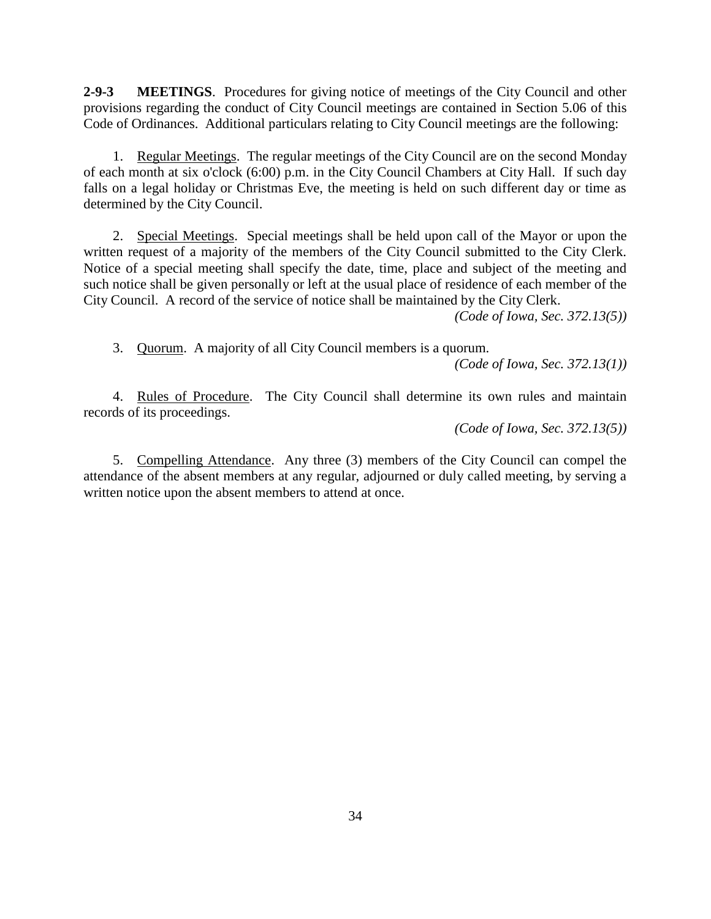**2-9-3 MEETINGS**. Procedures for giving notice of meetings of the City Council and other provisions regarding the conduct of City Council meetings are contained in Section 5.06 of this Code of Ordinances. Additional particulars relating to City Council meetings are the following:

1. Regular Meetings. The regular meetings of the City Council are on the second Monday of each month at six o'clock (6:00) p.m. in the City Council Chambers at City Hall. If such day falls on a legal holiday or Christmas Eve, the meeting is held on such different day or time as determined by the City Council.

2. Special Meetings. Special meetings shall be held upon call of the Mayor or upon the written request of a majority of the members of the City Council submitted to the City Clerk. Notice of a special meeting shall specify the date, time, place and subject of the meeting and such notice shall be given personally or left at the usual place of residence of each member of the City Council. A record of the service of notice shall be maintained by the City Clerk.

*(Code of Iowa, Sec. 372.13(5))*

3. Quorum. A majority of all City Council members is a quorum.

*(Code of Iowa, Sec. 372.13(1))*

4. Rules of Procedure. The City Council shall determine its own rules and maintain records of its proceedings.

*(Code of Iowa, Sec. 372.13(5))*

5. Compelling Attendance. Any three (3) members of the City Council can compel the attendance of the absent members at any regular, adjourned or duly called meeting, by serving a written notice upon the absent members to attend at once.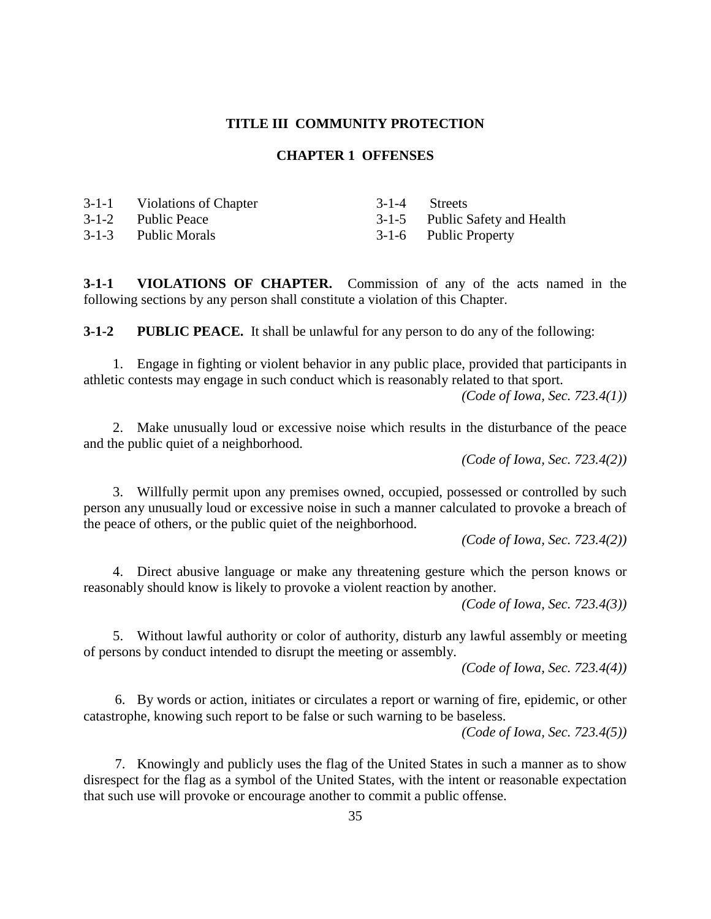#### **TITLE III COMMUNITY PROTECTION**

#### **CHAPTER 1 OFFENSES**

| 3-1-1 Violations of Chapter | 3-1-4 Streets                  |
|-----------------------------|--------------------------------|
| 3-1-2 Public Peace          | 3-1-5 Public Safety and Health |
| 3-1-3 Public Morals         | 3-1-6 Public Property          |

**3-1-1 VIOLATIONS OF CHAPTER.** Commission of any of the acts named in the following sections by any person shall constitute a violation of this Chapter.

**3-1-2 PUBLIC PEACE.** It shall be unlawful for any person to do any of the following:

1. Engage in fighting or violent behavior in any public place, provided that participants in athletic contests may engage in such conduct which is reasonably related to that sport. *(Code of Iowa, Sec. 723.4(1))*

2. Make unusually loud or excessive noise which results in the disturbance of the peace and the public quiet of a neighborhood.

*(Code of Iowa, Sec. 723.4(2))*

3. Willfully permit upon any premises owned, occupied, possessed or controlled by such person any unusually loud or excessive noise in such a manner calculated to provoke a breach of the peace of others, or the public quiet of the neighborhood.

*(Code of Iowa, Sec. 723.4(2))*

4. Direct abusive language or make any threatening gesture which the person knows or reasonably should know is likely to provoke a violent reaction by another.

*(Code of Iowa, Sec. 723.4(3))*

5. Without lawful authority or color of authority, disturb any lawful assembly or meeting of persons by conduct intended to disrupt the meeting or assembly.

*(Code of Iowa, Sec. 723.4(4))*

6. By words or action, initiates or circulates a report or warning of fire, epidemic, or other catastrophe, knowing such report to be false or such warning to be baseless.

*(Code of Iowa, Sec. 723.4(5))*

7. Knowingly and publicly uses the flag of the United States in such a manner as to show disrespect for the flag as a symbol of the United States, with the intent or reasonable expectation that such use will provoke or encourage another to commit a public offense.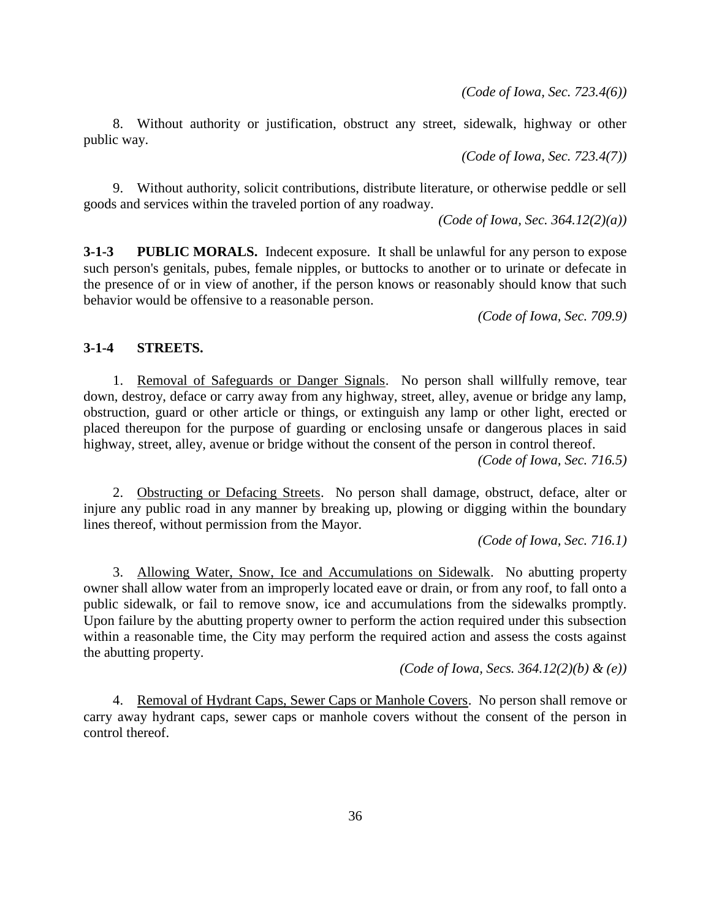*(Code of Iowa, Sec. 723.4(6))*

8. Without authority or justification, obstruct any street, sidewalk, highway or other public way.

*(Code of Iowa, Sec. 723.4(7))*

9. Without authority, solicit contributions, distribute literature, or otherwise peddle or sell goods and services within the traveled portion of any roadway.

*(Code of Iowa, Sec. 364.12(2)(a))*

**3-1-3 PUBLIC MORALS.** Indecent exposure. It shall be unlawful for any person to expose such person's genitals, pubes, female nipples, or buttocks to another or to urinate or defecate in the presence of or in view of another, if the person knows or reasonably should know that such behavior would be offensive to a reasonable person.

*(Code of Iowa, Sec. 709.9)*

### **3-1-4 STREETS.**

1. Removal of Safeguards or Danger Signals. No person shall willfully remove, tear down, destroy, deface or carry away from any highway, street, alley, avenue or bridge any lamp, obstruction, guard or other article or things, or extinguish any lamp or other light, erected or placed thereupon for the purpose of guarding or enclosing unsafe or dangerous places in said highway, street, alley, avenue or bridge without the consent of the person in control thereof.

*(Code of Iowa, Sec. 716.5)*

2. Obstructing or Defacing Streets. No person shall damage, obstruct, deface, alter or injure any public road in any manner by breaking up, plowing or digging within the boundary lines thereof, without permission from the Mayor.

*(Code of Iowa, Sec. 716.1)*

3. Allowing Water, Snow, Ice and Accumulations on Sidewalk. No abutting property owner shall allow water from an improperly located eave or drain, or from any roof, to fall onto a public sidewalk, or fail to remove snow, ice and accumulations from the sidewalks promptly. Upon failure by the abutting property owner to perform the action required under this subsection within a reasonable time, the City may perform the required action and assess the costs against the abutting property.

*(Code of Iowa, Secs. 364.12(2)(b) & (e))*

4. Removal of Hydrant Caps, Sewer Caps or Manhole Covers. No person shall remove or carry away hydrant caps, sewer caps or manhole covers without the consent of the person in control thereof.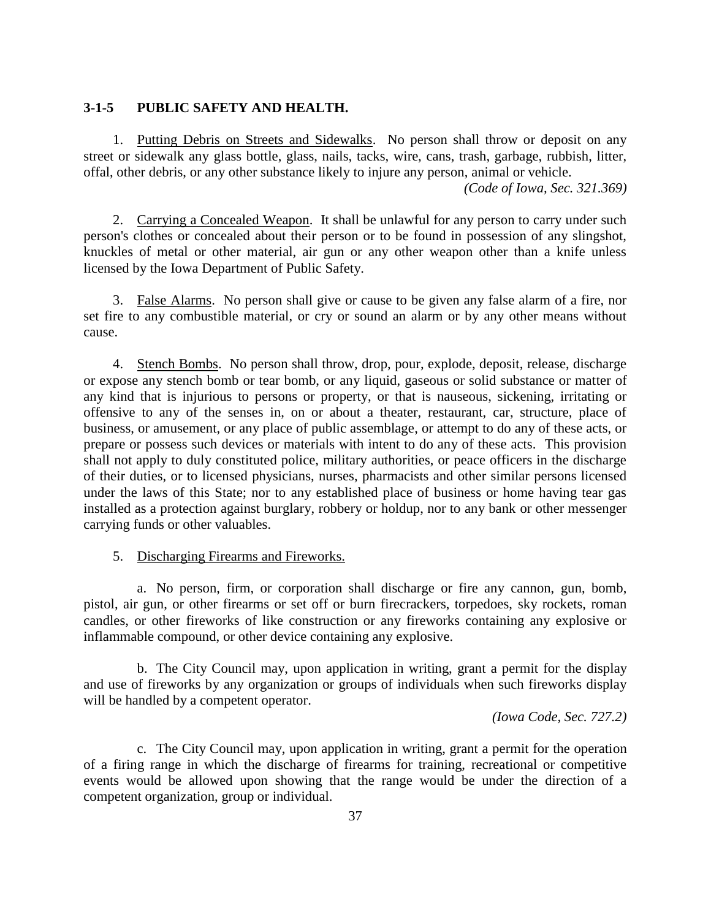## **3-1-5 PUBLIC SAFETY AND HEALTH.**

1. Putting Debris on Streets and Sidewalks. No person shall throw or deposit on any street or sidewalk any glass bottle, glass, nails, tacks, wire, cans, trash, garbage, rubbish, litter, offal, other debris, or any other substance likely to injure any person, animal or vehicle.

*(Code of Iowa, Sec. 321.369)*

2. Carrying a Concealed Weapon. It shall be unlawful for any person to carry under such person's clothes or concealed about their person or to be found in possession of any slingshot, knuckles of metal or other material, air gun or any other weapon other than a knife unless licensed by the Iowa Department of Public Safety.

3. False Alarms. No person shall give or cause to be given any false alarm of a fire, nor set fire to any combustible material, or cry or sound an alarm or by any other means without cause.

4. Stench Bombs. No person shall throw, drop, pour, explode, deposit, release, discharge or expose any stench bomb or tear bomb, or any liquid, gaseous or solid substance or matter of any kind that is injurious to persons or property, or that is nauseous, sickening, irritating or offensive to any of the senses in, on or about a theater, restaurant, car, structure, place of business, or amusement, or any place of public assemblage, or attempt to do any of these acts, or prepare or possess such devices or materials with intent to do any of these acts. This provision shall not apply to duly constituted police, military authorities, or peace officers in the discharge of their duties, or to licensed physicians, nurses, pharmacists and other similar persons licensed under the laws of this State; nor to any established place of business or home having tear gas installed as a protection against burglary, robbery or holdup, nor to any bank or other messenger carrying funds or other valuables.

#### 5. Discharging Firearms and Fireworks.

a. No person, firm, or corporation shall discharge or fire any cannon, gun, bomb, pistol, air gun, or other firearms or set off or burn firecrackers, torpedoes, sky rockets, roman candles, or other fireworks of like construction or any fireworks containing any explosive or inflammable compound, or other device containing any explosive.

b. The City Council may, upon application in writing, grant a permit for the display and use of fireworks by any organization or groups of individuals when such fireworks display will be handled by a competent operator.

*(Iowa Code, Sec. 727.2)*

c. The City Council may, upon application in writing, grant a permit for the operation of a firing range in which the discharge of firearms for training, recreational or competitive events would be allowed upon showing that the range would be under the direction of a competent organization, group or individual.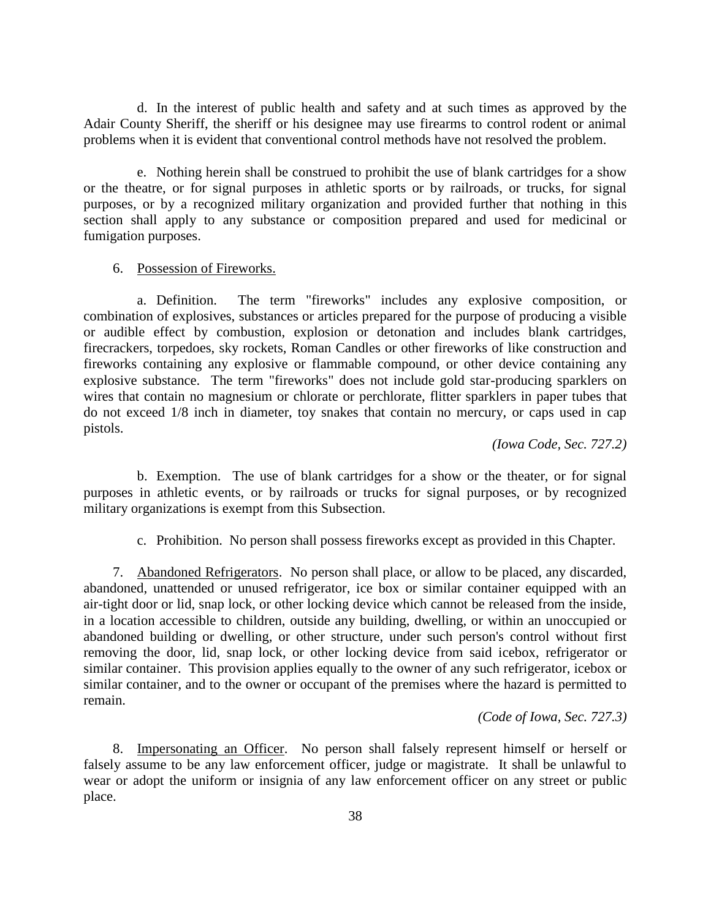d. In the interest of public health and safety and at such times as approved by the Adair County Sheriff, the sheriff or his designee may use firearms to control rodent or animal problems when it is evident that conventional control methods have not resolved the problem.

e. Nothing herein shall be construed to prohibit the use of blank cartridges for a show or the theatre, or for signal purposes in athletic sports or by railroads, or trucks, for signal purposes, or by a recognized military organization and provided further that nothing in this section shall apply to any substance or composition prepared and used for medicinal or fumigation purposes.

# 6. Possession of Fireworks.

a. Definition. The term "fireworks" includes any explosive composition, or combination of explosives, substances or articles prepared for the purpose of producing a visible or audible effect by combustion, explosion or detonation and includes blank cartridges, firecrackers, torpedoes, sky rockets, Roman Candles or other fireworks of like construction and fireworks containing any explosive or flammable compound, or other device containing any explosive substance. The term "fireworks" does not include gold star-producing sparklers on wires that contain no magnesium or chlorate or perchlorate, flitter sparklers in paper tubes that do not exceed 1/8 inch in diameter, toy snakes that contain no mercury, or caps used in cap pistols.

*(Iowa Code, Sec. 727.2)*

b. Exemption. The use of blank cartridges for a show or the theater, or for signal purposes in athletic events, or by railroads or trucks for signal purposes, or by recognized military organizations is exempt from this Subsection.

c. Prohibition. No person shall possess fireworks except as provided in this Chapter.

7. Abandoned Refrigerators. No person shall place, or allow to be placed, any discarded, abandoned, unattended or unused refrigerator, ice box or similar container equipped with an air-tight door or lid, snap lock, or other locking device which cannot be released from the inside, in a location accessible to children, outside any building, dwelling, or within an unoccupied or abandoned building or dwelling, or other structure, under such person's control without first removing the door, lid, snap lock, or other locking device from said icebox, refrigerator or similar container. This provision applies equally to the owner of any such refrigerator, icebox or similar container, and to the owner or occupant of the premises where the hazard is permitted to remain.

*(Code of Iowa, Sec. 727.3)*

8. Impersonating an Officer. No person shall falsely represent himself or herself or falsely assume to be any law enforcement officer, judge or magistrate. It shall be unlawful to wear or adopt the uniform or insignia of any law enforcement officer on any street or public place.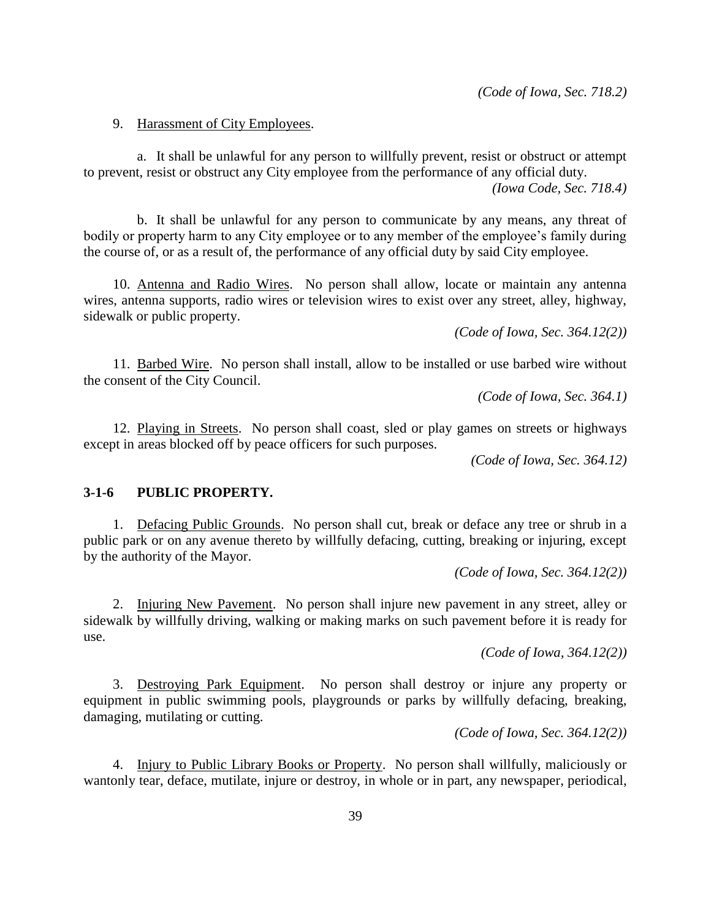*(Code of Iowa, Sec. 718.2)*

#### 9. Harassment of City Employees.

a. It shall be unlawful for any person to willfully prevent, resist or obstruct or attempt to prevent, resist or obstruct any City employee from the performance of any official duty. *(Iowa Code, Sec. 718.4)*

b. It shall be unlawful for any person to communicate by any means, any threat of bodily or property harm to any City employee or to any member of the employee's family during the course of, or as a result of, the performance of any official duty by said City employee.

10. Antenna and Radio Wires. No person shall allow, locate or maintain any antenna wires, antenna supports, radio wires or television wires to exist over any street, alley, highway, sidewalk or public property.

*(Code of Iowa, Sec. 364.12(2))*

11. Barbed Wire. No person shall install, allow to be installed or use barbed wire without the consent of the City Council.

*(Code of Iowa, Sec. 364.1)*

12. Playing in Streets. No person shall coast, sled or play games on streets or highways except in areas blocked off by peace officers for such purposes.

*(Code of Iowa, Sec. 364.12)*

#### **3-1-6 PUBLIC PROPERTY.**

1. Defacing Public Grounds. No person shall cut, break or deface any tree or shrub in a public park or on any avenue thereto by willfully defacing, cutting, breaking or injuring, except by the authority of the Mayor.

*(Code of Iowa, Sec. 364.12(2))*

2. Injuring New Pavement. No person shall injure new pavement in any street, alley or sidewalk by willfully driving, walking or making marks on such pavement before it is ready for use.

*(Code of Iowa, 364.12(2))*

3. Destroying Park Equipment. No person shall destroy or injure any property or equipment in public swimming pools, playgrounds or parks by willfully defacing, breaking, damaging, mutilating or cutting.

*(Code of Iowa, Sec. 364.12(2))*

4. Injury to Public Library Books or Property. No person shall willfully, maliciously or wantonly tear, deface, mutilate, injure or destroy, in whole or in part, any newspaper, periodical,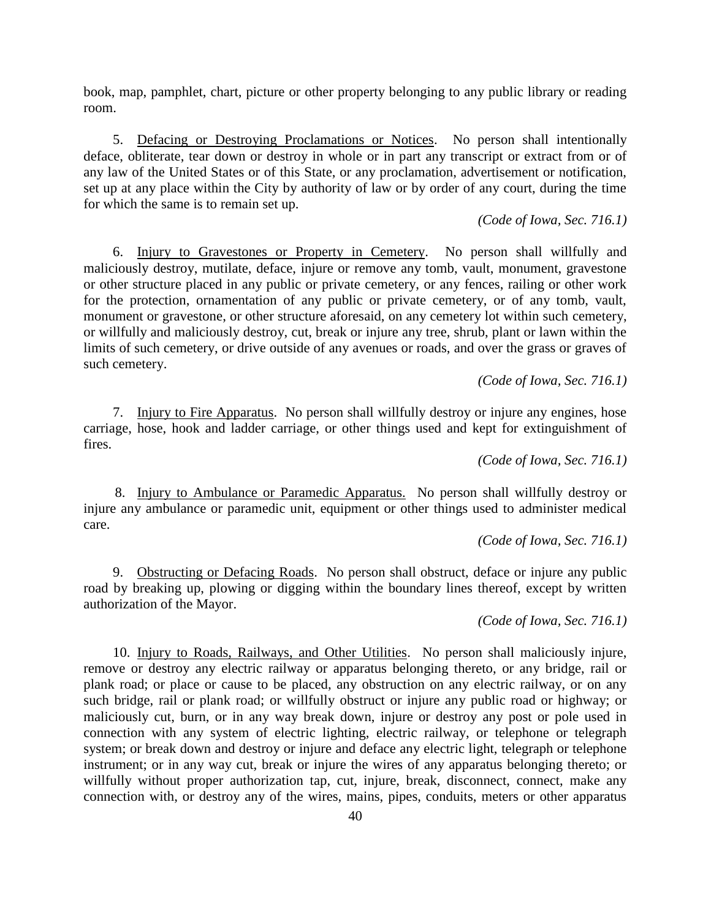book, map, pamphlet, chart, picture or other property belonging to any public library or reading room.

5. Defacing or Destroying Proclamations or Notices. No person shall intentionally deface, obliterate, tear down or destroy in whole or in part any transcript or extract from or of any law of the United States or of this State, or any proclamation, advertisement or notification, set up at any place within the City by authority of law or by order of any court, during the time for which the same is to remain set up.

#### *(Code of Iowa, Sec. 716.1)*

6. Injury to Gravestones or Property in Cemetery. No person shall willfully and maliciously destroy, mutilate, deface, injure or remove any tomb, vault, monument, gravestone or other structure placed in any public or private cemetery, or any fences, railing or other work for the protection, ornamentation of any public or private cemetery, or of any tomb, vault, monument or gravestone, or other structure aforesaid, on any cemetery lot within such cemetery, or willfully and maliciously destroy, cut, break or injure any tree, shrub, plant or lawn within the limits of such cemetery, or drive outside of any avenues or roads, and over the grass or graves of such cemetery.

#### *(Code of Iowa, Sec. 716.1)*

7. Injury to Fire Apparatus. No person shall willfully destroy or injure any engines, hose carriage, hose, hook and ladder carriage, or other things used and kept for extinguishment of fires.

*(Code of Iowa, Sec. 716.1)*

8. Injury to Ambulance or Paramedic Apparatus. No person shall willfully destroy or injure any ambulance or paramedic unit, equipment or other things used to administer medical care.

*(Code of Iowa, Sec. 716.1)*

9. Obstructing or Defacing Roads. No person shall obstruct, deface or injure any public road by breaking up, plowing or digging within the boundary lines thereof, except by written authorization of the Mayor.

*(Code of Iowa, Sec. 716.1)*

10. Injury to Roads, Railways, and Other Utilities. No person shall maliciously injure, remove or destroy any electric railway or apparatus belonging thereto, or any bridge, rail or plank road; or place or cause to be placed, any obstruction on any electric railway, or on any such bridge, rail or plank road; or willfully obstruct or injure any public road or highway; or maliciously cut, burn, or in any way break down, injure or destroy any post or pole used in connection with any system of electric lighting, electric railway, or telephone or telegraph system; or break down and destroy or injure and deface any electric light, telegraph or telephone instrument; or in any way cut, break or injure the wires of any apparatus belonging thereto; or willfully without proper authorization tap, cut, injure, break, disconnect, connect, make any connection with, or destroy any of the wires, mains, pipes, conduits, meters or other apparatus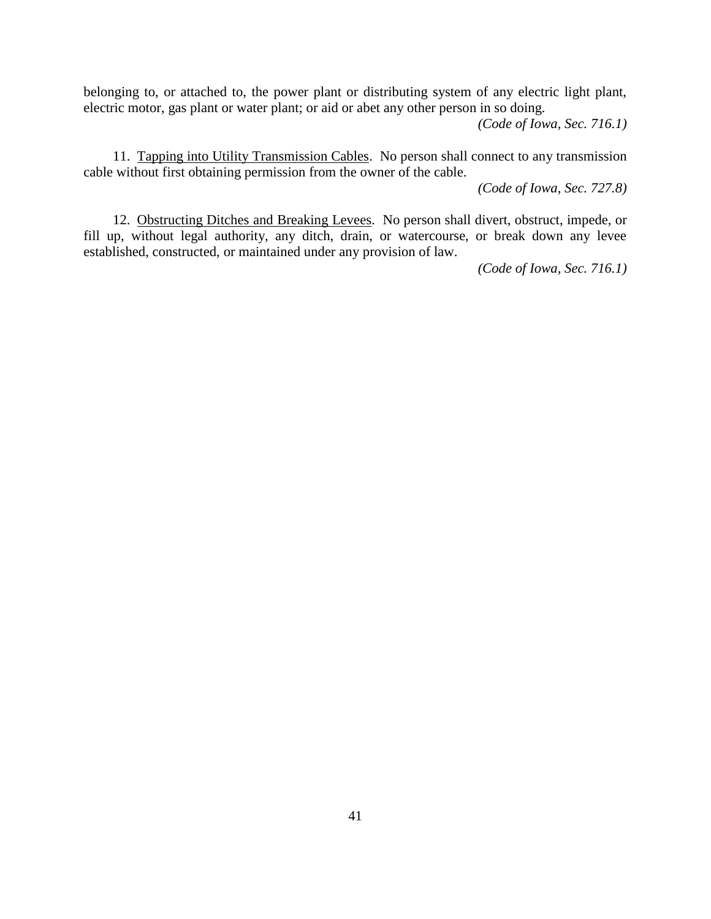belonging to, or attached to, the power plant or distributing system of any electric light plant, electric motor, gas plant or water plant; or aid or abet any other person in so doing.

*(Code of Iowa, Sec. 716.1)*

11. Tapping into Utility Transmission Cables. No person shall connect to any transmission cable without first obtaining permission from the owner of the cable.

*(Code of Iowa, Sec. 727.8)*

12. Obstructing Ditches and Breaking Levees. No person shall divert, obstruct, impede, or fill up, without legal authority, any ditch, drain, or watercourse, or break down any levee established, constructed, or maintained under any provision of law.

*(Code of Iowa, Sec. 716.1)*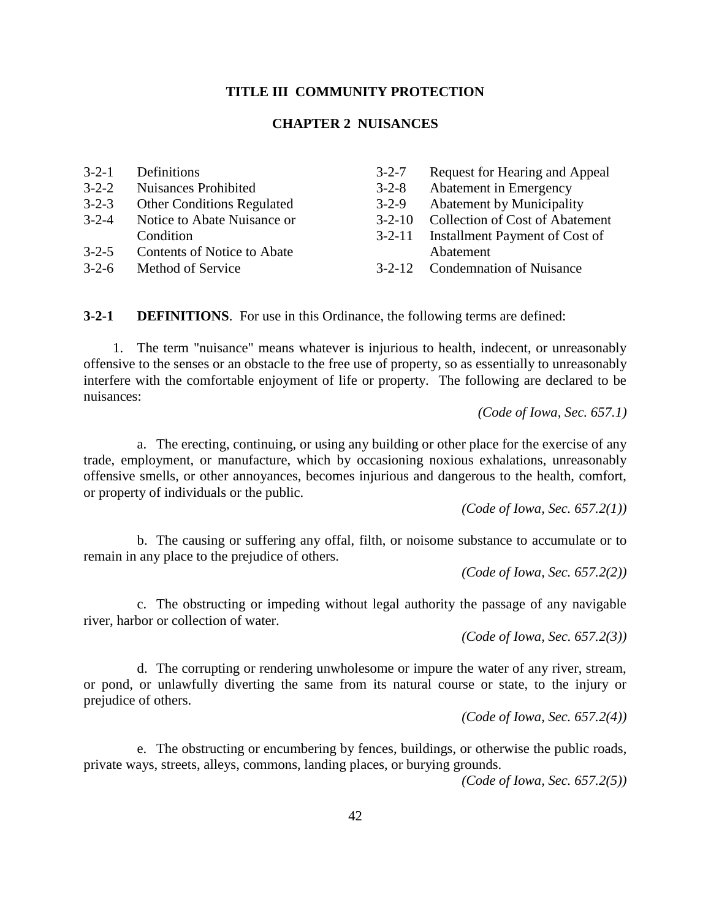### **TITLE III COMMUNITY PROTECTION**

### **CHAPTER 2 NUISANCES**

| $3-2-1$     | Definitions                        | $3 - 2 - 7$  | Request for Hearing and Appeal         |
|-------------|------------------------------------|--------------|----------------------------------------|
| $3 - 2 - 2$ | <b>Nuisances Prohibited</b>        | $3 - 2 - 8$  | Abatement in Emergency                 |
| $3 - 2 - 3$ | <b>Other Conditions Regulated</b>  | $3 - 2 - 9$  | <b>Abatement by Municipality</b>       |
| $3 - 2 - 4$ | Notice to Abate Nuisance or        | $3 - 2 - 10$ | <b>Collection of Cost of Abatement</b> |
|             | Condition                          | $3 - 2 - 11$ | Installment Payment of Cost of         |
| $3 - 2 - 5$ | <b>Contents of Notice to Abate</b> |              | Abatement                              |
| $3 - 2 - 6$ | Method of Service                  | $3 - 2 - 12$ | <b>Condemnation of Nuisance</b>        |

**3-2-1 DEFINITIONS**. For use in this Ordinance, the following terms are defined:

1. The term "nuisance" means whatever is injurious to health, indecent, or unreasonably offensive to the senses or an obstacle to the free use of property, so as essentially to unreasonably interfere with the comfortable enjoyment of life or property. The following are declared to be nuisances:

*(Code of Iowa, Sec. 657.1)*

a. The erecting, continuing, or using any building or other place for the exercise of any trade, employment, or manufacture, which by occasioning noxious exhalations, unreasonably offensive smells, or other annoyances, becomes injurious and dangerous to the health, comfort, or property of individuals or the public.

*(Code of Iowa, Sec. 657.2(1))*

b. The causing or suffering any offal, filth, or noisome substance to accumulate or to remain in any place to the prejudice of others.

*(Code of Iowa, Sec. 657.2(2))*

c. The obstructing or impeding without legal authority the passage of any navigable river, harbor or collection of water.

*(Code of Iowa, Sec. 657.2(3))*

d. The corrupting or rendering unwholesome or impure the water of any river, stream, or pond, or unlawfully diverting the same from its natural course or state, to the injury or prejudice of others.

*(Code of Iowa, Sec. 657.2(4))*

e. The obstructing or encumbering by fences, buildings, or otherwise the public roads, private ways, streets, alleys, commons, landing places, or burying grounds.

*(Code of Iowa, Sec. 657.2(5))*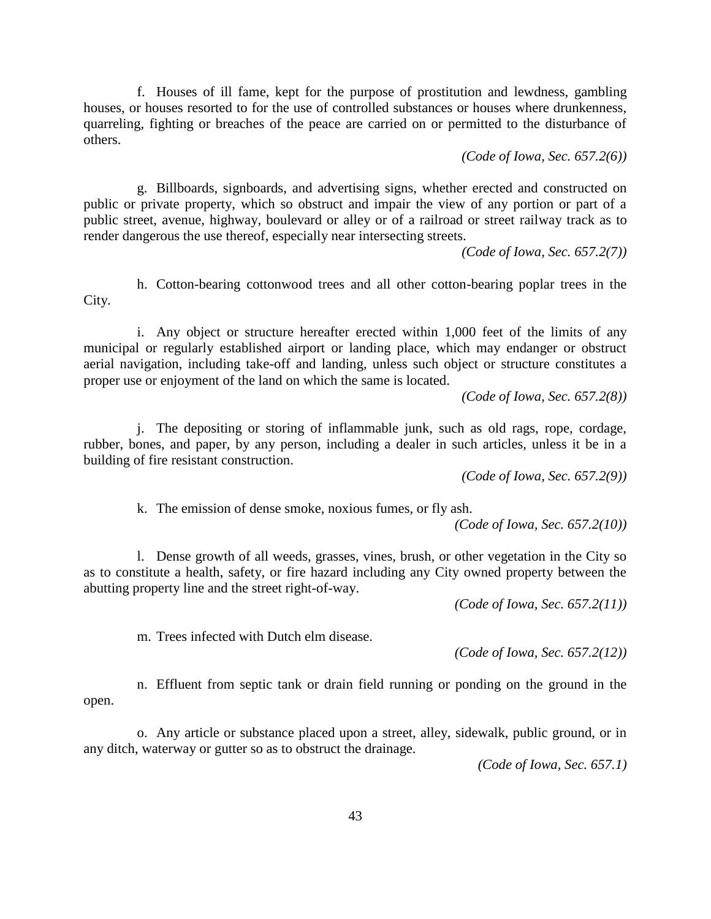f. Houses of ill fame, kept for the purpose of prostitution and lewdness, gambling houses, or houses resorted to for the use of controlled substances or houses where drunkenness, quarreling, fighting or breaches of the peace are carried on or permitted to the disturbance of others.

*(Code of Iowa, Sec. 657.2(6))*

g. Billboards, signboards, and advertising signs, whether erected and constructed on public or private property, which so obstruct and impair the view of any portion or part of a public street, avenue, highway, boulevard or alley or of a railroad or street railway track as to render dangerous the use thereof, especially near intersecting streets.

*(Code of Iowa, Sec. 657.2(7))*

h. Cotton-bearing cottonwood trees and all other cotton-bearing poplar trees in the City.

i. Any object or structure hereafter erected within 1,000 feet of the limits of any municipal or regularly established airport or landing place, which may endanger or obstruct aerial navigation, including take-off and landing, unless such object or structure constitutes a proper use or enjoyment of the land on which the same is located.

*(Code of Iowa, Sec. 657.2(8))*

j. The depositing or storing of inflammable junk, such as old rags, rope, cordage, rubber, bones, and paper, by any person, including a dealer in such articles, unless it be in a building of fire resistant construction.

*(Code of Iowa, Sec. 657.2(9))*

k. The emission of dense smoke, noxious fumes, or fly ash.

*(Code of Iowa, Sec. 657.2(10))*

l. Dense growth of all weeds, grasses, vines, brush, or other vegetation in the City so as to constitute a health, safety, or fire hazard including any City owned property between the abutting property line and the street right-of-way.

*(Code of Iowa, Sec. 657.2(11))*

m. Trees infected with Dutch elm disease.

*(Code of Iowa, Sec. 657.2(12))*

n. Effluent from septic tank or drain field running or ponding on the ground in the open.

o. Any article or substance placed upon a street, alley, sidewalk, public ground, or in any ditch, waterway or gutter so as to obstruct the drainage.

*(Code of Iowa, Sec. 657.1)*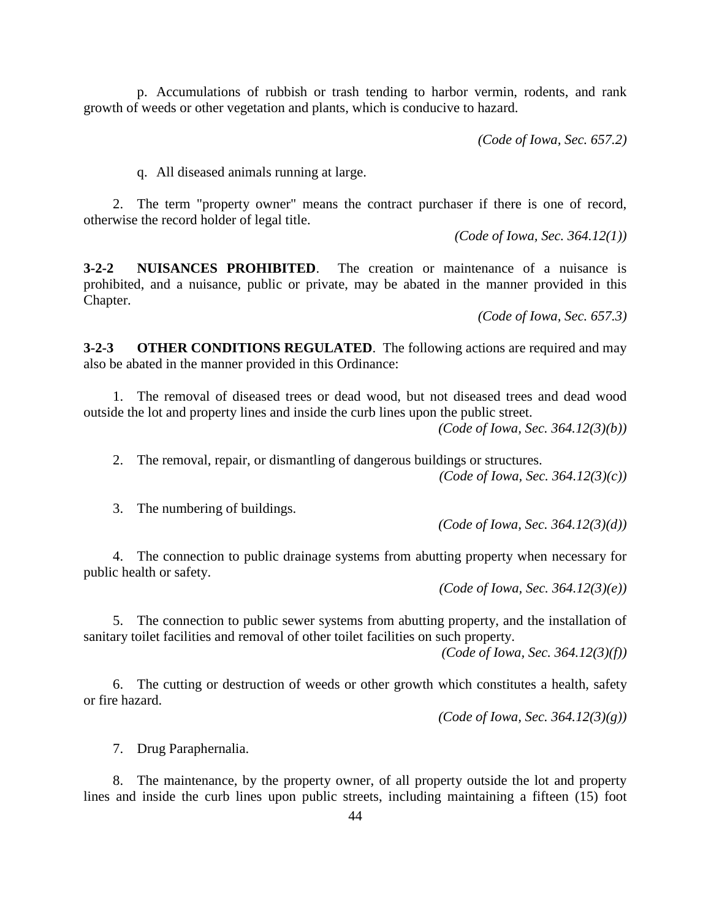p. Accumulations of rubbish or trash tending to harbor vermin, rodents, and rank growth of weeds or other vegetation and plants, which is conducive to hazard.

*(Code of Iowa, Sec. 657.2)*

q. All diseased animals running at large.

2. The term "property owner" means the contract purchaser if there is one of record, otherwise the record holder of legal title.

*(Code of Iowa, Sec. 364.12(1))*

**3-2-2 NUISANCES PROHIBITED**. The creation or maintenance of a nuisance is prohibited, and a nuisance, public or private, may be abated in the manner provided in this Chapter.

*(Code of Iowa, Sec. 657.3)*

**3-2-3 OTHER CONDITIONS REGULATED**. The following actions are required and may also be abated in the manner provided in this Ordinance:

1. The removal of diseased trees or dead wood, but not diseased trees and dead wood outside the lot and property lines and inside the curb lines upon the public street.

*(Code of Iowa, Sec. 364.12(3)(b))*

2. The removal, repair, or dismantling of dangerous buildings or structures. *(Code of Iowa, Sec. 364.12(3)(c))*

3. The numbering of buildings.

*(Code of Iowa, Sec. 364.12(3)(d))*

4. The connection to public drainage systems from abutting property when necessary for public health or safety.

*(Code of Iowa, Sec. 364.12(3)(e))*

5. The connection to public sewer systems from abutting property, and the installation of sanitary toilet facilities and removal of other toilet facilities on such property.

*(Code of Iowa, Sec. 364.12(3)(f))*

6. The cutting or destruction of weeds or other growth which constitutes a health, safety or fire hazard.

*(Code of Iowa, Sec. 364.12(3)(g))*

7. Drug Paraphernalia.

The maintenance, by the property owner, of all property outside the lot and property lines and inside the curb lines upon public streets, including maintaining a fifteen (15) foot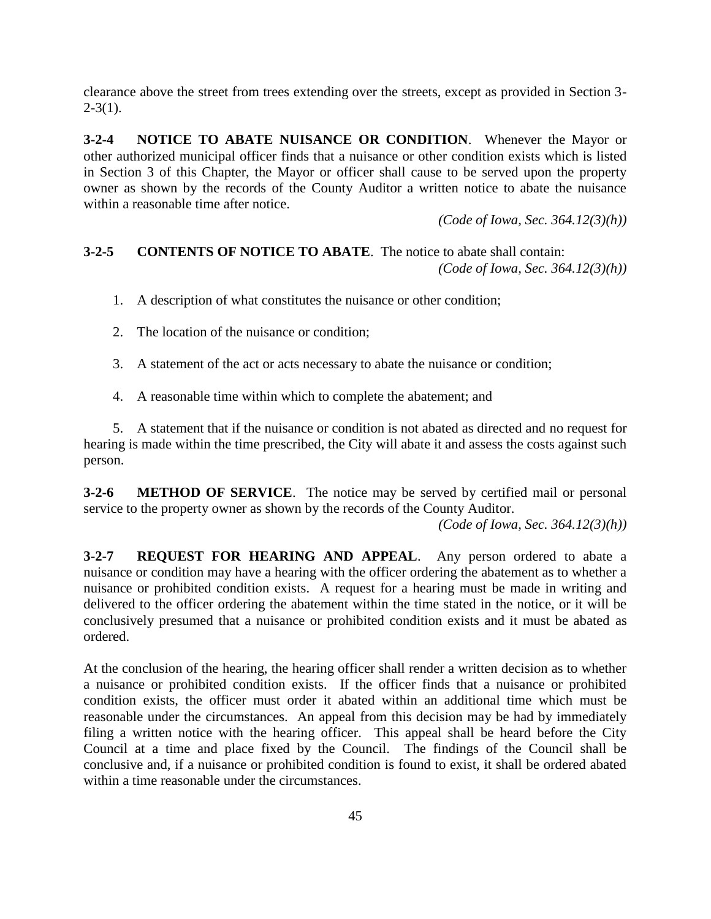clearance above the street from trees extending over the streets, except as provided in Section 3-  $2-3(1)$ .

**3-2-4 NOTICE TO ABATE NUISANCE OR CONDITION**. Whenever the Mayor or other authorized municipal officer finds that a nuisance or other condition exists which is listed in Section 3 of this Chapter, the Mayor or officer shall cause to be served upon the property owner as shown by the records of the County Auditor a written notice to abate the nuisance within a reasonable time after notice.

*(Code of Iowa, Sec. 364.12(3)(h))*

# **3-2-5 CONTENTS OF NOTICE TO ABATE**. The notice to abate shall contain: *(Code of Iowa, Sec. 364.12(3)(h))*

- 1. A description of what constitutes the nuisance or other condition;
- 2. The location of the nuisance or condition;
- 3. A statement of the act or acts necessary to abate the nuisance or condition;
- 4. A reasonable time within which to complete the abatement; and

5. A statement that if the nuisance or condition is not abated as directed and no request for hearing is made within the time prescribed, the City will abate it and assess the costs against such person.

**3-2-6 METHOD OF SERVICE**. The notice may be served by certified mail or personal service to the property owner as shown by the records of the County Auditor.

*(Code of Iowa, Sec. 364.12(3)(h))*

**3-2-7 REQUEST FOR HEARING AND APPEAL**. Any person ordered to abate a nuisance or condition may have a hearing with the officer ordering the abatement as to whether a nuisance or prohibited condition exists. A request for a hearing must be made in writing and delivered to the officer ordering the abatement within the time stated in the notice, or it will be conclusively presumed that a nuisance or prohibited condition exists and it must be abated as ordered.

At the conclusion of the hearing, the hearing officer shall render a written decision as to whether a nuisance or prohibited condition exists. If the officer finds that a nuisance or prohibited condition exists, the officer must order it abated within an additional time which must be reasonable under the circumstances. An appeal from this decision may be had by immediately filing a written notice with the hearing officer. This appeal shall be heard before the City Council at a time and place fixed by the Council. The findings of the Council shall be conclusive and, if a nuisance or prohibited condition is found to exist, it shall be ordered abated within a time reasonable under the circumstances.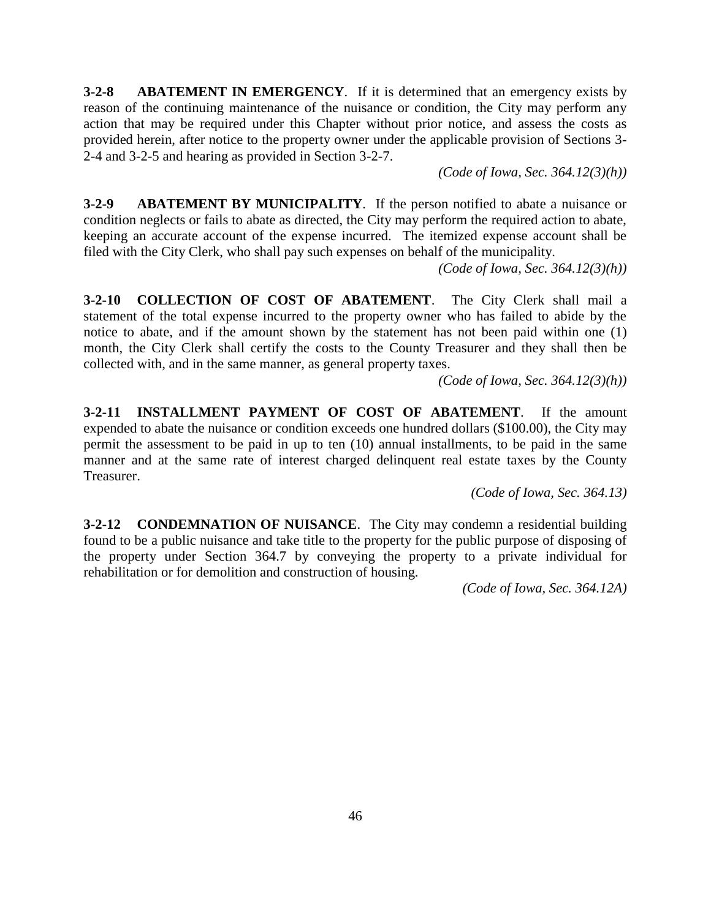**3-2-8 ABATEMENT IN EMERGENCY**. If it is determined that an emergency exists by reason of the continuing maintenance of the nuisance or condition, the City may perform any action that may be required under this Chapter without prior notice, and assess the costs as provided herein, after notice to the property owner under the applicable provision of Sections 3- 2-4 and 3-2-5 and hearing as provided in Section 3-2-7.

*(Code of Iowa, Sec. 364.12(3)(h))*

**3-2-9 ABATEMENT BY MUNICIPALITY**. If the person notified to abate a nuisance or condition neglects or fails to abate as directed, the City may perform the required action to abate, keeping an accurate account of the expense incurred. The itemized expense account shall be filed with the City Clerk, who shall pay such expenses on behalf of the municipality.

*(Code of Iowa, Sec. 364.12(3)(h))*

**3-2-10 COLLECTION OF COST OF ABATEMENT**. The City Clerk shall mail a statement of the total expense incurred to the property owner who has failed to abide by the notice to abate, and if the amount shown by the statement has not been paid within one (1) month, the City Clerk shall certify the costs to the County Treasurer and they shall then be collected with, and in the same manner, as general property taxes.

*(Code of Iowa, Sec. 364.12(3)(h))*

**3-2-11 INSTALLMENT PAYMENT OF COST OF ABATEMENT**. If the amount expended to abate the nuisance or condition exceeds one hundred dollars (\$100.00), the City may permit the assessment to be paid in up to ten (10) annual installments, to be paid in the same manner and at the same rate of interest charged delinquent real estate taxes by the County Treasurer.

*(Code of Iowa, Sec. 364.13)*

**3-2-12 CONDEMNATION OF NUISANCE**. The City may condemn a residential building found to be a public nuisance and take title to the property for the public purpose of disposing of the property under Section 364.7 by conveying the property to a private individual for rehabilitation or for demolition and construction of housing.

*(Code of Iowa, Sec. 364.12A)*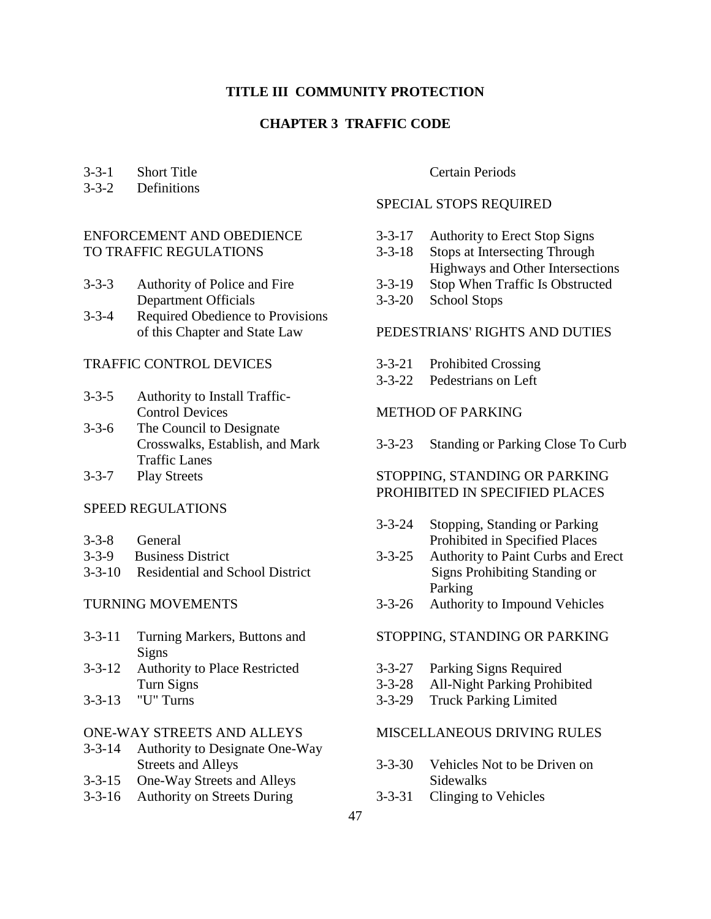## **TITLE III COMMUNITY PROTECTION**

# **CHAPTER 3 TRAFFIC CODE**

# 3-3-1 Short Title

# 3-3-2 Definitions

# ENFORCEMENT AND OBEDIENCE TO TRAFFIC REGULATIONS

- 3-3-3 Authority of Police and Fire Department Officials
- 3-3-4 Required Obedience to Provisions of this Chapter and State Law

# TRAFFIC CONTROL DEVICES

- 3-3-5 Authority to Install Traffic-Control Devices
- 3-3-6 The Council to Designate Crosswalks, Establish, and Mark Traffic Lanes
- 3-3-7 Play Streets

#### SPEED REGULATIONS

- 3-3-8 General
- 3-3-9 Business District
- 3-3-10 Residential and School District

#### TURNING MOVEMENTS

- 3-3-11 Turning Markers, Buttons and Signs
- 3-3-12 Authority to Place Restricted Turn Signs
- 3-3-13 "U" Turns

#### ONE-WAY STREETS AND ALLEYS

- 3-3-14 Authority to Designate One-Way Streets and Alleys
- 3-3-15 One-Way Streets and Alleys
- 3-3-16 Authority on Streets During

### Certain Periods

# SPECIAL STOPS REQUIRED

- 3-3-17 Authority to Erect Stop Signs
- 3-3-18 Stops at Intersecting Through
- Highways and Other Intersections
- 3-3-19 Stop When Traffic Is Obstructed
- 3-3-20 School Stops

## PEDESTRIANS' RIGHTS AND DUTIES

- 3-3-21 Prohibited Crossing
- 3-3-22 Pedestrians on Left

# METHOD OF PARKING

3-3-23 Standing or Parking Close To Curb

## STOPPING, STANDING OR PARKING PROHIBITED IN SPECIFIED PLACES

- 3-3-24 Stopping, Standing or Parking Prohibited in Specified Places
- 3-3-25 Authority to Paint Curbs and Erect Signs Prohibiting Standing or Parking
- 3-3-26 Authority to Impound Vehicles

### STOPPING, STANDING OR PARKING

- 3-3-27 Parking Signs Required
- 3-3-28 All-Night Parking Prohibited
- 3-3-29 Truck Parking Limited

#### MISCELLANEOUS DRIVING RULES

- 3-3-30 Vehicles Not to be Driven on Sidewalks
- 3-3-31 Clinging to Vehicles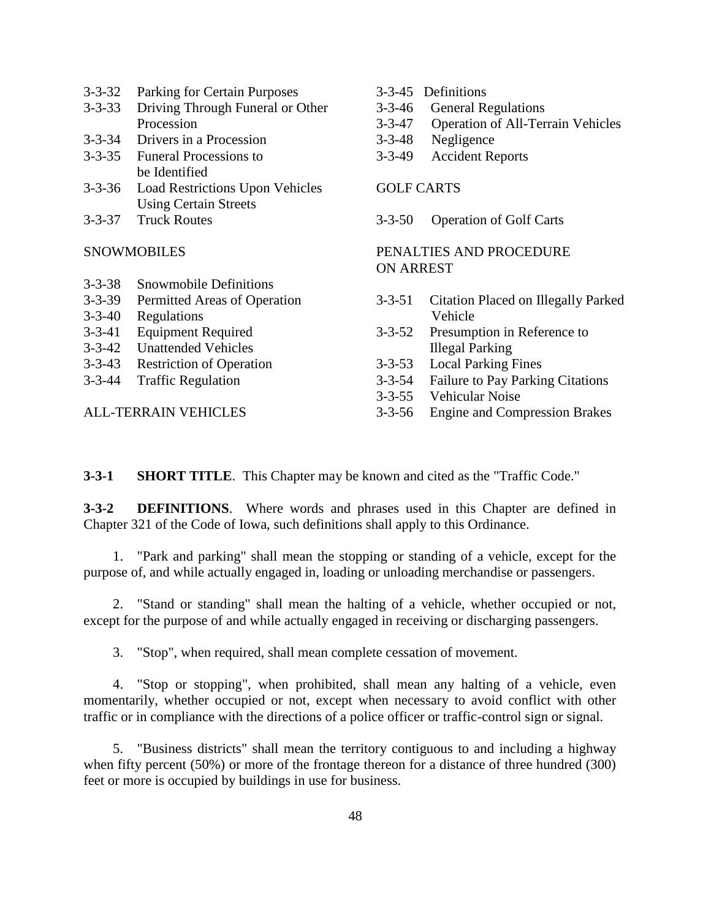- 3-3-32 Parking for Certain Purposes
- 3-3-33 Driving Through Funeral or Other Procession
- 3-3-34 Drivers in a Procession
- 3-3-35 Funeral Processions to be Identified
- 3-3-36 Load Restrictions Upon Vehicles Using Certain Streets
- 3-3-37 Truck Routes

#### SNOWMOBILES

- 3-3-38 Snowmobile Definitions
- 3-3-39 Permitted Areas of Operation
- 3-3-40 Regulations
- 3-3-41 Equipment Required
- Unattended Vehicles
- 3-3-43 Restriction of Operation
- 3-3-44 Traffic Regulation

ALL-TERRAIN VEHICLES

- 3-3-45 Definitions
- 3-3-46 General Regulations
- 3-3-47 Operation of All-Terrain Vehicles
- 3-3-48 Negligence
- 3-3-49 Accident Reports

## GOLF CARTS

3-3-50 Operation of Golf Carts

## PENALTIES AND PROCEDURE ON ARREST

- 3-3-51 Citation Placed on Illegally Parked Vehicle
- 3-3-52 Presumption in Reference to Illegal Parking
- 3-3-53 Local Parking Fines
- 3-3-54 Failure to Pay Parking Citations
- 3-3-55 Vehicular Noise
- 3-3-56 Engine and Compression Brakes

**3-3-1 SHORT TITLE**. This Chapter may be known and cited as the "Traffic Code."

**3-3-2 DEFINITIONS**. Where words and phrases used in this Chapter are defined in Chapter 321 of the Code of Iowa, such definitions shall apply to this Ordinance.

1. "Park and parking" shall mean the stopping or standing of a vehicle, except for the purpose of, and while actually engaged in, loading or unloading merchandise or passengers.

2. "Stand or standing" shall mean the halting of a vehicle, whether occupied or not, except for the purpose of and while actually engaged in receiving or discharging passengers.

3. "Stop", when required, shall mean complete cessation of movement.

4. "Stop or stopping", when prohibited, shall mean any halting of a vehicle, even momentarily, whether occupied or not, except when necessary to avoid conflict with other traffic or in compliance with the directions of a police officer or traffic-control sign or signal.

5. "Business districts" shall mean the territory contiguous to and including a highway when fifty percent (50%) or more of the frontage thereon for a distance of three hundred (300) feet or more is occupied by buildings in use for business.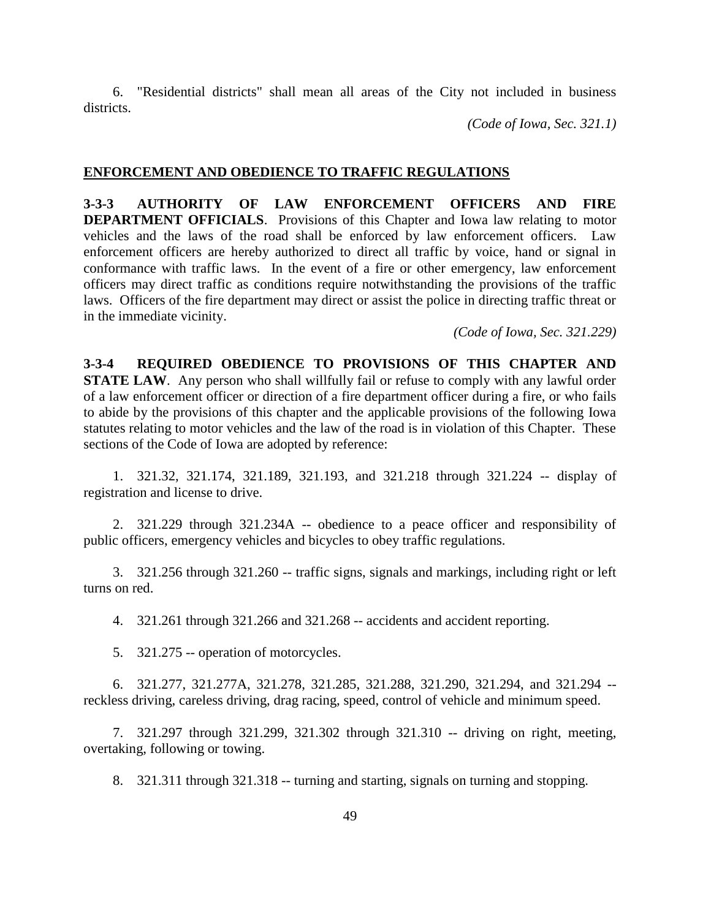6. "Residential districts" shall mean all areas of the City not included in business districts.

*(Code of Iowa, Sec. 321.1)*

#### **ENFORCEMENT AND OBEDIENCE TO TRAFFIC REGULATIONS**

**3-3-3 AUTHORITY OF LAW ENFORCEMENT OFFICERS AND FIRE DEPARTMENT OFFICIALS.** Provisions of this Chapter and Iowa law relating to motor vehicles and the laws of the road shall be enforced by law enforcement officers. Law enforcement officers are hereby authorized to direct all traffic by voice, hand or signal in conformance with traffic laws. In the event of a fire or other emergency, law enforcement officers may direct traffic as conditions require notwithstanding the provisions of the traffic laws. Officers of the fire department may direct or assist the police in directing traffic threat or in the immediate vicinity.

*(Code of Iowa, Sec. 321.229)*

**3-3-4 REQUIRED OBEDIENCE TO PROVISIONS OF THIS CHAPTER AND STATE LAW**. Any person who shall willfully fail or refuse to comply with any lawful order of a law enforcement officer or direction of a fire department officer during a fire, or who fails to abide by the provisions of this chapter and the applicable provisions of the following Iowa statutes relating to motor vehicles and the law of the road is in violation of this Chapter. These sections of the Code of Iowa are adopted by reference:

1. 321.32, 321.174, 321.189, 321.193, and 321.218 through 321.224 -- display of registration and license to drive.

2. 321.229 through 321.234A -- obedience to a peace officer and responsibility of public officers, emergency vehicles and bicycles to obey traffic regulations.

3. 321.256 through 321.260 -- traffic signs, signals and markings, including right or left turns on red.

4. 321.261 through 321.266 and 321.268 -- accidents and accident reporting.

5. 321.275 -- operation of motorcycles.

6. 321.277, 321.277A, 321.278, 321.285, 321.288, 321.290, 321.294, and 321.294 - reckless driving, careless driving, drag racing, speed, control of vehicle and minimum speed.

7. 321.297 through 321.299, 321.302 through 321.310 -- driving on right, meeting, overtaking, following or towing.

8. 321.311 through 321.318 -- turning and starting, signals on turning and stopping.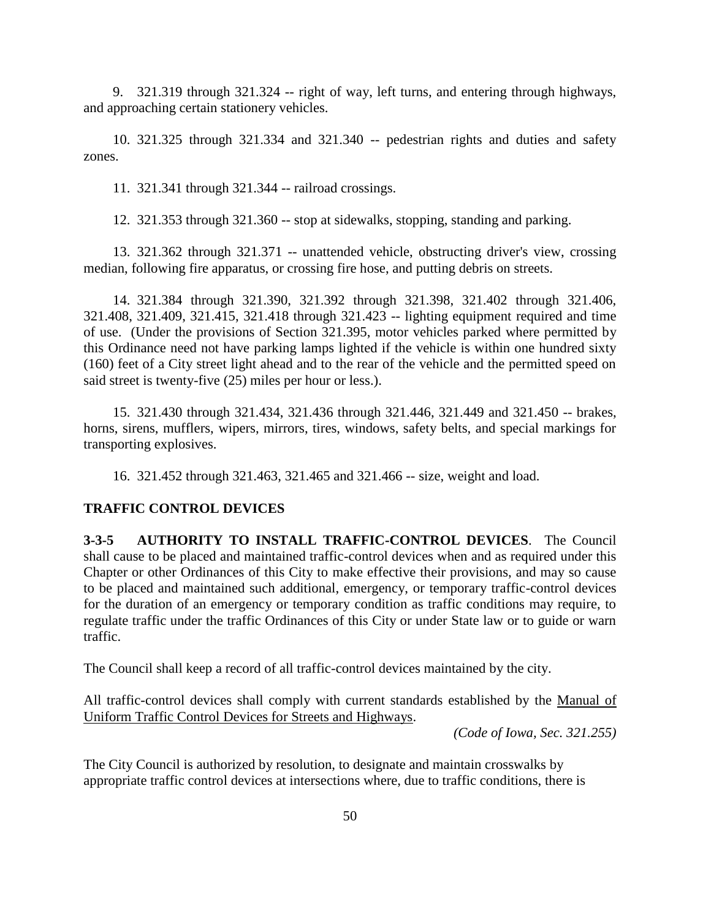9. 321.319 through 321.324 -- right of way, left turns, and entering through highways, and approaching certain stationery vehicles.

10. 321.325 through 321.334 and 321.340 -- pedestrian rights and duties and safety zones.

11. 321.341 through 321.344 -- railroad crossings.

12. 321.353 through 321.360 -- stop at sidewalks, stopping, standing and parking.

13. 321.362 through 321.371 -- unattended vehicle, obstructing driver's view, crossing median, following fire apparatus, or crossing fire hose, and putting debris on streets.

14. 321.384 through 321.390, 321.392 through 321.398, 321.402 through 321.406, 321.408, 321.409, 321.415, 321.418 through 321.423 -- lighting equipment required and time of use. (Under the provisions of Section 321.395, motor vehicles parked where permitted by this Ordinance need not have parking lamps lighted if the vehicle is within one hundred sixty (160) feet of a City street light ahead and to the rear of the vehicle and the permitted speed on said street is twenty-five (25) miles per hour or less.).

15. 321.430 through 321.434, 321.436 through 321.446, 321.449 and 321.450 -- brakes, horns, sirens, mufflers, wipers, mirrors, tires, windows, safety belts, and special markings for transporting explosives.

16. 321.452 through 321.463, 321.465 and 321.466 -- size, weight and load.

### **TRAFFIC CONTROL DEVICES**

**3-3-5 AUTHORITY TO INSTALL TRAFFIC-CONTROL DEVICES**. The Council shall cause to be placed and maintained traffic-control devices when and as required under this Chapter or other Ordinances of this City to make effective their provisions, and may so cause to be placed and maintained such additional, emergency, or temporary traffic-control devices for the duration of an emergency or temporary condition as traffic conditions may require, to regulate traffic under the traffic Ordinances of this City or under State law or to guide or warn traffic.

The Council shall keep a record of all traffic-control devices maintained by the city.

All traffic-control devices shall comply with current standards established by the Manual of Uniform Traffic Control Devices for Streets and Highways.

*(Code of Iowa, Sec. 321.255)*

The City Council is authorized by resolution, to designate and maintain crosswalks by appropriate traffic control devices at intersections where, due to traffic conditions, there is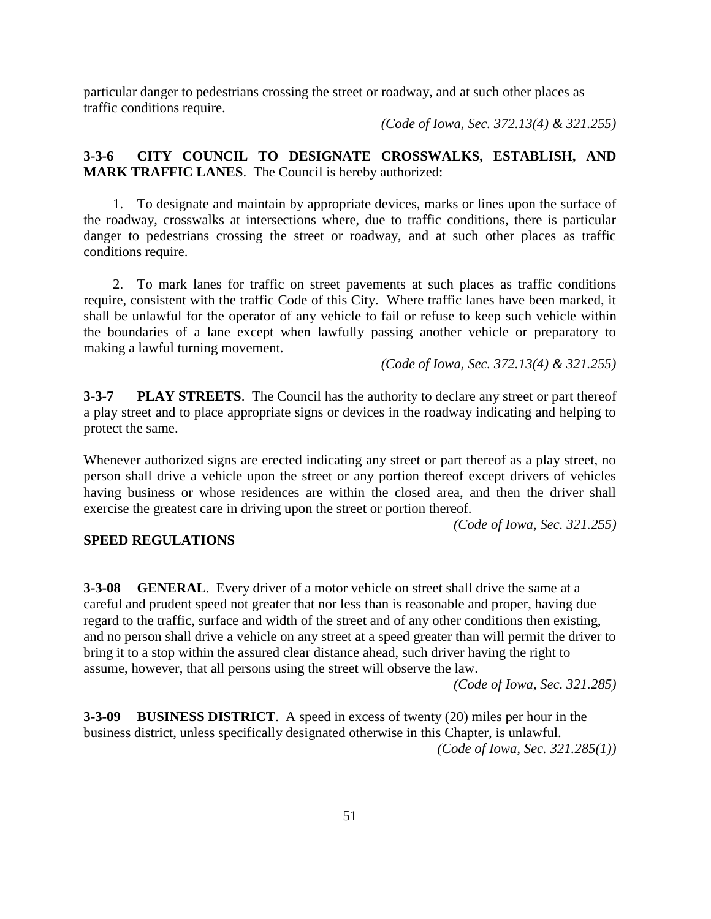particular danger to pedestrians crossing the street or roadway, and at such other places as traffic conditions require.

*(Code of Iowa, Sec. 372.13(4) & 321.255)*

# **3-3-6 CITY COUNCIL TO DESIGNATE CROSSWALKS, ESTABLISH, AND MARK TRAFFIC LANES**. The Council is hereby authorized:

1. To designate and maintain by appropriate devices, marks or lines upon the surface of the roadway, crosswalks at intersections where, due to traffic conditions, there is particular danger to pedestrians crossing the street or roadway, and at such other places as traffic conditions require.

2. To mark lanes for traffic on street pavements at such places as traffic conditions require, consistent with the traffic Code of this City. Where traffic lanes have been marked, it shall be unlawful for the operator of any vehicle to fail or refuse to keep such vehicle within the boundaries of a lane except when lawfully passing another vehicle or preparatory to making a lawful turning movement.

*(Code of Iowa, Sec. 372.13(4) & 321.255)*

**3-3-7 PLAY STREETS**. The Council has the authority to declare any street or part thereof a play street and to place appropriate signs or devices in the roadway indicating and helping to protect the same.

Whenever authorized signs are erected indicating any street or part thereof as a play street, no person shall drive a vehicle upon the street or any portion thereof except drivers of vehicles having business or whose residences are within the closed area, and then the driver shall exercise the greatest care in driving upon the street or portion thereof.

*(Code of Iowa, Sec. 321.255)*

### **SPEED REGULATIONS**

**3-3-08 GENERAL**. Every driver of a motor vehicle on street shall drive the same at a careful and prudent speed not greater that nor less than is reasonable and proper, having due regard to the traffic, surface and width of the street and of any other conditions then existing, and no person shall drive a vehicle on any street at a speed greater than will permit the driver to bring it to a stop within the assured clear distance ahead, such driver having the right to assume, however, that all persons using the street will observe the law.

*(Code of Iowa, Sec. 321.285)*

**3-3-09 BUSINESS DISTRICT**. A speed in excess of twenty (20) miles per hour in the business district, unless specifically designated otherwise in this Chapter, is unlawful. *(Code of Iowa, Sec. 321.285(1))*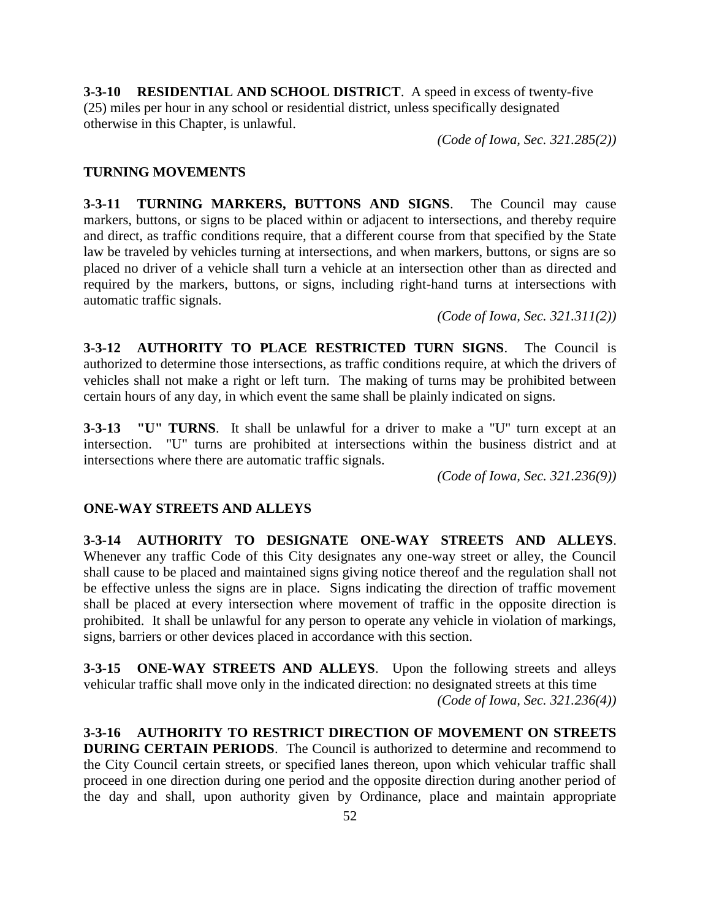**3-3-10 RESIDENTIAL AND SCHOOL DISTRICT**. A speed in excess of twenty-five (25) miles per hour in any school or residential district, unless specifically designated otherwise in this Chapter, is unlawful.

*(Code of Iowa, Sec. 321.285(2))*

## **TURNING MOVEMENTS**

**3-3-11 TURNING MARKERS, BUTTONS AND SIGNS**. The Council may cause markers, buttons, or signs to be placed within or adjacent to intersections, and thereby require and direct, as traffic conditions require, that a different course from that specified by the State law be traveled by vehicles turning at intersections, and when markers, buttons, or signs are so placed no driver of a vehicle shall turn a vehicle at an intersection other than as directed and required by the markers, buttons, or signs, including right-hand turns at intersections with automatic traffic signals.

*(Code of Iowa, Sec. 321.311(2))*

**3-3-12 AUTHORITY TO PLACE RESTRICTED TURN SIGNS**. The Council is authorized to determine those intersections, as traffic conditions require, at which the drivers of vehicles shall not make a right or left turn. The making of turns may be prohibited between certain hours of any day, in which event the same shall be plainly indicated on signs.

**3-3-13 "U" TURNS**. It shall be unlawful for a driver to make a "U" turn except at an intersection. "U" turns are prohibited at intersections within the business district and at intersections where there are automatic traffic signals.

*(Code of Iowa, Sec. 321.236(9))*

# **ONE-WAY STREETS AND ALLEYS**

**3-3-14 AUTHORITY TO DESIGNATE ONE-WAY STREETS AND ALLEYS**. Whenever any traffic Code of this City designates any one-way street or alley, the Council shall cause to be placed and maintained signs giving notice thereof and the regulation shall not be effective unless the signs are in place. Signs indicating the direction of traffic movement shall be placed at every intersection where movement of traffic in the opposite direction is prohibited. It shall be unlawful for any person to operate any vehicle in violation of markings, signs, barriers or other devices placed in accordance with this section.

**3-3-15 ONE-WAY STREETS AND ALLEYS**. Upon the following streets and alleys vehicular traffic shall move only in the indicated direction: no designated streets at this time *(Code of Iowa, Sec. 321.236(4))*

**3-3-16 AUTHORITY TO RESTRICT DIRECTION OF MOVEMENT ON STREETS DURING CERTAIN PERIODS**. The Council is authorized to determine and recommend to the City Council certain streets, or specified lanes thereon, upon which vehicular traffic shall proceed in one direction during one period and the opposite direction during another period of the day and shall, upon authority given by Ordinance, place and maintain appropriate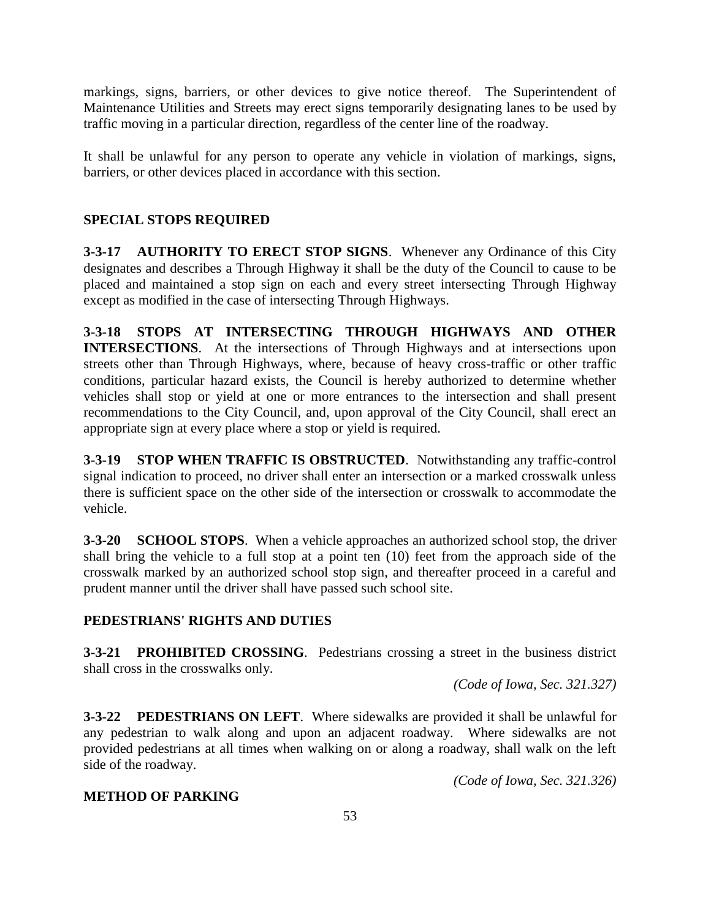markings, signs, barriers, or other devices to give notice thereof. The Superintendent of Maintenance Utilities and Streets may erect signs temporarily designating lanes to be used by traffic moving in a particular direction, regardless of the center line of the roadway.

It shall be unlawful for any person to operate any vehicle in violation of markings, signs, barriers, or other devices placed in accordance with this section.

# **SPECIAL STOPS REQUIRED**

**3-3-17 AUTHORITY TO ERECT STOP SIGNS**. Whenever any Ordinance of this City designates and describes a Through Highway it shall be the duty of the Council to cause to be placed and maintained a stop sign on each and every street intersecting Through Highway except as modified in the case of intersecting Through Highways.

**3-3-18 STOPS AT INTERSECTING THROUGH HIGHWAYS AND OTHER INTERSECTIONS**. At the intersections of Through Highways and at intersections upon streets other than Through Highways, where, because of heavy cross-traffic or other traffic conditions, particular hazard exists, the Council is hereby authorized to determine whether vehicles shall stop or yield at one or more entrances to the intersection and shall present recommendations to the City Council, and, upon approval of the City Council, shall erect an appropriate sign at every place where a stop or yield is required.

**3-3-19 STOP WHEN TRAFFIC IS OBSTRUCTED**. Notwithstanding any traffic-control signal indication to proceed, no driver shall enter an intersection or a marked crosswalk unless there is sufficient space on the other side of the intersection or crosswalk to accommodate the vehicle.

**3-3-20 SCHOOL STOPS**. When a vehicle approaches an authorized school stop, the driver shall bring the vehicle to a full stop at a point ten (10) feet from the approach side of the crosswalk marked by an authorized school stop sign, and thereafter proceed in a careful and prudent manner until the driver shall have passed such school site.

# **PEDESTRIANS' RIGHTS AND DUTIES**

**3-3-21 PROHIBITED CROSSING**. Pedestrians crossing a street in the business district shall cross in the crosswalks only.

*(Code of Iowa, Sec. 321.327)*

**3-3-22 PEDESTRIANS ON LEFT**. Where sidewalks are provided it shall be unlawful for any pedestrian to walk along and upon an adjacent roadway. Where sidewalks are not provided pedestrians at all times when walking on or along a roadway, shall walk on the left side of the roadway.

*(Code of Iowa, Sec. 321.326)*

# **METHOD OF PARKING**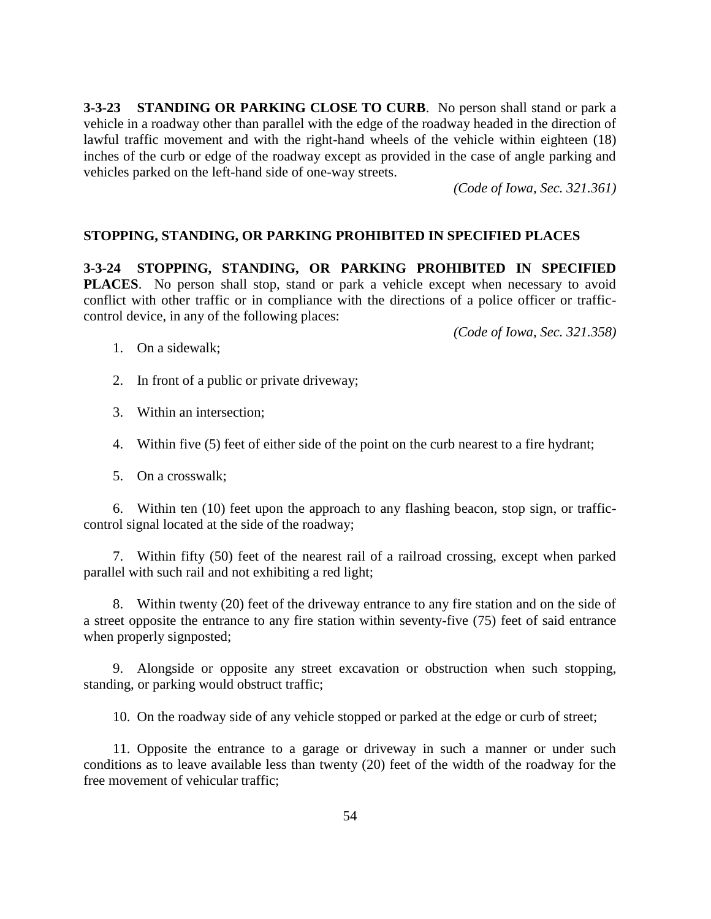**3-3-23 STANDING OR PARKING CLOSE TO CURB**. No person shall stand or park a vehicle in a roadway other than parallel with the edge of the roadway headed in the direction of lawful traffic movement and with the right-hand wheels of the vehicle within eighteen (18) inches of the curb or edge of the roadway except as provided in the case of angle parking and vehicles parked on the left-hand side of one-way streets.

*(Code of Iowa, Sec. 321.361)*

### **STOPPING, STANDING, OR PARKING PROHIBITED IN SPECIFIED PLACES**

**3-3-24 STOPPING, STANDING, OR PARKING PROHIBITED IN SPECIFIED PLACES**. No person shall stop, stand or park a vehicle except when necessary to avoid conflict with other traffic or in compliance with the directions of a police officer or trafficcontrol device, in any of the following places:

*(Code of Iowa, Sec. 321.358)*

- 1. On a sidewalk;
- 2. In front of a public or private driveway;
- 3. Within an intersection;
- 4. Within five (5) feet of either side of the point on the curb nearest to a fire hydrant;
- 5. On a crosswalk;

6. Within ten (10) feet upon the approach to any flashing beacon, stop sign, or trafficcontrol signal located at the side of the roadway;

7. Within fifty (50) feet of the nearest rail of a railroad crossing, except when parked parallel with such rail and not exhibiting a red light;

8. Within twenty (20) feet of the driveway entrance to any fire station and on the side of a street opposite the entrance to any fire station within seventy-five (75) feet of said entrance when properly signposted;

9. Alongside or opposite any street excavation or obstruction when such stopping, standing, or parking would obstruct traffic;

10. On the roadway side of any vehicle stopped or parked at the edge or curb of street;

11. Opposite the entrance to a garage or driveway in such a manner or under such conditions as to leave available less than twenty (20) feet of the width of the roadway for the free movement of vehicular traffic;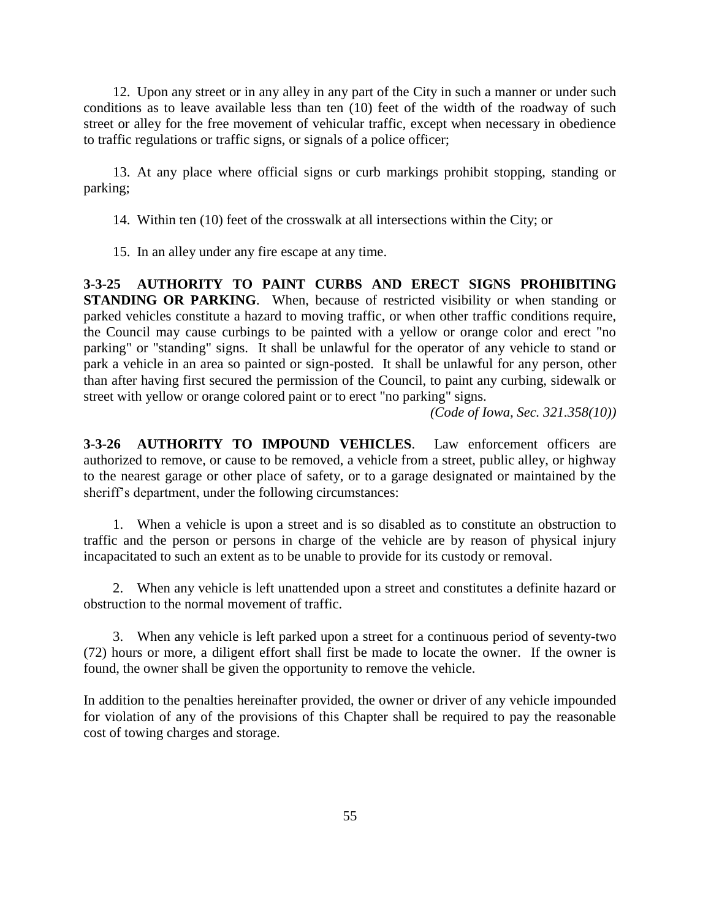12. Upon any street or in any alley in any part of the City in such a manner or under such conditions as to leave available less than ten (10) feet of the width of the roadway of such street or alley for the free movement of vehicular traffic, except when necessary in obedience to traffic regulations or traffic signs, or signals of a police officer;

13. At any place where official signs or curb markings prohibit stopping, standing or parking;

- 14. Within ten (10) feet of the crosswalk at all intersections within the City; or
- 15. In an alley under any fire escape at any time.

**3-3-25 AUTHORITY TO PAINT CURBS AND ERECT SIGNS PROHIBITING STANDING OR PARKING.** When, because of restricted visibility or when standing or parked vehicles constitute a hazard to moving traffic, or when other traffic conditions require, the Council may cause curbings to be painted with a yellow or orange color and erect "no parking" or "standing" signs. It shall be unlawful for the operator of any vehicle to stand or park a vehicle in an area so painted or sign-posted. It shall be unlawful for any person, other than after having first secured the permission of the Council, to paint any curbing, sidewalk or street with yellow or orange colored paint or to erect "no parking" signs.

*(Code of Iowa, Sec. 321.358(10))*

**3-3-26 AUTHORITY TO IMPOUND VEHICLES**. Law enforcement officers are authorized to remove, or cause to be removed, a vehicle from a street, public alley, or highway to the nearest garage or other place of safety, or to a garage designated or maintained by the sheriff's department, under the following circumstances:

1. When a vehicle is upon a street and is so disabled as to constitute an obstruction to traffic and the person or persons in charge of the vehicle are by reason of physical injury incapacitated to such an extent as to be unable to provide for its custody or removal.

2. When any vehicle is left unattended upon a street and constitutes a definite hazard or obstruction to the normal movement of traffic.

3. When any vehicle is left parked upon a street for a continuous period of seventy-two (72) hours or more, a diligent effort shall first be made to locate the owner. If the owner is found, the owner shall be given the opportunity to remove the vehicle.

In addition to the penalties hereinafter provided, the owner or driver of any vehicle impounded for violation of any of the provisions of this Chapter shall be required to pay the reasonable cost of towing charges and storage.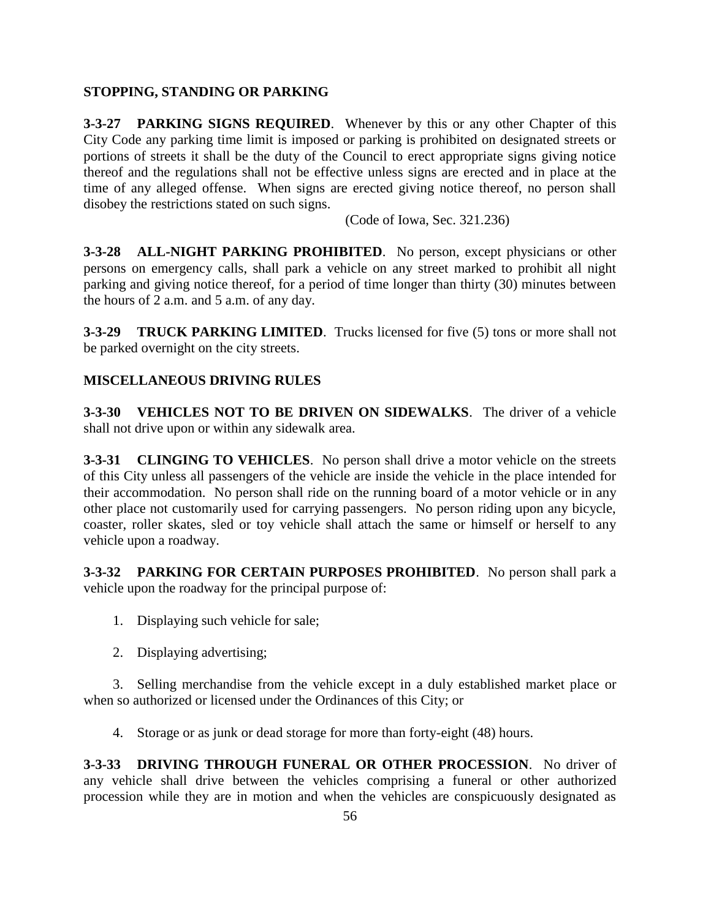# **STOPPING, STANDING OR PARKING**

**3-3-27 PARKING SIGNS REQUIRED**. Whenever by this or any other Chapter of this City Code any parking time limit is imposed or parking is prohibited on designated streets or portions of streets it shall be the duty of the Council to erect appropriate signs giving notice thereof and the regulations shall not be effective unless signs are erected and in place at the time of any alleged offense. When signs are erected giving notice thereof, no person shall disobey the restrictions stated on such signs.

(Code of Iowa, Sec. 321.236)

**3-3-28 ALL-NIGHT PARKING PROHIBITED**. No person, except physicians or other persons on emergency calls, shall park a vehicle on any street marked to prohibit all night parking and giving notice thereof, for a period of time longer than thirty (30) minutes between the hours of 2 a.m. and 5 a.m. of any day.

**3-3-29 TRUCK PARKING LIMITED**. Trucks licensed for five (5) tons or more shall not be parked overnight on the city streets.

# **MISCELLANEOUS DRIVING RULES**

**3-3-30 VEHICLES NOT TO BE DRIVEN ON SIDEWALKS**. The driver of a vehicle shall not drive upon or within any sidewalk area.

**3-3-31 CLINGING TO VEHICLES**. No person shall drive a motor vehicle on the streets of this City unless all passengers of the vehicle are inside the vehicle in the place intended for their accommodation. No person shall ride on the running board of a motor vehicle or in any other place not customarily used for carrying passengers. No person riding upon any bicycle, coaster, roller skates, sled or toy vehicle shall attach the same or himself or herself to any vehicle upon a roadway.

**3-3-32 PARKING FOR CERTAIN PURPOSES PROHIBITED**. No person shall park a vehicle upon the roadway for the principal purpose of:

- 1. Displaying such vehicle for sale;
- 2. Displaying advertising;

3. Selling merchandise from the vehicle except in a duly established market place or when so authorized or licensed under the Ordinances of this City; or

4. Storage or as junk or dead storage for more than forty-eight (48) hours.

**3-3-33 DRIVING THROUGH FUNERAL OR OTHER PROCESSION**. No driver of any vehicle shall drive between the vehicles comprising a funeral or other authorized procession while they are in motion and when the vehicles are conspicuously designated as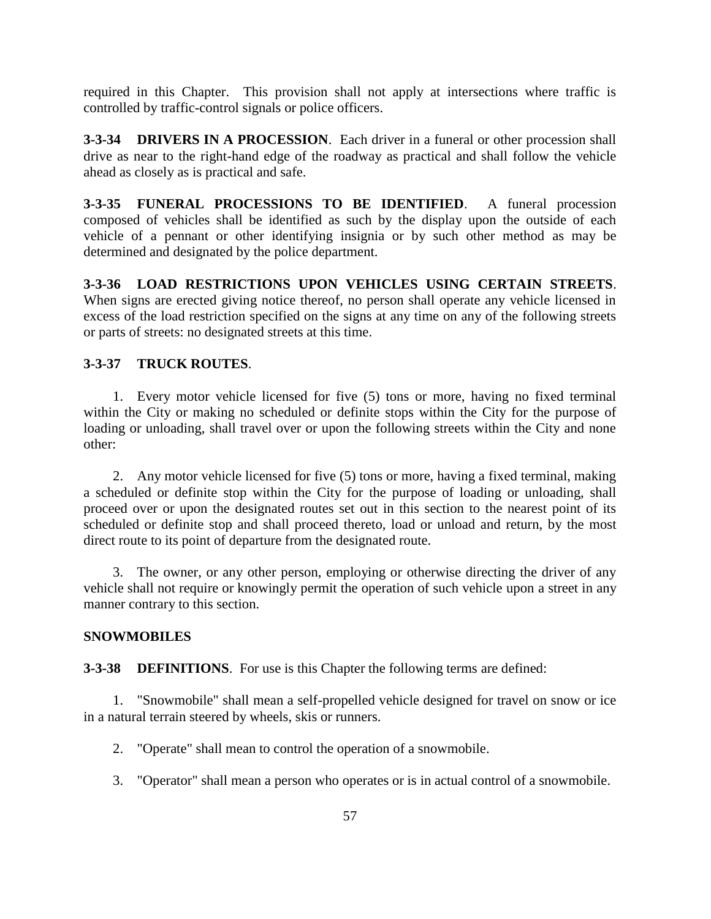required in this Chapter. This provision shall not apply at intersections where traffic is controlled by traffic-control signals or police officers.

**3-3-34 DRIVERS IN A PROCESSION**. Each driver in a funeral or other procession shall drive as near to the right-hand edge of the roadway as practical and shall follow the vehicle ahead as closely as is practical and safe.

**3-3-35 FUNERAL PROCESSIONS TO BE IDENTIFIED**. A funeral procession composed of vehicles shall be identified as such by the display upon the outside of each vehicle of a pennant or other identifying insignia or by such other method as may be determined and designated by the police department.

**3-3-36 LOAD RESTRICTIONS UPON VEHICLES USING CERTAIN STREETS**. When signs are erected giving notice thereof, no person shall operate any vehicle licensed in excess of the load restriction specified on the signs at any time on any of the following streets or parts of streets: no designated streets at this time.

# **3-3-37 TRUCK ROUTES**.

1. Every motor vehicle licensed for five (5) tons or more, having no fixed terminal within the City or making no scheduled or definite stops within the City for the purpose of loading or unloading, shall travel over or upon the following streets within the City and none other:

2. Any motor vehicle licensed for five (5) tons or more, having a fixed terminal, making a scheduled or definite stop within the City for the purpose of loading or unloading, shall proceed over or upon the designated routes set out in this section to the nearest point of its scheduled or definite stop and shall proceed thereto, load or unload and return, by the most direct route to its point of departure from the designated route.

3. The owner, or any other person, employing or otherwise directing the driver of any vehicle shall not require or knowingly permit the operation of such vehicle upon a street in any manner contrary to this section.

#### **SNOWMOBILES**

**3-3-38 DEFINITIONS**. For use is this Chapter the following terms are defined:

1. "Snowmobile" shall mean a self-propelled vehicle designed for travel on snow or ice in a natural terrain steered by wheels, skis or runners.

2. "Operate" shall mean to control the operation of a snowmobile.

3. "Operator" shall mean a person who operates or is in actual control of a snowmobile.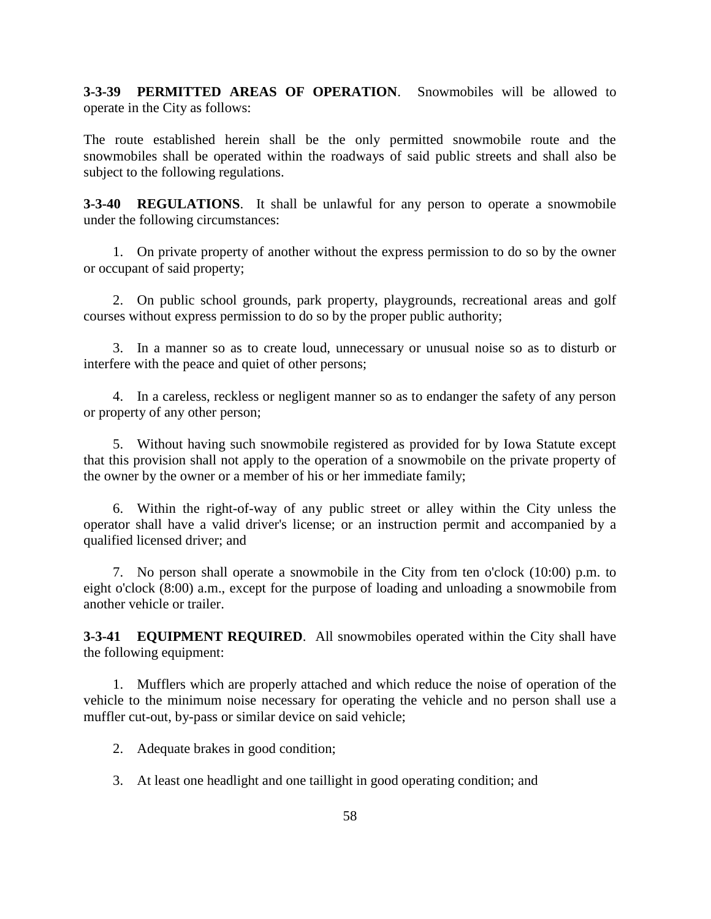**3-3-39 PERMITTED AREAS OF OPERATION**. Snowmobiles will be allowed to operate in the City as follows:

The route established herein shall be the only permitted snowmobile route and the snowmobiles shall be operated within the roadways of said public streets and shall also be subject to the following regulations.

**3-3-40 REGULATIONS**. It shall be unlawful for any person to operate a snowmobile under the following circumstances:

1. On private property of another without the express permission to do so by the owner or occupant of said property;

2. On public school grounds, park property, playgrounds, recreational areas and golf courses without express permission to do so by the proper public authority;

3. In a manner so as to create loud, unnecessary or unusual noise so as to disturb or interfere with the peace and quiet of other persons;

4. In a careless, reckless or negligent manner so as to endanger the safety of any person or property of any other person;

5. Without having such snowmobile registered as provided for by Iowa Statute except that this provision shall not apply to the operation of a snowmobile on the private property of the owner by the owner or a member of his or her immediate family;

6. Within the right-of-way of any public street or alley within the City unless the operator shall have a valid driver's license; or an instruction permit and accompanied by a qualified licensed driver; and

7. No person shall operate a snowmobile in the City from ten o'clock (10:00) p.m. to eight o'clock (8:00) a.m., except for the purpose of loading and unloading a snowmobile from another vehicle or trailer.

**3-3-41 EQUIPMENT REQUIRED**. All snowmobiles operated within the City shall have the following equipment:

1. Mufflers which are properly attached and which reduce the noise of operation of the vehicle to the minimum noise necessary for operating the vehicle and no person shall use a muffler cut-out, by-pass or similar device on said vehicle;

2. Adequate brakes in good condition;

3. At least one headlight and one taillight in good operating condition; and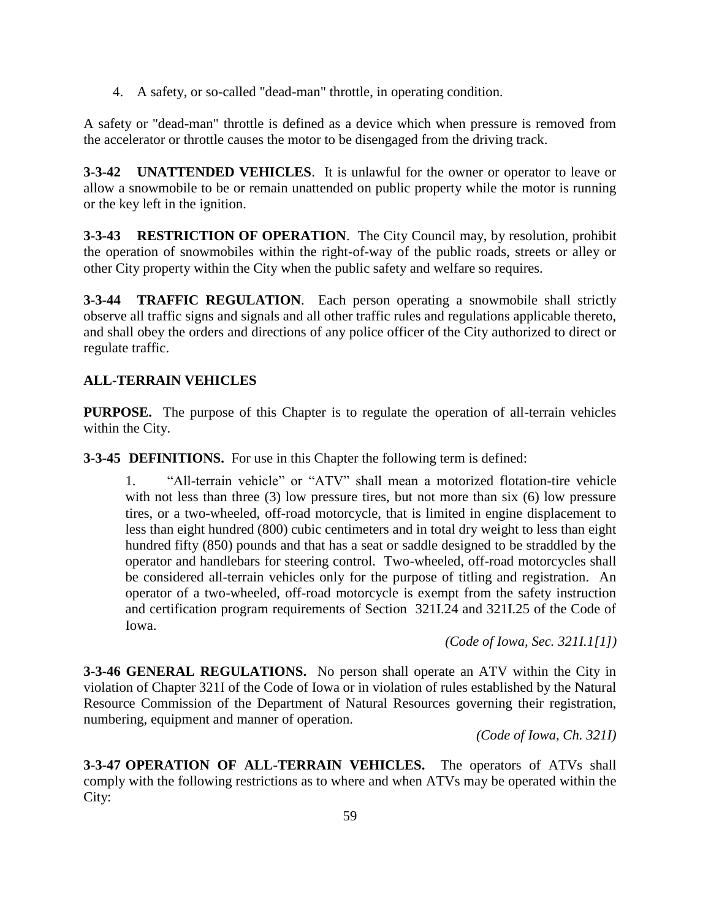4. A safety, or so-called "dead-man" throttle, in operating condition.

A safety or "dead-man" throttle is defined as a device which when pressure is removed from the accelerator or throttle causes the motor to be disengaged from the driving track.

**3-3-42 UNATTENDED VEHICLES**. It is unlawful for the owner or operator to leave or allow a snowmobile to be or remain unattended on public property while the motor is running or the key left in the ignition.

**3-3-43 RESTRICTION OF OPERATION**. The City Council may, by resolution, prohibit the operation of snowmobiles within the right-of-way of the public roads, streets or alley or other City property within the City when the public safety and welfare so requires.

**3-3-44 TRAFFIC REGULATION**. Each person operating a snowmobile shall strictly observe all traffic signs and signals and all other traffic rules and regulations applicable thereto, and shall obey the orders and directions of any police officer of the City authorized to direct or regulate traffic.

# **ALL-TERRAIN VEHICLES**

**PURPOSE.** The purpose of this Chapter is to regulate the operation of all-terrain vehicles within the City.

**3-3-45 DEFINITIONS.** For use in this Chapter the following term is defined:

1. "All-terrain vehicle" or "ATV" shall mean a motorized flotation-tire vehicle with not less than three (3) low pressure tires, but not more than six (6) low pressure tires, or a two-wheeled, off-road motorcycle, that is limited in engine displacement to less than eight hundred (800) cubic centimeters and in total dry weight to less than eight hundred fifty (850) pounds and that has a seat or saddle designed to be straddled by the operator and handlebars for steering control. Two-wheeled, off-road motorcycles shall be considered all-terrain vehicles only for the purpose of titling and registration. An operator of a two-wheeled, off-road motorcycle is exempt from the safety instruction and certification program requirements of Section 321I.24 and 321I.25 of the Code of Iowa.

*(Code of Iowa, Sec. 321I.1[1])*

**3-3-46 GENERAL REGULATIONS.** No person shall operate an ATV within the City in violation of Chapter 321I of the Code of Iowa or in violation of rules established by the Natural Resource Commission of the Department of Natural Resources governing their registration, numbering, equipment and manner of operation.

*(Code of Iowa, Ch. 321I)*

**3-3-47 OPERATION OF ALL-TERRAIN VEHICLES.** The operators of ATVs shall comply with the following restrictions as to where and when ATVs may be operated within the City: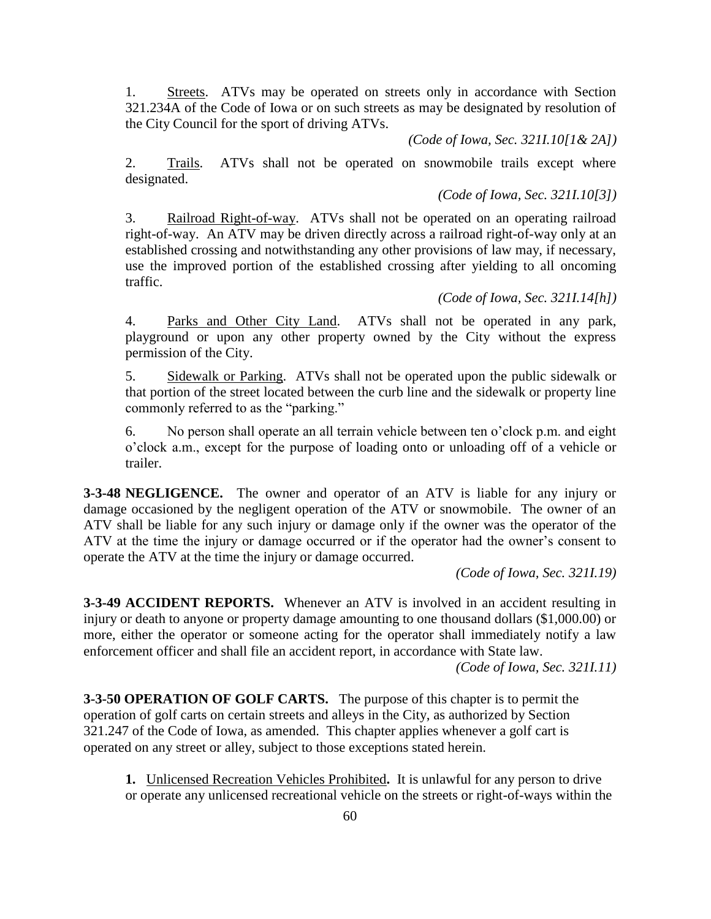1. Streets. ATVs may be operated on streets only in accordance with Section 321.234A of the Code of Iowa or on such streets as may be designated by resolution of the City Council for the sport of driving ATVs.

*(Code of Iowa, Sec. 321I.10[1& 2A])*

2. Trails. ATVs shall not be operated on snowmobile trails except where designated.

## *(Code of Iowa, Sec. 321I.10[3])*

3. Railroad Right-of-way. ATVs shall not be operated on an operating railroad right-of-way. An ATV may be driven directly across a railroad right-of-way only at an established crossing and notwithstanding any other provisions of law may, if necessary, use the improved portion of the established crossing after yielding to all oncoming traffic.

## *(Code of Iowa, Sec. 321I.14[h])*

4. Parks and Other City Land. ATVs shall not be operated in any park, playground or upon any other property owned by the City without the express permission of the City.

5. Sidewalk or Parking. ATVs shall not be operated upon the public sidewalk or that portion of the street located between the curb line and the sidewalk or property line commonly referred to as the "parking."

6. No person shall operate an all terrain vehicle between ten o'clock p.m. and eight o'clock a.m., except for the purpose of loading onto or unloading off of a vehicle or trailer.

**3-3-48 NEGLIGENCE.** The owner and operator of an ATV is liable for any injury or damage occasioned by the negligent operation of the ATV or snowmobile. The owner of an ATV shall be liable for any such injury or damage only if the owner was the operator of the ATV at the time the injury or damage occurred or if the operator had the owner's consent to operate the ATV at the time the injury or damage occurred.

*(Code of Iowa, Sec. 321I.19)*

**3-3-49 ACCIDENT REPORTS.** Whenever an ATV is involved in an accident resulting in injury or death to anyone or property damage amounting to one thousand dollars (\$1,000.00) or more, either the operator or someone acting for the operator shall immediately notify a law enforcement officer and shall file an accident report, in accordance with State law.

*(Code of Iowa, Sec. 321I.11)*

**3-3-50 OPERATION OF GOLF CARTS.** The purpose of this chapter is to permit the operation of golf carts on certain streets and alleys in the City, as authorized by Section 321.247 of the Code of Iowa, as amended. This chapter applies whenever a golf cart is operated on any street or alley, subject to those exceptions stated herein.

**1.** Unlicensed Recreation Vehicles Prohibited**.** It is unlawful for any person to drive or operate any unlicensed recreational vehicle on the streets or right-of-ways within the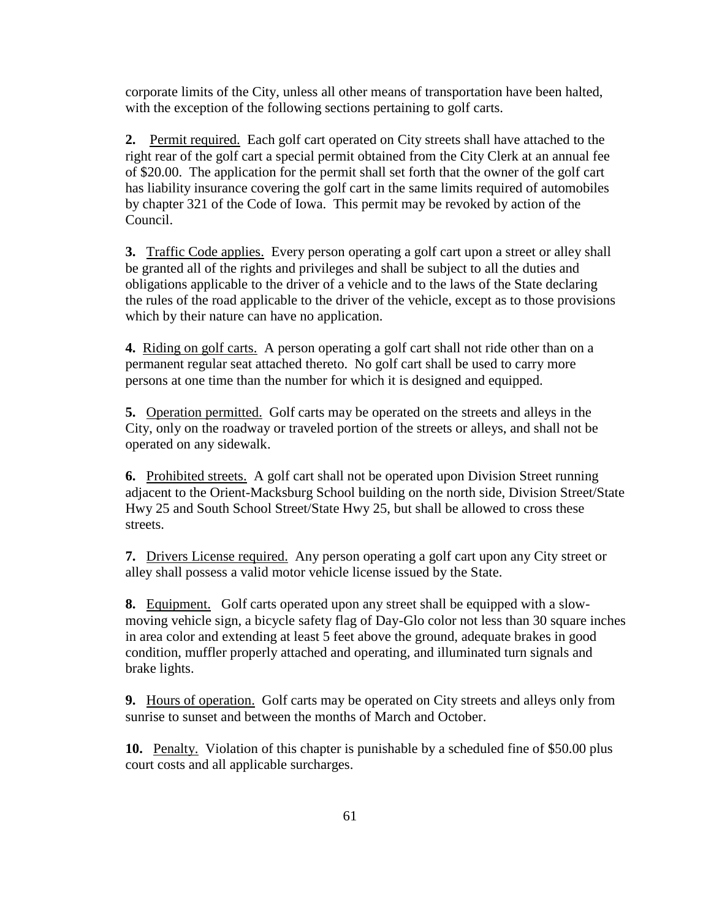corporate limits of the City, unless all other means of transportation have been halted, with the exception of the following sections pertaining to golf carts.

**2.** Permit required. Each golf cart operated on City streets shall have attached to the right rear of the golf cart a special permit obtained from the City Clerk at an annual fee of \$20.00. The application for the permit shall set forth that the owner of the golf cart has liability insurance covering the golf cart in the same limits required of automobiles by chapter 321 of the Code of Iowa. This permit may be revoked by action of the Council.

**3.** Traffic Code applies. Every person operating a golf cart upon a street or alley shall be granted all of the rights and privileges and shall be subject to all the duties and obligations applicable to the driver of a vehicle and to the laws of the State declaring the rules of the road applicable to the driver of the vehicle, except as to those provisions which by their nature can have no application.

**4.** Riding on golf carts. A person operating a golf cart shall not ride other than on a permanent regular seat attached thereto. No golf cart shall be used to carry more persons at one time than the number for which it is designed and equipped.

**5.** Operation permitted. Golf carts may be operated on the streets and alleys in the City, only on the roadway or traveled portion of the streets or alleys, and shall not be operated on any sidewalk.

**6.** Prohibited streets. A golf cart shall not be operated upon Division Street running adjacent to the Orient-Macksburg School building on the north side, Division Street/State Hwy 25 and South School Street/State Hwy 25, but shall be allowed to cross these streets.

**7.** Drivers License required. Any person operating a golf cart upon any City street or alley shall possess a valid motor vehicle license issued by the State.

**8.** Equipment. Golf carts operated upon any street shall be equipped with a slowmoving vehicle sign, a bicycle safety flag of Day-Glo color not less than 30 square inches in area color and extending at least 5 feet above the ground, adequate brakes in good condition, muffler properly attached and operating, and illuminated turn signals and brake lights.

**9.** Hours of operation.Golf carts may be operated on City streets and alleys only from sunrise to sunset and between the months of March and October.

**10.** Penalty. Violation of this chapter is punishable by a scheduled fine of \$50.00 plus court costs and all applicable surcharges.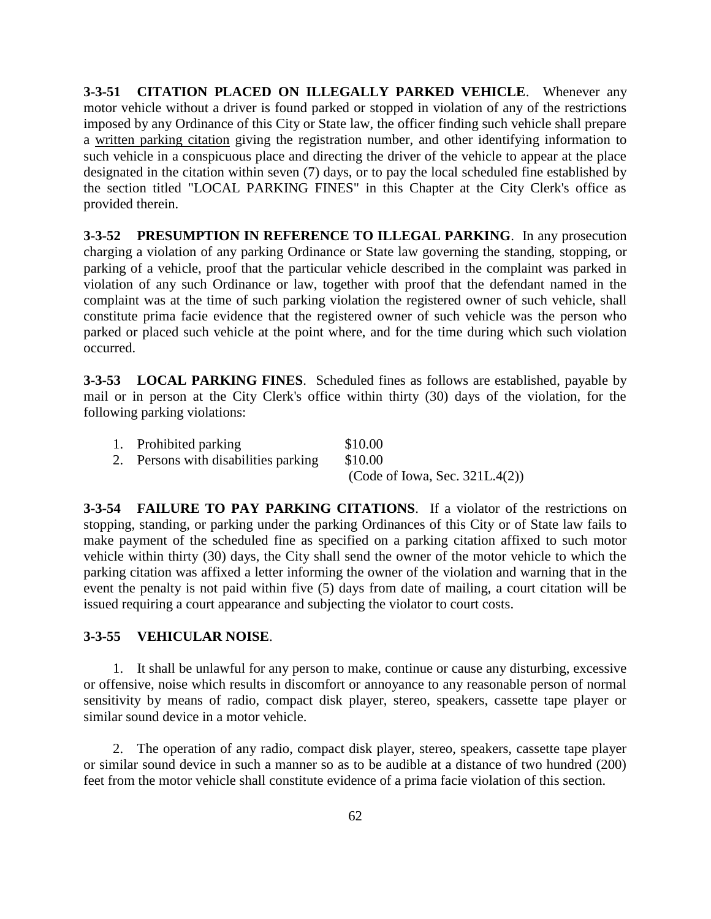**3-3-51 CITATION PLACED ON ILLEGALLY PARKED VEHICLE**. Whenever any motor vehicle without a driver is found parked or stopped in violation of any of the restrictions imposed by any Ordinance of this City or State law, the officer finding such vehicle shall prepare a written parking citation giving the registration number, and other identifying information to such vehicle in a conspicuous place and directing the driver of the vehicle to appear at the place designated in the citation within seven (7) days, or to pay the local scheduled fine established by the section titled "LOCAL PARKING FINES" in this Chapter at the City Clerk's office as provided therein.

**3-3-52 PRESUMPTION IN REFERENCE TO ILLEGAL PARKING**. In any prosecution charging a violation of any parking Ordinance or State law governing the standing, stopping, or parking of a vehicle, proof that the particular vehicle described in the complaint was parked in violation of any such Ordinance or law, together with proof that the defendant named in the complaint was at the time of such parking violation the registered owner of such vehicle, shall constitute prima facie evidence that the registered owner of such vehicle was the person who parked or placed such vehicle at the point where, and for the time during which such violation occurred.

**3-3-53 LOCAL PARKING FINES**. Scheduled fines as follows are established, payable by mail or in person at the City Clerk's office within thirty (30) days of the violation, for the following parking violations:

| 1. Prohibited parking                | \$10.00                           |
|--------------------------------------|-----------------------------------|
| 2. Persons with disabilities parking | \$10.00                           |
|                                      | (Code of Iowa, Sec. $321L.4(2)$ ) |

**3-3-54 FAILURE TO PAY PARKING CITATIONS**. If a violator of the restrictions on stopping, standing, or parking under the parking Ordinances of this City or of State law fails to make payment of the scheduled fine as specified on a parking citation affixed to such motor vehicle within thirty (30) days, the City shall send the owner of the motor vehicle to which the parking citation was affixed a letter informing the owner of the violation and warning that in the event the penalty is not paid within five (5) days from date of mailing, a court citation will be issued requiring a court appearance and subjecting the violator to court costs.

### **3-3-55 VEHICULAR NOISE**.

1. It shall be unlawful for any person to make, continue or cause any disturbing, excessive or offensive, noise which results in discomfort or annoyance to any reasonable person of normal sensitivity by means of radio, compact disk player, stereo, speakers, cassette tape player or similar sound device in a motor vehicle.

2. The operation of any radio, compact disk player, stereo, speakers, cassette tape player or similar sound device in such a manner so as to be audible at a distance of two hundred (200) feet from the motor vehicle shall constitute evidence of a prima facie violation of this section.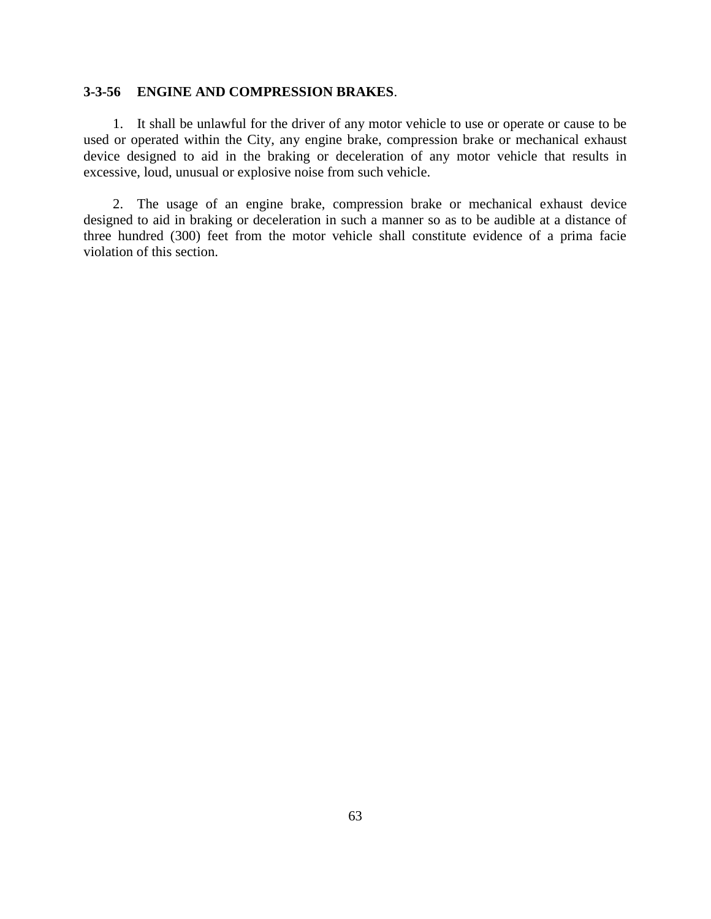## **3-3-56 ENGINE AND COMPRESSION BRAKES**.

1. It shall be unlawful for the driver of any motor vehicle to use or operate or cause to be used or operated within the City, any engine brake, compression brake or mechanical exhaust device designed to aid in the braking or deceleration of any motor vehicle that results in excessive, loud, unusual or explosive noise from such vehicle.

2. The usage of an engine brake, compression brake or mechanical exhaust device designed to aid in braking or deceleration in such a manner so as to be audible at a distance of three hundred (300) feet from the motor vehicle shall constitute evidence of a prima facie violation of this section.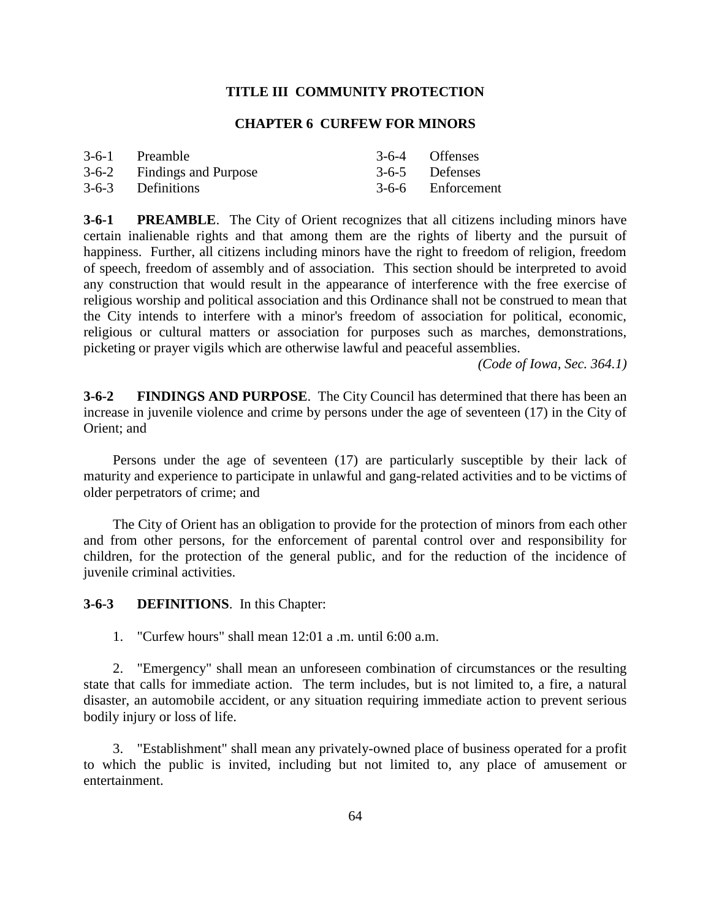## **TITLE III COMMUNITY PROTECTION**

#### **CHAPTER 6 CURFEW FOR MINORS**

| 3-6-1 Preamble             | 3-6-4 Offenses    |
|----------------------------|-------------------|
| 3-6-2 Findings and Purpose | 3-6-5 Defenses    |
| 3-6-3 Definitions          | 3-6-6 Enforcement |

**3-6-1 PREAMBLE**. The City of Orient recognizes that all citizens including minors have certain inalienable rights and that among them are the rights of liberty and the pursuit of happiness. Further, all citizens including minors have the right to freedom of religion, freedom of speech, freedom of assembly and of association. This section should be interpreted to avoid any construction that would result in the appearance of interference with the free exercise of religious worship and political association and this Ordinance shall not be construed to mean that the City intends to interfere with a minor's freedom of association for political, economic, religious or cultural matters or association for purposes such as marches, demonstrations, picketing or prayer vigils which are otherwise lawful and peaceful assemblies.

*(Code of Iowa, Sec. 364.1)*

**3-6-2 FINDINGS AND PURPOSE**. The City Council has determined that there has been an increase in juvenile violence and crime by persons under the age of seventeen (17) in the City of Orient; and

Persons under the age of seventeen (17) are particularly susceptible by their lack of maturity and experience to participate in unlawful and gang-related activities and to be victims of older perpetrators of crime; and

The City of Orient has an obligation to provide for the protection of minors from each other and from other persons, for the enforcement of parental control over and responsibility for children, for the protection of the general public, and for the reduction of the incidence of juvenile criminal activities.

**3-6-3 DEFINITIONS**. In this Chapter:

1. "Curfew hours" shall mean 12:01 a .m. until 6:00 a.m.

2. "Emergency" shall mean an unforeseen combination of circumstances or the resulting state that calls for immediate action. The term includes, but is not limited to, a fire, a natural disaster, an automobile accident, or any situation requiring immediate action to prevent serious bodily injury or loss of life.

3. "Establishment" shall mean any privately-owned place of business operated for a profit to which the public is invited, including but not limited to, any place of amusement or entertainment.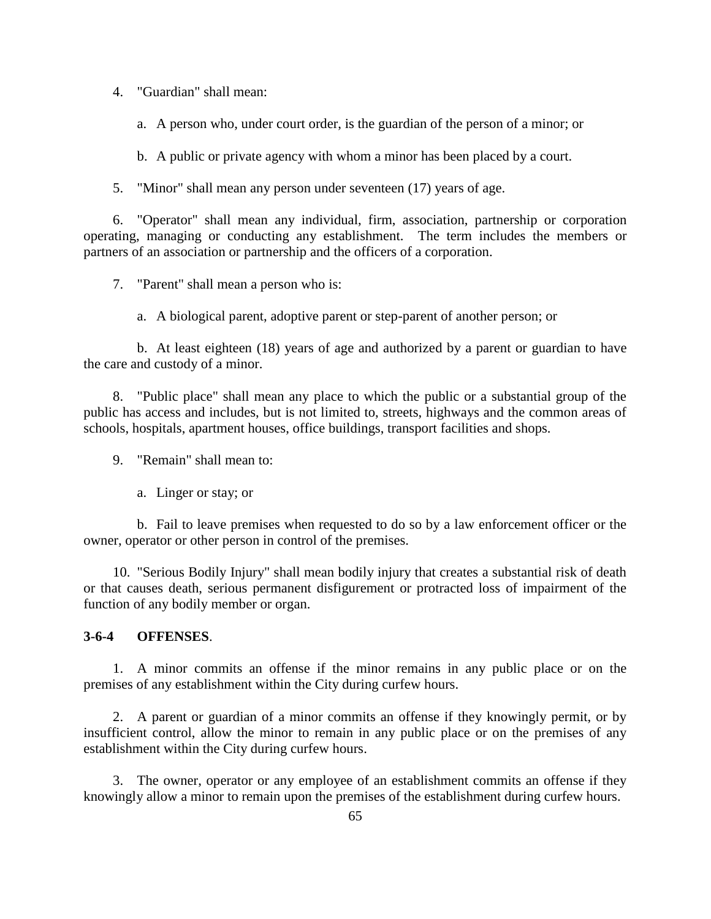4. "Guardian" shall mean:

a. A person who, under court order, is the guardian of the person of a minor; or

b. A public or private agency with whom a minor has been placed by a court.

5. "Minor" shall mean any person under seventeen (17) years of age.

6. "Operator" shall mean any individual, firm, association, partnership or corporation operating, managing or conducting any establishment. The term includes the members or partners of an association or partnership and the officers of a corporation.

7. "Parent" shall mean a person who is:

a. A biological parent, adoptive parent or step-parent of another person; or

b. At least eighteen (18) years of age and authorized by a parent or guardian to have the care and custody of a minor.

8. "Public place" shall mean any place to which the public or a substantial group of the public has access and includes, but is not limited to, streets, highways and the common areas of schools, hospitals, apartment houses, office buildings, transport facilities and shops.

9. "Remain" shall mean to:

a. Linger or stay; or

b. Fail to leave premises when requested to do so by a law enforcement officer or the owner, operator or other person in control of the premises.

10. "Serious Bodily Injury" shall mean bodily injury that creates a substantial risk of death or that causes death, serious permanent disfigurement or protracted loss of impairment of the function of any bodily member or organ.

## **3-6-4 OFFENSES**.

1. A minor commits an offense if the minor remains in any public place or on the premises of any establishment within the City during curfew hours.

2. A parent or guardian of a minor commits an offense if they knowingly permit, or by insufficient control, allow the minor to remain in any public place or on the premises of any establishment within the City during curfew hours.

3. The owner, operator or any employee of an establishment commits an offense if they knowingly allow a minor to remain upon the premises of the establishment during curfew hours.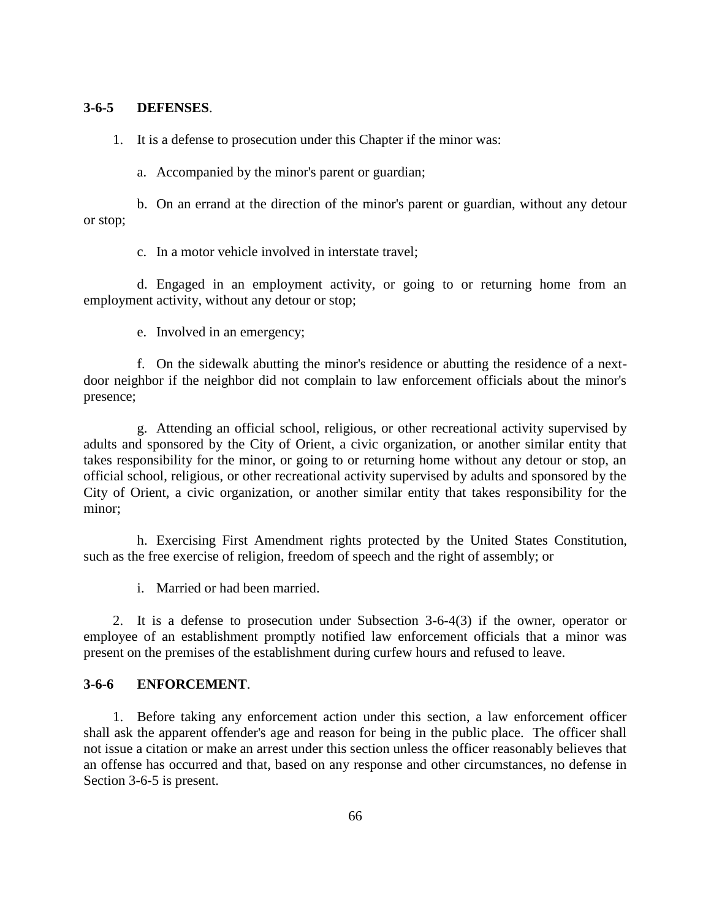#### **3-6-5 DEFENSES**.

1. It is a defense to prosecution under this Chapter if the minor was:

a. Accompanied by the minor's parent or guardian;

b. On an errand at the direction of the minor's parent or guardian, without any detour or stop;

c. In a motor vehicle involved in interstate travel;

d. Engaged in an employment activity, or going to or returning home from an employment activity, without any detour or stop;

e. Involved in an emergency;

f. On the sidewalk abutting the minor's residence or abutting the residence of a nextdoor neighbor if the neighbor did not complain to law enforcement officials about the minor's presence;

g. Attending an official school, religious, or other recreational activity supervised by adults and sponsored by the City of Orient, a civic organization, or another similar entity that takes responsibility for the minor, or going to or returning home without any detour or stop, an official school, religious, or other recreational activity supervised by adults and sponsored by the City of Orient, a civic organization, or another similar entity that takes responsibility for the minor;

h. Exercising First Amendment rights protected by the United States Constitution, such as the free exercise of religion, freedom of speech and the right of assembly; or

i. Married or had been married.

2. It is a defense to prosecution under Subsection 3-6-4(3) if the owner, operator or employee of an establishment promptly notified law enforcement officials that a minor was present on the premises of the establishment during curfew hours and refused to leave.

## **3-6-6 ENFORCEMENT**.

1. Before taking any enforcement action under this section, a law enforcement officer shall ask the apparent offender's age and reason for being in the public place. The officer shall not issue a citation or make an arrest under this section unless the officer reasonably believes that an offense has occurred and that, based on any response and other circumstances, no defense in Section 3-6-5 is present.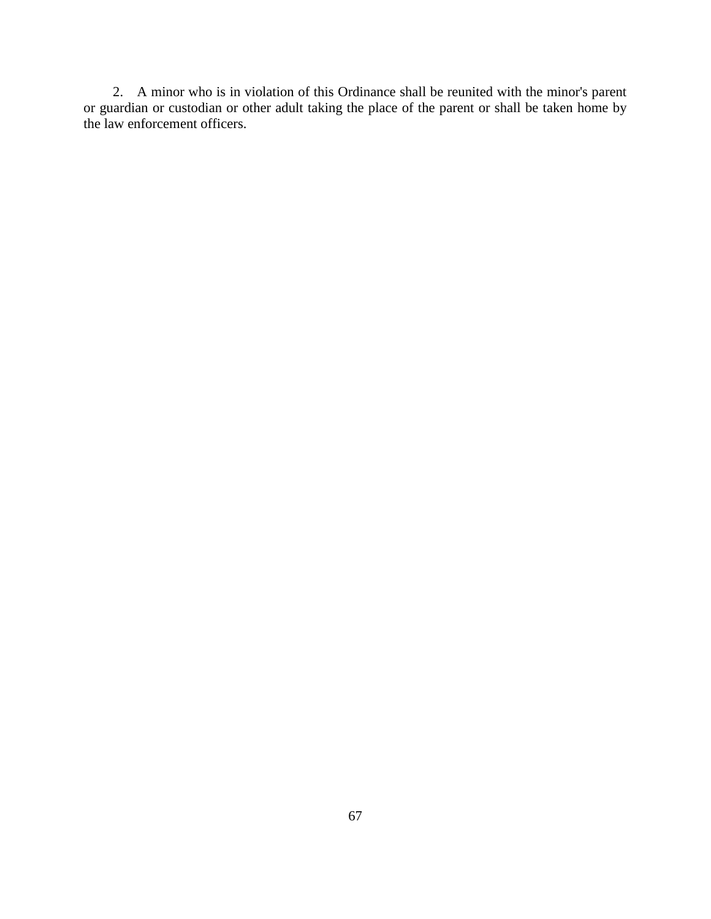2. A minor who is in violation of this Ordinance shall be reunited with the minor's parent or guardian or custodian or other adult taking the place of the parent or shall be taken home by the law enforcement officers.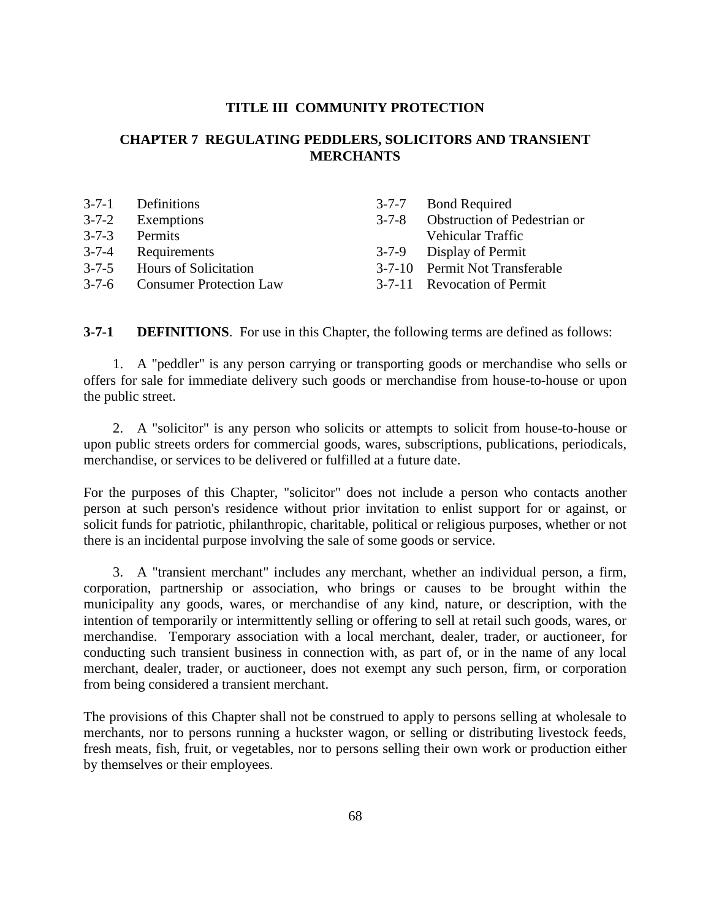#### **TITLE III COMMUNITY PROTECTION**

# **CHAPTER 7 REGULATING PEDDLERS, SOLICITORS AND TRANSIENT MERCHANTS**

|             | 3-7-1 Definitions              | $3 - 7 - 7$ | <b>Bond Required</b>           |
|-------------|--------------------------------|-------------|--------------------------------|
| $3 - 7 - 2$ | Exemptions                     | $3 - 7 - 8$ | Obstruction of Pedestrian or   |
| $3 - 7 - 3$ | Permits                        |             | Vehicular Traffic              |
|             | 3-7-4 Requirements             |             | 3-7-9 Display of Permit        |
|             | 3-7-5 Hours of Solicitation    |             | 3-7-10 Permit Not Transferable |
| $3 - 7 - 6$ | <b>Consumer Protection Law</b> |             | 3-7-11 Revocation of Permit    |

**3-7-1 DEFINITIONS**. For use in this Chapter, the following terms are defined as follows:

1. A "peddler" is any person carrying or transporting goods or merchandise who sells or offers for sale for immediate delivery such goods or merchandise from house-to-house or upon the public street.

2. A "solicitor" is any person who solicits or attempts to solicit from house-to-house or upon public streets orders for commercial goods, wares, subscriptions, publications, periodicals, merchandise, or services to be delivered or fulfilled at a future date.

For the purposes of this Chapter, "solicitor" does not include a person who contacts another person at such person's residence without prior invitation to enlist support for or against, or solicit funds for patriotic, philanthropic, charitable, political or religious purposes, whether or not there is an incidental purpose involving the sale of some goods or service.

3. A "transient merchant" includes any merchant, whether an individual person, a firm, corporation, partnership or association, who brings or causes to be brought within the municipality any goods, wares, or merchandise of any kind, nature, or description, with the intention of temporarily or intermittently selling or offering to sell at retail such goods, wares, or merchandise. Temporary association with a local merchant, dealer, trader, or auctioneer, for conducting such transient business in connection with, as part of, or in the name of any local merchant, dealer, trader, or auctioneer, does not exempt any such person, firm, or corporation from being considered a transient merchant.

The provisions of this Chapter shall not be construed to apply to persons selling at wholesale to merchants, nor to persons running a huckster wagon, or selling or distributing livestock feeds, fresh meats, fish, fruit, or vegetables, nor to persons selling their own work or production either by themselves or their employees.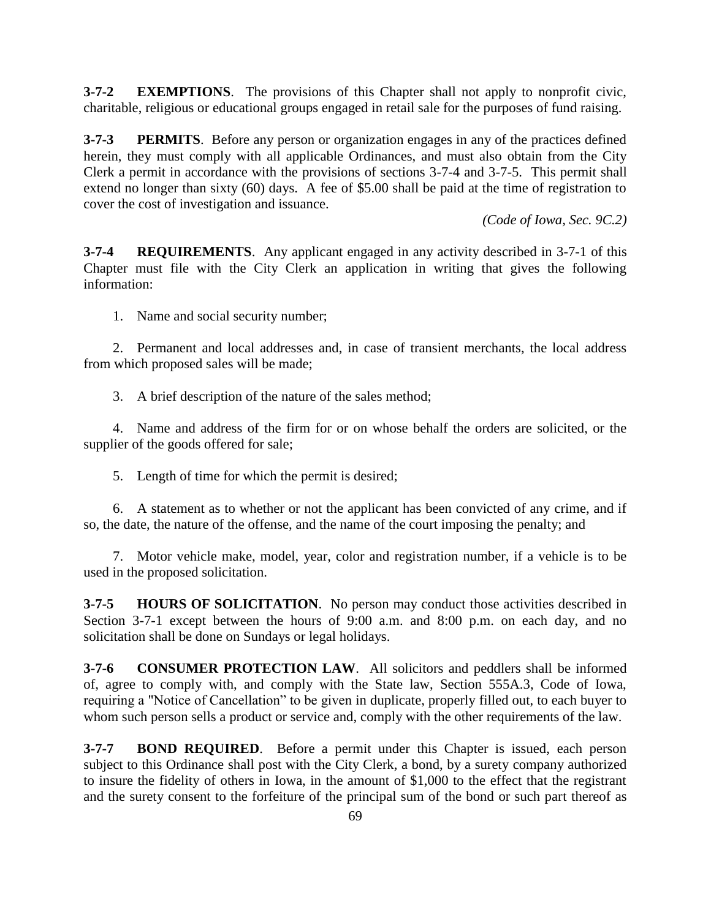**3-7-2 EXEMPTIONS**. The provisions of this Chapter shall not apply to nonprofit civic, charitable, religious or educational groups engaged in retail sale for the purposes of fund raising.

**3-7-3 PERMITS**. Before any person or organization engages in any of the practices defined herein, they must comply with all applicable Ordinances, and must also obtain from the City Clerk a permit in accordance with the provisions of sections 3-7-4 and 3-7-5. This permit shall extend no longer than sixty (60) days. A fee of \$5.00 shall be paid at the time of registration to cover the cost of investigation and issuance.

*(Code of Iowa, Sec. 9C.2)*

**3-7-4 REQUIREMENTS**. Any applicant engaged in any activity described in 3-7-1 of this Chapter must file with the City Clerk an application in writing that gives the following information:

1. Name and social security number;

2. Permanent and local addresses and, in case of transient merchants, the local address from which proposed sales will be made;

3. A brief description of the nature of the sales method;

4. Name and address of the firm for or on whose behalf the orders are solicited, or the supplier of the goods offered for sale;

5. Length of time for which the permit is desired;

6. A statement as to whether or not the applicant has been convicted of any crime, and if so, the date, the nature of the offense, and the name of the court imposing the penalty; and

7. Motor vehicle make, model, year, color and registration number, if a vehicle is to be used in the proposed solicitation.

**3-7-5 HOURS OF SOLICITATION**. No person may conduct those activities described in Section 3-7-1 except between the hours of 9:00 a.m. and 8:00 p.m. on each day, and no solicitation shall be done on Sundays or legal holidays.

**3-7-6 CONSUMER PROTECTION LAW**. All solicitors and peddlers shall be informed of, agree to comply with, and comply with the State law, Section 555A.3, Code of Iowa, requiring a "Notice of Cancellation" to be given in duplicate, properly filled out, to each buyer to whom such person sells a product or service and, comply with the other requirements of the law.

**3-7-7 BOND REQUIRED**. Before a permit under this Chapter is issued, each person subject to this Ordinance shall post with the City Clerk, a bond, by a surety company authorized to insure the fidelity of others in Iowa, in the amount of \$1,000 to the effect that the registrant and the surety consent to the forfeiture of the principal sum of the bond or such part thereof as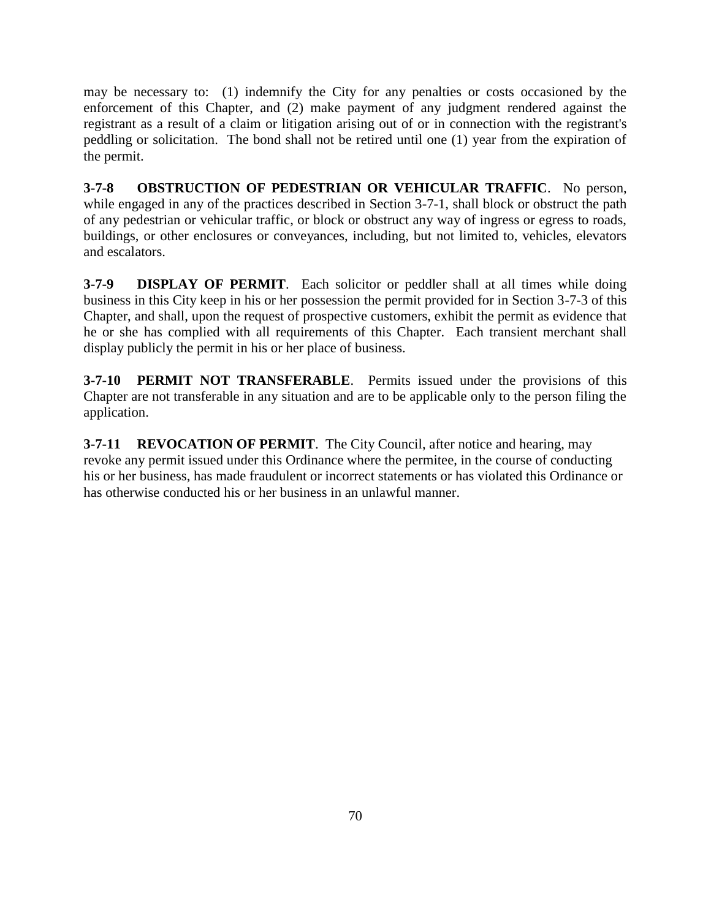may be necessary to: (1) indemnify the City for any penalties or costs occasioned by the enforcement of this Chapter, and (2) make payment of any judgment rendered against the registrant as a result of a claim or litigation arising out of or in connection with the registrant's peddling or solicitation. The bond shall not be retired until one (1) year from the expiration of the permit.

**3-7-8 OBSTRUCTION OF PEDESTRIAN OR VEHICULAR TRAFFIC**. No person, while engaged in any of the practices described in Section 3-7-1, shall block or obstruct the path of any pedestrian or vehicular traffic, or block or obstruct any way of ingress or egress to roads, buildings, or other enclosures or conveyances, including, but not limited to, vehicles, elevators and escalators.

**3-7-9 DISPLAY OF PERMIT**. Each solicitor or peddler shall at all times while doing business in this City keep in his or her possession the permit provided for in Section 3-7-3 of this Chapter, and shall, upon the request of prospective customers, exhibit the permit as evidence that he or she has complied with all requirements of this Chapter. Each transient merchant shall display publicly the permit in his or her place of business.

**3-7-10 PERMIT NOT TRANSFERABLE**. Permits issued under the provisions of this Chapter are not transferable in any situation and are to be applicable only to the person filing the application.

**3-7-11 REVOCATION OF PERMIT**. The City Council, after notice and hearing, may revoke any permit issued under this Ordinance where the permitee, in the course of conducting his or her business, has made fraudulent or incorrect statements or has violated this Ordinance or has otherwise conducted his or her business in an unlawful manner.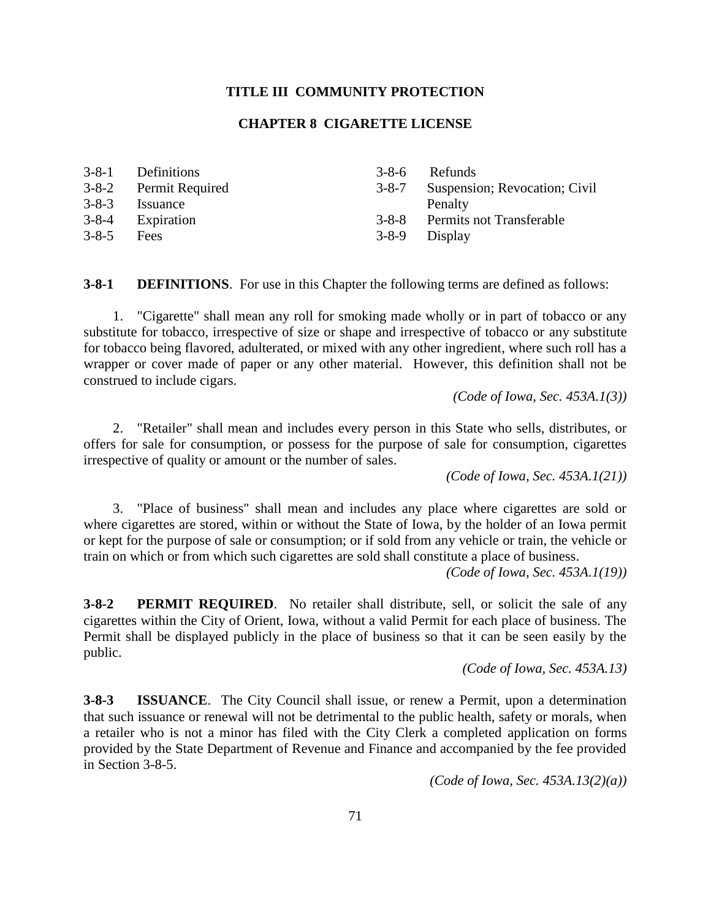## **TITLE III COMMUNITY PROTECTION**

# **CHAPTER 8 CIGARETTE LICENSE**

|             | 3-8-1 Definitions     | $3 - 8 - 6$   | Refunds                             |
|-------------|-----------------------|---------------|-------------------------------------|
|             | 3-8-2 Permit Required |               | 3-8-7 Suspension; Revocation; Civil |
| $3 - 8 - 3$ | Issuance              |               | Penalty                             |
| $3 - 8 - 4$ | Expiration            |               | 3-8-8 Permits not Transferable      |
| $3 - 8 - 5$ | <b>Fees</b>           | 3-8-9 Display |                                     |

**3-8-1 DEFINITIONS**. For use in this Chapter the following terms are defined as follows:

1. "Cigarette" shall mean any roll for smoking made wholly or in part of tobacco or any substitute for tobacco, irrespective of size or shape and irrespective of tobacco or any substitute for tobacco being flavored, adulterated, or mixed with any other ingredient, where such roll has a wrapper or cover made of paper or any other material. However, this definition shall not be construed to include cigars.

*(Code of Iowa, Sec. 453A.1(3))*

2. "Retailer" shall mean and includes every person in this State who sells, distributes, or offers for sale for consumption, or possess for the purpose of sale for consumption, cigarettes irrespective of quality or amount or the number of sales.

*(Code of Iowa, Sec. 453A.1(21))*

3. "Place of business" shall mean and includes any place where cigarettes are sold or where cigarettes are stored, within or without the State of Iowa, by the holder of an Iowa permit or kept for the purpose of sale or consumption; or if sold from any vehicle or train, the vehicle or train on which or from which such cigarettes are sold shall constitute a place of business.

*(Code of Iowa, Sec. 453A.1(19))*

**3-8-2 PERMIT REQUIRED**. No retailer shall distribute, sell, or solicit the sale of any cigarettes within the City of Orient, Iowa, without a valid Permit for each place of business. The Permit shall be displayed publicly in the place of business so that it can be seen easily by the public.

*(Code of Iowa, Sec. 453A.13)*

**3-8-3 ISSUANCE**. The City Council shall issue, or renew a Permit, upon a determination that such issuance or renewal will not be detrimental to the public health, safety or morals, when a retailer who is not a minor has filed with the City Clerk a completed application on forms provided by the State Department of Revenue and Finance and accompanied by the fee provided in Section 3-8-5.

*(Code of Iowa, Sec. 453A.13(2)(a))*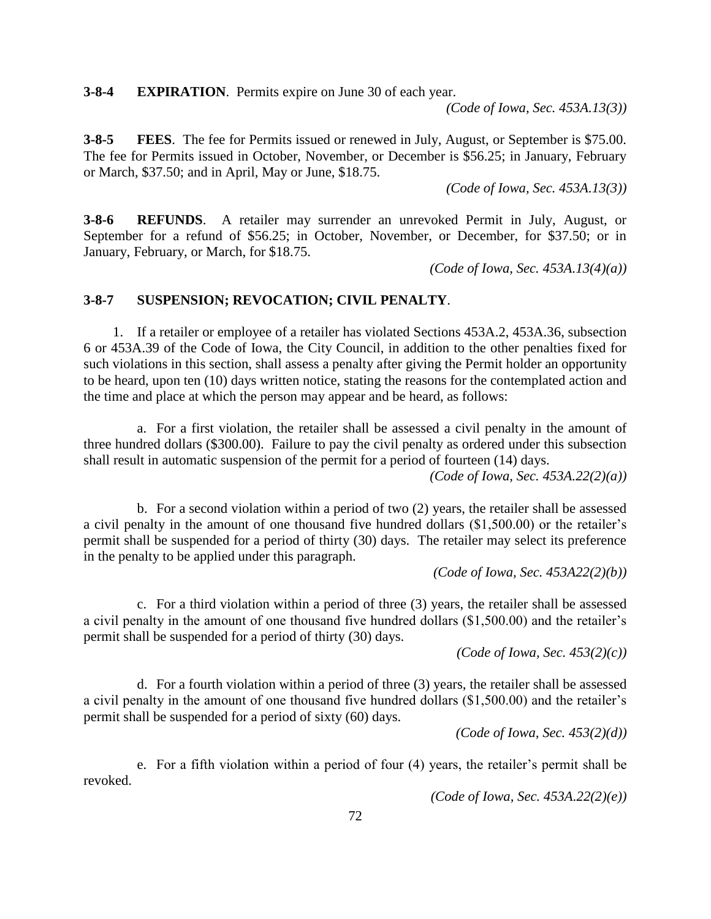**3-8-4 EXPIRATION**. Permits expire on June 30 of each year.

*(Code of Iowa, Sec. 453A.13(3))*

**3-8-5 FEES**. The fee for Permits issued or renewed in July, August, or September is \$75.00. The fee for Permits issued in October, November, or December is \$56.25; in January, February or March, \$37.50; and in April, May or June, \$18.75.

*(Code of Iowa, Sec. 453A.13(3))*

**3-8-6 REFUNDS**. A retailer may surrender an unrevoked Permit in July, August, or September for a refund of \$56.25; in October, November, or December, for \$37.50; or in January, February, or March, for \$18.75.

*(Code of Iowa, Sec. 453A.13(4)(a))*

# **3-8-7 SUSPENSION; REVOCATION; CIVIL PENALTY**.

1. If a retailer or employee of a retailer has violated Sections 453A.2, 453A.36, subsection 6 or 453A.39 of the Code of Iowa, the City Council, in addition to the other penalties fixed for such violations in this section, shall assess a penalty after giving the Permit holder an opportunity to be heard, upon ten (10) days written notice, stating the reasons for the contemplated action and the time and place at which the person may appear and be heard, as follows:

a. For a first violation, the retailer shall be assessed a civil penalty in the amount of three hundred dollars (\$300.00). Failure to pay the civil penalty as ordered under this subsection shall result in automatic suspension of the permit for a period of fourteen (14) days.

*(Code of Iowa, Sec. 453A.22(2)(a))*

b. For a second violation within a period of two (2) years, the retailer shall be assessed a civil penalty in the amount of one thousand five hundred dollars (\$1,500.00) or the retailer's permit shall be suspended for a period of thirty (30) days. The retailer may select its preference in the penalty to be applied under this paragraph.

*(Code of Iowa, Sec. 453A22(2)(b))*

c. For a third violation within a period of three (3) years, the retailer shall be assessed a civil penalty in the amount of one thousand five hundred dollars (\$1,500.00) and the retailer's permit shall be suspended for a period of thirty (30) days.

*(Code of Iowa, Sec. 453(2)(c))*

d. For a fourth violation within a period of three (3) years, the retailer shall be assessed a civil penalty in the amount of one thousand five hundred dollars (\$1,500.00) and the retailer's permit shall be suspended for a period of sixty (60) days.

*(Code of Iowa, Sec. 453(2)(d))*

e. For a fifth violation within a period of four (4) years, the retailer's permit shall be revoked.

*(Code of Iowa, Sec. 453A.22(2)(e))*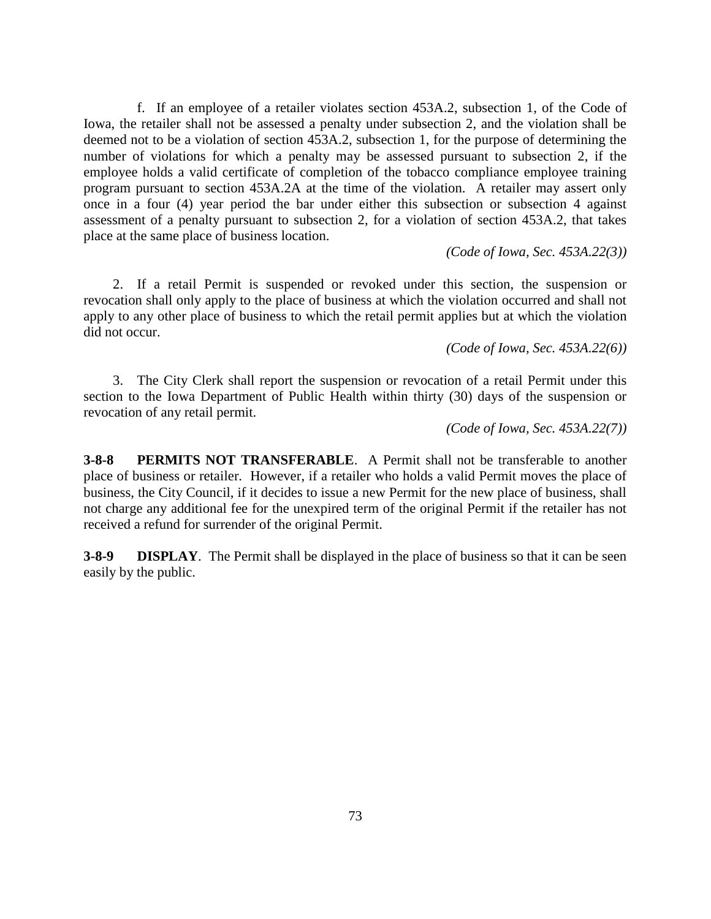f. If an employee of a retailer violates section 453A.2, subsection 1, of the Code of Iowa, the retailer shall not be assessed a penalty under subsection 2, and the violation shall be deemed not to be a violation of section 453A.2, subsection 1, for the purpose of determining the number of violations for which a penalty may be assessed pursuant to subsection 2, if the employee holds a valid certificate of completion of the tobacco compliance employee training program pursuant to section 453A.2A at the time of the violation. A retailer may assert only once in a four (4) year period the bar under either this subsection or subsection 4 against assessment of a penalty pursuant to subsection 2, for a violation of section 453A.2, that takes place at the same place of business location.

*(Code of Iowa, Sec. 453A.22(3))*

2. If a retail Permit is suspended or revoked under this section, the suspension or revocation shall only apply to the place of business at which the violation occurred and shall not apply to any other place of business to which the retail permit applies but at which the violation did not occur.

*(Code of Iowa, Sec. 453A.22(6))*

3. The City Clerk shall report the suspension or revocation of a retail Permit under this section to the Iowa Department of Public Health within thirty (30) days of the suspension or revocation of any retail permit.

*(Code of Iowa, Sec. 453A.22(7))*

**3-8-8 PERMITS NOT TRANSFERABLE**. A Permit shall not be transferable to another place of business or retailer. However, if a retailer who holds a valid Permit moves the place of business, the City Council, if it decides to issue a new Permit for the new place of business, shall not charge any additional fee for the unexpired term of the original Permit if the retailer has not received a refund for surrender of the original Permit.

**3-8-9 DISPLAY**. The Permit shall be displayed in the place of business so that it can be seen easily by the public.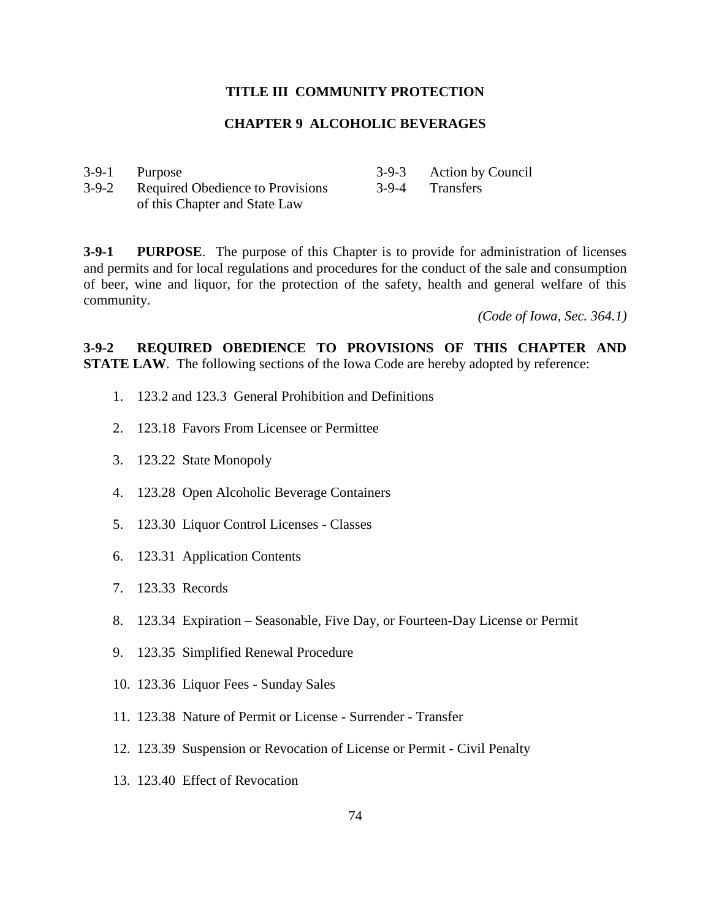## **TITLE III COMMUNITY PROTECTION**

# **CHAPTER 9 ALCOHOLIC BEVERAGES**

| 3-9-1 Purpose                          | 3-9-3 Action by Council |
|----------------------------------------|-------------------------|
| 3-9-2 Required Obedience to Provisions | 3-9-4 Transfers         |
| of this Chapter and State Law          |                         |

**3-9-1 PURPOSE**. The purpose of this Chapter is to provide for administration of licenses and permits and for local regulations and procedures for the conduct of the sale and consumption of beer, wine and liquor, for the protection of the safety, health and general welfare of this community.

*(Code of Iowa, Sec. 364.1)*

**3-9-2 REQUIRED OBEDIENCE TO PROVISIONS OF THIS CHAPTER AND STATE LAW**. The following sections of the Iowa Code are hereby adopted by reference:

- 1. 123.2 and 123.3 General Prohibition and Definitions
- 2. 123.18 Favors From Licensee or Permittee
- 3. 123.22 State Monopoly
- 4. 123.28 Open Alcoholic Beverage Containers
- 5. 123.30 Liquor Control Licenses Classes
- 6. 123.31 Application Contents
- 7. 123.33 Records
- 8. 123.34 Expiration Seasonable, Five Day, or Fourteen-Day License or Permit
- 9. 123.35 Simplified Renewal Procedure
- 10. 123.36 Liquor Fees Sunday Sales
- 11. 123.38 Nature of Permit or License Surrender Transfer
- 12. 123.39 Suspension or Revocation of License or Permit Civil Penalty
- 13. 123.40 Effect of Revocation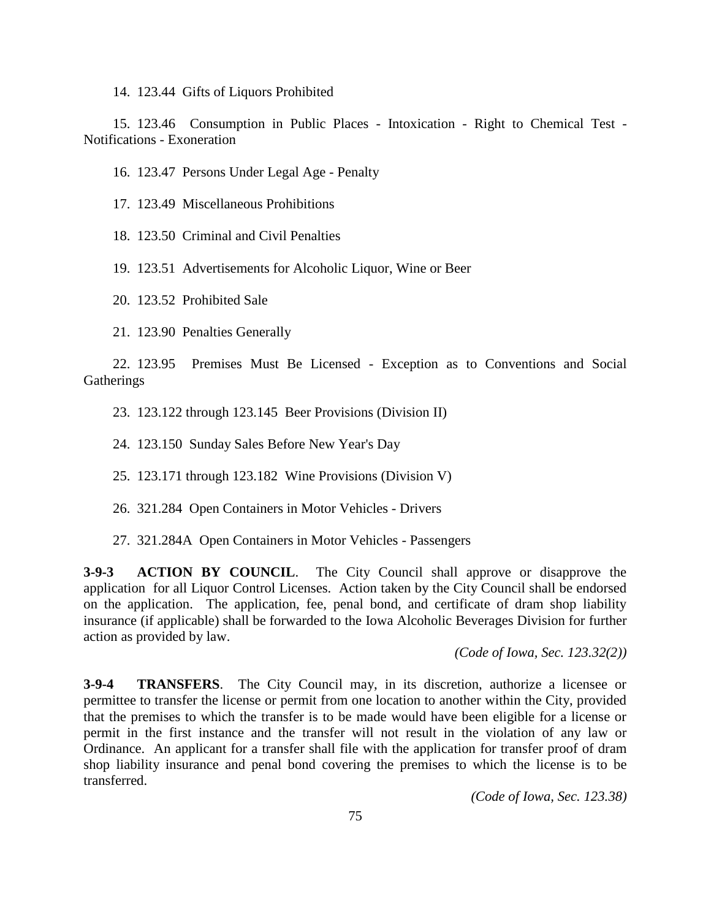14. 123.44 Gifts of Liquors Prohibited

15. 123.46 Consumption in Public Places - Intoxication - Right to Chemical Test - Notifications - Exoneration

16. 123.47 Persons Under Legal Age - Penalty

17. 123.49 Miscellaneous Prohibitions

18. 123.50 Criminal and Civil Penalties

19. 123.51 Advertisements for Alcoholic Liquor, Wine or Beer

20. 123.52 Prohibited Sale

21. 123.90 Penalties Generally

22. 123.95 Premises Must Be Licensed - Exception as to Conventions and Social **Gatherings** 

23. 123.122 through 123.145 Beer Provisions (Division II)

24. 123.150 Sunday Sales Before New Year's Day

25. 123.171 through 123.182 Wine Provisions (Division V)

26. 321.284 Open Containers in Motor Vehicles - Drivers

27. 321.284A Open Containers in Motor Vehicles - Passengers

**3-9-3 ACTION BY COUNCIL**. The City Council shall approve or disapprove the application for all Liquor Control Licenses. Action taken by the City Council shall be endorsed on the application. The application, fee, penal bond, and certificate of dram shop liability insurance (if applicable) shall be forwarded to the Iowa Alcoholic Beverages Division for further action as provided by law.

*(Code of Iowa, Sec. 123.32(2))*

**3-9-4 TRANSFERS**. The City Council may, in its discretion, authorize a licensee or permittee to transfer the license or permit from one location to another within the City, provided that the premises to which the transfer is to be made would have been eligible for a license or permit in the first instance and the transfer will not result in the violation of any law or Ordinance. An applicant for a transfer shall file with the application for transfer proof of dram shop liability insurance and penal bond covering the premises to which the license is to be transferred.

*(Code of Iowa, Sec. 123.38)*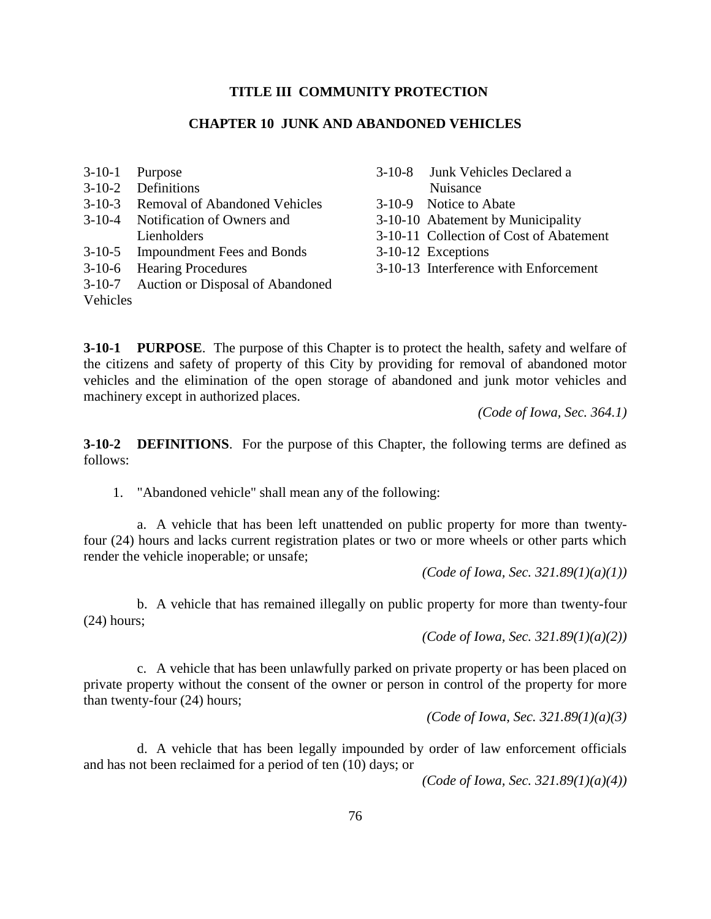### **TITLE III COMMUNITY PROTECTION**

## **CHAPTER 10 JUNK AND ABANDONED VEHICLES**

| $3-10-1$ Purpose                        | 3-10-8 Junk Vehicles Declared a         |
|-----------------------------------------|-----------------------------------------|
| 3-10-2 Definitions                      | Nuisance                                |
| 3-10-3 Removal of Abandoned Vehicles    | 3-10-9 Notice to Abate                  |
| 3-10-4 Notification of Owners and       | 3-10-10 Abatement by Municipality       |
| Lienholders                             | 3-10-11 Collection of Cost of Abatement |
| 3-10-5 Impoundment Fees and Bonds       | 3-10-12 Exceptions                      |
| 3-10-6 Hearing Procedures               | 3-10-13 Interference with Enforcement   |
| 3-10-7 Auction or Disposal of Abandoned |                                         |

**3-10-1 PURPOSE**. The purpose of this Chapter is to protect the health, safety and welfare of the citizens and safety of property of this City by providing for removal of abandoned motor vehicles and the elimination of the open storage of abandoned and junk motor vehicles and machinery except in authorized places.

*(Code of Iowa, Sec. 364.1)*

**3-10-2 DEFINITIONS**. For the purpose of this Chapter, the following terms are defined as follows:

1. "Abandoned vehicle" shall mean any of the following:

Vehicles

a. A vehicle that has been left unattended on public property for more than twentyfour (24) hours and lacks current registration plates or two or more wheels or other parts which render the vehicle inoperable; or unsafe;

*(Code of Iowa, Sec. 321.89(1)(a)(1))*

b. A vehicle that has remained illegally on public property for more than twenty-four (24) hours;

*(Code of Iowa, Sec. 321.89(1)(a)(2))*

c. A vehicle that has been unlawfully parked on private property or has been placed on private property without the consent of the owner or person in control of the property for more than twenty-four (24) hours;

*(Code of Iowa, Sec. 321.89(1)(a)(3)*

d. A vehicle that has been legally impounded by order of law enforcement officials and has not been reclaimed for a period of ten (10) days; or

*(Code of Iowa, Sec. 321.89(1)(a)(4))*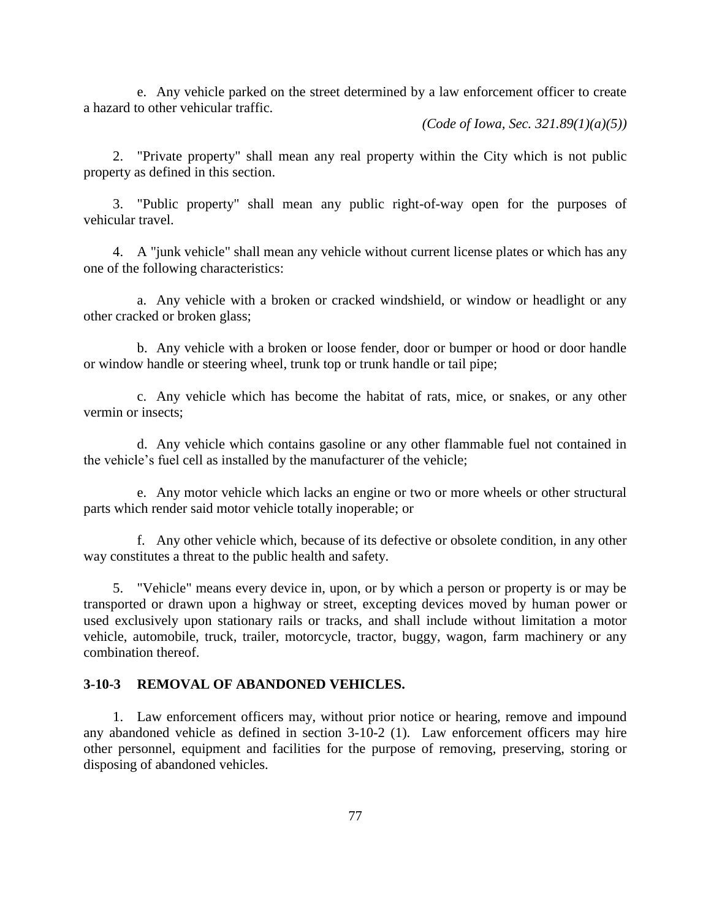e. Any vehicle parked on the street determined by a law enforcement officer to create a hazard to other vehicular traffic.

*(Code of Iowa, Sec. 321.89(1)(a)(5))*

2. "Private property" shall mean any real property within the City which is not public property as defined in this section.

3. "Public property" shall mean any public right-of-way open for the purposes of vehicular travel.

4. A "junk vehicle" shall mean any vehicle without current license plates or which has any one of the following characteristics:

a. Any vehicle with a broken or cracked windshield, or window or headlight or any other cracked or broken glass;

b. Any vehicle with a broken or loose fender, door or bumper or hood or door handle or window handle or steering wheel, trunk top or trunk handle or tail pipe;

c. Any vehicle which has become the habitat of rats, mice, or snakes, or any other vermin or insects;

d. Any vehicle which contains gasoline or any other flammable fuel not contained in the vehicle's fuel cell as installed by the manufacturer of the vehicle;

e. Any motor vehicle which lacks an engine or two or more wheels or other structural parts which render said motor vehicle totally inoperable; or

f. Any other vehicle which, because of its defective or obsolete condition, in any other way constitutes a threat to the public health and safety.

5. "Vehicle" means every device in, upon, or by which a person or property is or may be transported or drawn upon a highway or street, excepting devices moved by human power or used exclusively upon stationary rails or tracks, and shall include without limitation a motor vehicle, automobile, truck, trailer, motorcycle, tractor, buggy, wagon, farm machinery or any combination thereof.

## **3-10-3 REMOVAL OF ABANDONED VEHICLES.**

1. Law enforcement officers may, without prior notice or hearing, remove and impound any abandoned vehicle as defined in section 3-10-2 (1). Law enforcement officers may hire other personnel, equipment and facilities for the purpose of removing, preserving, storing or disposing of abandoned vehicles.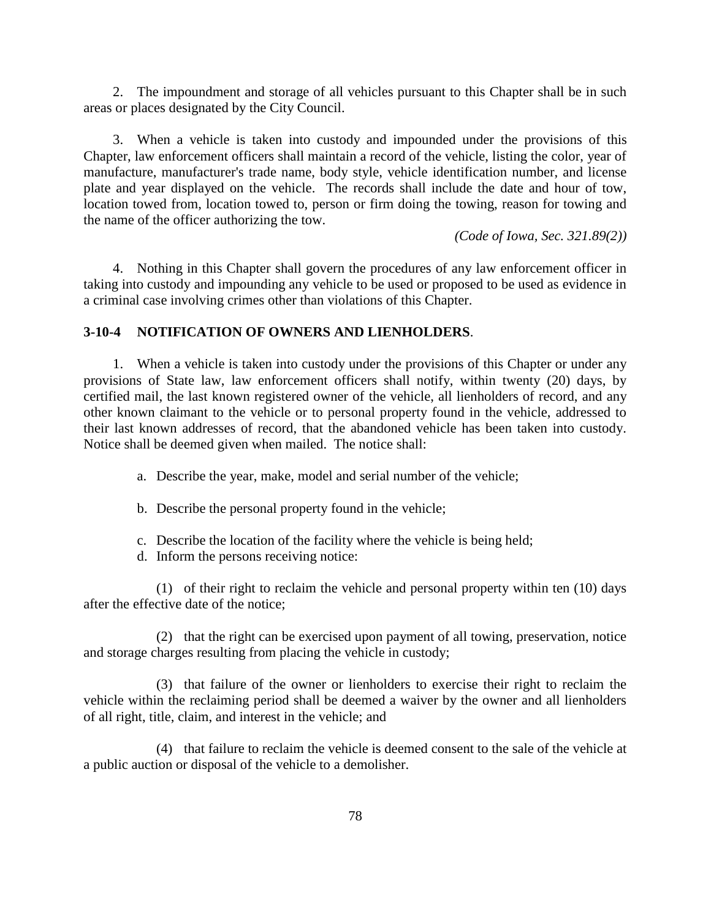2. The impoundment and storage of all vehicles pursuant to this Chapter shall be in such areas or places designated by the City Council.

3. When a vehicle is taken into custody and impounded under the provisions of this Chapter, law enforcement officers shall maintain a record of the vehicle, listing the color, year of manufacture, manufacturer's trade name, body style, vehicle identification number, and license plate and year displayed on the vehicle. The records shall include the date and hour of tow, location towed from, location towed to, person or firm doing the towing, reason for towing and the name of the officer authorizing the tow.

*(Code of Iowa, Sec. 321.89(2))*

4. Nothing in this Chapter shall govern the procedures of any law enforcement officer in taking into custody and impounding any vehicle to be used or proposed to be used as evidence in a criminal case involving crimes other than violations of this Chapter.

## **3-10-4 NOTIFICATION OF OWNERS AND LIENHOLDERS**.

1. When a vehicle is taken into custody under the provisions of this Chapter or under any provisions of State law, law enforcement officers shall notify, within twenty (20) days, by certified mail, the last known registered owner of the vehicle, all lienholders of record, and any other known claimant to the vehicle or to personal property found in the vehicle, addressed to their last known addresses of record, that the abandoned vehicle has been taken into custody. Notice shall be deemed given when mailed. The notice shall:

- a. Describe the year, make, model and serial number of the vehicle;
- b. Describe the personal property found in the vehicle;
- c. Describe the location of the facility where the vehicle is being held;
- d. Inform the persons receiving notice:

(1) of their right to reclaim the vehicle and personal property within ten (10) days after the effective date of the notice;

(2) that the right can be exercised upon payment of all towing, preservation, notice and storage charges resulting from placing the vehicle in custody;

(3) that failure of the owner or lienholders to exercise their right to reclaim the vehicle within the reclaiming period shall be deemed a waiver by the owner and all lienholders of all right, title, claim, and interest in the vehicle; and

(4) that failure to reclaim the vehicle is deemed consent to the sale of the vehicle at a public auction or disposal of the vehicle to a demolisher.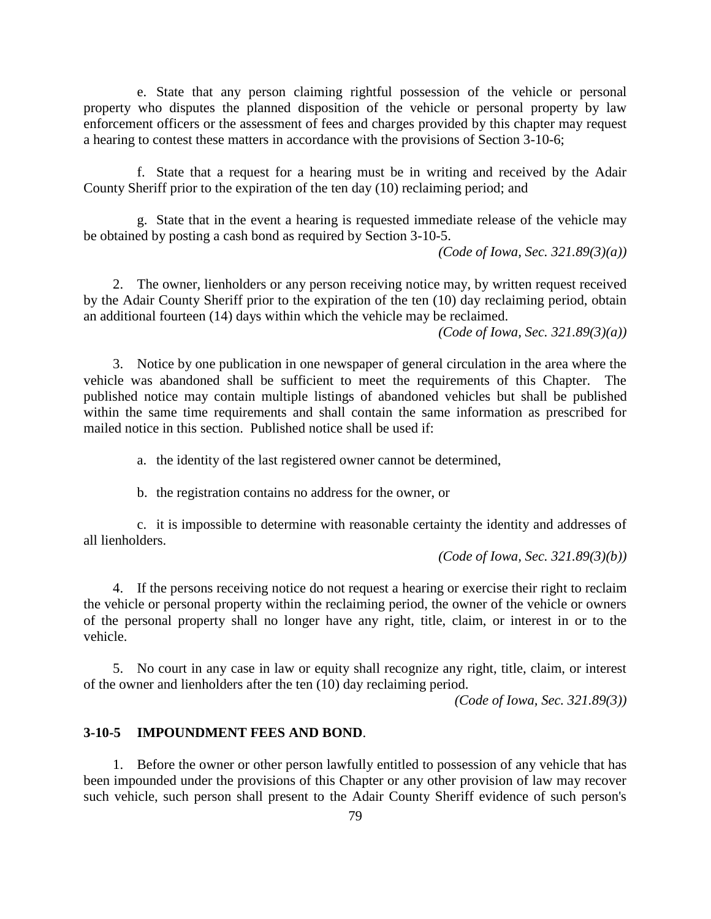e. State that any person claiming rightful possession of the vehicle or personal property who disputes the planned disposition of the vehicle or personal property by law enforcement officers or the assessment of fees and charges provided by this chapter may request a hearing to contest these matters in accordance with the provisions of Section 3-10-6;

f. State that a request for a hearing must be in writing and received by the Adair County Sheriff prior to the expiration of the ten day (10) reclaiming period; and

g. State that in the event a hearing is requested immediate release of the vehicle may be obtained by posting a cash bond as required by Section 3-10-5.

*(Code of Iowa, Sec. 321.89(3)(a))*

2. The owner, lienholders or any person receiving notice may, by written request received by the Adair County Sheriff prior to the expiration of the ten (10) day reclaiming period, obtain an additional fourteen (14) days within which the vehicle may be reclaimed.

*(Code of Iowa, Sec. 321.89(3)(a))*

3. Notice by one publication in one newspaper of general circulation in the area where the vehicle was abandoned shall be sufficient to meet the requirements of this Chapter. The published notice may contain multiple listings of abandoned vehicles but shall be published within the same time requirements and shall contain the same information as prescribed for mailed notice in this section. Published notice shall be used if:

a. the identity of the last registered owner cannot be determined,

b. the registration contains no address for the owner, or

c. it is impossible to determine with reasonable certainty the identity and addresses of all lienholders.

*(Code of Iowa, Sec. 321.89(3)(b))*

4. If the persons receiving notice do not request a hearing or exercise their right to reclaim the vehicle or personal property within the reclaiming period, the owner of the vehicle or owners of the personal property shall no longer have any right, title, claim, or interest in or to the vehicle.

5. No court in any case in law or equity shall recognize any right, title, claim, or interest of the owner and lienholders after the ten (10) day reclaiming period.

*(Code of Iowa, Sec. 321.89(3))*

#### **3-10-5 IMPOUNDMENT FEES AND BOND**.

1. Before the owner or other person lawfully entitled to possession of any vehicle that has been impounded under the provisions of this Chapter or any other provision of law may recover such vehicle, such person shall present to the Adair County Sheriff evidence of such person's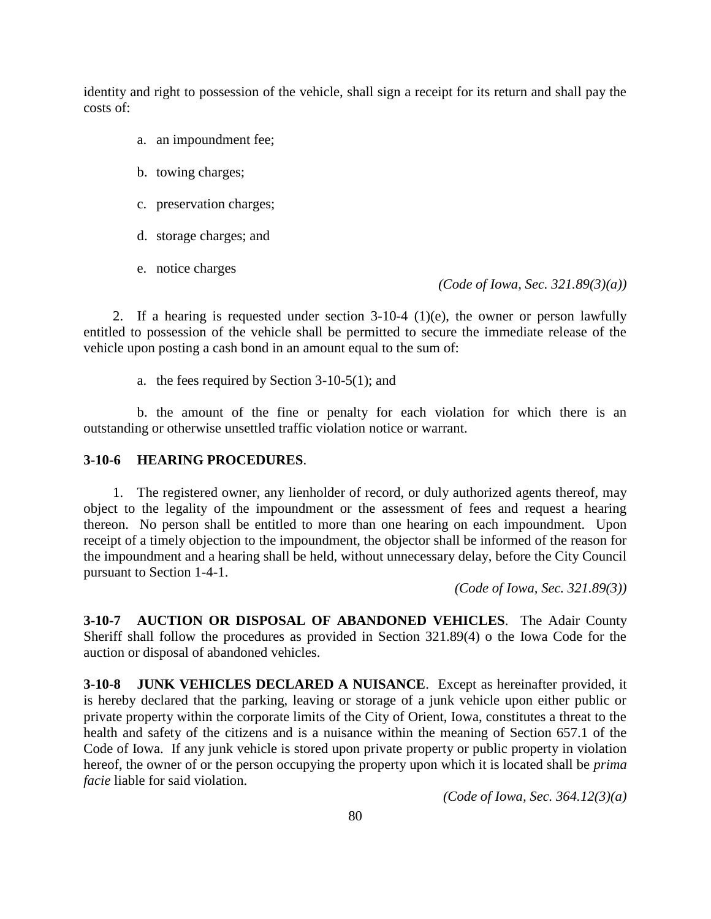identity and right to possession of the vehicle, shall sign a receipt for its return and shall pay the costs of:

- a. an impoundment fee;
- b. towing charges;
- c. preservation charges;
- d. storage charges; and
- e. notice charges

*(Code of Iowa, Sec. 321.89(3)(a))*

2. If a hearing is requested under section 3-10-4 (1)(e), the owner or person lawfully entitled to possession of the vehicle shall be permitted to secure the immediate release of the vehicle upon posting a cash bond in an amount equal to the sum of:

a. the fees required by Section 3-10-5(1); and

b. the amount of the fine or penalty for each violation for which there is an outstanding or otherwise unsettled traffic violation notice or warrant.

#### **3-10-6 HEARING PROCEDURES**.

1. The registered owner, any lienholder of record, or duly authorized agents thereof, may object to the legality of the impoundment or the assessment of fees and request a hearing thereon. No person shall be entitled to more than one hearing on each impoundment. Upon receipt of a timely objection to the impoundment, the objector shall be informed of the reason for the impoundment and a hearing shall be held, without unnecessary delay, before the City Council pursuant to Section 1-4-1.

*(Code of Iowa, Sec. 321.89(3))*

**3-10-7 AUCTION OR DISPOSAL OF ABANDONED VEHICLES**. The Adair County Sheriff shall follow the procedures as provided in Section 321.89(4) o the Iowa Code for the auction or disposal of abandoned vehicles.

**3-10-8 JUNK VEHICLES DECLARED A NUISANCE**. Except as hereinafter provided, it is hereby declared that the parking, leaving or storage of a junk vehicle upon either public or private property within the corporate limits of the City of Orient, Iowa, constitutes a threat to the health and safety of the citizens and is a nuisance within the meaning of Section 657.1 of the Code of Iowa. If any junk vehicle is stored upon private property or public property in violation hereof, the owner of or the person occupying the property upon which it is located shall be *prima facie* liable for said violation.

*(Code of Iowa, Sec. 364.12(3)(a)*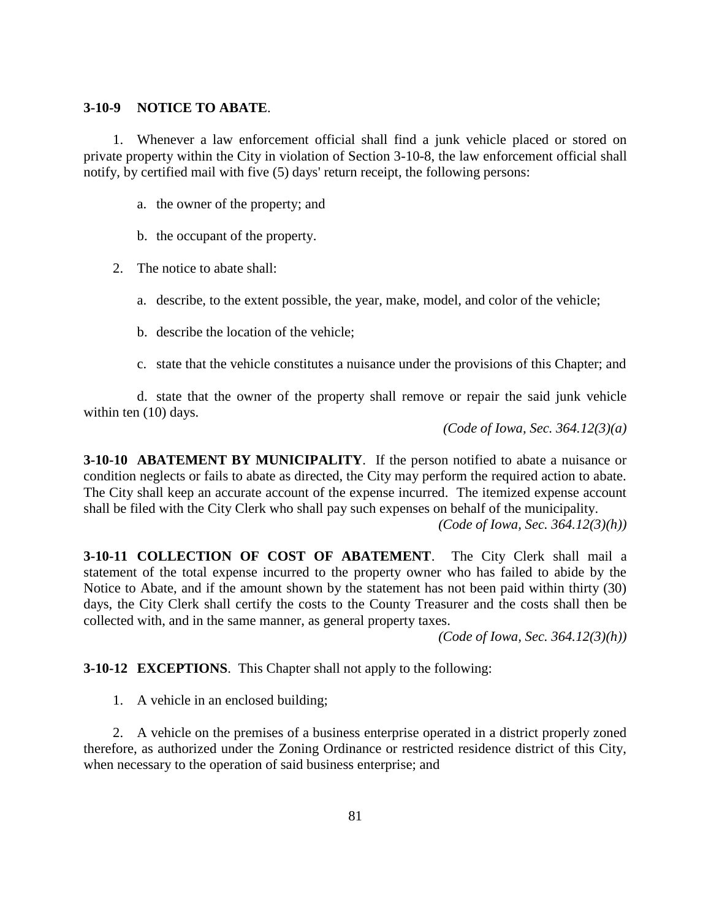#### **3-10-9 NOTICE TO ABATE**.

1. Whenever a law enforcement official shall find a junk vehicle placed or stored on private property within the City in violation of Section 3-10-8, the law enforcement official shall notify, by certified mail with five (5) days' return receipt, the following persons:

- a. the owner of the property; and
- b. the occupant of the property.
- 2. The notice to abate shall:
	- a. describe, to the extent possible, the year, make, model, and color of the vehicle;
	- b. describe the location of the vehicle;
	- c. state that the vehicle constitutes a nuisance under the provisions of this Chapter; and

d. state that the owner of the property shall remove or repair the said junk vehicle within ten  $(10)$  days.

*(Code of Iowa, Sec. 364.12(3)(a)*

**3-10-10 ABATEMENT BY MUNICIPALITY**. If the person notified to abate a nuisance or condition neglects or fails to abate as directed, the City may perform the required action to abate. The City shall keep an accurate account of the expense incurred. The itemized expense account shall be filed with the City Clerk who shall pay such expenses on behalf of the municipality.

*(Code of Iowa, Sec. 364.12(3)(h))*

**3-10-11 COLLECTION OF COST OF ABATEMENT**. The City Clerk shall mail a statement of the total expense incurred to the property owner who has failed to abide by the Notice to Abate, and if the amount shown by the statement has not been paid within thirty (30) days, the City Clerk shall certify the costs to the County Treasurer and the costs shall then be collected with, and in the same manner, as general property taxes.

*(Code of Iowa, Sec. 364.12(3)(h))*

**3-10-12 EXCEPTIONS**. This Chapter shall not apply to the following:

1. A vehicle in an enclosed building;

2. A vehicle on the premises of a business enterprise operated in a district properly zoned therefore, as authorized under the Zoning Ordinance or restricted residence district of this City, when necessary to the operation of said business enterprise; and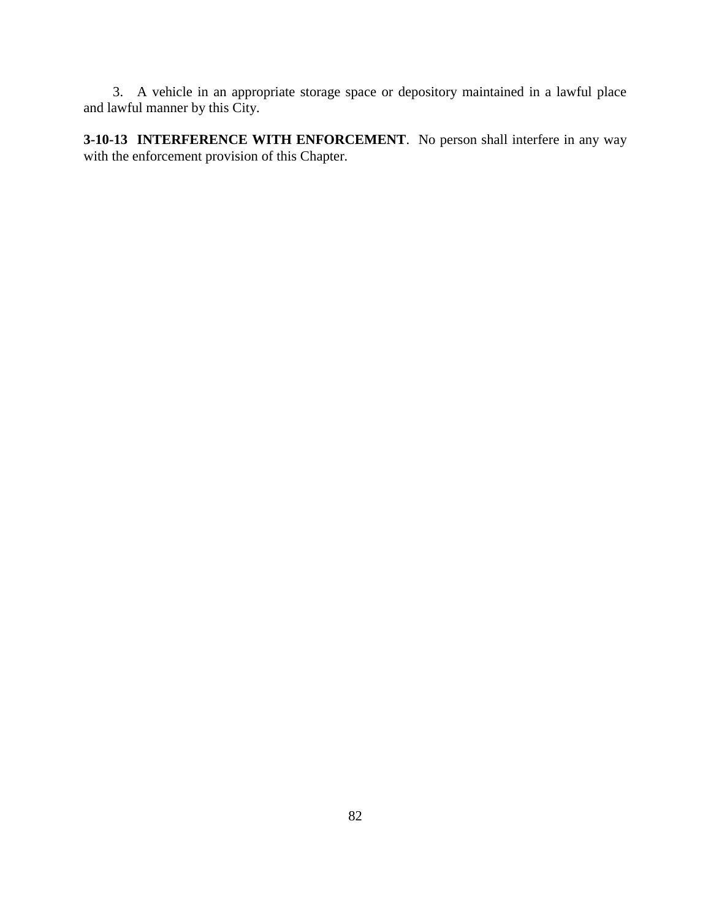3. A vehicle in an appropriate storage space or depository maintained in a lawful place and lawful manner by this City.

**3-10-13 INTERFERENCE WITH ENFORCEMENT**. No person shall interfere in any way with the enforcement provision of this Chapter.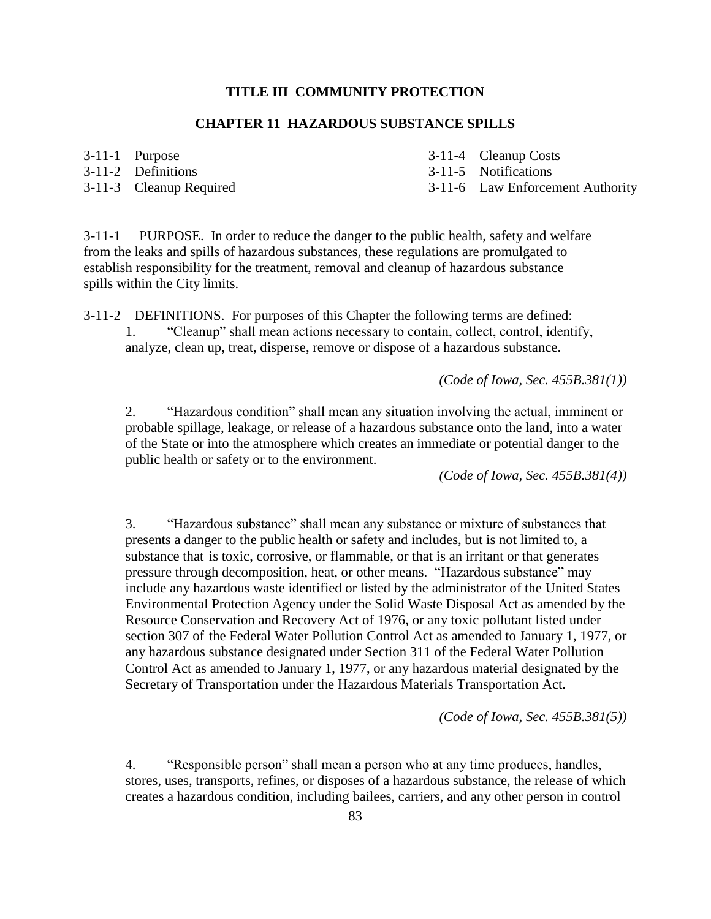### **TITLE III COMMUNITY PROTECTION**

## **CHAPTER 11 HAZARDOUS SUBSTANCE SPILLS**

- 
- 3-11-1 Purpose 3-11-4 Cleanup Costs
- 3-11-2 Definitions 3-11-5 Notifications
- 

- 
- 3-11-3 Cleanup Required 3-11-6 Law Enforcement Authority

3-11-1 PURPOSE. In order to reduce the danger to the public health, safety and welfare from the leaks and spills of hazardous substances, these regulations are promulgated to establish responsibility for the treatment, removal and cleanup of hazardous substance spills within the City limits.

3-11-2 DEFINITIONS. For purposes of this Chapter the following terms are defined: 1. "Cleanup" shall mean actions necessary to contain, collect, control, identify, analyze, clean up, treat, disperse, remove or dispose of a hazardous substance.

*(Code of Iowa, Sec. 455B.381(1))*

2. "Hazardous condition" shall mean any situation involving the actual, imminent or probable spillage, leakage, or release of a hazardous substance onto the land, into a water of the State or into the atmosphere which creates an immediate or potential danger to the public health or safety or to the environment.

*(Code of Iowa, Sec. 455B.381(4))*

3. "Hazardous substance" shall mean any substance or mixture of substances that presents a danger to the public health or safety and includes, but is not limited to, a substance that is toxic, corrosive, or flammable, or that is an irritant or that generates pressure through decomposition, heat, or other means. "Hazardous substance" may include any hazardous waste identified or listed by the administrator of the United States Environmental Protection Agency under the Solid Waste Disposal Act as amended by the Resource Conservation and Recovery Act of 1976, or any toxic pollutant listed under section 307 of the Federal Water Pollution Control Act as amended to January 1, 1977, or any hazardous substance designated under Section 311 of the Federal Water Pollution Control Act as amended to January 1, 1977, or any hazardous material designated by the Secretary of Transportation under the Hazardous Materials Transportation Act.

*(Code of Iowa, Sec. 455B.381(5))*

4. "Responsible person" shall mean a person who at any time produces, handles, stores, uses, transports, refines, or disposes of a hazardous substance, the release of which creates a hazardous condition, including bailees, carriers, and any other person in control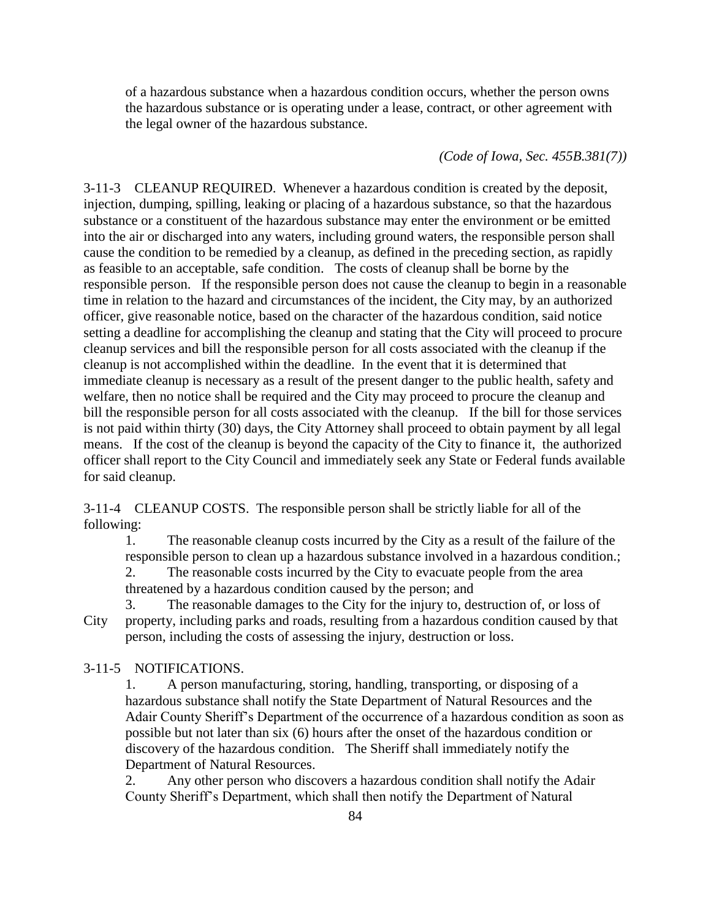of a hazardous substance when a hazardous condition occurs, whether the person owns the hazardous substance or is operating under a lease, contract, or other agreement with the legal owner of the hazardous substance.

#### *(Code of Iowa, Sec. 455B.381(7))*

3-11-3 CLEANUP REQUIRED. Whenever a hazardous condition is created by the deposit, injection, dumping, spilling, leaking or placing of a hazardous substance, so that the hazardous substance or a constituent of the hazardous substance may enter the environment or be emitted into the air or discharged into any waters, including ground waters, the responsible person shall cause the condition to be remedied by a cleanup, as defined in the preceding section, as rapidly as feasible to an acceptable, safe condition. The costs of cleanup shall be borne by the responsible person. If the responsible person does not cause the cleanup to begin in a reasonable time in relation to the hazard and circumstances of the incident, the City may, by an authorized officer, give reasonable notice, based on the character of the hazardous condition, said notice setting a deadline for accomplishing the cleanup and stating that the City will proceed to procure cleanup services and bill the responsible person for all costs associated with the cleanup if the cleanup is not accomplished within the deadline. In the event that it is determined that immediate cleanup is necessary as a result of the present danger to the public health, safety and welfare, then no notice shall be required and the City may proceed to procure the cleanup and bill the responsible person for all costs associated with the cleanup. If the bill for those services is not paid within thirty (30) days, the City Attorney shall proceed to obtain payment by all legal means. If the cost of the cleanup is beyond the capacity of the City to finance it, the authorized officer shall report to the City Council and immediately seek any State or Federal funds available for said cleanup.

3-11-4 CLEANUP COSTS. The responsible person shall be strictly liable for all of the following:

1. The reasonable cleanup costs incurred by the City as a result of the failure of the responsible person to clean up a hazardous substance involved in a hazardous condition.; 2. The reasonable costs incurred by the City to evacuate people from the area threatened by a hazardous condition caused by the person; and

3. The reasonable damages to the City for the injury to, destruction of, or loss of City property, including parks and roads, resulting from a hazardous condition caused by that person, including the costs of assessing the injury, destruction or loss.

#### 3-11-5 NOTIFICATIONS.

1. A person manufacturing, storing, handling, transporting, or disposing of a hazardous substance shall notify the State Department of Natural Resources and the Adair County Sheriff's Department of the occurrence of a hazardous condition as soon as possible but not later than six (6) hours after the onset of the hazardous condition or discovery of the hazardous condition. The Sheriff shall immediately notify the Department of Natural Resources.

2. Any other person who discovers a hazardous condition shall notify the Adair County Sheriff's Department, which shall then notify the Department of Natural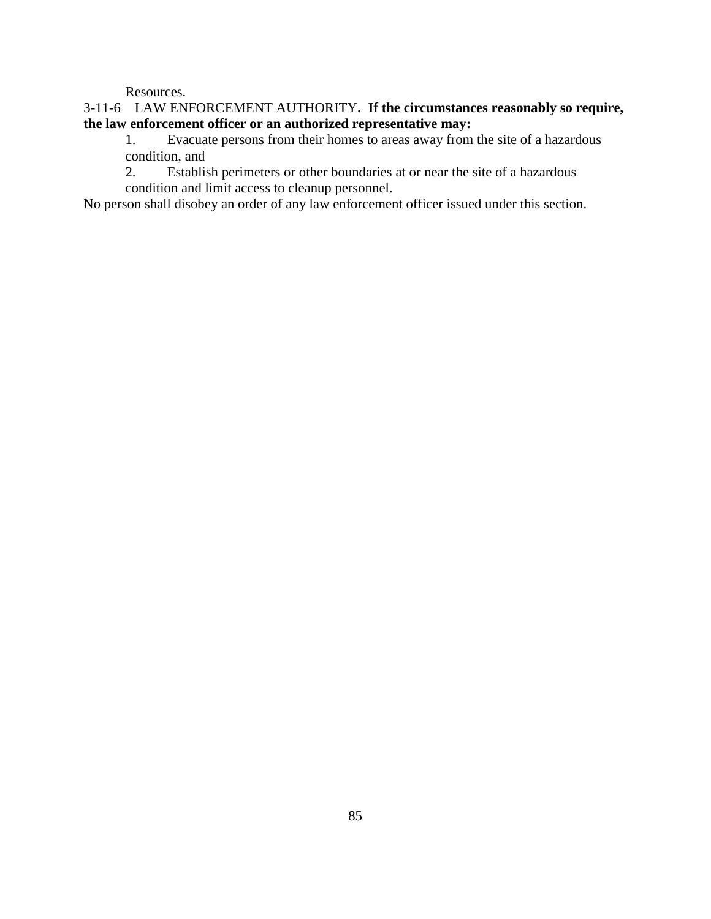Resources.

# 3-11-6 LAW ENFORCEMENT AUTHORITY**. If the circumstances reasonably so require, the law enforcement officer or an authorized representative may:**

1. Evacuate persons from their homes to areas away from the site of a hazardous condition, and

2. Establish perimeters or other boundaries at or near the site of a hazardous condition and limit access to cleanup personnel.

No person shall disobey an order of any law enforcement officer issued under this section.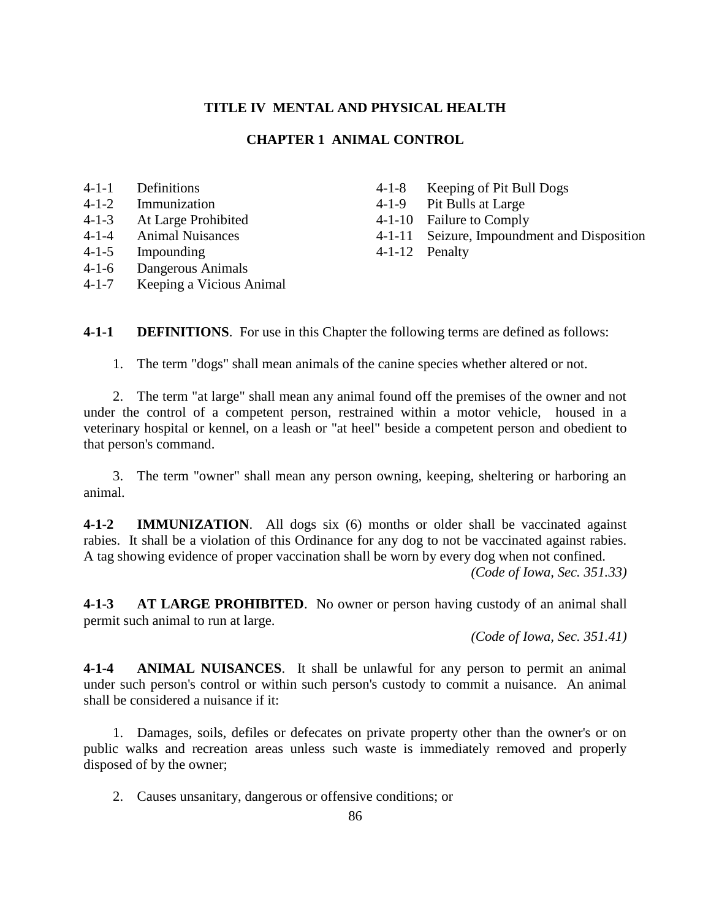### **TITLE IV MENTAL AND PHYSICAL HEALTH**

#### **CHAPTER 1 ANIMAL CONTROL**

- 4-1-1 Definitions
- 4-1-2 Immunization
- 4-1-3 At Large Prohibited
- 4-1-4 Animal Nuisances
- 4-1-5 Impounding
- 4-1-6 Dangerous Animals
- 4-1-7 Keeping a Vicious Animal
- 4-1-8 Keeping of Pit Bull Dogs
- 4-1-9 Pit Bulls at Large
- 4-1-10 Failure to Comply
- 4-1-11 Seizure, Impoundment and Disposition
- 4-1-12 Penalty

**4-1-1 DEFINITIONS**. For use in this Chapter the following terms are defined as follows:

1. The term "dogs" shall mean animals of the canine species whether altered or not.

2. The term "at large" shall mean any animal found off the premises of the owner and not under the control of a competent person, restrained within a motor vehicle, housed in a veterinary hospital or kennel, on a leash or "at heel" beside a competent person and obedient to that person's command.

3. The term "owner" shall mean any person owning, keeping, sheltering or harboring an animal.

**4-1-2 IMMUNIZATION**. All dogs six (6) months or older shall be vaccinated against rabies. It shall be a violation of this Ordinance for any dog to not be vaccinated against rabies. A tag showing evidence of proper vaccination shall be worn by every dog when not confined.

*(Code of Iowa, Sec. 351.33)*

**4-1-3 AT LARGE PROHIBITED**. No owner or person having custody of an animal shall permit such animal to run at large.

*(Code of Iowa, Sec. 351.41)*

**4-1-4 ANIMAL NUISANCES**. It shall be unlawful for any person to permit an animal under such person's control or within such person's custody to commit a nuisance. An animal shall be considered a nuisance if it:

1. Damages, soils, defiles or defecates on private property other than the owner's or on public walks and recreation areas unless such waste is immediately removed and properly disposed of by the owner;

2. Causes unsanitary, dangerous or offensive conditions; or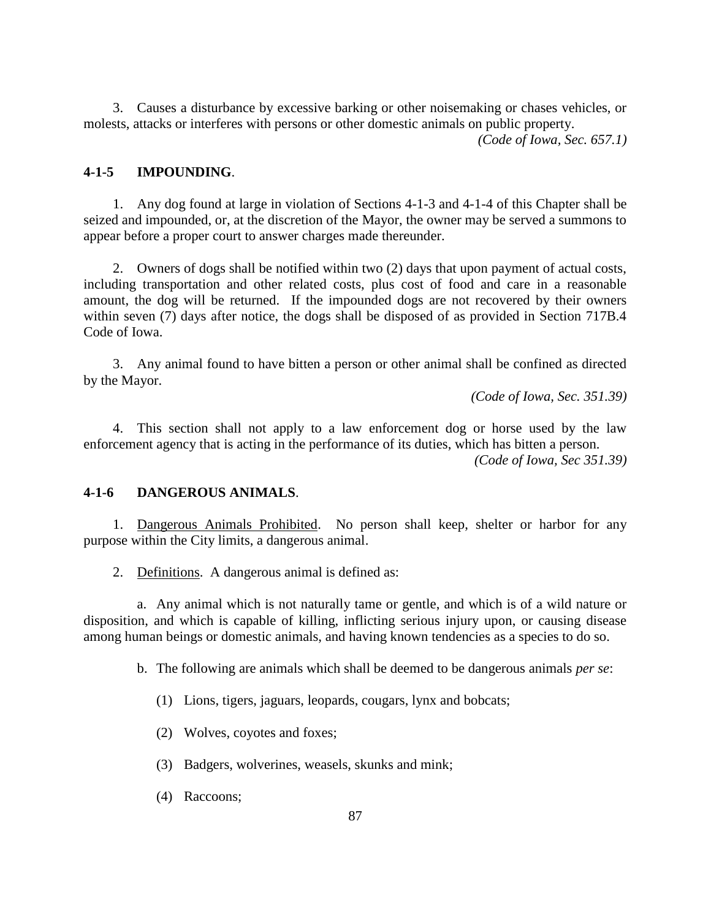3. Causes a disturbance by excessive barking or other noisemaking or chases vehicles, or molests, attacks or interferes with persons or other domestic animals on public property.

*(Code of Iowa, Sec. 657.1)*

## **4-1-5 IMPOUNDING**.

1. Any dog found at large in violation of Sections 4-1-3 and 4-1-4 of this Chapter shall be seized and impounded, or, at the discretion of the Mayor, the owner may be served a summons to appear before a proper court to answer charges made thereunder.

2. Owners of dogs shall be notified within two (2) days that upon payment of actual costs, including transportation and other related costs, plus cost of food and care in a reasonable amount, the dog will be returned. If the impounded dogs are not recovered by their owners within seven (7) days after notice, the dogs shall be disposed of as provided in Section 717B.4 Code of Iowa.

3. Any animal found to have bitten a person or other animal shall be confined as directed by the Mayor.

*(Code of Iowa, Sec. 351.39)*

4. This section shall not apply to a law enforcement dog or horse used by the law enforcement agency that is acting in the performance of its duties, which has bitten a person. *(Code of Iowa, Sec 351.39)*

### **4-1-6 DANGEROUS ANIMALS**.

1. Dangerous Animals Prohibited. No person shall keep, shelter or harbor for any purpose within the City limits, a dangerous animal.

2. Definitions. A dangerous animal is defined as:

a. Any animal which is not naturally tame or gentle, and which is of a wild nature or disposition, and which is capable of killing, inflicting serious injury upon, or causing disease among human beings or domestic animals, and having known tendencies as a species to do so.

b. The following are animals which shall be deemed to be dangerous animals *per se*:

- (1) Lions, tigers, jaguars, leopards, cougars, lynx and bobcats;
- (2) Wolves, coyotes and foxes;
- (3) Badgers, wolverines, weasels, skunks and mink;
- (4) Raccoons;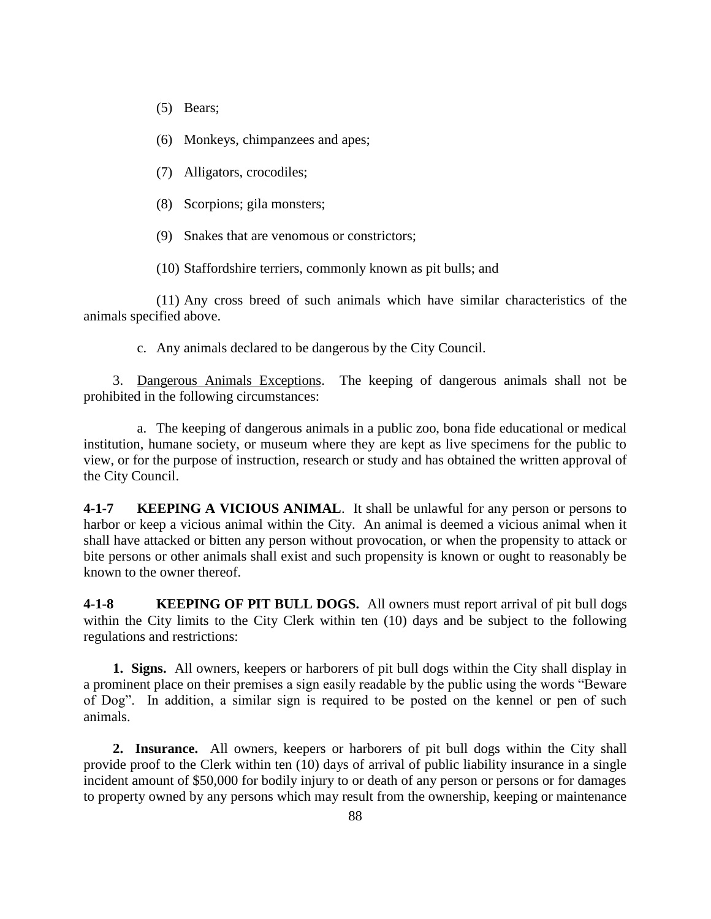- (5) Bears;
- (6) Monkeys, chimpanzees and apes;
- (7) Alligators, crocodiles;
- (8) Scorpions; gila monsters;
- (9) Snakes that are venomous or constrictors;

(10) Staffordshire terriers, commonly known as pit bulls; and

(11) Any cross breed of such animals which have similar characteristics of the animals specified above.

c. Any animals declared to be dangerous by the City Council.

3. Dangerous Animals Exceptions. The keeping of dangerous animals shall not be prohibited in the following circumstances:

a. The keeping of dangerous animals in a public zoo, bona fide educational or medical institution, humane society, or museum where they are kept as live specimens for the public to view, or for the purpose of instruction, research or study and has obtained the written approval of the City Council.

**4-1-7 KEEPING A VICIOUS ANIMAL**. It shall be unlawful for any person or persons to harbor or keep a vicious animal within the City. An animal is deemed a vicious animal when it shall have attacked or bitten any person without provocation, or when the propensity to attack or bite persons or other animals shall exist and such propensity is known or ought to reasonably be known to the owner thereof.

**4-1-8 KEEPING OF PIT BULL DOGS.** All owners must report arrival of pit bull dogs within the City limits to the City Clerk within ten (10) days and be subject to the following regulations and restrictions:

**1. Signs.** All owners, keepers or harborers of pit bull dogs within the City shall display in a prominent place on their premises a sign easily readable by the public using the words "Beware of Dog". In addition, a similar sign is required to be posted on the kennel or pen of such animals.

**2. Insurance.** All owners, keepers or harborers of pit bull dogs within the City shall provide proof to the Clerk within ten (10) days of arrival of public liability insurance in a single incident amount of \$50,000 for bodily injury to or death of any person or persons or for damages to property owned by any persons which may result from the ownership, keeping or maintenance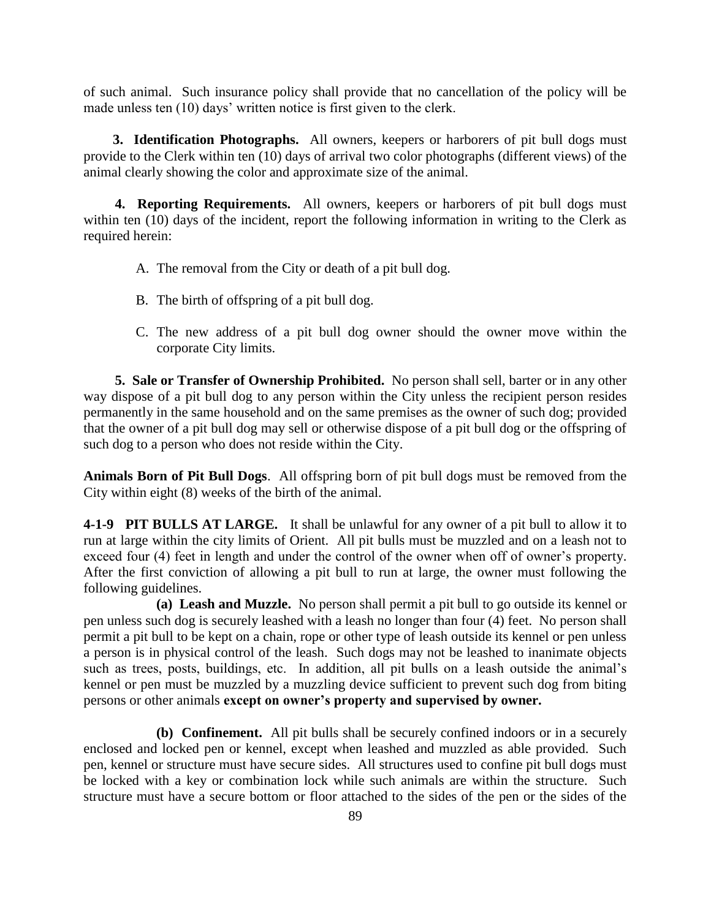of such animal. Such insurance policy shall provide that no cancellation of the policy will be made unless ten (10) days' written notice is first given to the clerk.

**3. Identification Photographs.** All owners, keepers or harborers of pit bull dogs must provide to the Clerk within ten (10) days of arrival two color photographs (different views) of the animal clearly showing the color and approximate size of the animal.

**4. Reporting Requirements.** All owners, keepers or harborers of pit bull dogs must within ten (10) days of the incident, report the following information in writing to the Clerk as required herein:

- A. The removal from the City or death of a pit bull dog.
- B. The birth of offspring of a pit bull dog.
- C. The new address of a pit bull dog owner should the owner move within the corporate City limits.

**5. Sale or Transfer of Ownership Prohibited.** No person shall sell, barter or in any other way dispose of a pit bull dog to any person within the City unless the recipient person resides permanently in the same household and on the same premises as the owner of such dog; provided that the owner of a pit bull dog may sell or otherwise dispose of a pit bull dog or the offspring of such dog to a person who does not reside within the City.

**Animals Born of Pit Bull Dogs**. All offspring born of pit bull dogs must be removed from the City within eight (8) weeks of the birth of the animal.

**4-1-9 PIT BULLS AT LARGE.** It shall be unlawful for any owner of a pit bull to allow it to run at large within the city limits of Orient. All pit bulls must be muzzled and on a leash not to exceed four (4) feet in length and under the control of the owner when off of owner's property. After the first conviction of allowing a pit bull to run at large, the owner must following the following guidelines.

**(a) Leash and Muzzle.** No person shall permit a pit bull to go outside its kennel or pen unless such dog is securely leashed with a leash no longer than four (4) feet. No person shall permit a pit bull to be kept on a chain, rope or other type of leash outside its kennel or pen unless a person is in physical control of the leash. Such dogs may not be leashed to inanimate objects such as trees, posts, buildings, etc. In addition, all pit bulls on a leash outside the animal's kennel or pen must be muzzled by a muzzling device sufficient to prevent such dog from biting persons or other animals **except on owner's property and supervised by owner.** 

**(b) Confinement.** All pit bulls shall be securely confined indoors or in a securely enclosed and locked pen or kennel, except when leashed and muzzled as able provided. Such pen, kennel or structure must have secure sides. All structures used to confine pit bull dogs must be locked with a key or combination lock while such animals are within the structure. Such structure must have a secure bottom or floor attached to the sides of the pen or the sides of the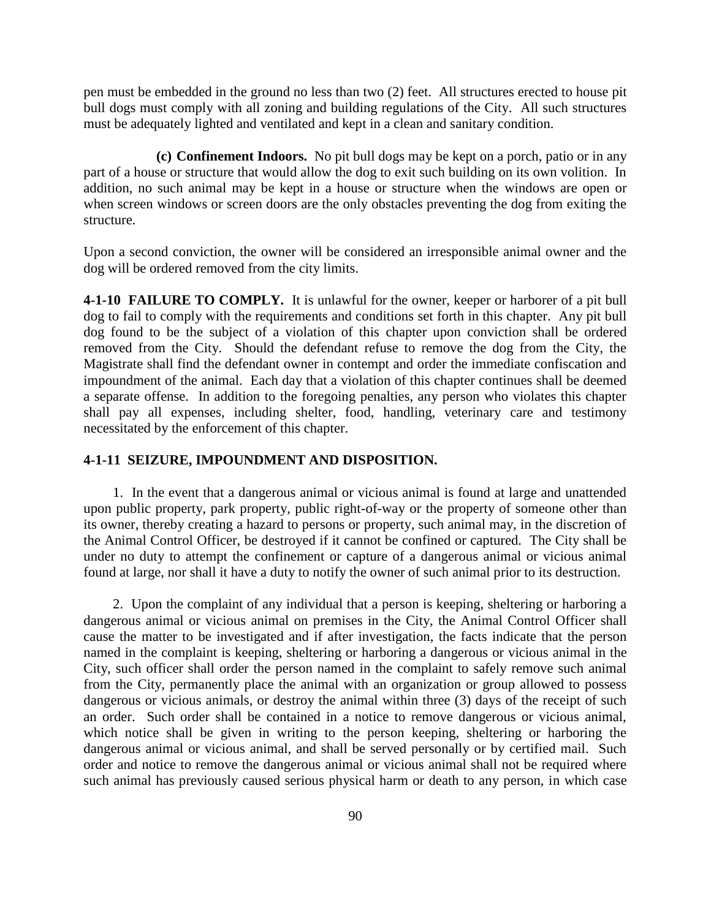pen must be embedded in the ground no less than two (2) feet. All structures erected to house pit bull dogs must comply with all zoning and building regulations of the City. All such structures must be adequately lighted and ventilated and kept in a clean and sanitary condition.

**(c) Confinement Indoors.** No pit bull dogs may be kept on a porch, patio or in any part of a house or structure that would allow the dog to exit such building on its own volition. In addition, no such animal may be kept in a house or structure when the windows are open or when screen windows or screen doors are the only obstacles preventing the dog from exiting the structure.

Upon a second conviction, the owner will be considered an irresponsible animal owner and the dog will be ordered removed from the city limits.

**4-1-10 FAILURE TO COMPLY.** It is unlawful for the owner, keeper or harborer of a pit bull dog to fail to comply with the requirements and conditions set forth in this chapter. Any pit bull dog found to be the subject of a violation of this chapter upon conviction shall be ordered removed from the City. Should the defendant refuse to remove the dog from the City, the Magistrate shall find the defendant owner in contempt and order the immediate confiscation and impoundment of the animal. Each day that a violation of this chapter continues shall be deemed a separate offense. In addition to the foregoing penalties, any person who violates this chapter shall pay all expenses, including shelter, food, handling, veterinary care and testimony necessitated by the enforcement of this chapter.

## **4-1-11 SEIZURE, IMPOUNDMENT AND DISPOSITION.**

1. In the event that a dangerous animal or vicious animal is found at large and unattended upon public property, park property, public right-of-way or the property of someone other than its owner, thereby creating a hazard to persons or property, such animal may, in the discretion of the Animal Control Officer, be destroyed if it cannot be confined or captured. The City shall be under no duty to attempt the confinement or capture of a dangerous animal or vicious animal found at large, nor shall it have a duty to notify the owner of such animal prior to its destruction.

2. Upon the complaint of any individual that a person is keeping, sheltering or harboring a dangerous animal or vicious animal on premises in the City, the Animal Control Officer shall cause the matter to be investigated and if after investigation, the facts indicate that the person named in the complaint is keeping, sheltering or harboring a dangerous or vicious animal in the City, such officer shall order the person named in the complaint to safely remove such animal from the City, permanently place the animal with an organization or group allowed to possess dangerous or vicious animals, or destroy the animal within three (3) days of the receipt of such an order. Such order shall be contained in a notice to remove dangerous or vicious animal, which notice shall be given in writing to the person keeping, sheltering or harboring the dangerous animal or vicious animal, and shall be served personally or by certified mail. Such order and notice to remove the dangerous animal or vicious animal shall not be required where such animal has previously caused serious physical harm or death to any person, in which case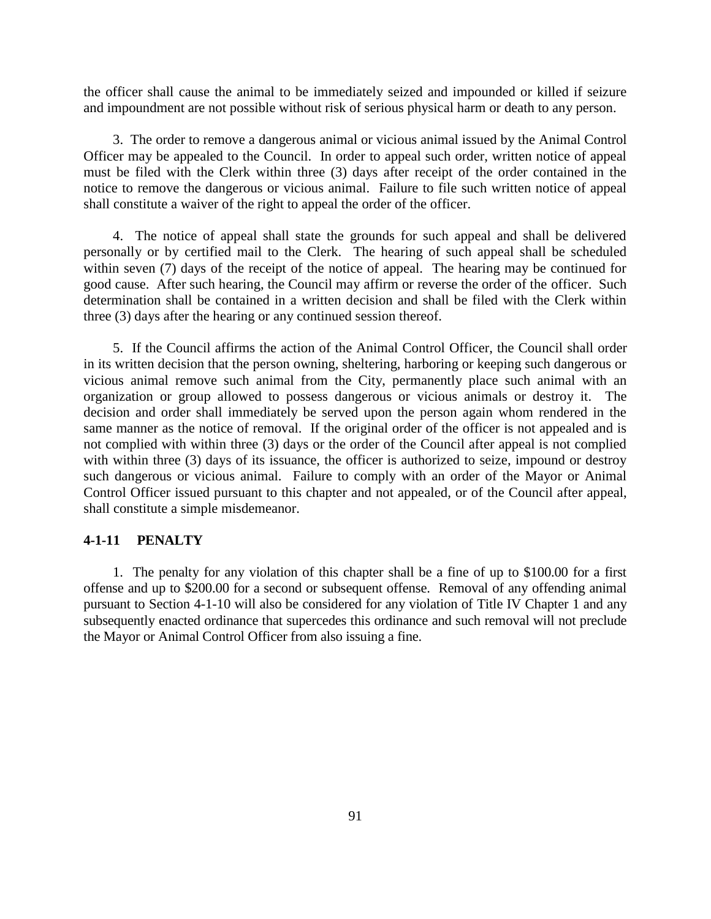the officer shall cause the animal to be immediately seized and impounded or killed if seizure and impoundment are not possible without risk of serious physical harm or death to any person.

3. The order to remove a dangerous animal or vicious animal issued by the Animal Control Officer may be appealed to the Council. In order to appeal such order, written notice of appeal must be filed with the Clerk within three (3) days after receipt of the order contained in the notice to remove the dangerous or vicious animal. Failure to file such written notice of appeal shall constitute a waiver of the right to appeal the order of the officer.

4. The notice of appeal shall state the grounds for such appeal and shall be delivered personally or by certified mail to the Clerk. The hearing of such appeal shall be scheduled within seven (7) days of the receipt of the notice of appeal. The hearing may be continued for good cause. After such hearing, the Council may affirm or reverse the order of the officer. Such determination shall be contained in a written decision and shall be filed with the Clerk within three (3) days after the hearing or any continued session thereof.

5. If the Council affirms the action of the Animal Control Officer, the Council shall order in its written decision that the person owning, sheltering, harboring or keeping such dangerous or vicious animal remove such animal from the City, permanently place such animal with an organization or group allowed to possess dangerous or vicious animals or destroy it. The decision and order shall immediately be served upon the person again whom rendered in the same manner as the notice of removal. If the original order of the officer is not appealed and is not complied with within three (3) days or the order of the Council after appeal is not complied with within three (3) days of its issuance, the officer is authorized to seize, impound or destroy such dangerous or vicious animal. Failure to comply with an order of the Mayor or Animal Control Officer issued pursuant to this chapter and not appealed, or of the Council after appeal, shall constitute a simple misdemeanor.

#### **4-1-11 PENALTY**

1. The penalty for any violation of this chapter shall be a fine of up to \$100.00 for a first offense and up to \$200.00 for a second or subsequent offense. Removal of any offending animal pursuant to Section 4-1-10 will also be considered for any violation of Title IV Chapter 1 and any subsequently enacted ordinance that supercedes this ordinance and such removal will not preclude the Mayor or Animal Control Officer from also issuing a fine.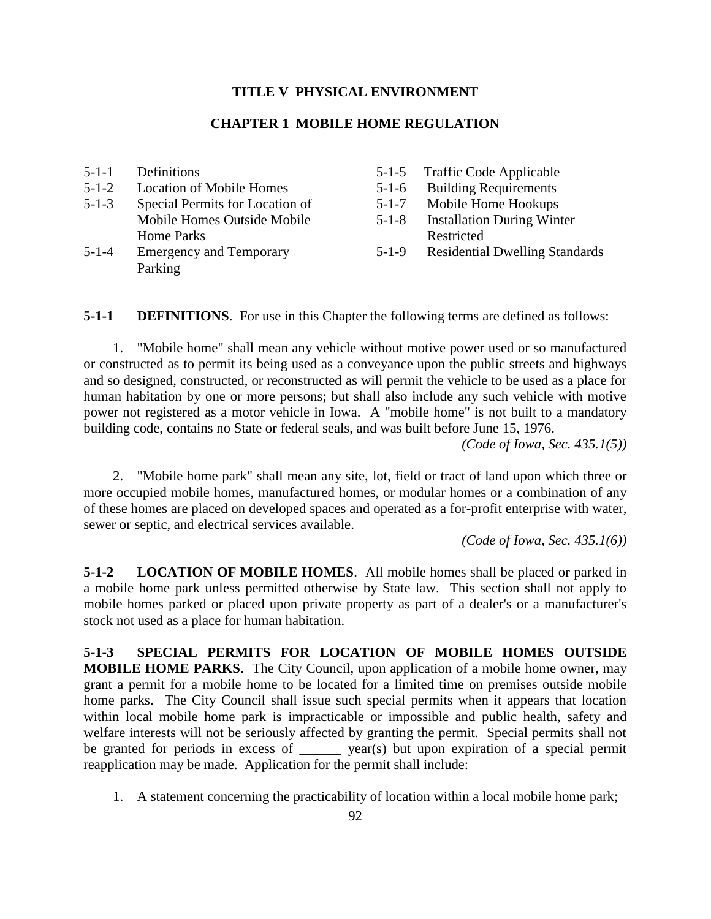### **TITLE V PHYSICAL ENVIRONMENT**

### **CHAPTER 1 MOBILE HOME REGULATION**

| $5 - 1 - 1$ | Definitions                     |             | 5-1-5 Traffic Code Applicable         |
|-------------|---------------------------------|-------------|---------------------------------------|
| $5 - 1 - 2$ | <b>Location of Mobile Homes</b> | $5-1-6$     | <b>Building Requirements</b>          |
| $5 - 1 - 3$ | Special Permits for Location of | $5 - 1 - 7$ | Mobile Home Hookups                   |
|             | Mobile Homes Outside Mobile     | $5 - 1 - 8$ | <b>Installation During Winter</b>     |
|             | Home Parks                      |             | Restricted                            |
| $5 - 1 - 4$ | <b>Emergency and Temporary</b>  | $5 - 1 - 9$ | <b>Residential Dwelling Standards</b> |
|             | Parking                         |             |                                       |

**5-1-1 DEFINITIONS**. For use in this Chapter the following terms are defined as follows:

1. "Mobile home" shall mean any vehicle without motive power used or so manufactured or constructed as to permit its being used as a conveyance upon the public streets and highways and so designed, constructed, or reconstructed as will permit the vehicle to be used as a place for human habitation by one or more persons; but shall also include any such vehicle with motive power not registered as a motor vehicle in Iowa. A "mobile home" is not built to a mandatory building code, contains no State or federal seals, and was built before June 15, 1976.

*(Code of Iowa, Sec. 435.1(5))*

2. "Mobile home park" shall mean any site, lot, field or tract of land upon which three or more occupied mobile homes, manufactured homes, or modular homes or a combination of any of these homes are placed on developed spaces and operated as a for-profit enterprise with water, sewer or septic, and electrical services available.

*(Code of Iowa, Sec. 435.1(6))*

**5-1-2 LOCATION OF MOBILE HOMES**. All mobile homes shall be placed or parked in a mobile home park unless permitted otherwise by State law. This section shall not apply to mobile homes parked or placed upon private property as part of a dealer's or a manufacturer's stock not used as a place for human habitation.

**5-1-3 SPECIAL PERMITS FOR LOCATION OF MOBILE HOMES OUTSIDE MOBILE HOME PARKS**. The City Council, upon application of a mobile home owner, may grant a permit for a mobile home to be located for a limited time on premises outside mobile home parks. The City Council shall issue such special permits when it appears that location within local mobile home park is impracticable or impossible and public health, safety and welfare interests will not be seriously affected by granting the permit. Special permits shall not be granted for periods in excess of <u>vear(s</u>) but upon expiration of a special permit reapplication may be made. Application for the permit shall include:

1. A statement concerning the practicability of location within a local mobile home park;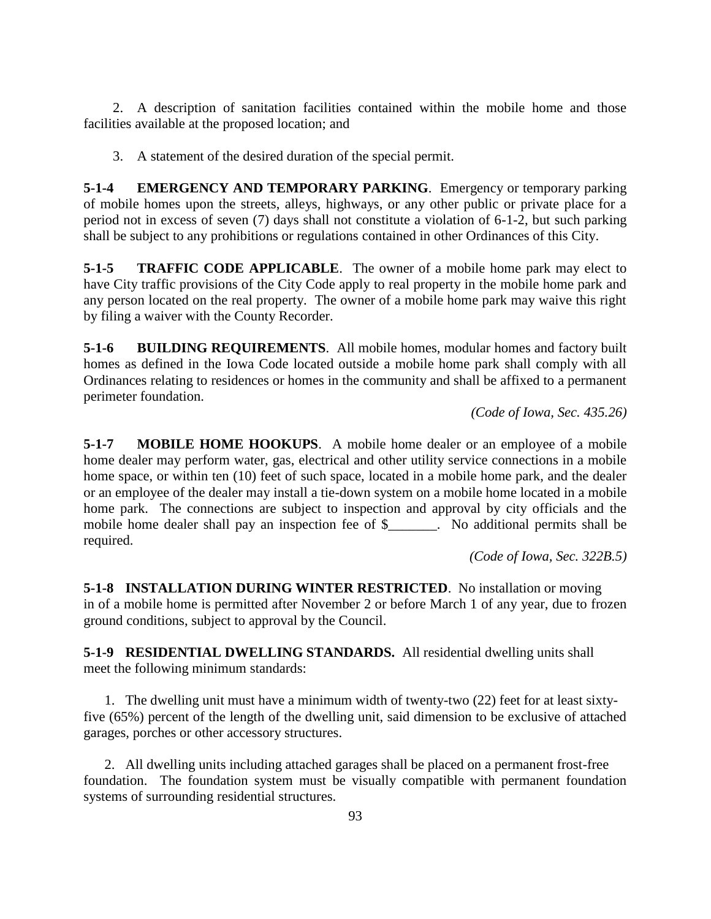2. A description of sanitation facilities contained within the mobile home and those facilities available at the proposed location; and

3. A statement of the desired duration of the special permit.

**5-1-4 EMERGENCY AND TEMPORARY PARKING**. Emergency or temporary parking of mobile homes upon the streets, alleys, highways, or any other public or private place for a period not in excess of seven (7) days shall not constitute a violation of 6-1-2, but such parking shall be subject to any prohibitions or regulations contained in other Ordinances of this City.

**5-1-5 TRAFFIC CODE APPLICABLE**. The owner of a mobile home park may elect to have City traffic provisions of the City Code apply to real property in the mobile home park and any person located on the real property. The owner of a mobile home park may waive this right by filing a waiver with the County Recorder.

**5-1-6 BUILDING REQUIREMENTS**. All mobile homes, modular homes and factory built homes as defined in the Iowa Code located outside a mobile home park shall comply with all Ordinances relating to residences or homes in the community and shall be affixed to a permanent perimeter foundation.

*(Code of Iowa, Sec. 435.26)*

**5-1-7 MOBILE HOME HOOKUPS**. A mobile home dealer or an employee of a mobile home dealer may perform water, gas, electrical and other utility service connections in a mobile home space, or within ten (10) feet of such space, located in a mobile home park, and the dealer or an employee of the dealer may install a tie-down system on a mobile home located in a mobile home park. The connections are subject to inspection and approval by city officials and the mobile home dealer shall pay an inspection fee of \$. No additional permits shall be required.

*(Code of Iowa, Sec. 322B.5)*

**5-1-8 INSTALLATION DURING WINTER RESTRICTED**. No installation or moving in of a mobile home is permitted after November 2 or before March 1 of any year, due to frozen ground conditions, subject to approval by the Council.

**5-1-9 RESIDENTIAL DWELLING STANDARDS.** All residential dwelling units shall meet the following minimum standards:

1. The dwelling unit must have a minimum width of twenty-two (22) feet for at least sixtyfive (65%) percent of the length of the dwelling unit, said dimension to be exclusive of attached garages, porches or other accessory structures.

2. All dwelling units including attached garages shall be placed on a permanent frost-free foundation. The foundation system must be visually compatible with permanent foundation systems of surrounding residential structures.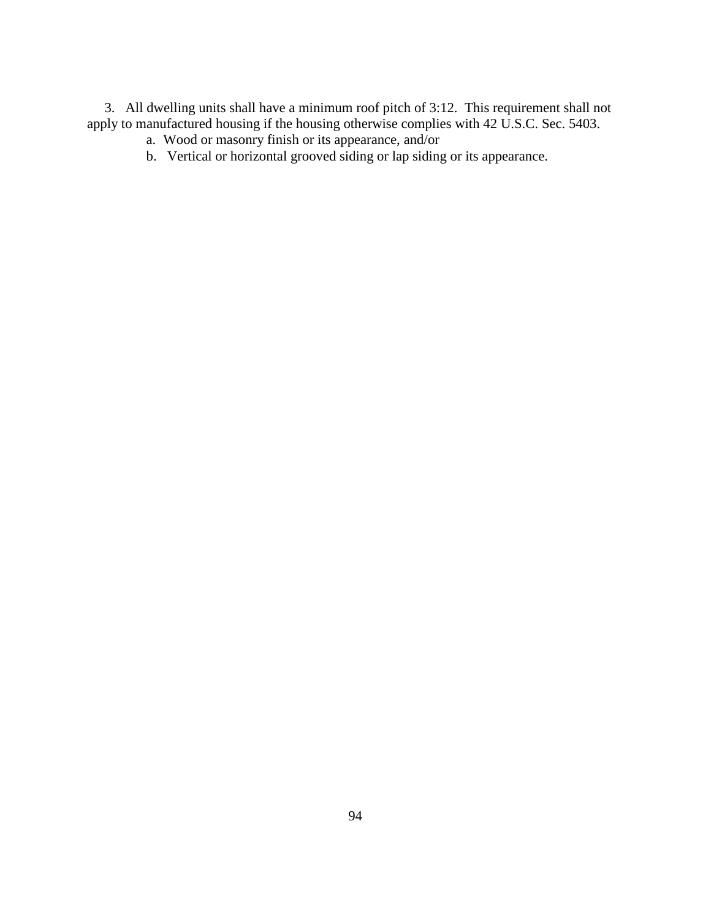3. All dwelling units shall have a minimum roof pitch of 3:12. This requirement shall not apply to manufactured housing if the housing otherwise complies with 42 U.S.C. Sec. 5403.

- a. Wood or masonry finish or its appearance, and/or
- b. Vertical or horizontal grooved siding or lap siding or its appearance.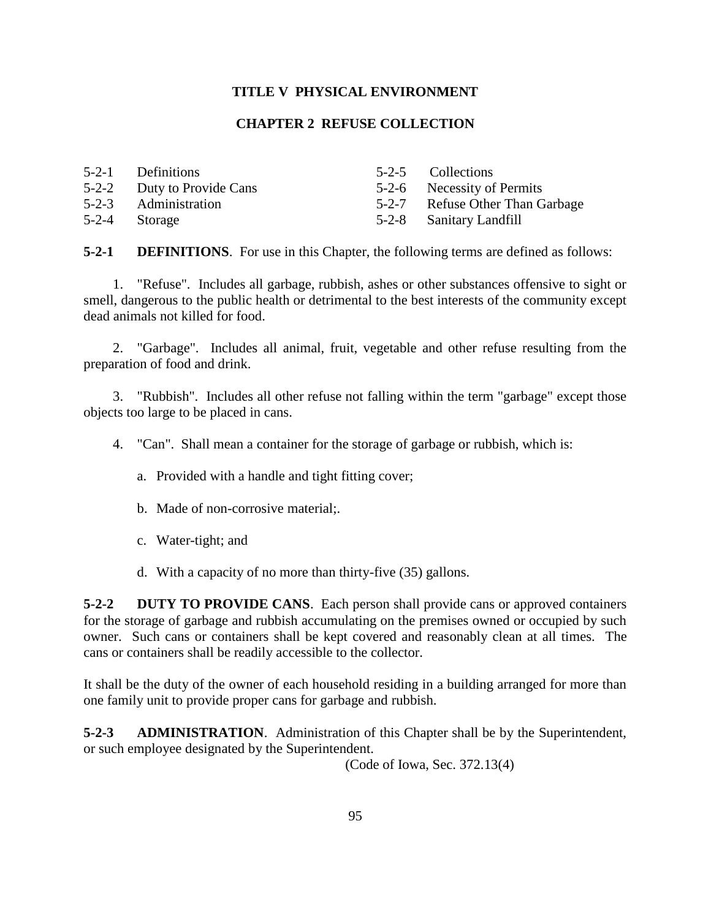## **TITLE V PHYSICAL ENVIRONMENT**

## **CHAPTER 2 REFUSE COLLECTION**

| 5-2-1 Definitions          | 5-2-5 Collections               |
|----------------------------|---------------------------------|
| 5-2-2 Duty to Provide Cans | 5-2-6 Necessity of Permits      |
| 5-2-3 Administration       | 5-2-7 Refuse Other Than Garbage |
| 5-2-4 Storage              | 5-2-8 Sanitary Landfill         |

5-2-4 Storage

**5-2-1 DEFINITIONS**. For use in this Chapter, the following terms are defined as follows:

1. "Refuse". Includes all garbage, rubbish, ashes or other substances offensive to sight or smell, dangerous to the public health or detrimental to the best interests of the community except dead animals not killed for food.

2. "Garbage". Includes all animal, fruit, vegetable and other refuse resulting from the preparation of food and drink.

3. "Rubbish". Includes all other refuse not falling within the term "garbage" except those objects too large to be placed in cans.

4. "Can". Shall mean a container for the storage of garbage or rubbish, which is:

- a. Provided with a handle and tight fitting cover;
- b. Made of non-corrosive material;.
- c. Water-tight; and
- d. With a capacity of no more than thirty-five (35) gallons.

**5-2-2 DUTY TO PROVIDE CANS**. Each person shall provide cans or approved containers for the storage of garbage and rubbish accumulating on the premises owned or occupied by such owner. Such cans or containers shall be kept covered and reasonably clean at all times. The cans or containers shall be readily accessible to the collector.

It shall be the duty of the owner of each household residing in a building arranged for more than one family unit to provide proper cans for garbage and rubbish.

**5-2-3 ADMINISTRATION**. Administration of this Chapter shall be by the Superintendent, or such employee designated by the Superintendent.

(Code of Iowa, Sec. 372.13(4)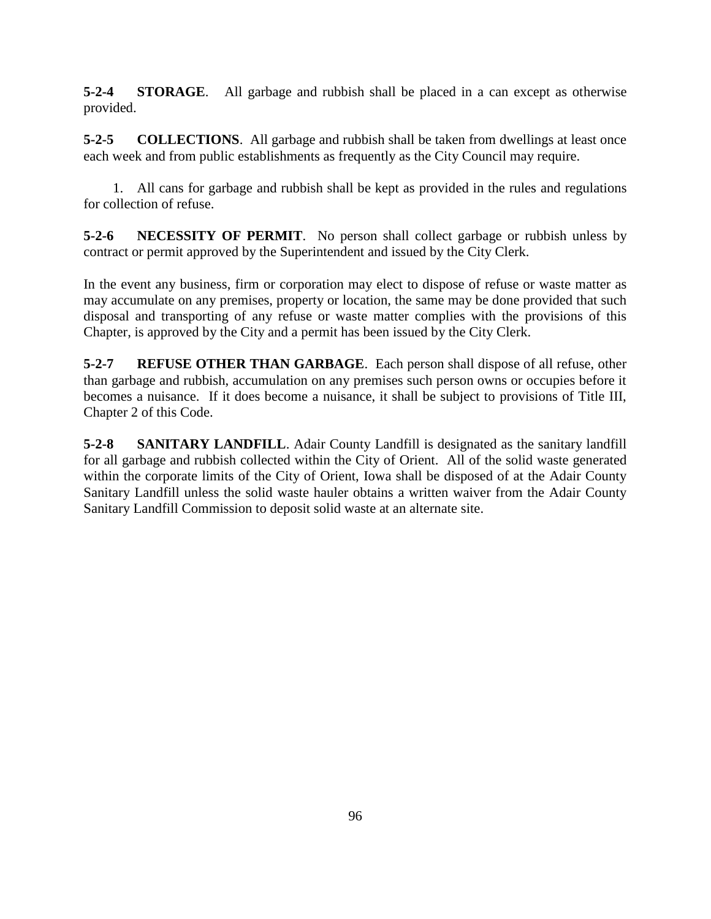**5-2-4 STORAGE**. All garbage and rubbish shall be placed in a can except as otherwise provided.

**5-2-5 COLLECTIONS**. All garbage and rubbish shall be taken from dwellings at least once each week and from public establishments as frequently as the City Council may require.

1. All cans for garbage and rubbish shall be kept as provided in the rules and regulations for collection of refuse.

**5-2-6 NECESSITY OF PERMIT**. No person shall collect garbage or rubbish unless by contract or permit approved by the Superintendent and issued by the City Clerk.

In the event any business, firm or corporation may elect to dispose of refuse or waste matter as may accumulate on any premises, property or location, the same may be done provided that such disposal and transporting of any refuse or waste matter complies with the provisions of this Chapter, is approved by the City and a permit has been issued by the City Clerk.

**5-2-7 REFUSE OTHER THAN GARBAGE**. Each person shall dispose of all refuse, other than garbage and rubbish, accumulation on any premises such person owns or occupies before it becomes a nuisance. If it does become a nuisance, it shall be subject to provisions of Title III, Chapter 2 of this Code.

**5-2-8 SANITARY LANDFILL**. Adair County Landfill is designated as the sanitary landfill for all garbage and rubbish collected within the City of Orient. All of the solid waste generated within the corporate limits of the City of Orient, Iowa shall be disposed of at the Adair County Sanitary Landfill unless the solid waste hauler obtains a written waiver from the Adair County Sanitary Landfill Commission to deposit solid waste at an alternate site.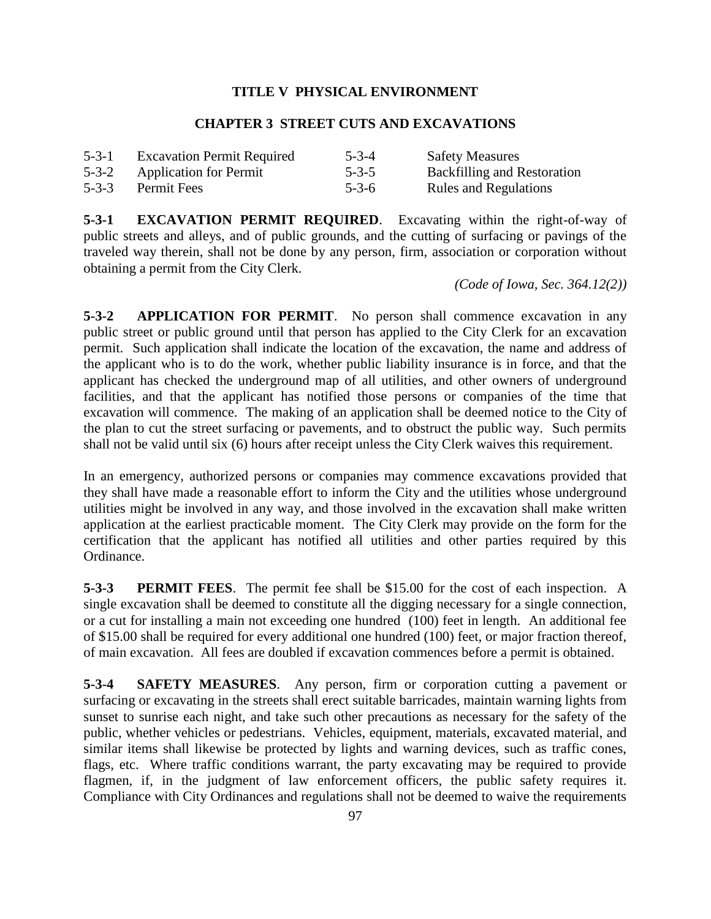## **TITLE V PHYSICAL ENVIRONMENT**

### **CHAPTER 3 STREET CUTS AND EXCAVATIONS**

| $5 - 3 - 1$ | <b>Excavation Permit Required</b> | $5 - 3 - 4$ | <b>Safety Measures</b>             |
|-------------|-----------------------------------|-------------|------------------------------------|
|             | 5-3-2 Application for Permit      | $5 - 3 - 5$ | <b>Backfilling and Restoration</b> |
| $5 - 3 - 3$ | <b>Permit Fees</b>                | $5 - 3 - 6$ | <b>Rules and Regulations</b>       |

**5-3-1 EXCAVATION PERMIT REQUIRED**. Excavating within the right-of-way of public streets and alleys, and of public grounds, and the cutting of surfacing or pavings of the traveled way therein, shall not be done by any person, firm, association or corporation without obtaining a permit from the City Clerk.

*(Code of Iowa, Sec. 364.12(2))*

**5-3-2 APPLICATION FOR PERMIT**. No person shall commence excavation in any public street or public ground until that person has applied to the City Clerk for an excavation permit. Such application shall indicate the location of the excavation, the name and address of the applicant who is to do the work, whether public liability insurance is in force, and that the applicant has checked the underground map of all utilities, and other owners of underground facilities, and that the applicant has notified those persons or companies of the time that excavation will commence. The making of an application shall be deemed notice to the City of the plan to cut the street surfacing or pavements, and to obstruct the public way. Such permits shall not be valid until six (6) hours after receipt unless the City Clerk waives this requirement.

In an emergency, authorized persons or companies may commence excavations provided that they shall have made a reasonable effort to inform the City and the utilities whose underground utilities might be involved in any way, and those involved in the excavation shall make written application at the earliest practicable moment. The City Clerk may provide on the form for the certification that the applicant has notified all utilities and other parties required by this Ordinance.

**5-3-3 PERMIT FEES**. The permit fee shall be \$15.00 for the cost of each inspection. A single excavation shall be deemed to constitute all the digging necessary for a single connection, or a cut for installing a main not exceeding one hundred (100) feet in length. An additional fee of \$15.00 shall be required for every additional one hundred (100) feet, or major fraction thereof, of main excavation. All fees are doubled if excavation commences before a permit is obtained.

**5-3-4 SAFETY MEASURES**. Any person, firm or corporation cutting a pavement or surfacing or excavating in the streets shall erect suitable barricades, maintain warning lights from sunset to sunrise each night, and take such other precautions as necessary for the safety of the public, whether vehicles or pedestrians. Vehicles, equipment, materials, excavated material, and similar items shall likewise be protected by lights and warning devices, such as traffic cones, flags, etc. Where traffic conditions warrant, the party excavating may be required to provide flagmen, if, in the judgment of law enforcement officers, the public safety requires it. Compliance with City Ordinances and regulations shall not be deemed to waive the requirements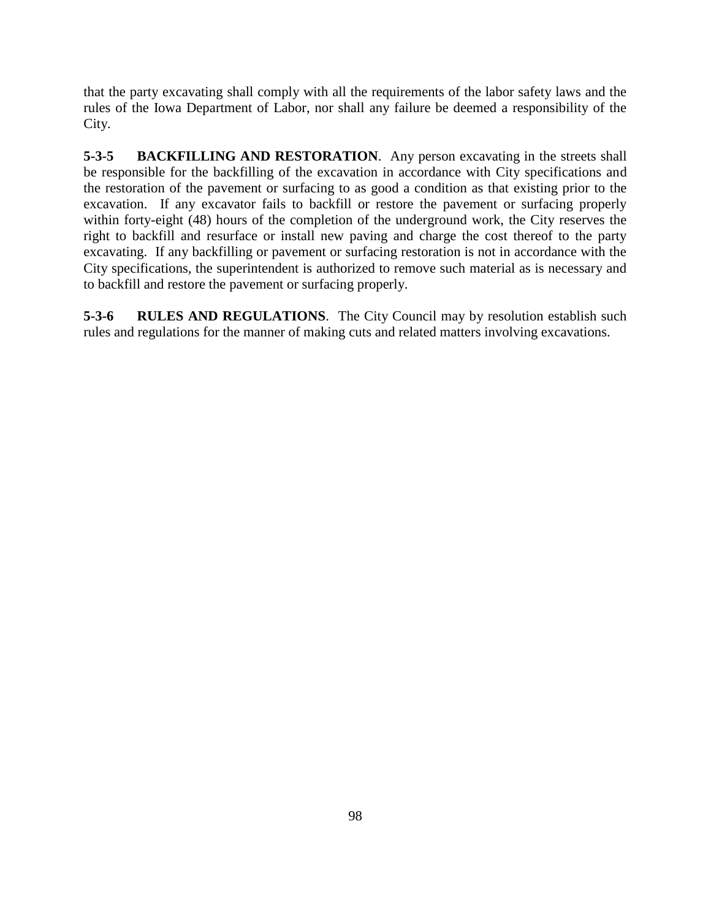that the party excavating shall comply with all the requirements of the labor safety laws and the rules of the Iowa Department of Labor, nor shall any failure be deemed a responsibility of the City.

**5-3-5 BACKFILLING AND RESTORATION**. Any person excavating in the streets shall be responsible for the backfilling of the excavation in accordance with City specifications and the restoration of the pavement or surfacing to as good a condition as that existing prior to the excavation. If any excavator fails to backfill or restore the pavement or surfacing properly within forty-eight (48) hours of the completion of the underground work, the City reserves the right to backfill and resurface or install new paving and charge the cost thereof to the party excavating. If any backfilling or pavement or surfacing restoration is not in accordance with the City specifications, the superintendent is authorized to remove such material as is necessary and to backfill and restore the pavement or surfacing properly.

**5-3-6 RULES AND REGULATIONS**. The City Council may by resolution establish such rules and regulations for the manner of making cuts and related matters involving excavations.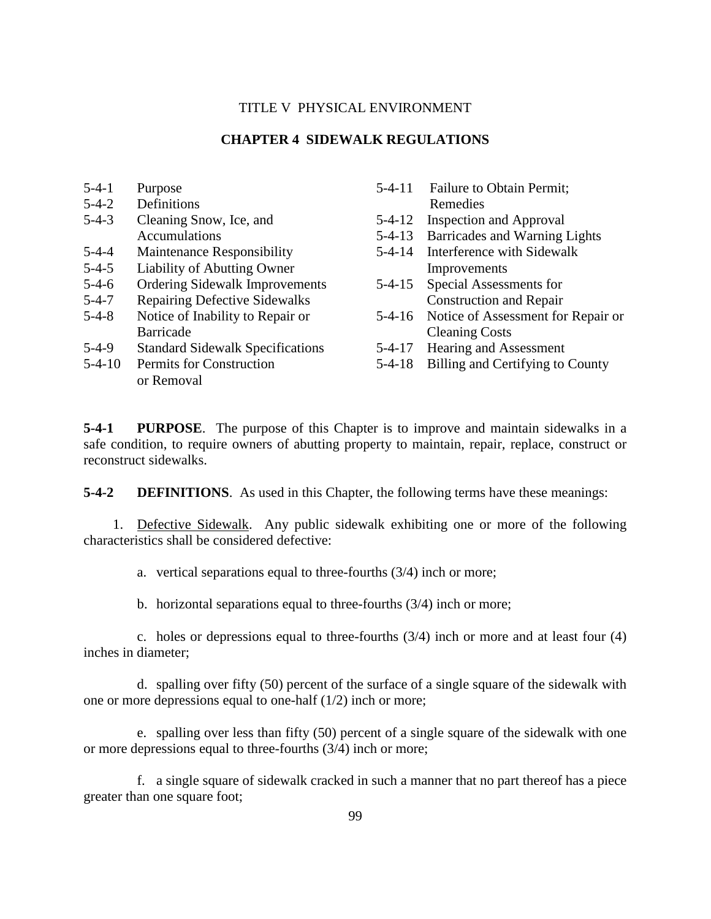## TITLE V PHYSICAL ENVIRONMENT

### **CHAPTER 4 SIDEWALK REGULATIONS**

| $5-4-1$     | Purpose                                 | $5 - 4 - 11$ | <b>Failure to Obtain Permit;</b>   |
|-------------|-----------------------------------------|--------------|------------------------------------|
| $5 - 4 - 2$ | Definitions                             |              | Remedies                           |
| $5-4-3$     | Cleaning Snow, Ice, and                 | $5 - 4 - 12$ | <b>Inspection and Approval</b>     |
|             | <b>Accumulations</b>                    | $5 - 4 - 13$ | Barricades and Warning Lights      |
| $5 - 4 - 4$ | <b>Maintenance Responsibility</b>       | $5 - 4 - 14$ | Interference with Sidewalk         |
| $5-4-5$     | Liability of Abutting Owner             |              | Improvements                       |
| $5 - 4 - 6$ | <b>Ordering Sidewalk Improvements</b>   | $5 - 4 - 15$ | Special Assessments for            |
| $5 - 4 - 7$ | <b>Repairing Defective Sidewalks</b>    |              | <b>Construction and Repair</b>     |
| $5-4-8$     | Notice of Inability to Repair or        | 5-4-16       | Notice of Assessment for Repair or |
|             | <b>Barricade</b>                        |              | <b>Cleaning Costs</b>              |
| 5-4-9       | <b>Standard Sidewalk Specifications</b> | $5 - 4 - 17$ | Hearing and Assessment             |
| $5-4-10$    | Permits for Construction                | $5 - 4 - 18$ | Billing and Certifying to County   |
|             | or Removal                              |              |                                    |
|             |                                         |              |                                    |

**5-4-1 PURPOSE**. The purpose of this Chapter is to improve and maintain sidewalks in a safe condition, to require owners of abutting property to maintain, repair, replace, construct or reconstruct sidewalks.

**5-4-2 DEFINITIONS**. As used in this Chapter, the following terms have these meanings:

1. Defective Sidewalk. Any public sidewalk exhibiting one or more of the following characteristics shall be considered defective:

a. vertical separations equal to three-fourths (3/4) inch or more;

b. horizontal separations equal to three-fourths (3/4) inch or more;

c. holes or depressions equal to three-fourths (3/4) inch or more and at least four (4) inches in diameter;

d. spalling over fifty (50) percent of the surface of a single square of the sidewalk with one or more depressions equal to one-half (1/2) inch or more;

e. spalling over less than fifty (50) percent of a single square of the sidewalk with one or more depressions equal to three-fourths (3/4) inch or more;

f. a single square of sidewalk cracked in such a manner that no part thereof has a piece greater than one square foot;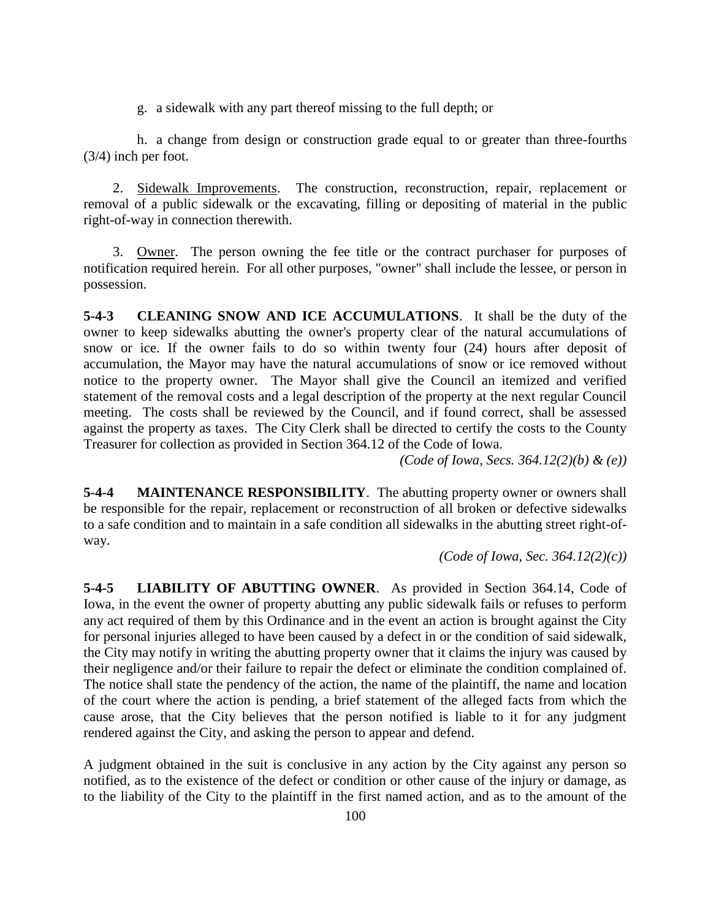g. a sidewalk with any part thereof missing to the full depth; or

h. a change from design or construction grade equal to or greater than three-fourths (3/4) inch per foot.

2. Sidewalk Improvements. The construction, reconstruction, repair, replacement or removal of a public sidewalk or the excavating, filling or depositing of material in the public right-of-way in connection therewith.

3. Owner. The person owning the fee title or the contract purchaser for purposes of notification required herein. For all other purposes, "owner" shall include the lessee, or person in possession.

**5-4-3 CLEANING SNOW AND ICE ACCUMULATIONS**. It shall be the duty of the owner to keep sidewalks abutting the owner's property clear of the natural accumulations of snow or ice. If the owner fails to do so within twenty four (24) hours after deposit of accumulation, the Mayor may have the natural accumulations of snow or ice removed without notice to the property owner. The Mayor shall give the Council an itemized and verified statement of the removal costs and a legal description of the property at the next regular Council meeting. The costs shall be reviewed by the Council, and if found correct, shall be assessed against the property as taxes. The City Clerk shall be directed to certify the costs to the County Treasurer for collection as provided in Section 364.12 of the Code of Iowa.

*(Code of Iowa, Secs. 364.12(2)(b) & (e))*

**5-4-4 MAINTENANCE RESPONSIBILITY**. The abutting property owner or owners shall be responsible for the repair, replacement or reconstruction of all broken or defective sidewalks to a safe condition and to maintain in a safe condition all sidewalks in the abutting street right-ofway.

*(Code of Iowa, Sec. 364.12(2)(c))*

**5-4-5 LIABILITY OF ABUTTING OWNER**. As provided in Section 364.14, Code of Iowa, in the event the owner of property abutting any public sidewalk fails or refuses to perform any act required of them by this Ordinance and in the event an action is brought against the City for personal injuries alleged to have been caused by a defect in or the condition of said sidewalk, the City may notify in writing the abutting property owner that it claims the injury was caused by their negligence and/or their failure to repair the defect or eliminate the condition complained of. The notice shall state the pendency of the action, the name of the plaintiff, the name and location of the court where the action is pending, a brief statement of the alleged facts from which the cause arose, that the City believes that the person notified is liable to it for any judgment rendered against the City, and asking the person to appear and defend.

A judgment obtained in the suit is conclusive in any action by the City against any person so notified, as to the existence of the defect or condition or other cause of the injury or damage, as to the liability of the City to the plaintiff in the first named action, and as to the amount of the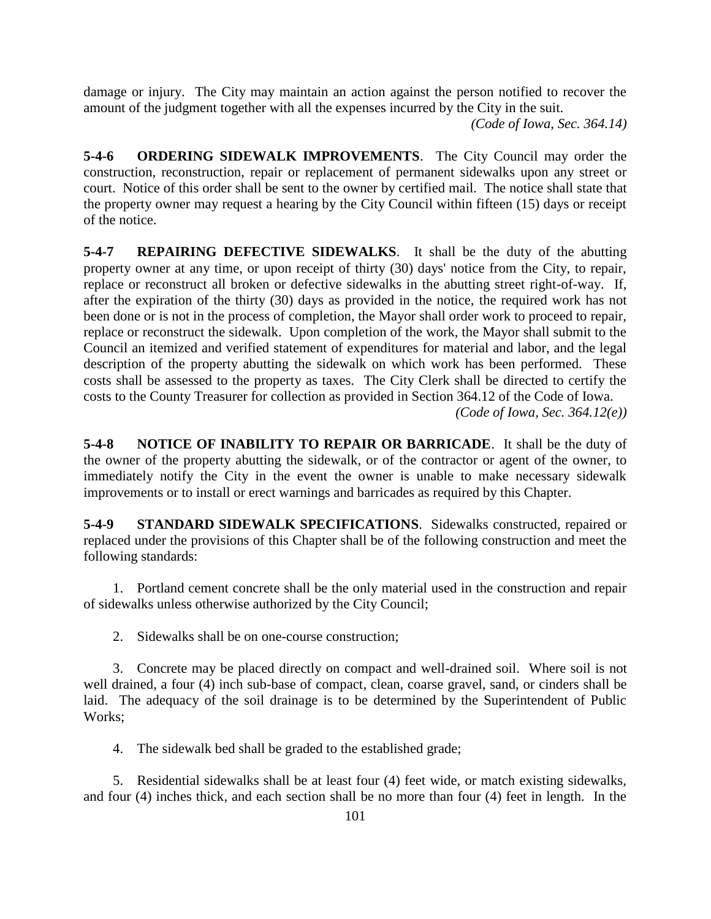damage or injury. The City may maintain an action against the person notified to recover the amount of the judgment together with all the expenses incurred by the City in the suit.

*(Code of Iowa, Sec. 364.14)*

**5-4-6 ORDERING SIDEWALK IMPROVEMENTS**. The City Council may order the construction, reconstruction, repair or replacement of permanent sidewalks upon any street or court. Notice of this order shall be sent to the owner by certified mail. The notice shall state that the property owner may request a hearing by the City Council within fifteen (15) days or receipt of the notice.

**5-4-7 REPAIRING DEFECTIVE SIDEWALKS**. It shall be the duty of the abutting property owner at any time, or upon receipt of thirty (30) days' notice from the City, to repair, replace or reconstruct all broken or defective sidewalks in the abutting street right-of-way. If, after the expiration of the thirty (30) days as provided in the notice, the required work has not been done or is not in the process of completion, the Mayor shall order work to proceed to repair, replace or reconstruct the sidewalk. Upon completion of the work, the Mayor shall submit to the Council an itemized and verified statement of expenditures for material and labor, and the legal description of the property abutting the sidewalk on which work has been performed. These costs shall be assessed to the property as taxes. The City Clerk shall be directed to certify the costs to the County Treasurer for collection as provided in Section 364.12 of the Code of Iowa. *(Code of Iowa, Sec. 364.12(e))*

**5-4-8 NOTICE OF INABILITY TO REPAIR OR BARRICADE**. It shall be the duty of the owner of the property abutting the sidewalk, or of the contractor or agent of the owner, to immediately notify the City in the event the owner is unable to make necessary sidewalk improvements or to install or erect warnings and barricades as required by this Chapter.

**5-4-9 STANDARD SIDEWALK SPECIFICATIONS**. Sidewalks constructed, repaired or replaced under the provisions of this Chapter shall be of the following construction and meet the following standards:

1. Portland cement concrete shall be the only material used in the construction and repair of sidewalks unless otherwise authorized by the City Council;

2. Sidewalks shall be on one-course construction;

3. Concrete may be placed directly on compact and well-drained soil. Where soil is not well drained, a four (4) inch sub-base of compact, clean, coarse gravel, sand, or cinders shall be laid. The adequacy of the soil drainage is to be determined by the Superintendent of Public Works;

4. The sidewalk bed shall be graded to the established grade;

5. Residential sidewalks shall be at least four (4) feet wide, or match existing sidewalks, and four (4) inches thick, and each section shall be no more than four (4) feet in length. In the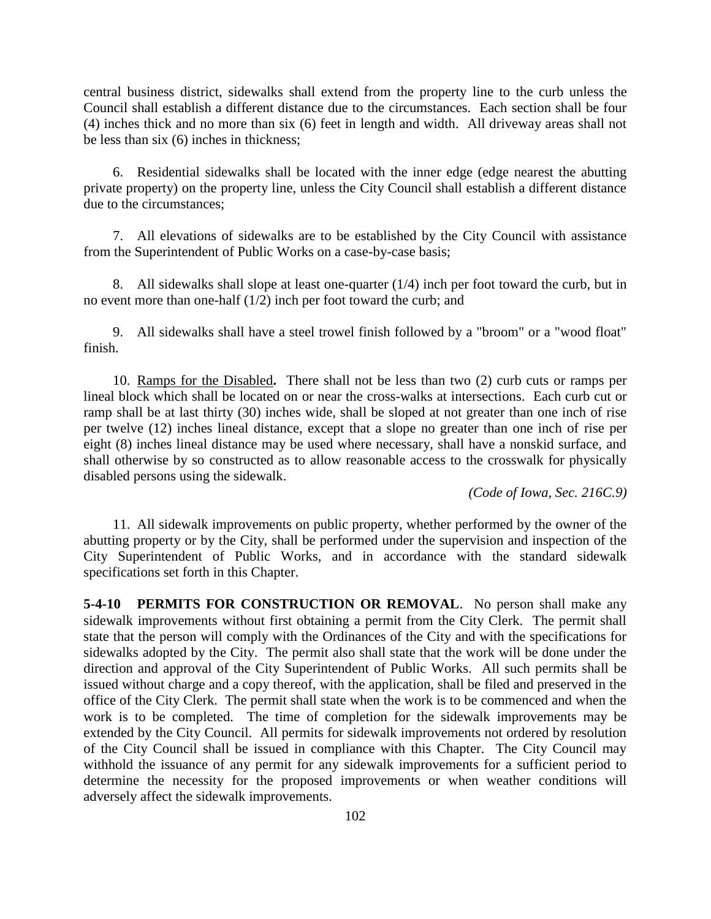central business district, sidewalks shall extend from the property line to the curb unless the Council shall establish a different distance due to the circumstances. Each section shall be four (4) inches thick and no more than six (6) feet in length and width. All driveway areas shall not be less than six (6) inches in thickness;

6. Residential sidewalks shall be located with the inner edge (edge nearest the abutting private property) on the property line, unless the City Council shall establish a different distance due to the circumstances;

7. All elevations of sidewalks are to be established by the City Council with assistance from the Superintendent of Public Works on a case-by-case basis;

8. All sidewalks shall slope at least one-quarter (1/4) inch per foot toward the curb, but in no event more than one-half (1/2) inch per foot toward the curb; and

9. All sidewalks shall have a steel trowel finish followed by a "broom" or a "wood float" finish.

10. Ramps for the Disabled**.** There shall not be less than two (2) curb cuts or ramps per lineal block which shall be located on or near the cross-walks at intersections. Each curb cut or ramp shall be at last thirty (30) inches wide, shall be sloped at not greater than one inch of rise per twelve (12) inches lineal distance, except that a slope no greater than one inch of rise per eight (8) inches lineal distance may be used where necessary, shall have a nonskid surface, and shall otherwise by so constructed as to allow reasonable access to the crosswalk for physically disabled persons using the sidewalk.

*(Code of Iowa, Sec. 216C.9)*

11. All sidewalk improvements on public property, whether performed by the owner of the abutting property or by the City, shall be performed under the supervision and inspection of the City Superintendent of Public Works, and in accordance with the standard sidewalk specifications set forth in this Chapter.

**5-4-10 PERMITS FOR CONSTRUCTION OR REMOVAL**. No person shall make any sidewalk improvements without first obtaining a permit from the City Clerk. The permit shall state that the person will comply with the Ordinances of the City and with the specifications for sidewalks adopted by the City. The permit also shall state that the work will be done under the direction and approval of the City Superintendent of Public Works. All such permits shall be issued without charge and a copy thereof, with the application, shall be filed and preserved in the office of the City Clerk. The permit shall state when the work is to be commenced and when the work is to be completed. The time of completion for the sidewalk improvements may be extended by the City Council. All permits for sidewalk improvements not ordered by resolution of the City Council shall be issued in compliance with this Chapter. The City Council may withhold the issuance of any permit for any sidewalk improvements for a sufficient period to determine the necessity for the proposed improvements or when weather conditions will adversely affect the sidewalk improvements.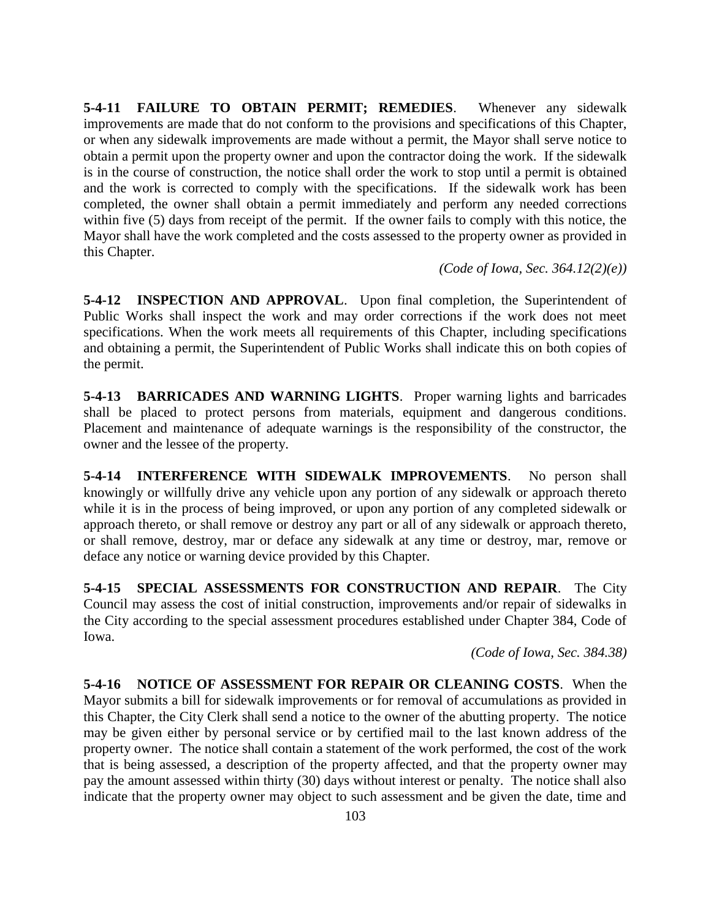**5-4-11 FAILURE TO OBTAIN PERMIT; REMEDIES**. Whenever any sidewalk improvements are made that do not conform to the provisions and specifications of this Chapter, or when any sidewalk improvements are made without a permit, the Mayor shall serve notice to obtain a permit upon the property owner and upon the contractor doing the work. If the sidewalk is in the course of construction, the notice shall order the work to stop until a permit is obtained and the work is corrected to comply with the specifications. If the sidewalk work has been completed, the owner shall obtain a permit immediately and perform any needed corrections within five (5) days from receipt of the permit. If the owner fails to comply with this notice, the Mayor shall have the work completed and the costs assessed to the property owner as provided in this Chapter.

*(Code of Iowa, Sec. 364.12(2)(e))*

**5-4-12 INSPECTION AND APPROVAL**. Upon final completion, the Superintendent of Public Works shall inspect the work and may order corrections if the work does not meet specifications. When the work meets all requirements of this Chapter, including specifications and obtaining a permit, the Superintendent of Public Works shall indicate this on both copies of the permit.

**5-4-13 BARRICADES AND WARNING LIGHTS**. Proper warning lights and barricades shall be placed to protect persons from materials, equipment and dangerous conditions. Placement and maintenance of adequate warnings is the responsibility of the constructor, the owner and the lessee of the property.

**5-4-14 INTERFERENCE WITH SIDEWALK IMPROVEMENTS**. No person shall knowingly or willfully drive any vehicle upon any portion of any sidewalk or approach thereto while it is in the process of being improved, or upon any portion of any completed sidewalk or approach thereto, or shall remove or destroy any part or all of any sidewalk or approach thereto, or shall remove, destroy, mar or deface any sidewalk at any time or destroy, mar, remove or deface any notice or warning device provided by this Chapter.

**5-4-15 SPECIAL ASSESSMENTS FOR CONSTRUCTION AND REPAIR**. The City Council may assess the cost of initial construction, improvements and/or repair of sidewalks in the City according to the special assessment procedures established under Chapter 384, Code of Iowa.

*(Code of Iowa, Sec. 384.38)*

**5-4-16 NOTICE OF ASSESSMENT FOR REPAIR OR CLEANING COSTS**. When the Mayor submits a bill for sidewalk improvements or for removal of accumulations as provided in this Chapter, the City Clerk shall send a notice to the owner of the abutting property. The notice may be given either by personal service or by certified mail to the last known address of the property owner. The notice shall contain a statement of the work performed, the cost of the work that is being assessed, a description of the property affected, and that the property owner may pay the amount assessed within thirty (30) days without interest or penalty. The notice shall also indicate that the property owner may object to such assessment and be given the date, time and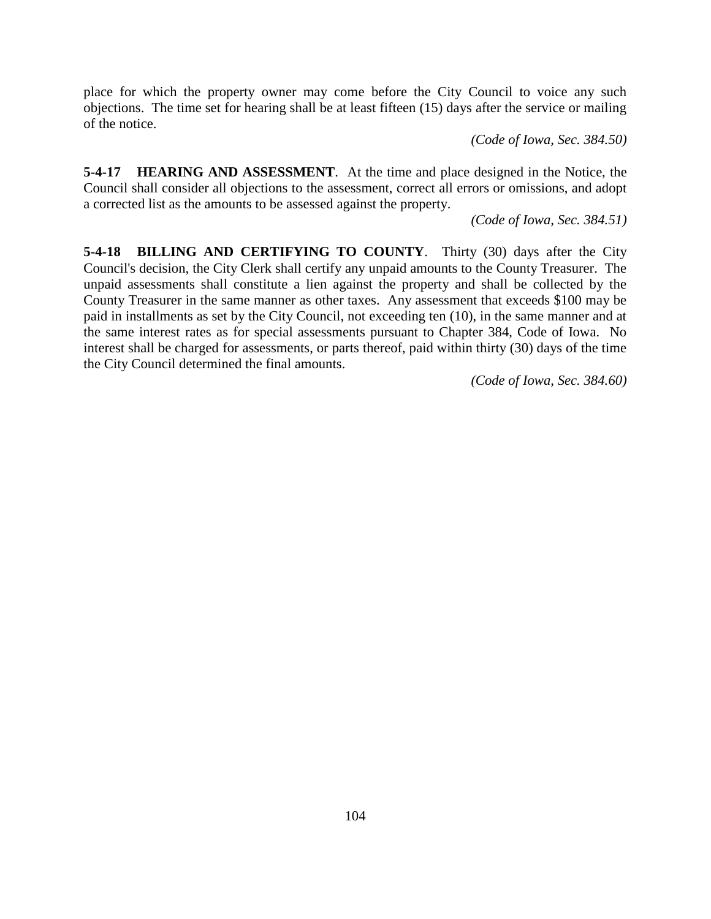place for which the property owner may come before the City Council to voice any such objections. The time set for hearing shall be at least fifteen (15) days after the service or mailing of the notice.

*(Code of Iowa, Sec. 384.50)*

**5-4-17 HEARING AND ASSESSMENT**. At the time and place designed in the Notice, the Council shall consider all objections to the assessment, correct all errors or omissions, and adopt a corrected list as the amounts to be assessed against the property.

*(Code of Iowa, Sec. 384.51)*

**5-4-18 BILLING AND CERTIFYING TO COUNTY**. Thirty (30) days after the City Council's decision, the City Clerk shall certify any unpaid amounts to the County Treasurer. The unpaid assessments shall constitute a lien against the property and shall be collected by the County Treasurer in the same manner as other taxes. Any assessment that exceeds \$100 may be paid in installments as set by the City Council, not exceeding ten (10), in the same manner and at the same interest rates as for special assessments pursuant to Chapter 384, Code of Iowa. No interest shall be charged for assessments, or parts thereof, paid within thirty (30) days of the time the City Council determined the final amounts.

*(Code of Iowa, Sec. 384.60)*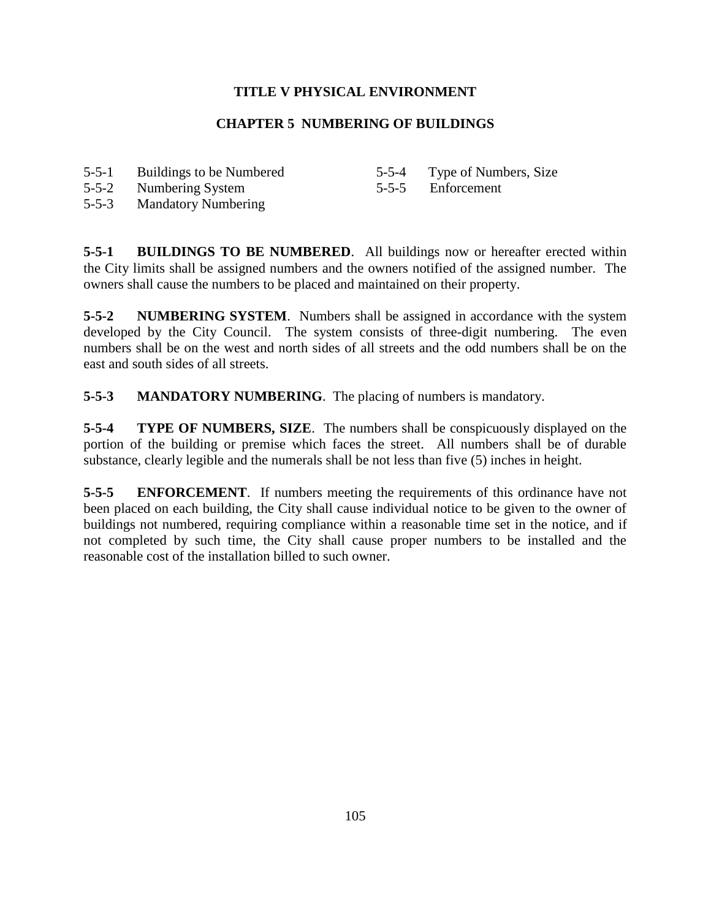# **TITLE V PHYSICAL ENVIRONMENT**

# **CHAPTER 5 NUMBERING OF BUILDINGS**

- 5-5-1 Buildings to be Numbered
- 5-5-4 Type of Numbers, Size

5-5-2 Numbering System

5-5-5 Enforcement

5-5-3 Mandatory Numbering

**5-5-1 BUILDINGS TO BE NUMBERED**. All buildings now or hereafter erected within the City limits shall be assigned numbers and the owners notified of the assigned number. The owners shall cause the numbers to be placed and maintained on their property.

**5-5-2 NUMBERING SYSTEM**. Numbers shall be assigned in accordance with the system developed by the City Council. The system consists of three-digit numbering. The even numbers shall be on the west and north sides of all streets and the odd numbers shall be on the east and south sides of all streets.

**5-5-3 MANDATORY NUMBERING**. The placing of numbers is mandatory.

**5-5-4 TYPE OF NUMBERS, SIZE**. The numbers shall be conspicuously displayed on the portion of the building or premise which faces the street. All numbers shall be of durable substance, clearly legible and the numerals shall be not less than five (5) inches in height.

**5-5-5 ENFORCEMENT**. If numbers meeting the requirements of this ordinance have not been placed on each building, the City shall cause individual notice to be given to the owner of buildings not numbered, requiring compliance within a reasonable time set in the notice, and if not completed by such time, the City shall cause proper numbers to be installed and the reasonable cost of the installation billed to such owner.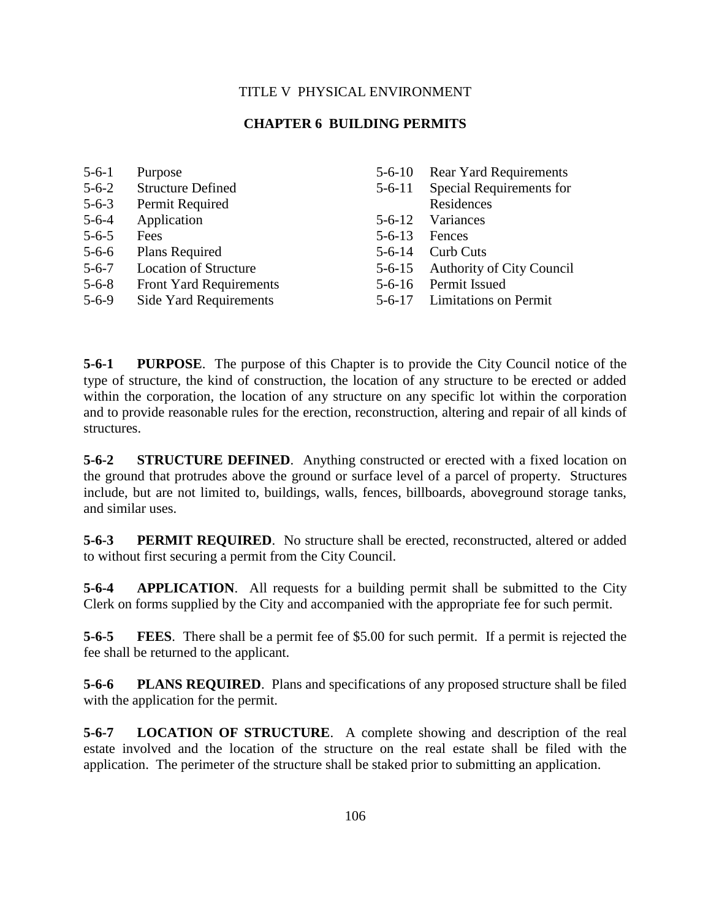## TITLE V PHYSICAL ENVIRONMENT

### **CHAPTER 6 BUILDING PERMITS**

| $5 - 6 - 1$ | Purpose                        | $5 - 6 - 10$ | <b>Rear Yard Requirements</b>    |
|-------------|--------------------------------|--------------|----------------------------------|
| $5 - 6 - 2$ | <b>Structure Defined</b>       | $5 - 6 - 11$ | Special Requirements for         |
| $5 - 6 - 3$ | Permit Required                |              | Residences                       |
| $5 - 6 - 4$ | Application                    | $5 - 6 - 12$ | Variances                        |
| $5 - 6 - 5$ | Fees                           | $5 - 6 - 13$ | Fences                           |
| $5 - 6 - 6$ | Plans Required                 | $5 - 6 - 14$ | <b>Curb Cuts</b>                 |
| $5 - 6 - 7$ | <b>Location of Structure</b>   | $5 - 6 - 15$ | <b>Authority of City Council</b> |
| $5 - 6 - 8$ | <b>Front Yard Requirements</b> | $5 - 6 - 16$ | Permit Issued                    |
| $5 - 6 - 9$ | Side Yard Requirements         | $5 - 6 - 17$ | <b>Limitations on Permit</b>     |

**5-6-1 PURPOSE**. The purpose of this Chapter is to provide the City Council notice of the type of structure, the kind of construction, the location of any structure to be erected or added within the corporation, the location of any structure on any specific lot within the corporation and to provide reasonable rules for the erection, reconstruction, altering and repair of all kinds of structures.

**5-6-2 STRUCTURE DEFINED**. Anything constructed or erected with a fixed location on the ground that protrudes above the ground or surface level of a parcel of property. Structures include, but are not limited to, buildings, walls, fences, billboards, aboveground storage tanks, and similar uses.

**5-6-3 PERMIT REQUIRED**. No structure shall be erected, reconstructed, altered or added to without first securing a permit from the City Council.

**5-6-4 APPLICATION**. All requests for a building permit shall be submitted to the City Clerk on forms supplied by the City and accompanied with the appropriate fee for such permit.

**5-6-5 FEES**. There shall be a permit fee of \$5.00 for such permit. If a permit is rejected the fee shall be returned to the applicant.

**5-6-6 PLANS REQUIRED**. Plans and specifications of any proposed structure shall be filed with the application for the permit.

**5-6-7 LOCATION OF STRUCTURE**. A complete showing and description of the real estate involved and the location of the structure on the real estate shall be filed with the application. The perimeter of the structure shall be staked prior to submitting an application.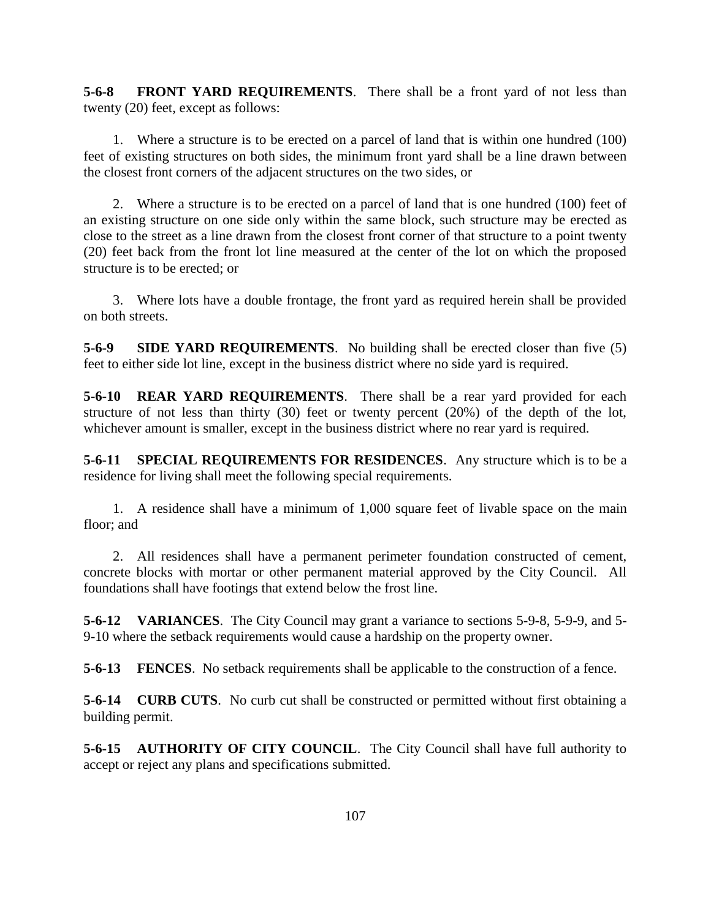**5-6-8 FRONT YARD REQUIREMENTS**. There shall be a front yard of not less than twenty (20) feet, except as follows:

1. Where a structure is to be erected on a parcel of land that is within one hundred (100) feet of existing structures on both sides, the minimum front yard shall be a line drawn between the closest front corners of the adjacent structures on the two sides, or

2. Where a structure is to be erected on a parcel of land that is one hundred (100) feet of an existing structure on one side only within the same block, such structure may be erected as close to the street as a line drawn from the closest front corner of that structure to a point twenty (20) feet back from the front lot line measured at the center of the lot on which the proposed structure is to be erected; or

3. Where lots have a double frontage, the front yard as required herein shall be provided on both streets.

**5-6-9 SIDE YARD REQUIREMENTS**. No building shall be erected closer than five (5) feet to either side lot line, except in the business district where no side yard is required.

**5-6-10 REAR YARD REQUIREMENTS**. There shall be a rear yard provided for each structure of not less than thirty (30) feet or twenty percent (20%) of the depth of the lot, whichever amount is smaller, except in the business district where no rear yard is required.

**5-6-11 SPECIAL REQUIREMENTS FOR RESIDENCES**. Any structure which is to be a residence for living shall meet the following special requirements.

1. A residence shall have a minimum of 1,000 square feet of livable space on the main floor; and

2. All residences shall have a permanent perimeter foundation constructed of cement, concrete blocks with mortar or other permanent material approved by the City Council. All foundations shall have footings that extend below the frost line.

**5-6-12 VARIANCES**. The City Council may grant a variance to sections 5-9-8, 5-9-9, and 5- 9-10 where the setback requirements would cause a hardship on the property owner.

**5-6-13 FENCES**. No setback requirements shall be applicable to the construction of a fence.

**5-6-14 CURB CUTS**. No curb cut shall be constructed or permitted without first obtaining a building permit.

**5-6-15 AUTHORITY OF CITY COUNCIL**. The City Council shall have full authority to accept or reject any plans and specifications submitted.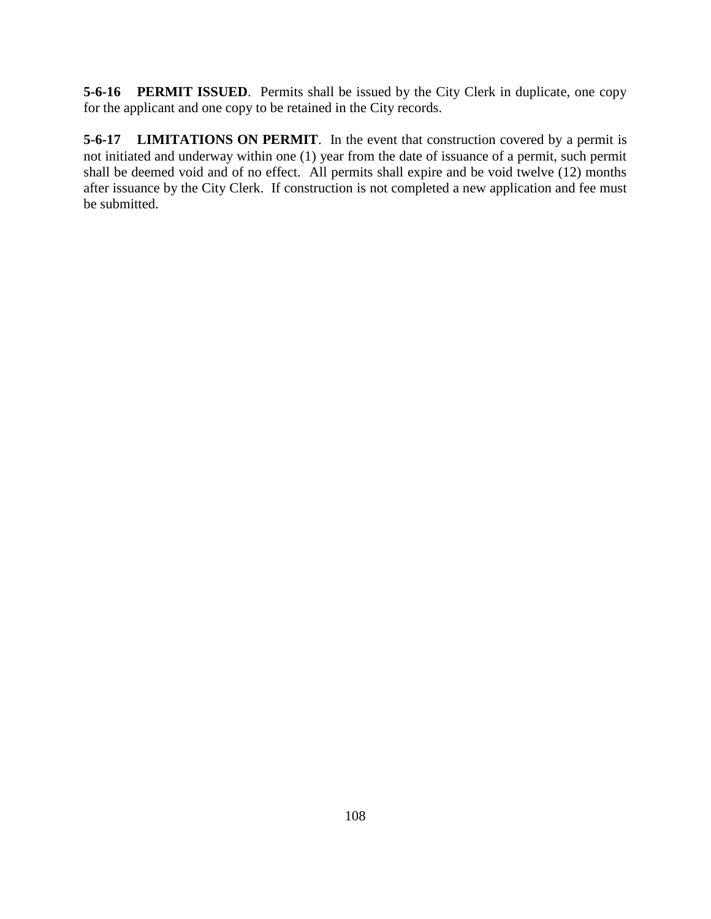**5-6-16 PERMIT ISSUED**. Permits shall be issued by the City Clerk in duplicate, one copy for the applicant and one copy to be retained in the City records.

**5-6-17 LIMITATIONS ON PERMIT**. In the event that construction covered by a permit is not initiated and underway within one (1) year from the date of issuance of a permit, such permit shall be deemed void and of no effect. All permits shall expire and be void twelve (12) months after issuance by the City Clerk. If construction is not completed a new application and fee must be submitted.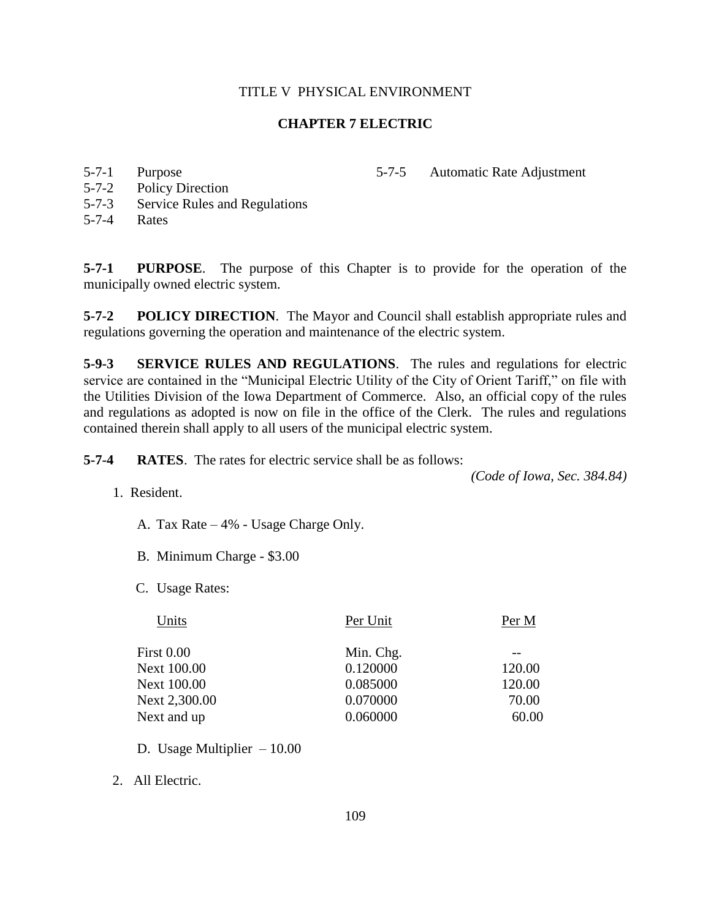### **CHAPTER 7 ELECTRIC**

5-7-1 Purpose

5-7-2 Policy Direction

5-7-5 Automatic Rate Adjustment

- 5-7-3 Service Rules and Regulations
- 5-7-4 Rates

**5-7-1 PURPOSE**. The purpose of this Chapter is to provide for the operation of the municipally owned electric system.

**5-7-2 POLICY DIRECTION**. The Mayor and Council shall establish appropriate rules and regulations governing the operation and maintenance of the electric system.

**5-9-3 SERVICE RULES AND REGULATIONS**. The rules and regulations for electric service are contained in the "Municipal Electric Utility of the City of Orient Tariff," on file with the Utilities Division of the Iowa Department of Commerce. Also, an official copy of the rules and regulations as adopted is now on file in the office of the Clerk. The rules and regulations contained therein shall apply to all users of the municipal electric system.

**5-7-4 RATES**. The rates for electric service shall be as follows:

*(Code of Iowa, Sec. 384.84)*

- 1. Resident.
	- A. Tax Rate 4% Usage Charge Only.
	- B. Minimum Charge \$3.00
	- C. Usage Rates:

| Per Unit  | Per M  |
|-----------|--------|
| Min. Chg. |        |
| 0.120000  | 120.00 |
| 0.085000  | 120.00 |
| 0.070000  | 70.00  |
| 0.060000  | 60.00  |
|           |        |

- D. Usage Multiplier 10.00
- 2. All Electric.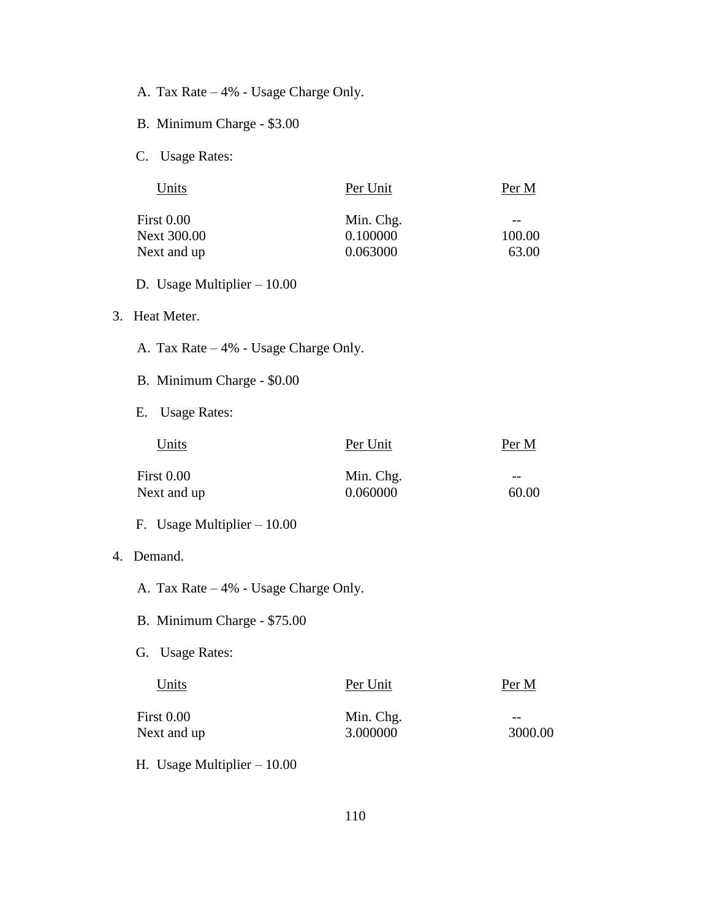- A. Tax Rate 4% Usage Charge Only.
- B. Minimum Charge \$3.00
- C. Usage Rates:

| Units              | Per Unit  | Per M  |
|--------------------|-----------|--------|
| First 0.00         | Min. Chg. |        |
| <b>Next 300.00</b> | 0.100000  | 100.00 |
| Next and up        | 0.063000  | 63.00  |

- D. Usage Multiplier 10.00
- 3. Heat Meter.
	- A. Tax Rate 4% Usage Charge Only.
	- B. Minimum Charge \$0.00
	- E. Usage Rates:

| Units             | Per Unit  | Per M |
|-------------------|-----------|-------|
| <b>First 0.00</b> | Min. Chg. | $- -$ |
| Next and up       | 0.060000  | 60.00 |

F. Usage Multiplier – 10.00

# 4. Demand.

- A. Tax Rate 4% Usage Charge Only.
- B. Minimum Charge \$75.00
- G. Usage Rates:

| Units             | Per Unit  | Per M   |
|-------------------|-----------|---------|
| <b>First 0.00</b> | Min. Chg. | $- -$   |
| Next and up       | 3.000000  | 3000.00 |
|                   |           |         |

H. Usage Multiplier – 10.00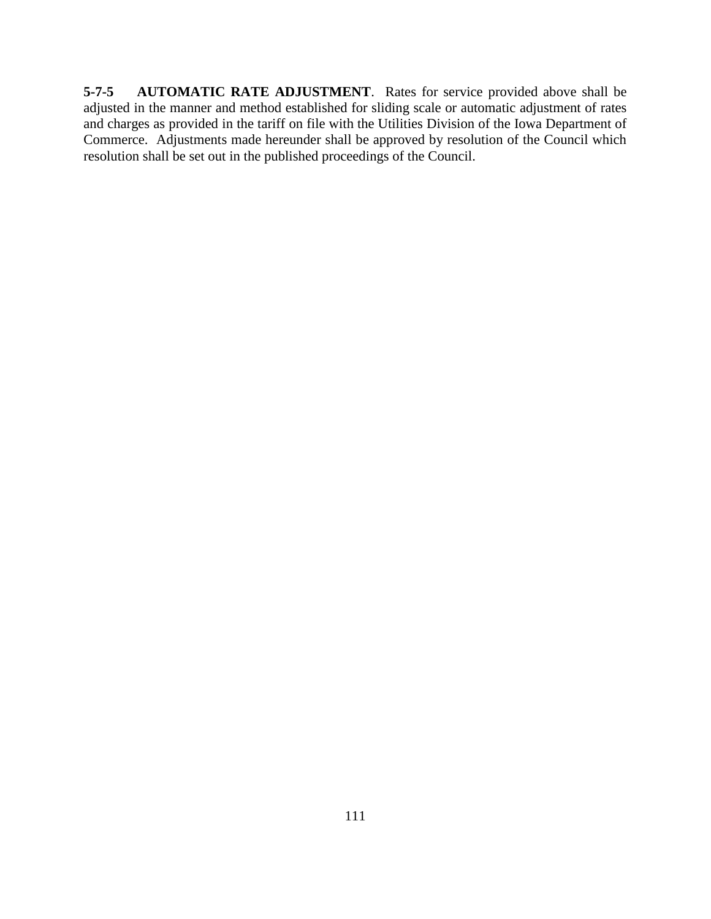**5-7-5 AUTOMATIC RATE ADJUSTMENT**. Rates for service provided above shall be adjusted in the manner and method established for sliding scale or automatic adjustment of rates and charges as provided in the tariff on file with the Utilities Division of the Iowa Department of Commerce. Adjustments made hereunder shall be approved by resolution of the Council which resolution shall be set out in the published proceedings of the Council.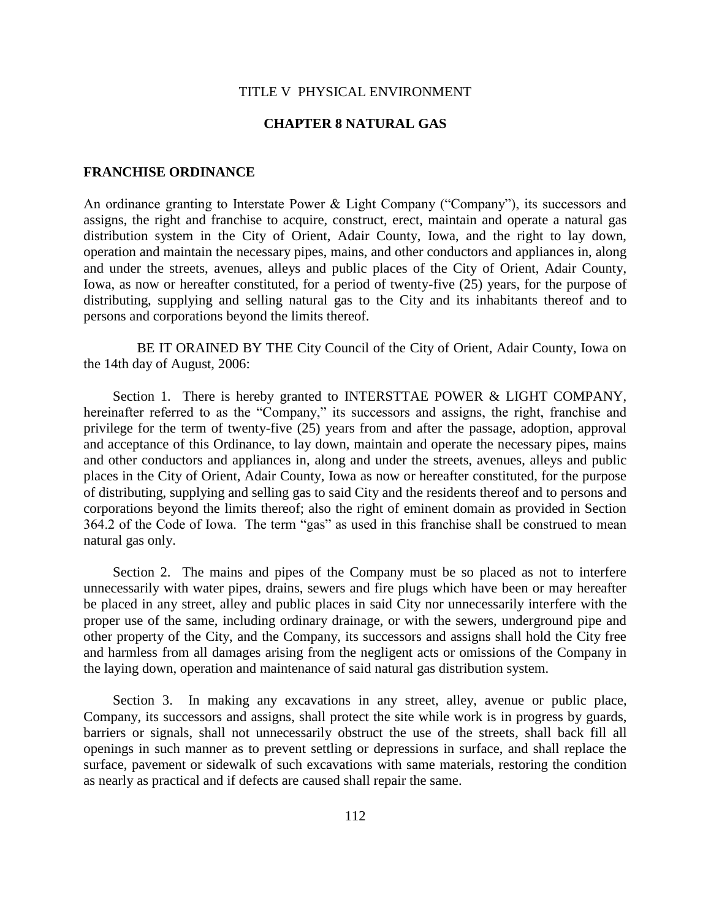#### **CHAPTER 8 NATURAL GAS**

#### **FRANCHISE ORDINANCE**

An ordinance granting to Interstate Power & Light Company ("Company"), its successors and assigns, the right and franchise to acquire, construct, erect, maintain and operate a natural gas distribution system in the City of Orient, Adair County, Iowa, and the right to lay down, operation and maintain the necessary pipes, mains, and other conductors and appliances in, along and under the streets, avenues, alleys and public places of the City of Orient, Adair County, Iowa, as now or hereafter constituted, for a period of twenty-five (25) years, for the purpose of distributing, supplying and selling natural gas to the City and its inhabitants thereof and to persons and corporations beyond the limits thereof.

BE IT ORAINED BY THE City Council of the City of Orient, Adair County, Iowa on the 14th day of August, 2006:

Section 1. There is hereby granted to INTERSTTAE POWER & LIGHT COMPANY, hereinafter referred to as the "Company," its successors and assigns, the right, franchise and privilege for the term of twenty-five (25) years from and after the passage, adoption, approval and acceptance of this Ordinance, to lay down, maintain and operate the necessary pipes, mains and other conductors and appliances in, along and under the streets, avenues, alleys and public places in the City of Orient, Adair County, Iowa as now or hereafter constituted, for the purpose of distributing, supplying and selling gas to said City and the residents thereof and to persons and corporations beyond the limits thereof; also the right of eminent domain as provided in Section 364.2 of the Code of Iowa. The term "gas" as used in this franchise shall be construed to mean natural gas only.

Section 2. The mains and pipes of the Company must be so placed as not to interfere unnecessarily with water pipes, drains, sewers and fire plugs which have been or may hereafter be placed in any street, alley and public places in said City nor unnecessarily interfere with the proper use of the same, including ordinary drainage, or with the sewers, underground pipe and other property of the City, and the Company, its successors and assigns shall hold the City free and harmless from all damages arising from the negligent acts or omissions of the Company in the laying down, operation and maintenance of said natural gas distribution system.

Section 3. In making any excavations in any street, alley, avenue or public place, Company, its successors and assigns, shall protect the site while work is in progress by guards, barriers or signals, shall not unnecessarily obstruct the use of the streets, shall back fill all openings in such manner as to prevent settling or depressions in surface, and shall replace the surface, pavement or sidewalk of such excavations with same materials, restoring the condition as nearly as practical and if defects are caused shall repair the same.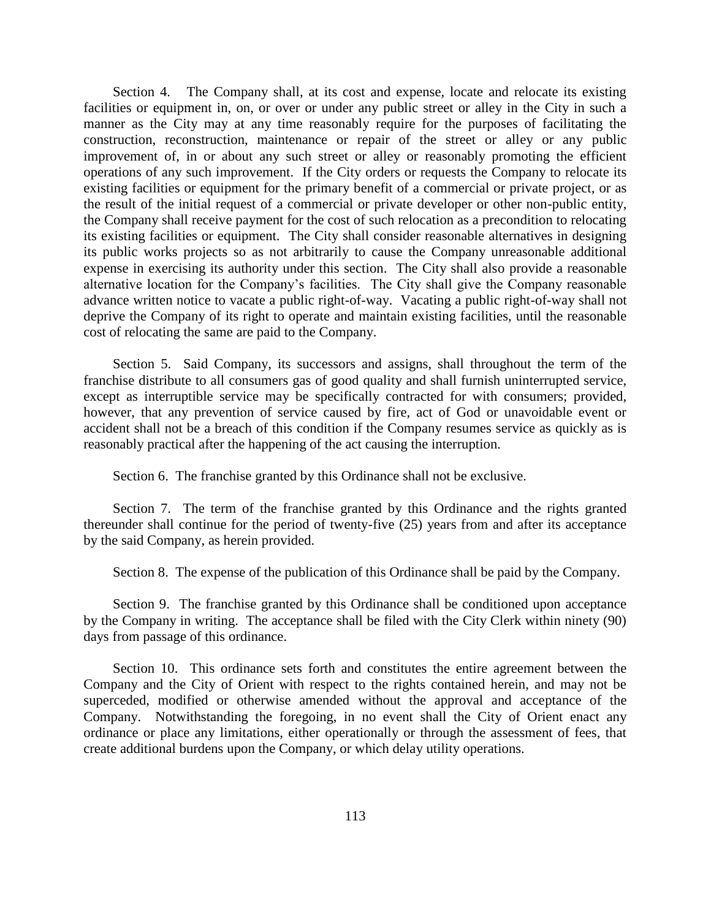Section 4. The Company shall, at its cost and expense, locate and relocate its existing facilities or equipment in, on, or over or under any public street or alley in the City in such a manner as the City may at any time reasonably require for the purposes of facilitating the construction, reconstruction, maintenance or repair of the street or alley or any public improvement of, in or about any such street or alley or reasonably promoting the efficient operations of any such improvement. If the City orders or requests the Company to relocate its existing facilities or equipment for the primary benefit of a commercial or private project, or as the result of the initial request of a commercial or private developer or other non-public entity, the Company shall receive payment for the cost of such relocation as a precondition to relocating its existing facilities or equipment. The City shall consider reasonable alternatives in designing its public works projects so as not arbitrarily to cause the Company unreasonable additional expense in exercising its authority under this section. The City shall also provide a reasonable alternative location for the Company's facilities. The City shall give the Company reasonable advance written notice to vacate a public right-of-way. Vacating a public right-of-way shall not deprive the Company of its right to operate and maintain existing facilities, until the reasonable cost of relocating the same are paid to the Company.

Section 5. Said Company, its successors and assigns, shall throughout the term of the franchise distribute to all consumers gas of good quality and shall furnish uninterrupted service, except as interruptible service may be specifically contracted for with consumers; provided, however, that any prevention of service caused by fire, act of God or unavoidable event or accident shall not be a breach of this condition if the Company resumes service as quickly as is reasonably practical after the happening of the act causing the interruption.

Section 6. The franchise granted by this Ordinance shall not be exclusive.

Section 7. The term of the franchise granted by this Ordinance and the rights granted thereunder shall continue for the period of twenty-five (25) years from and after its acceptance by the said Company, as herein provided.

Section 8. The expense of the publication of this Ordinance shall be paid by the Company.

Section 9. The franchise granted by this Ordinance shall be conditioned upon acceptance by the Company in writing. The acceptance shall be filed with the City Clerk within ninety (90) days from passage of this ordinance.

Section 10. This ordinance sets forth and constitutes the entire agreement between the Company and the City of Orient with respect to the rights contained herein, and may not be superceded, modified or otherwise amended without the approval and acceptance of the Company. Notwithstanding the foregoing, in no event shall the City of Orient enact any ordinance or place any limitations, either operationally or through the assessment of fees, that create additional burdens upon the Company, or which delay utility operations.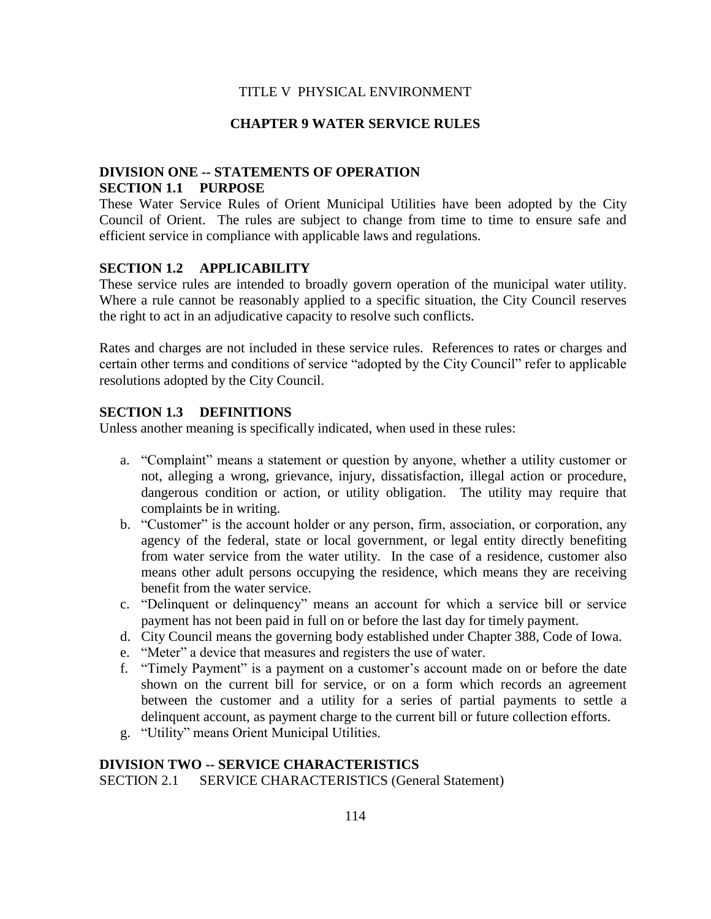### **CHAPTER 9 WATER SERVICE RULES**

## **DIVISION ONE -- STATEMENTS OF OPERATION SECTION 1.1 PURPOSE**

These Water Service Rules of Orient Municipal Utilities have been adopted by the City Council of Orient. The rules are subject to change from time to time to ensure safe and efficient service in compliance with applicable laws and regulations.

## **SECTION 1.2 APPLICABILITY**

These service rules are intended to broadly govern operation of the municipal water utility. Where a rule cannot be reasonably applied to a specific situation, the City Council reserves the right to act in an adjudicative capacity to resolve such conflicts.

Rates and charges are not included in these service rules. References to rates or charges and certain other terms and conditions of service "adopted by the City Council" refer to applicable resolutions adopted by the City Council.

### **SECTION 1.3 DEFINITIONS**

Unless another meaning is specifically indicated, when used in these rules:

- a. "Complaint" means a statement or question by anyone, whether a utility customer or not, alleging a wrong, grievance, injury, dissatisfaction, illegal action or procedure, dangerous condition or action, or utility obligation. The utility may require that complaints be in writing.
- b. "Customer" is the account holder or any person, firm, association, or corporation, any agency of the federal, state or local government, or legal entity directly benefiting from water service from the water utility. In the case of a residence, customer also means other adult persons occupying the residence, which means they are receiving benefit from the water service.
- c. "Delinquent or delinquency" means an account for which a service bill or service payment has not been paid in full on or before the last day for timely payment.
- d. City Council means the governing body established under Chapter 388, Code of Iowa.
- e. "Meter" a device that measures and registers the use of water.
- f. "Timely Payment" is a payment on a customer's account made on or before the date shown on the current bill for service, or on a form which records an agreement between the customer and a utility for a series of partial payments to settle a delinquent account, as payment charge to the current bill or future collection efforts.
- g. "Utility" means Orient Municipal Utilities.

### **DIVISION TWO -- SERVICE CHARACTERISTICS**

SECTION 2.1 SERVICE CHARACTERISTICS (General Statement)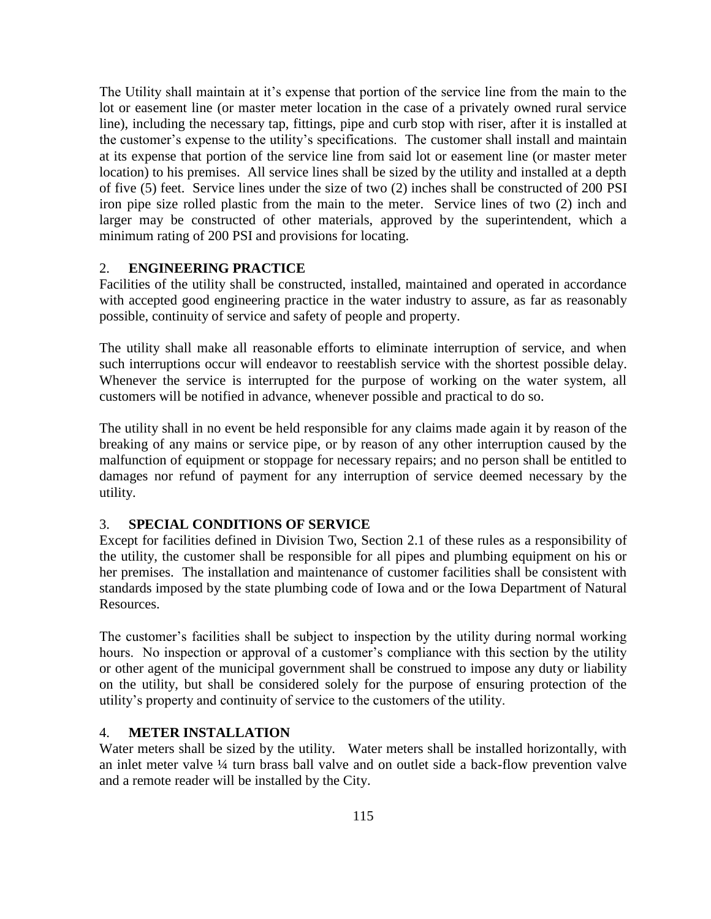The Utility shall maintain at it's expense that portion of the service line from the main to the lot or easement line (or master meter location in the case of a privately owned rural service line), including the necessary tap, fittings, pipe and curb stop with riser, after it is installed at the customer's expense to the utility's specifications. The customer shall install and maintain at its expense that portion of the service line from said lot or easement line (or master meter location) to his premises. All service lines shall be sized by the utility and installed at a depth of five (5) feet. Service lines under the size of two (2) inches shall be constructed of 200 PSI iron pipe size rolled plastic from the main to the meter. Service lines of two (2) inch and larger may be constructed of other materials, approved by the superintendent, which a minimum rating of 200 PSI and provisions for locating.

## 2. **ENGINEERING PRACTICE**

Facilities of the utility shall be constructed, installed, maintained and operated in accordance with accepted good engineering practice in the water industry to assure, as far as reasonably possible, continuity of service and safety of people and property.

The utility shall make all reasonable efforts to eliminate interruption of service, and when such interruptions occur will endeavor to reestablish service with the shortest possible delay. Whenever the service is interrupted for the purpose of working on the water system, all customers will be notified in advance, whenever possible and practical to do so.

The utility shall in no event be held responsible for any claims made again it by reason of the breaking of any mains or service pipe, or by reason of any other interruption caused by the malfunction of equipment or stoppage for necessary repairs; and no person shall be entitled to damages nor refund of payment for any interruption of service deemed necessary by the utility.

### 3. **SPECIAL CONDITIONS OF SERVICE**

Except for facilities defined in Division Two, Section 2.1 of these rules as a responsibility of the utility, the customer shall be responsible for all pipes and plumbing equipment on his or her premises. The installation and maintenance of customer facilities shall be consistent with standards imposed by the state plumbing code of Iowa and or the Iowa Department of Natural Resources.

The customer's facilities shall be subject to inspection by the utility during normal working hours. No inspection or approval of a customer's compliance with this section by the utility or other agent of the municipal government shall be construed to impose any duty or liability on the utility, but shall be considered solely for the purpose of ensuring protection of the utility's property and continuity of service to the customers of the utility.

### 4. **METER INSTALLATION**

Water meters shall be sized by the utility. Water meters shall be installed horizontally, with an inlet meter valve ¼ turn brass ball valve and on outlet side a back-flow prevention valve and a remote reader will be installed by the City.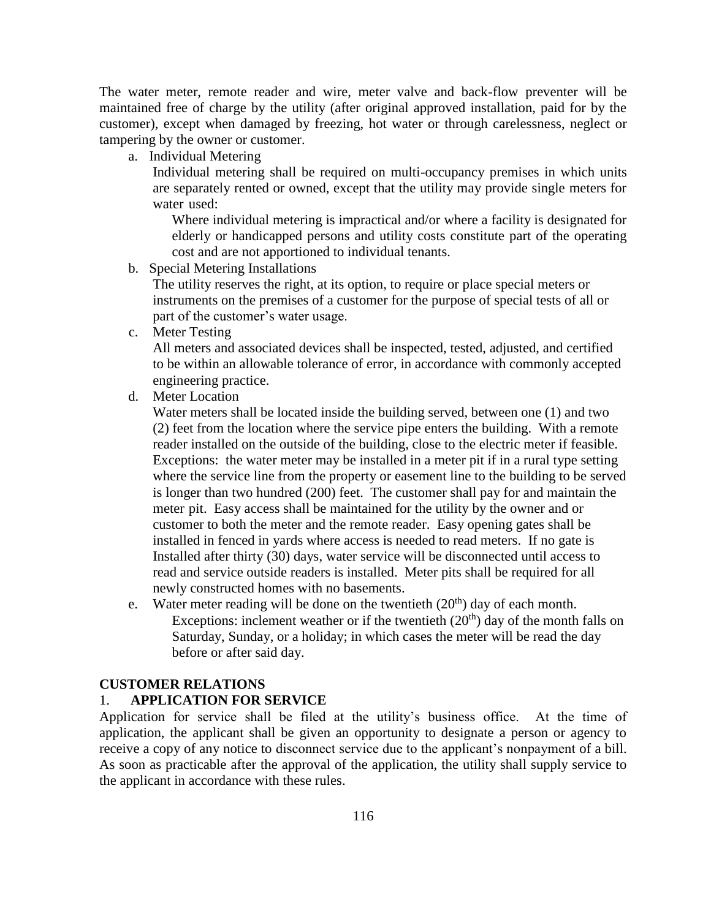The water meter, remote reader and wire, meter valve and back-flow preventer will be maintained free of charge by the utility (after original approved installation, paid for by the customer), except when damaged by freezing, hot water or through carelessness, neglect or tampering by the owner or customer.

a. Individual Metering

Individual metering shall be required on multi-occupancy premises in which units are separately rented or owned, except that the utility may provide single meters for water used:

Where individual metering is impractical and/or where a facility is designated for elderly or handicapped persons and utility costs constitute part of the operating cost and are not apportioned to individual tenants.

b. Special Metering Installations

The utility reserves the right, at its option, to require or place special meters or instruments on the premises of a customer for the purpose of special tests of all or part of the customer's water usage.

c. Meter Testing

All meters and associated devices shall be inspected, tested, adjusted, and certified to be within an allowable tolerance of error, in accordance with commonly accepted engineering practice.

d. Meter Location

Water meters shall be located inside the building served, between one (1) and two (2) feet from the location where the service pipe enters the building. With a remote reader installed on the outside of the building, close to the electric meter if feasible. Exceptions: the water meter may be installed in a meter pit if in a rural type setting where the service line from the property or easement line to the building to be served is longer than two hundred (200) feet. The customer shall pay for and maintain the meter pit. Easy access shall be maintained for the utility by the owner and or customer to both the meter and the remote reader. Easy opening gates shall be installed in fenced in yards where access is needed to read meters. If no gate is Installed after thirty (30) days, water service will be disconnected until access to read and service outside readers is installed. Meter pits shall be required for all newly constructed homes with no basements.

e. Water meter reading will be done on the twentieth  $(20<sup>th</sup>)$  day of each month. Exceptions: inclement weather or if the twentieth  $(20<sup>th</sup>)$  day of the month falls on Saturday, Sunday, or a holiday; in which cases the meter will be read the day before or after said day.

### **CUSTOMER RELATIONS**

### 1. **APPLICATION FOR SERVICE**

Application for service shall be filed at the utility's business office. At the time of application, the applicant shall be given an opportunity to designate a person or agency to receive a copy of any notice to disconnect service due to the applicant's nonpayment of a bill. As soon as practicable after the approval of the application, the utility shall supply service to the applicant in accordance with these rules.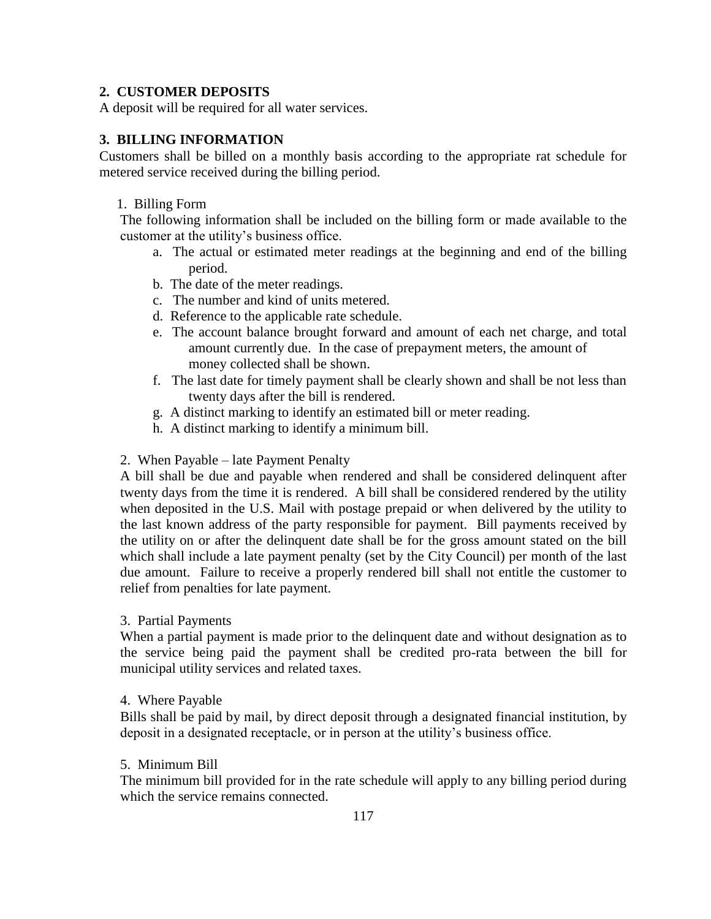## **2. CUSTOMER DEPOSITS**

A deposit will be required for all water services.

# **3. BILLING INFORMATION**

Customers shall be billed on a monthly basis according to the appropriate rat schedule for metered service received during the billing period.

### 1. Billing Form

The following information shall be included on the billing form or made available to the customer at the utility's business office.

- a. The actual or estimated meter readings at the beginning and end of the billing period.
- b. The date of the meter readings.
- c. The number and kind of units metered.
- d. Reference to the applicable rate schedule.
- e. The account balance brought forward and amount of each net charge, and total amount currently due. In the case of prepayment meters, the amount of money collected shall be shown.
- f. The last date for timely payment shall be clearly shown and shall be not less than twenty days after the bill is rendered.
- g. A distinct marking to identify an estimated bill or meter reading.
- h. A distinct marking to identify a minimum bill.

### 2. When Payable – late Payment Penalty

A bill shall be due and payable when rendered and shall be considered delinquent after twenty days from the time it is rendered. A bill shall be considered rendered by the utility when deposited in the U.S. Mail with postage prepaid or when delivered by the utility to the last known address of the party responsible for payment. Bill payments received by the utility on or after the delinquent date shall be for the gross amount stated on the bill which shall include a late payment penalty (set by the City Council) per month of the last due amount. Failure to receive a properly rendered bill shall not entitle the customer to relief from penalties for late payment.

### 3. Partial Payments

When a partial payment is made prior to the delinquent date and without designation as to the service being paid the payment shall be credited pro-rata between the bill for municipal utility services and related taxes.

### 4. Where Payable

Bills shall be paid by mail, by direct deposit through a designated financial institution, by deposit in a designated receptacle, or in person at the utility's business office.

### 5. Minimum Bill

The minimum bill provided for in the rate schedule will apply to any billing period during which the service remains connected.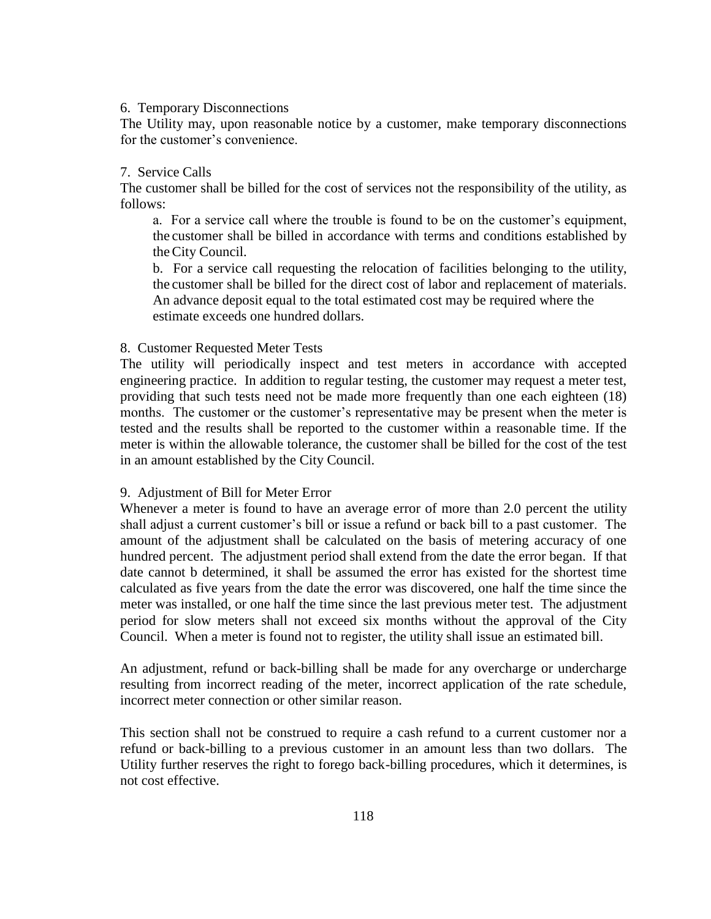### 6. Temporary Disconnections

The Utility may, upon reasonable notice by a customer, make temporary disconnections for the customer's convenience.

### 7. Service Calls

The customer shall be billed for the cost of services not the responsibility of the utility, as follows:

a. For a service call where the trouble is found to be on the customer's equipment, the customer shall be billed in accordance with terms and conditions established by theCity Council.

b. For a service call requesting the relocation of facilities belonging to the utility, the customer shall be billed for the direct cost of labor and replacement of materials. An advance deposit equal to the total estimated cost may be required where the estimate exceeds one hundred dollars.

#### 8. Customer Requested Meter Tests

The utility will periodically inspect and test meters in accordance with accepted engineering practice. In addition to regular testing, the customer may request a meter test, providing that such tests need not be made more frequently than one each eighteen (18) months. The customer or the customer's representative may be present when the meter is tested and the results shall be reported to the customer within a reasonable time. If the meter is within the allowable tolerance, the customer shall be billed for the cost of the test in an amount established by the City Council.

#### 9. Adjustment of Bill for Meter Error

Whenever a meter is found to have an average error of more than 2.0 percent the utility shall adjust a current customer's bill or issue a refund or back bill to a past customer. The amount of the adjustment shall be calculated on the basis of metering accuracy of one hundred percent. The adjustment period shall extend from the date the error began. If that date cannot b determined, it shall be assumed the error has existed for the shortest time calculated as five years from the date the error was discovered, one half the time since the meter was installed, or one half the time since the last previous meter test. The adjustment period for slow meters shall not exceed six months without the approval of the City Council. When a meter is found not to register, the utility shall issue an estimated bill.

An adjustment, refund or back-billing shall be made for any overcharge or undercharge resulting from incorrect reading of the meter, incorrect application of the rate schedule, incorrect meter connection or other similar reason.

This section shall not be construed to require a cash refund to a current customer nor a refund or back-billing to a previous customer in an amount less than two dollars. The Utility further reserves the right to forego back-billing procedures, which it determines, is not cost effective.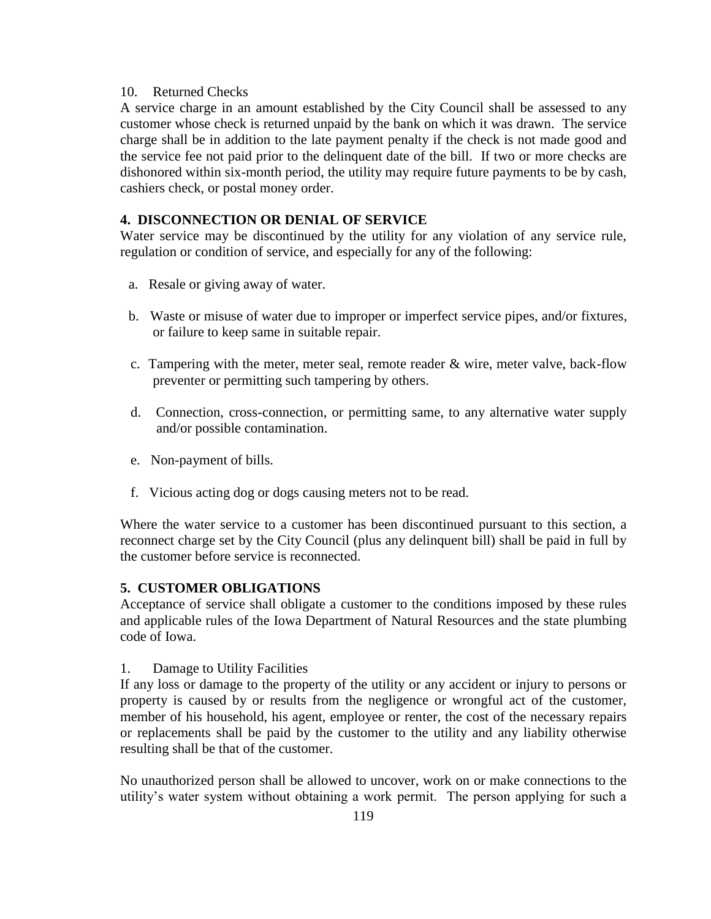### 10. Returned Checks

A service charge in an amount established by the City Council shall be assessed to any customer whose check is returned unpaid by the bank on which it was drawn. The service charge shall be in addition to the late payment penalty if the check is not made good and the service fee not paid prior to the delinquent date of the bill. If two or more checks are dishonored within six-month period, the utility may require future payments to be by cash, cashiers check, or postal money order.

### **4. DISCONNECTION OR DENIAL OF SERVICE**

Water service may be discontinued by the utility for any violation of any service rule, regulation or condition of service, and especially for any of the following:

- a. Resale or giving away of water.
- b. Waste or misuse of water due to improper or imperfect service pipes, and/or fixtures, or failure to keep same in suitable repair.
- c. Tampering with the meter, meter seal, remote reader  $\&$  wire, meter valve, back-flow preventer or permitting such tampering by others.
- d. Connection, cross-connection, or permitting same, to any alternative water supply and/or possible contamination.
- e. Non-payment of bills.
- f. Vicious acting dog or dogs causing meters not to be read.

Where the water service to a customer has been discontinued pursuant to this section, a reconnect charge set by the City Council (plus any delinquent bill) shall be paid in full by the customer before service is reconnected.

### **5. CUSTOMER OBLIGATIONS**

Acceptance of service shall obligate a customer to the conditions imposed by these rules and applicable rules of the Iowa Department of Natural Resources and the state plumbing code of Iowa.

1. Damage to Utility Facilities

If any loss or damage to the property of the utility or any accident or injury to persons or property is caused by or results from the negligence or wrongful act of the customer, member of his household, his agent, employee or renter, the cost of the necessary repairs or replacements shall be paid by the customer to the utility and any liability otherwise resulting shall be that of the customer.

No unauthorized person shall be allowed to uncover, work on or make connections to the utility's water system without obtaining a work permit. The person applying for such a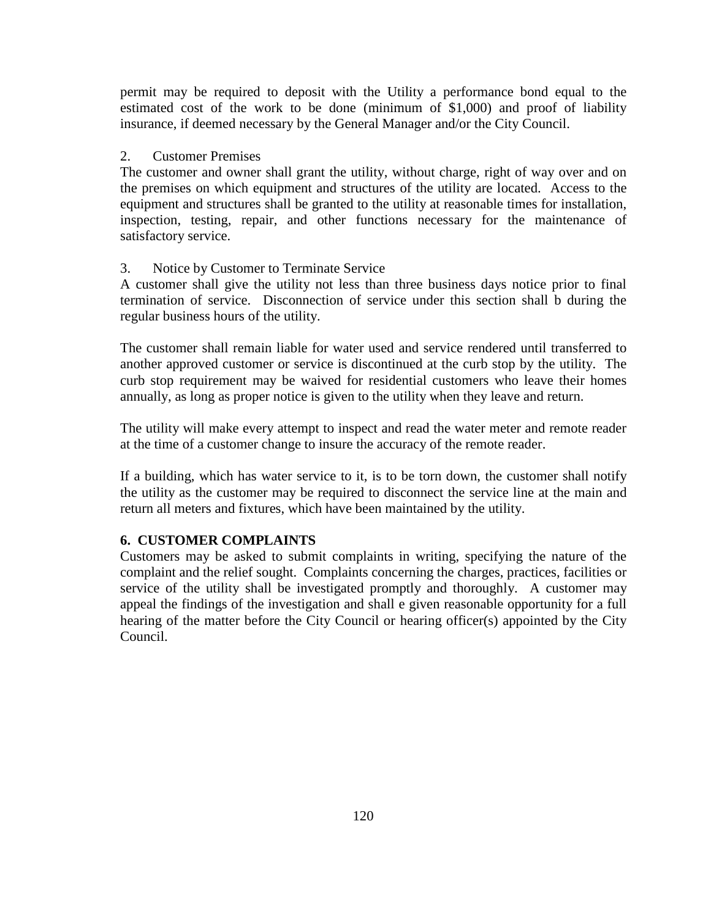permit may be required to deposit with the Utility a performance bond equal to the estimated cost of the work to be done (minimum of \$1,000) and proof of liability insurance, if deemed necessary by the General Manager and/or the City Council.

### 2. Customer Premises

The customer and owner shall grant the utility, without charge, right of way over and on the premises on which equipment and structures of the utility are located. Access to the equipment and structures shall be granted to the utility at reasonable times for installation, inspection, testing, repair, and other functions necessary for the maintenance of satisfactory service.

### 3. Notice by Customer to Terminate Service

A customer shall give the utility not less than three business days notice prior to final termination of service. Disconnection of service under this section shall b during the regular business hours of the utility.

The customer shall remain liable for water used and service rendered until transferred to another approved customer or service is discontinued at the curb stop by the utility. The curb stop requirement may be waived for residential customers who leave their homes annually, as long as proper notice is given to the utility when they leave and return.

The utility will make every attempt to inspect and read the water meter and remote reader at the time of a customer change to insure the accuracy of the remote reader.

If a building, which has water service to it, is to be torn down, the customer shall notify the utility as the customer may be required to disconnect the service line at the main and return all meters and fixtures, which have been maintained by the utility.

### **6. CUSTOMER COMPLAINTS**

Customers may be asked to submit complaints in writing, specifying the nature of the complaint and the relief sought. Complaints concerning the charges, practices, facilities or service of the utility shall be investigated promptly and thoroughly. A customer may appeal the findings of the investigation and shall e given reasonable opportunity for a full hearing of the matter before the City Council or hearing officer(s) appointed by the City Council.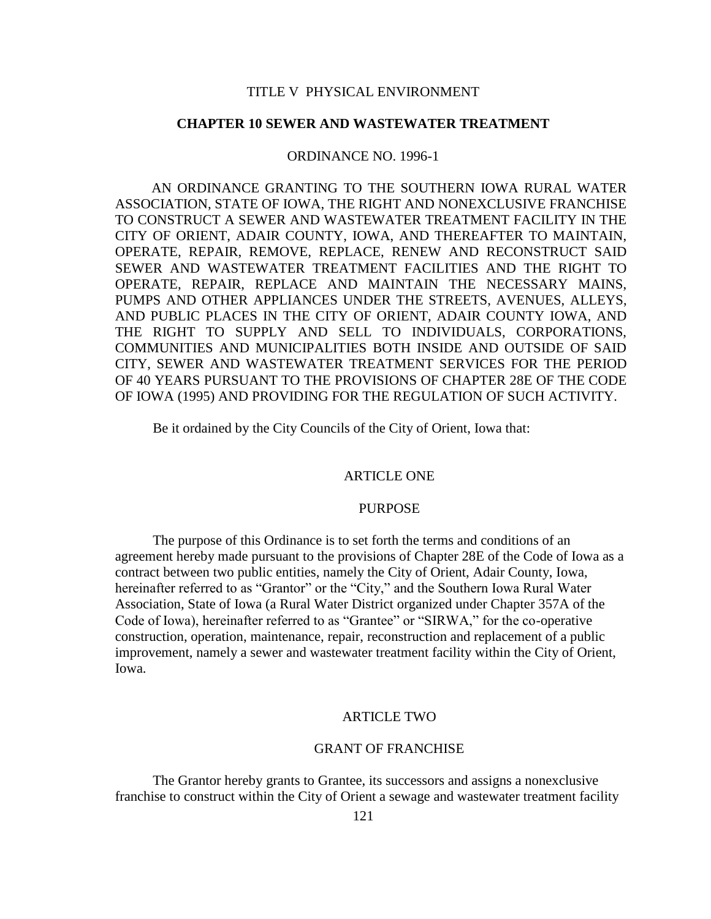### **CHAPTER 10 SEWER AND WASTEWATER TREATMENT**

#### ORDINANCE NO. 1996-1

AN ORDINANCE GRANTING TO THE SOUTHERN IOWA RURAL WATER ASSOCIATION, STATE OF IOWA, THE RIGHT AND NONEXCLUSIVE FRANCHISE TO CONSTRUCT A SEWER AND WASTEWATER TREATMENT FACILITY IN THE CITY OF ORIENT, ADAIR COUNTY, IOWA, AND THEREAFTER TO MAINTAIN, OPERATE, REPAIR, REMOVE, REPLACE, RENEW AND RECONSTRUCT SAID SEWER AND WASTEWATER TREATMENT FACILITIES AND THE RIGHT TO OPERATE, REPAIR, REPLACE AND MAINTAIN THE NECESSARY MAINS, PUMPS AND OTHER APPLIANCES UNDER THE STREETS, AVENUES, ALLEYS, AND PUBLIC PLACES IN THE CITY OF ORIENT, ADAIR COUNTY IOWA, AND THE RIGHT TO SUPPLY AND SELL TO INDIVIDUALS, CORPORATIONS, COMMUNITIES AND MUNICIPALITIES BOTH INSIDE AND OUTSIDE OF SAID CITY, SEWER AND WASTEWATER TREATMENT SERVICES FOR THE PERIOD OF 40 YEARS PURSUANT TO THE PROVISIONS OF CHAPTER 28E OF THE CODE OF IOWA (1995) AND PROVIDING FOR THE REGULATION OF SUCH ACTIVITY.

Be it ordained by the City Councils of the City of Orient, Iowa that:

#### ARTICLE ONE

#### PURPOSE

The purpose of this Ordinance is to set forth the terms and conditions of an agreement hereby made pursuant to the provisions of Chapter 28E of the Code of Iowa as a contract between two public entities, namely the City of Orient, Adair County, Iowa, hereinafter referred to as "Grantor" or the "City," and the Southern Iowa Rural Water Association, State of Iowa (a Rural Water District organized under Chapter 357A of the Code of Iowa), hereinafter referred to as "Grantee" or "SIRWA," for the co-operative construction, operation, maintenance, repair, reconstruction and replacement of a public improvement, namely a sewer and wastewater treatment facility within the City of Orient, Iowa.

#### ARTICLE TWO

#### GRANT OF FRANCHISE

The Grantor hereby grants to Grantee, its successors and assigns a nonexclusive franchise to construct within the City of Orient a sewage and wastewater treatment facility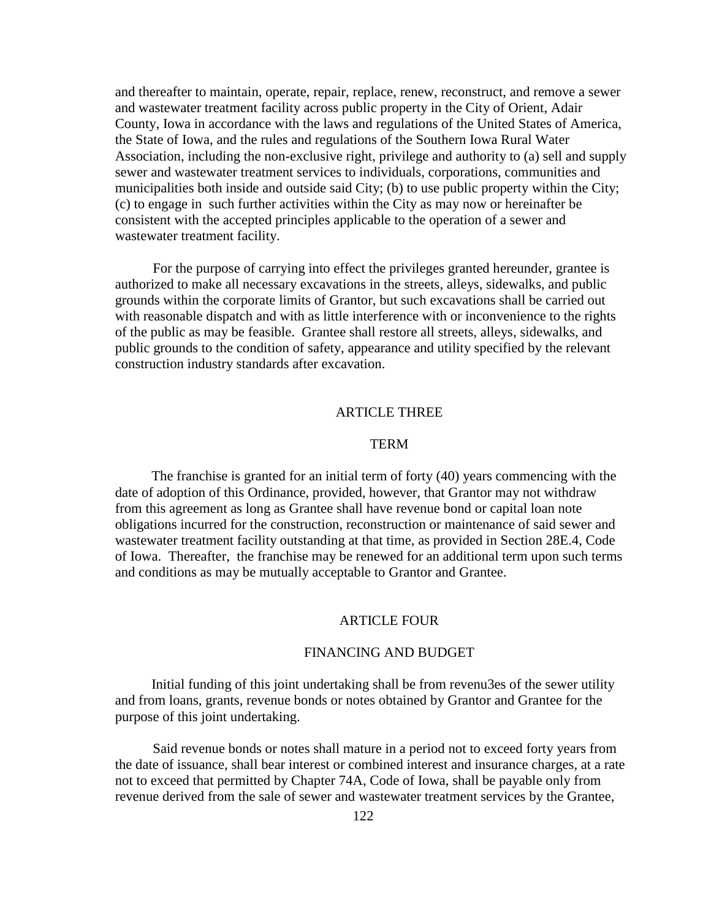and thereafter to maintain, operate, repair, replace, renew, reconstruct, and remove a sewer and wastewater treatment facility across public property in the City of Orient, Adair County, Iowa in accordance with the laws and regulations of the United States of America, the State of Iowa, and the rules and regulations of the Southern Iowa Rural Water Association, including the non-exclusive right, privilege and authority to (a) sell and supply sewer and wastewater treatment services to individuals, corporations, communities and municipalities both inside and outside said City; (b) to use public property within the City; (c) to engage in such further activities within the City as may now or hereinafter be consistent with the accepted principles applicable to the operation of a sewer and wastewater treatment facility.

For the purpose of carrying into effect the privileges granted hereunder, grantee is authorized to make all necessary excavations in the streets, alleys, sidewalks, and public grounds within the corporate limits of Grantor, but such excavations shall be carried out with reasonable dispatch and with as little interference with or inconvenience to the rights of the public as may be feasible. Grantee shall restore all streets, alleys, sidewalks, and public grounds to the condition of safety, appearance and utility specified by the relevant construction industry standards after excavation.

#### ARTICLE THREE

#### TERM

The franchise is granted for an initial term of forty (40) years commencing with the date of adoption of this Ordinance, provided, however, that Grantor may not withdraw from this agreement as long as Grantee shall have revenue bond or capital loan note obligations incurred for the construction, reconstruction or maintenance of said sewer and wastewater treatment facility outstanding at that time, as provided in Section 28E.4, Code of Iowa. Thereafter, the franchise may be renewed for an additional term upon such terms and conditions as may be mutually acceptable to Grantor and Grantee.

#### ARTICLE FOUR

#### FINANCING AND BUDGET

Initial funding of this joint undertaking shall be from revenu3es of the sewer utility and from loans, grants, revenue bonds or notes obtained by Grantor and Grantee for the purpose of this joint undertaking.

Said revenue bonds or notes shall mature in a period not to exceed forty years from the date of issuance, shall bear interest or combined interest and insurance charges, at a rate not to exceed that permitted by Chapter 74A, Code of Iowa, shall be payable only from revenue derived from the sale of sewer and wastewater treatment services by the Grantee,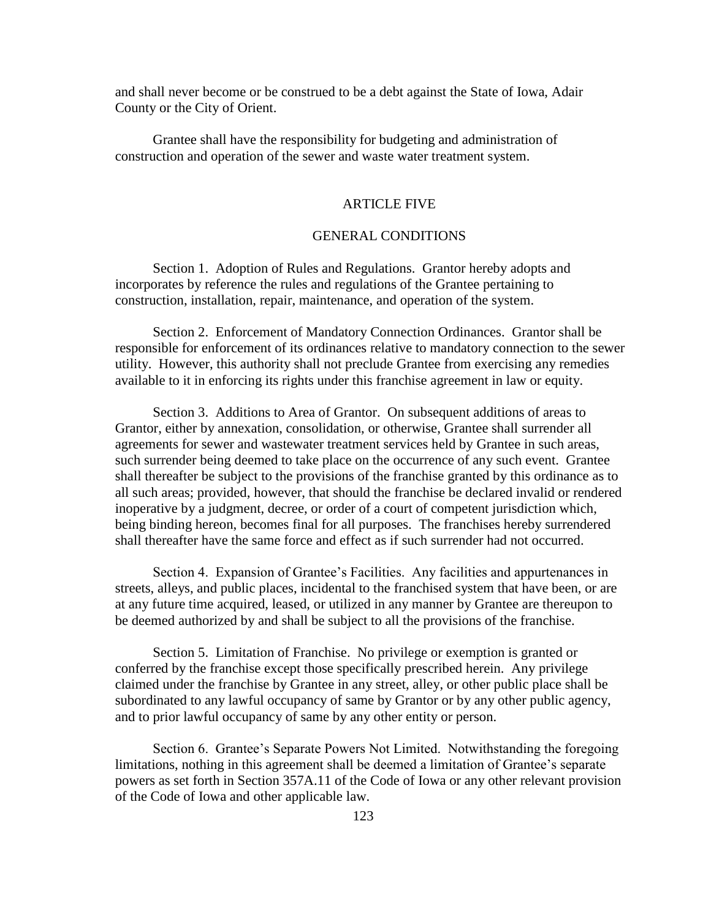and shall never become or be construed to be a debt against the State of Iowa, Adair County or the City of Orient.

Grantee shall have the responsibility for budgeting and administration of construction and operation of the sewer and waste water treatment system.

## ARTICLE FIVE

### GENERAL CONDITIONS

Section 1. Adoption of Rules and Regulations. Grantor hereby adopts and incorporates by reference the rules and regulations of the Grantee pertaining to construction, installation, repair, maintenance, and operation of the system.

Section 2. Enforcement of Mandatory Connection Ordinances. Grantor shall be responsible for enforcement of its ordinances relative to mandatory connection to the sewer utility. However, this authority shall not preclude Grantee from exercising any remedies available to it in enforcing its rights under this franchise agreement in law or equity.

Section 3. Additions to Area of Grantor. On subsequent additions of areas to Grantor, either by annexation, consolidation, or otherwise, Grantee shall surrender all agreements for sewer and wastewater treatment services held by Grantee in such areas, such surrender being deemed to take place on the occurrence of any such event. Grantee shall thereafter be subject to the provisions of the franchise granted by this ordinance as to all such areas; provided, however, that should the franchise be declared invalid or rendered inoperative by a judgment, decree, or order of a court of competent jurisdiction which, being binding hereon, becomes final for all purposes. The franchises hereby surrendered shall thereafter have the same force and effect as if such surrender had not occurred.

Section 4. Expansion of Grantee's Facilities. Any facilities and appurtenances in streets, alleys, and public places, incidental to the franchised system that have been, or are at any future time acquired, leased, or utilized in any manner by Grantee are thereupon to be deemed authorized by and shall be subject to all the provisions of the franchise.

Section 5. Limitation of Franchise. No privilege or exemption is granted or conferred by the franchise except those specifically prescribed herein. Any privilege claimed under the franchise by Grantee in any street, alley, or other public place shall be subordinated to any lawful occupancy of same by Grantor or by any other public agency, and to prior lawful occupancy of same by any other entity or person.

Section 6. Grantee's Separate Powers Not Limited. Notwithstanding the foregoing limitations, nothing in this agreement shall be deemed a limitation of Grantee's separate powers as set forth in Section 357A.11 of the Code of Iowa or any other relevant provision of the Code of Iowa and other applicable law.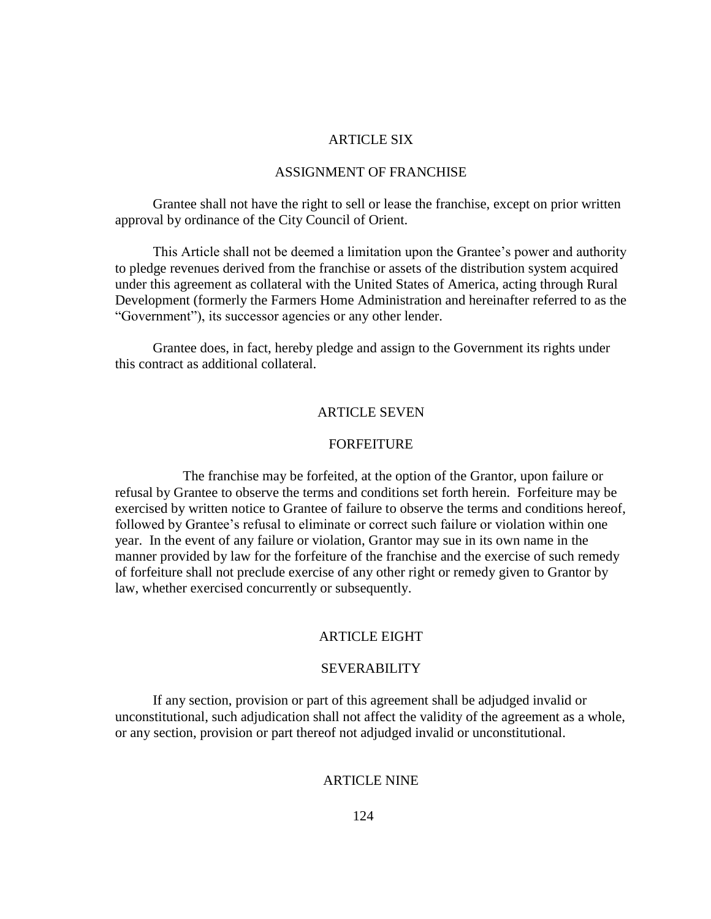### ARTICLE SIX

#### ASSIGNMENT OF FRANCHISE

Grantee shall not have the right to sell or lease the franchise, except on prior written approval by ordinance of the City Council of Orient.

This Article shall not be deemed a limitation upon the Grantee's power and authority to pledge revenues derived from the franchise or assets of the distribution system acquired under this agreement as collateral with the United States of America, acting through Rural Development (formerly the Farmers Home Administration and hereinafter referred to as the "Government"), its successor agencies or any other lender.

Grantee does, in fact, hereby pledge and assign to the Government its rights under this contract as additional collateral.

#### ARTICLE SEVEN

#### FORFEITURE

The franchise may be forfeited, at the option of the Grantor, upon failure or refusal by Grantee to observe the terms and conditions set forth herein. Forfeiture may be exercised by written notice to Grantee of failure to observe the terms and conditions hereof, followed by Grantee's refusal to eliminate or correct such failure or violation within one year. In the event of any failure or violation, Grantor may sue in its own name in the manner provided by law for the forfeiture of the franchise and the exercise of such remedy of forfeiture shall not preclude exercise of any other right or remedy given to Grantor by law, whether exercised concurrently or subsequently.

### ARTICLE EIGHT

#### SEVERABILITY

If any section, provision or part of this agreement shall be adjudged invalid or unconstitutional, such adjudication shall not affect the validity of the agreement as a whole, or any section, provision or part thereof not adjudged invalid or unconstitutional.

### ARTICLE NINE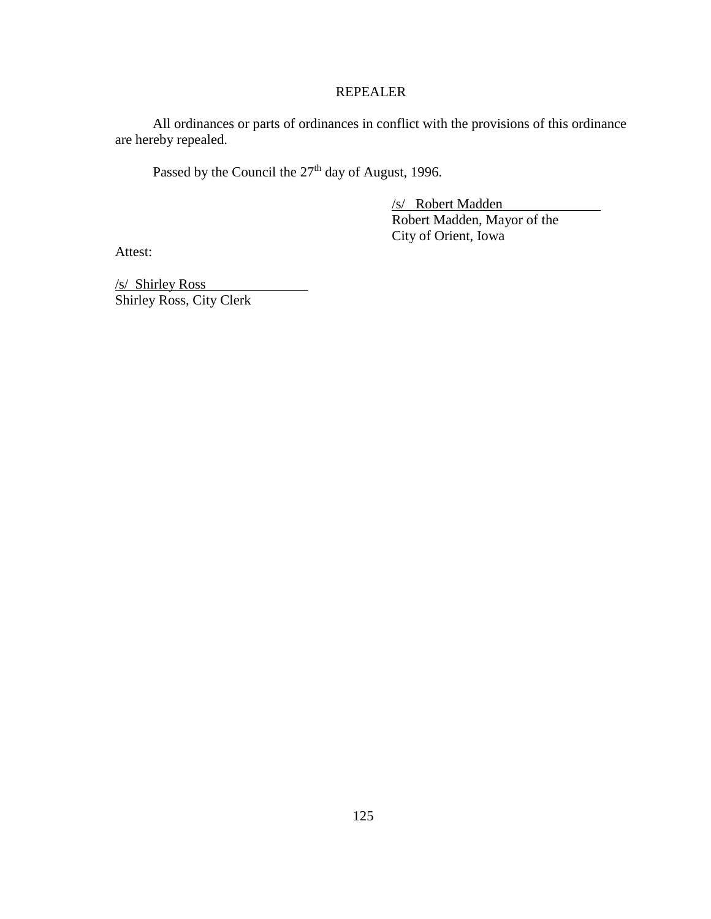## REPEALER

All ordinances or parts of ordinances in conflict with the provisions of this ordinance are hereby repealed.

Passed by the Council the  $27<sup>th</sup>$  day of August, 1996.

/s/ Robert Madden Robert Madden, Mayor of the City of Orient, Iowa

Attest:

/s/ Shirley Ross Shirley Ross, City Clerk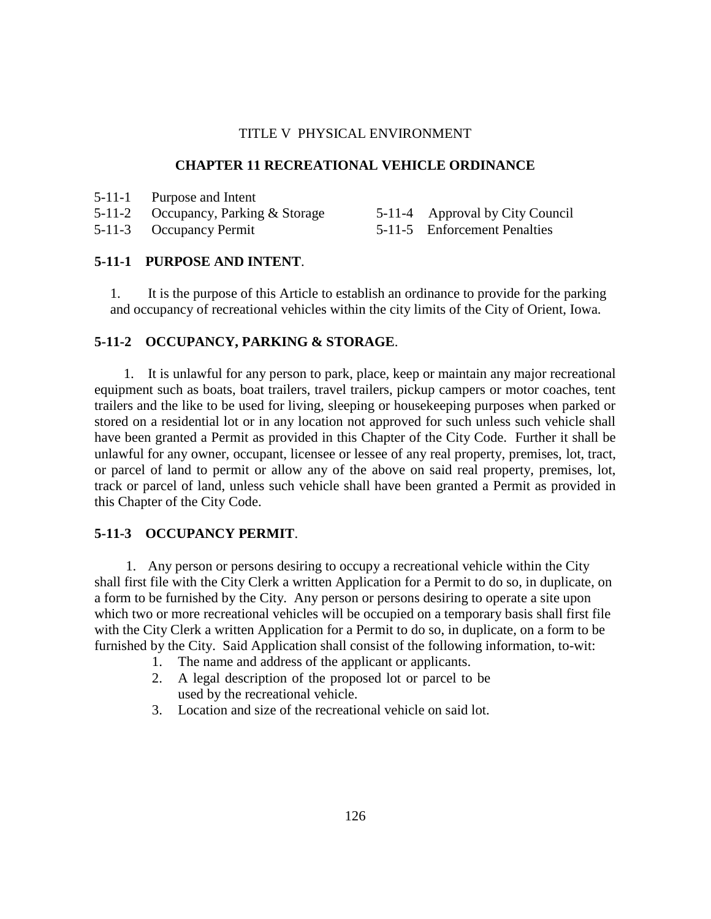### **CHAPTER 11 RECREATIONAL VEHICLE ORDINANCE**

5-11-2 Occupancy, Parking & Storage

5-11-4 Approval by City Council

5-11-3 Occupancy Permit

5-11-5 Enforcement Penalties

# **5-11-1 PURPOSE AND INTENT**.

1. It is the purpose of this Article to establish an ordinance to provide for the parking and occupancy of recreational vehicles within the city limits of the City of Orient, Iowa.

# **5-11-2 OCCUPANCY, PARKING & STORAGE**.

1. It is unlawful for any person to park, place, keep or maintain any major recreational equipment such as boats, boat trailers, travel trailers, pickup campers or motor coaches, tent trailers and the like to be used for living, sleeping or housekeeping purposes when parked or stored on a residential lot or in any location not approved for such unless such vehicle shall have been granted a Permit as provided in this Chapter of the City Code. Further it shall be unlawful for any owner, occupant, licensee or lessee of any real property, premises, lot, tract, or parcel of land to permit or allow any of the above on said real property, premises, lot, track or parcel of land, unless such vehicle shall have been granted a Permit as provided in this Chapter of the City Code.

# **5-11-3 OCCUPANCY PERMIT**.

1. Any person or persons desiring to occupy a recreational vehicle within the City shall first file with the City Clerk a written Application for a Permit to do so, in duplicate, on a form to be furnished by the City. Any person or persons desiring to operate a site upon which two or more recreational vehicles will be occupied on a temporary basis shall first file with the City Clerk a written Application for a Permit to do so, in duplicate, on a form to be furnished by the City. Said Application shall consist of the following information, to-wit:

- 1. The name and address of the applicant or applicants.
- 2. A legal description of the proposed lot or parcel to be used by the recreational vehicle.
- 3. Location and size of the recreational vehicle on said lot.